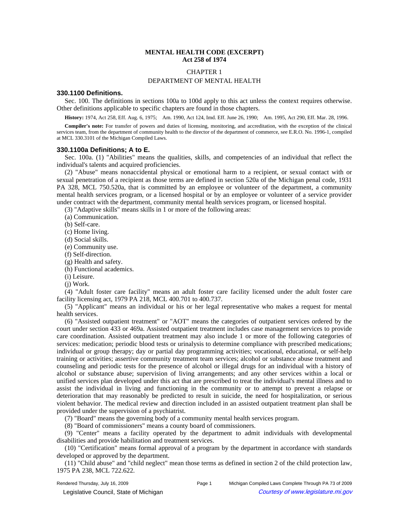## **MENTAL HEALTH CODE (EXCERPT) Act 258 of 1974**

## CHAPTER 1

### DEPARTMENT OF MENTAL HEALTH

### **330.1100 Definitions.**

Sec. 100. The definitions in sections 100a to 100d apply to this act unless the context requires otherwise. Other definitions applicable to specific chapters are found in those chapters.

History: 1974, Act 258, Eff. Aug. 6, 1975;—Am. 1990, Act 124, Imd. Eff. June 26, 1990;—Am. 1995, Act 290, Eff. Mar. 28, 1996.

**Compiler's note:** For transfer of powers and duties of licensing, monitoring, and accreditation, with the exception of the clinical services team, from the department of community health to the director of the department of commerce, see E.R.O. No. 1996-1, compiled at MCL 330.3101 of the Michigan Compiled Laws.

### **330.1100a Definitions; A to E.**

Sec. 100a. (1) "Abilities" means the qualities, skills, and competencies of an individual that reflect the individual's talents and acquired proficiencies.

(2) "Abuse" means nonaccidental physical or emotional harm to a recipient, or sexual contact with or sexual penetration of a recipient as those terms are defined in section 520a of the Michigan penal code, 1931 PA 328, MCL 750.520a, that is committed by an employee or volunteer of the department, a community mental health services program, or a licensed hospital or by an employee or volunteer of a service provider under contract with the department, community mental health services program, or licensed hospital.

(3) "Adaptive skills" means skills in 1 or more of the following areas:

(a) Communication.

(b) Self-care.

(c) Home living.

(d) Social skills.

(e) Community use.

(f) Self-direction.

(g) Health and safety.

(h) Functional academics.

(i) Leisure.

(j) Work.

(4) "Adult foster care facility" means an adult foster care facility licensed under the adult foster care facility licensing act, 1979 PA 218, MCL 400.701 to 400.737.

(5) "Applicant" means an individual or his or her legal representative who makes a request for mental health services.

(6) "Assisted outpatient treatment" or "AOT" means the categories of outpatient services ordered by the court under section 433 or 469a. Assisted outpatient treatment includes case management services to provide care coordination. Assisted outpatient treatment may also include 1 or more of the following categories of services: medication; periodic blood tests or urinalysis to determine compliance with prescribed medications; individual or group therapy; day or partial day programming activities; vocational, educational, or self-help training or activities; assertive community treatment team services; alcohol or substance abuse treatment and counseling and periodic tests for the presence of alcohol or illegal drugs for an individual with a history of alcohol or substance abuse; supervision of living arrangements; and any other services within a local or unified services plan developed under this act that are prescribed to treat the individual's mental illness and to assist the individual in living and functioning in the community or to attempt to prevent a relapse or deterioration that may reasonably be predicted to result in suicide, the need for hospitalization, or serious violent behavior. The medical review and direction included in an assisted outpatient treatment plan shall be provided under the supervision of a psychiatrist.

(7) "Board" means the governing body of a community mental health services program.

(8) "Board of commissioners" means a county board of commissioners.

(9) "Center" means a facility operated by the department to admit individuals with developmental disabilities and provide habilitation and treatment services.

(10) "Certification" means formal approval of a program by the department in accordance with standards developed or approved by the department.

(11) "Child abuse" and "child neglect" mean those terms as defined in section 2 of the child protection law, 1975 PA 238, MCL 722.622.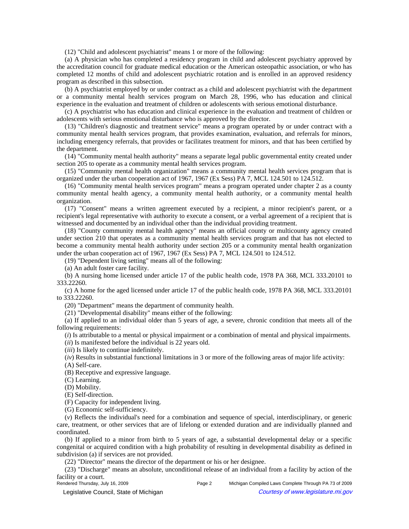(12) "Child and adolescent psychiatrist" means 1 or more of the following:

(a) A physician who has completed a residency program in child and adolescent psychiatry approved by the accreditation council for graduate medical education or the American osteopathic association, or who has completed 12 months of child and adolescent psychiatric rotation and is enrolled in an approved residency program as described in this subsection.

(b) A psychiatrist employed by or under contract as a child and adolescent psychiatrist with the department or a community mental health services program on March 28, 1996, who has education and clinical experience in the evaluation and treatment of children or adolescents with serious emotional disturbance.

(c) A psychiatrist who has education and clinical experience in the evaluation and treatment of children or adolescents with serious emotional disturbance who is approved by the director.

(13) "Children's diagnostic and treatment service" means a program operated by or under contract with a community mental health services program, that provides examination, evaluation, and referrals for minors, including emergency referrals, that provides or facilitates treatment for minors, and that has been certified by the department.

(14) "Community mental health authority" means a separate legal public governmental entity created under section 205 to operate as a community mental health services program.

(15) "Community mental health organization" means a community mental health services program that is organized under the urban cooperation act of 1967, 1967 (Ex Sess) PA 7, MCL 124.501 to 124.512.

(16) "Community mental health services program" means a program operated under chapter 2 as a county community mental health agency, a community mental health authority, or a community mental health organization.

(17) "Consent" means a written agreement executed by a recipient, a minor recipient's parent, or a recipient's legal representative with authority to execute a consent, or a verbal agreement of a recipient that is witnessed and documented by an individual other than the individual providing treatment.

(18) "County community mental health agency" means an official county or multicounty agency created under section 210 that operates as a community mental health services program and that has not elected to become a community mental health authority under section 205 or a community mental health organization under the urban cooperation act of 1967, 1967 (Ex Sess) PA 7, MCL 124.501 to 124.512.

(19) "Dependent living setting" means all of the following:

(a) An adult foster care facility.

(b) A nursing home licensed under article 17 of the public health code, 1978 PA 368, MCL 333.20101 to 333.22260.

(c) A home for the aged licensed under article 17 of the public health code, 1978 PA 368, MCL 333.20101 to 333.22260.

(20) "Department" means the department of community health.

(21) "Developmental disability" means either of the following:

(a) If applied to an individual older than 5 years of age, a severe, chronic condition that meets all of the following requirements:

(*i*) Is attributable to a mental or physical impairment or a combination of mental and physical impairments.

(*ii*) Is manifested before the individual is 22 years old.

(*iii*) Is likely to continue indefinitely.

(*iv*) Results in substantial functional limitations in 3 or more of the following areas of major life activity:

(A) Self-care.

(B) Receptive and expressive language.

(C) Learning.

(D) Mobility.

(E) Self-direction.

(F) Capacity for independent living.

(G) Economic self-sufficiency.

(*v*) Reflects the individual's need for a combination and sequence of special, interdisciplinary, or generic care, treatment, or other services that are of lifelong or extended duration and are individually planned and coordinated.

(b) If applied to a minor from birth to 5 years of age, a substantial developmental delay or a specific congenital or acquired condition with a high probability of resulting in developmental disability as defined in subdivision (a) if services are not provided.

(22) "Director" means the director of the department or his or her designee.

(23) "Discharge" means an absolute, unconditional release of an individual from a facility by action of the facility or a court.<br>Rendered Thursday, July 16, 2009

Page 2 Michigan Compiled Laws Complete Through PA 73 of 2009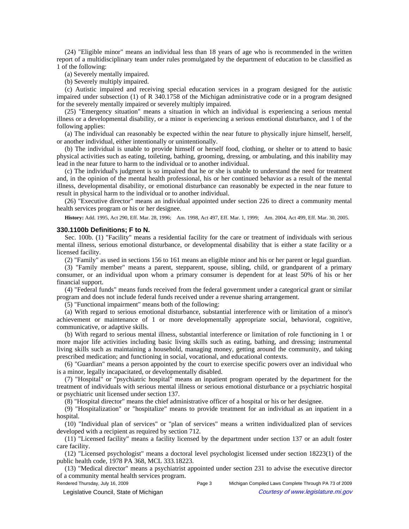(24) "Eligible minor" means an individual less than 18 years of age who is recommended in the written report of a multidisciplinary team under rules promulgated by the department of education to be classified as 1 of the following:

(a) Severely mentally impaired.

(b) Severely multiply impaired.

(c) Autistic impaired and receiving special education services in a program designed for the autistic impaired under subsection (1) of R 340.1758 of the Michigan administrative code or in a program designed for the severely mentally impaired or severely multiply impaired.

(25) "Emergency situation" means a situation in which an individual is experiencing a serious mental illness or a developmental disability, or a minor is experiencing a serious emotional disturbance, and 1 of the following applies:

(a) The individual can reasonably be expected within the near future to physically injure himself, herself, or another individual, either intentionally or unintentionally.

(b) The individual is unable to provide himself or herself food, clothing, or shelter or to attend to basic physical activities such as eating, toileting, bathing, grooming, dressing, or ambulating, and this inability may lead in the near future to harm to the individual or to another individual.

(c) The individual's judgment is so impaired that he or she is unable to understand the need for treatment and, in the opinion of the mental health professional, his or her continued behavior as a result of the mental illness, developmental disability, or emotional disturbance can reasonably be expected in the near future to result in physical harm to the individual or to another individual.

(26) "Executive director" means an individual appointed under section 226 to direct a community mental health services program or his or her designee.

History: Add. 1995, Act 290, Eff. Mar. 28, 1996;--Am. 1998, Act 497, Eff. Mar. 1, 1999;--Am. 2004, Act 499, Eff. Mar. 30, 2005.

### **330.1100b Definitions; F to N.**

Sec. 100b. (1) "Facility" means a residential facility for the care or treatment of individuals with serious mental illness, serious emotional disturbance, or developmental disability that is either a state facility or a licensed facility.

(2) "Family" as used in sections 156 to 161 means an eligible minor and his or her parent or legal guardian.

(3) "Family member" means a parent, stepparent, spouse, sibling, child, or grandparent of a primary consumer, or an individual upon whom a primary consumer is dependent for at least 50% of his or her financial support.

(4) "Federal funds" means funds received from the federal government under a categorical grant or similar program and does not include federal funds received under a revenue sharing arrangement.

(5) "Functional impairment" means both of the following:

(a) With regard to serious emotional disturbance, substantial interference with or limitation of a minor's achievement or maintenance of 1 or more developmentally appropriate social, behavioral, cognitive, communicative, or adaptive skills.

(b) With regard to serious mental illness, substantial interference or limitation of role functioning in 1 or more major life activities including basic living skills such as eating, bathing, and dressing; instrumental living skills such as maintaining a household, managing money, getting around the community, and taking prescribed medication; and functioning in social, vocational, and educational contexts.

(6) "Guardian" means a person appointed by the court to exercise specific powers over an individual who is a minor, legally incapacitated, or developmentally disabled.

(7) "Hospital" or "psychiatric hospital" means an inpatient program operated by the department for the treatment of individuals with serious mental illness or serious emotional disturbance or a psychiatric hospital or psychiatric unit licensed under section 137.

(8) "Hospital director" means the chief administrative officer of a hospital or his or her designee.

(9) "Hospitalization" or "hospitalize" means to provide treatment for an individual as an inpatient in a hospital.

(10) "Individual plan of services" or "plan of services" means a written individualized plan of services developed with a recipient as required by section 712.

(11) "Licensed facility" means a facility licensed by the department under section 137 or an adult foster care facility.

(12) "Licensed psychologist" means a doctoral level psychologist licensed under section 18223(1) of the public health code, 1978 PA 368, MCL 333.18223.

(13) "Medical director" means a psychiatrist appointed under section 231 to advise the executive director of a community mental health services program.

# Page 3 Michigan Compiled Laws Complete Through PA 73 of 2009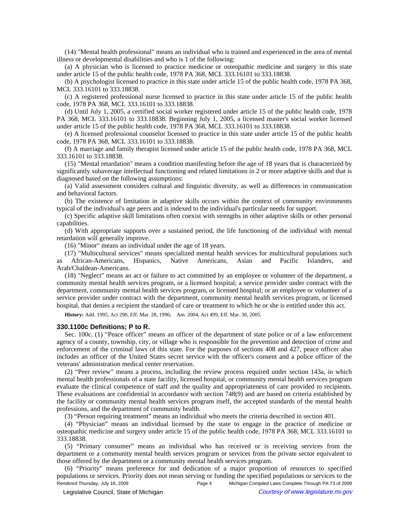(14) "Mental health professional" means an individual who is trained and experienced in the area of mental illness or developmental disabilities and who is 1 of the following:

(a) A physician who is licensed to practice medicine or osteopathic medicine and surgery in this state under article 15 of the public health code, 1978 PA 368, MCL 333.16101 to 333.18838.

(b) A psychologist licensed to practice in this state under article 15 of the public health code, 1978 PA 368, MCL 333.16101 to 333.18838.

(c) A registered professional nurse licensed to practice in this state under article 15 of the public health code, 1978 PA 368, MCL 333.16101 to 333.18838.

(d) Until July 1, 2005, a certified social worker registered under article 15 of the public health code, 1978 PA 368, MCL 333.16101 to 333.18838. Beginning July 1, 2005, a licensed master's social worker licensed under article 15 of the public health code, 1978 PA 368, MCL 333.16101 to 333.18838.

(e) A licensed professional counselor licensed to practice in this state under article 15 of the public health code, 1978 PA 368, MCL 333.16101 to 333.18838.

(f) A marriage and family therapist licensed under article 15 of the public health code, 1978 PA 368, MCL 333.16101 to 333.18838.

(15) "Mental retardation" means a condition manifesting before the age of 18 years that is characterized by significantly subaverage intellectual functioning and related limitations in 2 or more adaptive skills and that is diagnosed based on the following assumptions:

(a) Valid assessment considers cultural and linguistic diversity, as well as differences in communication and behavioral factors.

(b) The existence of limitation in adaptive skills occurs within the context of community environments typical of the individual's age peers and is indexed to the individual's particular needs for support.

(c) Specific adaptive skill limitations often coexist with strengths in other adaptive skills or other personal capabilities.

(d) With appropriate supports over a sustained period, the life functioning of the individual with mental retardation will generally improve.

(16) "Minor" means an individual under the age of 18 years.

(17) "Multicultural services" means specialized mental health services for multicultural populations such African-Americans, Hispanics, Native Americans, Asian and Pacific Islanders, Arab/Chaldean-Americans.

(18) "Neglect" means an act or failure to act committed by an employee or volunteer of the department, a community mental health services program, or a licensed hospital; a service provider under contract with the department, community mental health services program, or licensed hospital; or an employee or volunteer of a service provider under contract with the department, community mental health services program, or licensed hospital, that denies a recipient the standard of care or treatment to which he or she is entitled under this act.

History: Add. 1995, Act 290, Eff. Mar. 28, 1996;-- Am. 2004, Act 499, Eff. Mar. 30, 2005.

### **330.1100c Definitions; P to R.**

Sec. 100c. (1) "Peace officer" means an officer of the department of state police or of a law enforcement agency of a county, township, city, or village who is responsible for the prevention and detection of crime and enforcement of the criminal laws of this state. For the purposes of sections 408 and 427, peace officer also includes an officer of the United States secret service with the officer's consent and a police officer of the veterans' administration medical center reservation.

(2) "Peer review" means a process, including the review process required under section 143a, in which mental health professionals of a state facility, licensed hospital, or community mental health services program evaluate the clinical competence of staff and the quality and appropriateness of care provided to recipients. These evaluations are confidential in accordance with section 748(9) and are based on criteria established by the facility or community mental health services program itself, the accepted standards of the mental health professions, and the department of community health.

(3) "Person requiring treatment" means an individual who meets the criteria described in section 401.

(4) "Physician" means an individual licensed by the state to engage in the practice of medicine or osteopathic medicine and surgery under article 15 of the public health code, 1978 PA 368, MCL 333.16101 to 333.18838.

(5) "Primary consumer" means an individual who has received or is receiving services from the department or a community mental health services program or services from the private sector equivalent to those offered by the department or a community mental health services program.

(6) "Priority" means preference for and dedication of a major proportion of resources to specified populations or services. Priority does not mean serving or funding the specified populations or services to the Rendered Thursday, July 16, 2009 **Page 4** Michigan Compiled Laws Complete Through PA 73 of 2009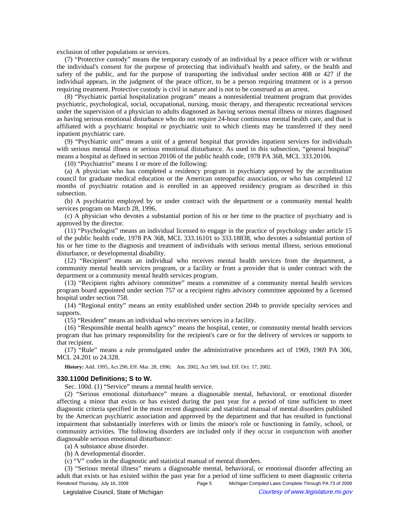exclusion of other populations or services.

(7) "Protective custody" means the temporary custody of an individual by a peace officer with or without the individual's consent for the purpose of protecting that individual's health and safety, or the health and safety of the public, and for the purpose of transporting the individual under section 408 or 427 if the individual appears, in the judgment of the peace officer, to be a person requiring treatment or is a person requiring treatment. Protective custody is civil in nature and is not to be construed as an arrest.

(8) "Psychiatric partial hospitalization program" means a nonresidential treatment program that provides psychiatric, psychological, social, occupational, nursing, music therapy, and therapeutic recreational services under the supervision of a physician to adults diagnosed as having serious mental illness or minors diagnosed as having serious emotional disturbance who do not require 24-hour continuous mental health care, and that is affiliated with a psychiatric hospital or psychiatric unit to which clients may be transferred if they need inpatient psychiatric care.

(9) "Psychiatric unit" means a unit of a general hospital that provides inpatient services for individuals with serious mental illness or serious emotional disturbance. As used in this subsection, "general hospital" means a hospital as defined in section 20106 of the public health code, 1978 PA 368, MCL 333.20106.

(10) "Psychiatrist" means 1 or more of the following:

(a) A physician who has completed a residency program in psychiatry approved by the accreditation council for graduate medical education or the American osteopathic association, or who has completed 12 months of psychiatric rotation and is enrolled in an approved residency program as described in this subsection.

(b) A psychiatrist employed by or under contract with the department or a community mental health services program on March 28, 1996.

(c) A physician who devotes a substantial portion of his or her time to the practice of psychiatry and is approved by the director.

(11) "Psychologist" means an individual licensed to engage in the practice of psychology under article 15 of the public health code, 1978 PA 368, MCL 333.16101 to 333.18838, who devotes a substantial portion of his or her time to the diagnosis and treatment of individuals with serious mental illness, serious emotional disturbance, or developmental disability.

(12) "Recipient" means an individual who receives mental health services from the department, a community mental health services program, or a facility or from a provider that is under contract with the department or a community mental health services program.

(13) "Recipient rights advisory committee" means a committee of a community mental health services program board appointed under section 757 or a recipient rights advisory committee appointed by a licensed hospital under section 758.

(14) "Regional entity" means an entity established under section 204b to provide specialty services and supports.

(15) "Resident" means an individual who receives services in a facility.

(16) "Responsible mental health agency" means the hospital, center, or community mental health services program that has primary responsibility for the recipient's care or for the delivery of services or supports to that recipient.

(17) "Rule" means a rule promulgated under the administrative procedures act of 1969, 1969 PA 306, MCL 24.201 to 24.328.

History: Add. 1995, Act 290, Eff. Mar. 28, 1996;-- Am. 2002, Act 589, Imd. Eff. Oct. 17, 2002.

### **330.1100d Definitions; S to W.**

Sec. 100d. (1) "Service" means a mental health service.

(2) "Serious emotional disturbance" means a diagnosable mental, behavioral, or emotional disorder affecting a minor that exists or has existed during the past year for a period of time sufficient to meet diagnostic criteria specified in the most recent diagnostic and statistical manual of mental disorders published by the American psychiatric association and approved by the department and that has resulted in functional impairment that substantially interferes with or limits the minor's role or functioning in family, school, or community activities. The following disorders are included only if they occur in conjunction with another diagnosable serious emotional disturbance:

(a) A substance abuse disorder.

(b) A developmental disorder.

(c) "V" codes in the diagnostic and statistical manual of mental disorders.

(3) "Serious mental illness" means a diagnosable mental, behavioral, or emotional disorder affecting an adult that exists or has existed within the past year for a period of time sufficient to meet diagnostic criteria Rendered Thursday, July 16, 2009 **Page 5** Michigan Compiled Laws Complete Through PA 73 of 2009 © Legislative Council, State of Michigan Council Courtesy of www.legislature.mi.gov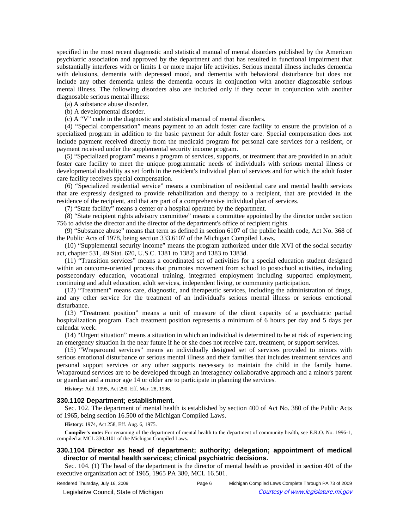specified in the most recent diagnostic and statistical manual of mental disorders published by the American psychiatric association and approved by the department and that has resulted in functional impairment that substantially interferes with or limits 1 or more major life activities. Serious mental illness includes dementia with delusions, dementia with depressed mood, and dementia with behavioral disturbance but does not include any other dementia unless the dementia occurs in conjunction with another diagnosable serious mental illness. The following disorders also are included only if they occur in conjunction with another diagnosable serious mental illness:

(a) A substance abuse disorder.

(b) A developmental disorder.

(c) A "V" code in the diagnostic and statistical manual of mental disorders.

(4) "Special compensation" means payment to an adult foster care facility to ensure the provision of a specialized program in addition to the basic payment for adult foster care. Special compensation does not include payment received directly from the medicaid program for personal care services for a resident, or payment received under the supplemental security income program.

(5) "Specialized program" means a program of services, supports, or treatment that are provided in an adult foster care facility to meet the unique programmatic needs of individuals with serious mental illness or developmental disability as set forth in the resident's individual plan of services and for which the adult foster care facility receives special compensation.

(6) "Specialized residential service" means a combination of residential care and mental health services that are expressly designed to provide rehabilitation and therapy to a recipient, that are provided in the residence of the recipient, and that are part of a comprehensive individual plan of services.

(7) "State facility" means a center or a hospital operated by the department.

(8) "State recipient rights advisory committee" means a committee appointed by the director under section 756 to advise the director and the director of the department's office of recipient rights.

(9) "Substance abuse" means that term as defined in section 6107 of the public health code, Act No. 368 of the Public Acts of 1978, being section 333.6107 of the Michigan Compiled Laws.

(10) "Supplemental security income" means the program authorized under title XVI of the social security act, chapter 531, 49 Stat. 620, U.S.C. 1381 to 1382j and 1383 to 1383d.

(11) "Transition services" means a coordinated set of activities for a special education student designed within an outcome-oriented process that promotes movement from school to postschool activities, including postsecondary education, vocational training, integrated employment including supported employment, continuing and adult education, adult services, independent living, or community participation.

(12) "Treatment" means care, diagnostic, and therapeutic services, including the administration of drugs, and any other service for the treatment of an individual's serious mental illness or serious emotional disturbance.

(13) "Treatment position" means a unit of measure of the client capacity of a psychiatric partial hospitalization program. Each treatment position represents a minimum of 6 hours per day and 5 days per calendar week.

(14) "Urgent situation" means a situation in which an individual is determined to be at risk of experiencing an emergency situation in the near future if he or she does not receive care, treatment, or support services.

(15) "Wraparound services" means an individually designed set of services provided to minors with serious emotional disturbance or serious mental illness and their families that includes treatment services and personal support services or any other supports necessary to maintain the child in the family home. Wraparound services are to be developed through an interagency collaborative approach and a minor's parent or guardian and a minor age 14 or older are to participate in planning the services.

**History:** Add. 1995, Act 290, Eff. Mar. 28, 1996.

### **330.1102 Department; establishment.**

Sec. 102. The department of mental health is established by section 400 of Act No. 380 of the Public Acts of 1965, being section 16.500 of the Michigan Compiled Laws.

**History:** 1974, Act 258, Eff. Aug. 6, 1975.

**Compiler's note:** For renaming of the department of mental health to the department of community health, see E.R.O. No. 1996-1, compiled at MCL 330.3101 of the Michigan Compiled Laws.

## **330.1104 Director as head of department; authority; delegation; appointment of medical director of mental health services; clinical psychiatric decisions.**

Sec. 104. (1) The head of the department is the director of mental health as provided in section 401 of the executive organization act of 1965, 1965 PA 380, MCL 16.501.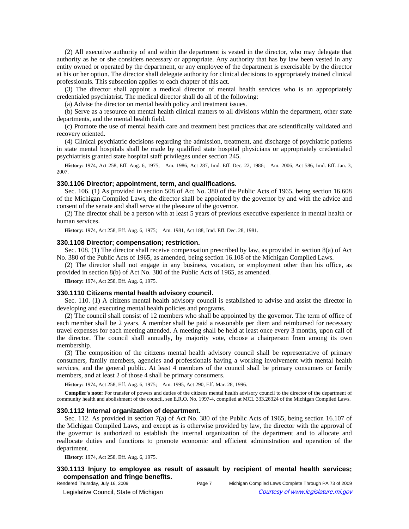(2) All executive authority of and within the department is vested in the director, who may delegate that authority as he or she considers necessary or appropriate. Any authority that has by law been vested in any entity owned or operated by the department, or any employee of the department is exercisable by the director at his or her option. The director shall delegate authority for clinical decisions to appropriately trained clinical professionals. This subsection applies to each chapter of this act.

(3) The director shall appoint a medical director of mental health services who is an appropriately credentialed psychiatrist. The medical director shall do all of the following:

(a) Advise the director on mental health policy and treatment issues.

(b) Serve as a resource on mental health clinical matters to all divisions within the department, other state departments, and the mental health field.

(c) Promote the use of mental health care and treatment best practices that are scientifically validated and recovery oriented.

(4) Clinical psychiatric decisions regarding the admission, treatment, and discharge of psychiatric patients in state mental hospitals shall be made by qualified state hospital physicians or appropriately credentialed psychiatrists granted state hospital staff privileges under section 245.

History: 1974, Act 258, Eff. Aug. 6, 1975;—Am. 1986, Act 287, Imd. Eff. Dec. 22, 1986;—Am. 2006, Act 586, Imd. Eff. Jan. 3, 2007.

#### **330.1106 Director; appointment, term, and qualifications.**

Sec. 106. (1) As provided in section 508 of Act No. 380 of the Public Acts of 1965, being section 16.608 of the Michigan Compiled Laws, the director shall be appointed by the governor by and with the advice and consent of the senate and shall serve at the pleasure of the governor.

(2) The director shall be a person with at least 5 years of previous executive experience in mental health or human services.

History: 1974, Act 258, Eff. Aug. 6, 1975;-- Am. 1981, Act 188, Imd. Eff. Dec. 28, 1981.

### **330.1108 Director; compensation; restriction.**

Sec. 108. (1) The director shall receive compensation prescribed by law, as provided in section 8(a) of Act No. 380 of the Public Acts of 1965, as amended, being section 16.108 of the Michigan Compiled Laws.

(2) The director shall not engage in any business, vocation, or employment other than his office, as provided in section 8(b) of Act No. 380 of the Public Acts of 1965, as amended.

**History:** 1974, Act 258, Eff. Aug. 6, 1975.

### **330.1110 Citizens mental health advisory council.**

Sec. 110. (1) A citizens mental health advisory council is established to advise and assist the director in developing and executing mental health policies and programs.

(2) The council shall consist of 12 members who shall be appointed by the governor. The term of office of each member shall be 2 years. A member shall be paid a reasonable per diem and reimbursed for necessary travel expenses for each meeting attended. A meeting shall be held at least once every 3 months, upon call of the director. The council shall annually, by majority vote, choose a chairperson from among its own membership.

(3) The composition of the citizens mental health advisory council shall be representative of primary consumers, family members, agencies and professionals having a working involvement with mental health services, and the general public. At least 4 members of the council shall be primary consumers or family members, and at least 2 of those 4 shall be primary consumers.

History: 1974, Act 258, Eff. Aug. 6, 1975;-- Am. 1995, Act 290, Eff. Mar. 28, 1996.

**Compiler's note:** For transfer of powers and duties of the citizens mental health advisory council to the director of the department of community health and abolishment of the council, see E.R.O. No. 1997-4, compiled at MCL 333.26324 of the Michigan Compiled Laws.

### **330.1112 Internal organization of department.**

Sec. 112. As provided in section 7(a) of Act No. 380 of the Public Acts of 1965, being section 16.107 of the Michigan Compiled Laws, and except as is otherwise provided by law, the director with the approval of the governor is authorized to establish the internal organization of the department and to allocate and reallocate duties and functions to promote economic and efficient administration and operation of the department.

**History:** 1974, Act 258, Eff. Aug. 6, 1975.

### **330.1113 Injury to employee as result of assault by recipient of mental health services; compensation and fringe benefits.**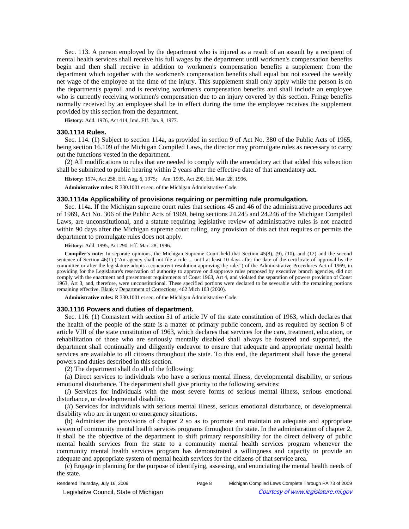Sec. 113. A person employed by the department who is injured as a result of an assault by a recipient of mental health services shall receive his full wages by the department until workmen's compensation benefits begin and then shall receive in addition to workmen's compensation benefits a supplement from the department which together with the workmen's compensation benefits shall equal but not exceed the weekly net wage of the employee at the time of the injury. This supplement shall only apply while the person is on the department's payroll and is receiving workmen's compensation benefits and shall include an employee who is currently receiving workmen's compensation due to an injury covered by this section. Fringe benefits normally received by an employee shall be in effect during the time the employee receives the supplement provided by this section from the department.

**History:** Add. 1976, Act 414, Imd. Eff. Jan. 9, 1977.

### **330.1114 Rules.**

Sec. 114. (1) Subject to section 114a, as provided in section 9 of Act No. 380 of the Public Acts of 1965, being section 16.109 of the Michigan Compiled Laws, the director may promulgate rules as necessary to carry out the functions vested in the department.

(2) All modifications to rules that are needed to comply with the amendatory act that added this subsection shall be submitted to public hearing within 2 years after the effective date of that amendatory act.

History: 1974, Act 258, Eff. Aug. 6, 1975;-- Am. 1995, Act 290, Eff. Mar. 28, 1996.

**Administrative rules:** R 330.1001 et seq. of the Michigan Administrative Code.

### **330.1114a Applicability of provisions requiring or permitting rule promulgation.**

Sec. 114a. If the Michigan supreme court rules that sections 45 and 46 of the administrative procedures act of 1969, Act No. 306 of the Public Acts of 1969, being sections 24.245 and 24.246 of the Michigan Compiled Laws, are unconstitutional, and a statute requiring legislative review of administrative rules is not enacted within 90 days after the Michigan supreme court ruling, any provision of this act that requires or permits the department to promulgate rules does not apply.

**History:** Add. 1995, Act 290, Eff. Mar. 28, 1996.

**Compiler's note:** In separate opinions, the Michigan Supreme Court held that Section 45(8), (9), (10), and (12) and the second sentence of Section 46(1) ("An agency shall not file a rule ... until at least 10 days after the date of the certificate of approval by the committee or after the legislature adopts a concurrent resolution approving the rule.") of the Administrative Procedures Act of 1969, in providing for the Legislature's reservation of authority to approve or disapprove rules proposed by executive branch agencies, did not comply with the enactment and presentment requirements of Const 1963, Art 4, and violated the separation of powers provision of Const 1963, Art 3, and, therefore, were unconstitutional. These specified portions were declared to be severable with the remaining portions remaining effective. Blank v Department of Corrections, 462 Mich 103 (2000).

**Administrative rules:** R 330.1001 et seq. of the Michigan Administrative Code.

#### **330.1116 Powers and duties of department.**

Sec. 116. (1) Consistent with section 51 of article IV of the state constitution of 1963, which declares that the health of the people of the state is a matter of primary public concern, and as required by section 8 of article VIII of the state constitution of 1963, which declares that services for the care, treatment, education, or rehabilitation of those who are seriously mentally disabled shall always be fostered and supported, the department shall continually and diligently endeavor to ensure that adequate and appropriate mental health services are available to all citizens throughout the state. To this end, the department shall have the general powers and duties described in this section.

(2) The department shall do all of the following:

(a) Direct services to individuals who have a serious mental illness, developmental disability, or serious emotional disturbance. The department shall give priority to the following services:

(*i*) Services for individuals with the most severe forms of serious mental illness, serious emotional disturbance, or developmental disability.

(*ii*) Services for individuals with serious mental illness, serious emotional disturbance, or developmental disability who are in urgent or emergency situations.

(b) Administer the provisions of chapter 2 so as to promote and maintain an adequate and appropriate system of community mental health services programs throughout the state. In the administration of chapter 2, it shall be the objective of the department to shift primary responsibility for the direct delivery of public mental health services from the state to a community mental health services program whenever the community mental health services program has demonstrated a willingness and capacity to provide an adequate and appropriate system of mental health services for the citizens of that service area.

(c) Engage in planning for the purpose of identifying, assessing, and enunciating the mental health needs of the state.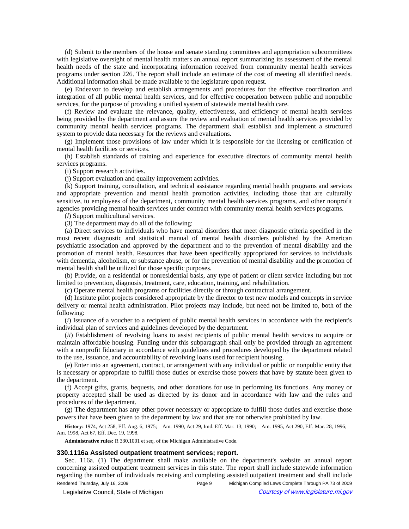(d) Submit to the members of the house and senate standing committees and appropriation subcommittees with legislative oversight of mental health matters an annual report summarizing its assessment of the mental health needs of the state and incorporating information received from community mental health services programs under section 226. The report shall include an estimate of the cost of meeting all identified needs. Additional information shall be made available to the legislature upon request.

(e) Endeavor to develop and establish arrangements and procedures for the effective coordination and integration of all public mental health services, and for effective cooperation between public and nonpublic services, for the purpose of providing a unified system of statewide mental health care.

(f) Review and evaluate the relevance, quality, effectiveness, and efficiency of mental health services being provided by the department and assure the review and evaluation of mental health services provided by community mental health services programs. The department shall establish and implement a structured system to provide data necessary for the reviews and evaluations.

(g) Implement those provisions of law under which it is responsible for the licensing or certification of mental health facilities or services.

(h) Establish standards of training and experience for executive directors of community mental health services programs.

(i) Support research activities.

(j) Support evaluation and quality improvement activities.

(k) Support training, consultation, and technical assistance regarding mental health programs and services and appropriate prevention and mental health promotion activities, including those that are culturally sensitive, to employees of the department, community mental health services programs, and other nonprofit agencies providing mental health services under contract with community mental health services programs.

(*l*) Support multicultural services.

(3) The department may do all of the following:

(a) Direct services to individuals who have mental disorders that meet diagnostic criteria specified in the most recent diagnostic and statistical manual of mental health disorders published by the American psychiatric association and approved by the department and to the prevention of mental disability and the promotion of mental health. Resources that have been specifically appropriated for services to individuals with dementia, alcoholism, or substance abuse, or for the prevention of mental disability and the promotion of mental health shall be utilized for those specific purposes.

(b) Provide, on a residential or nonresidential basis, any type of patient or client service including but not limited to prevention, diagnosis, treatment, care, education, training, and rehabilitation.

(c) Operate mental health programs or facilities directly or through contractual arrangement.

(d) Institute pilot projects considered appropriate by the director to test new models and concepts in service delivery or mental health administration. Pilot projects may include, but need not be limited to, both of the following:

(*i*) Issuance of a voucher to a recipient of public mental health services in accordance with the recipient's individual plan of services and guidelines developed by the department.

(*ii*) Establishment of revolving loans to assist recipients of public mental health services to acquire or maintain affordable housing. Funding under this subparagraph shall only be provided through an agreement with a nonprofit fiduciary in accordance with guidelines and procedures developed by the department related to the use, issuance, and accountability of revolving loans used for recipient housing.

(e) Enter into an agreement, contract, or arrangement with any individual or public or nonpublic entity that is necessary or appropriate to fulfill those duties or exercise those powers that have by statute been given to the department.

(f) Accept gifts, grants, bequests, and other donations for use in performing its functions. Any money or property accepted shall be used as directed by its donor and in accordance with law and the rules and procedures of the department.

(g) The department has any other power necessary or appropriate to fulfill those duties and exercise those powers that have been given to the department by law and that are not otherwise prohibited by law.

History: 1974, Act 258, Eff. Aug. 6, 1975;—Am. 1990, Act 29, Imd. Eff. Mar. 13, 1990;—Am. 1995, Act 290, Eff. Mar. 28, 1996;— Am. 1998, Act 67, Eff. Dec. 19, 1998.

**Administrative rules:** R 330.1001 et seq. of the Michigan Administrative Code.

### **330.1116a Assisted outpatient treatment services; report.**

Sec. 116a. (1) The department shall make available on the department's website an annual report concerning assisted outpatient treatment services in this state. The report shall include statewide information regarding the number of individuals receiving and completing assisted outpatient treatment and shall include Rendered Thursday, July 16, 2009 **Page 9** Michigan Compiled Laws Complete Through PA 73 of 2009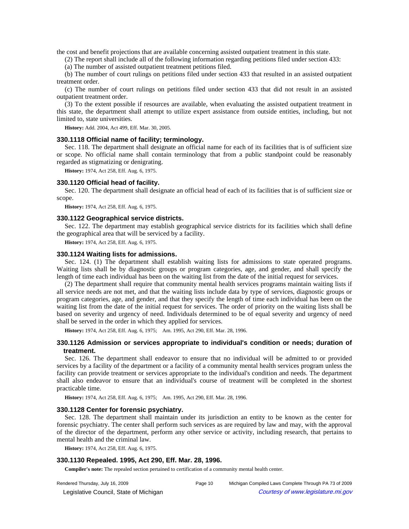the cost and benefit projections that are available concerning assisted outpatient treatment in this state.

(2) The report shall include all of the following information regarding petitions filed under section 433:

(a) The number of assisted outpatient treatment petitions filed.

(b) The number of court rulings on petitions filed under section 433 that resulted in an assisted outpatient treatment order.

(c) The number of court rulings on petitions filed under section 433 that did not result in an assisted outpatient treatment order.

(3) To the extent possible if resources are available, when evaluating the assisted outpatient treatment in this state, the department shall attempt to utilize expert assistance from outside entities, including, but not limited to, state universities.

**History:** Add. 2004, Act 499, Eff. Mar. 30, 2005.

# **330.1118 Official name of facility; terminology.**

Sec. 118. The department shall designate an official name for each of its facilities that is of sufficient size or scope. No official name shall contain terminology that from a public standpoint could be reasonably regarded as stigmatizing or denigrating.

**History:** 1974, Act 258, Eff. Aug. 6, 1975.

### **330.1120 Official head of facility.**

Sec. 120. The department shall designate an official head of each of its facilities that is of sufficient size or scope.

**History:** 1974, Act 258, Eff. Aug. 6, 1975.

### **330.1122 Geographical service districts.**

Sec. 122. The department may establish geographical service districts for its facilities which shall define the geographical area that will be serviced by a facility.

**History:** 1974, Act 258, Eff. Aug. 6, 1975.

### **330.1124 Waiting lists for admissions.**

Sec. 124. (1) The department shall establish waiting lists for admissions to state operated programs. Waiting lists shall be by diagnostic groups or program categories, age, and gender, and shall specify the length of time each individual has been on the waiting list from the date of the initial request for services.

(2) The department shall require that community mental health services programs maintain waiting lists if all service needs are not met, and that the waiting lists include data by type of services, diagnostic groups or program categories, age, and gender, and that they specify the length of time each individual has been on the waiting list from the date of the initial request for services. The order of priority on the waiting lists shall be based on severity and urgency of need. Individuals determined to be of equal severity and urgency of need shall be served in the order in which they applied for services.

History: 1974, Act 258, Eff. Aug. 6, 1975;-- Am. 1995, Act 290, Eff. Mar. 28, 1996.

### **330.1126 Admission or services appropriate to individual's condition or needs; duration of treatment.**

Sec. 126. The department shall endeavor to ensure that no individual will be admitted to or provided services by a facility of the department or a facility of a community mental health services program unless the facility can provide treatment or services appropriate to the individual's condition and needs. The department shall also endeavor to ensure that an individual's course of treatment will be completed in the shortest practicable time.

History: 1974, Act 258, Eff. Aug. 6, 1975;-- Am. 1995, Act 290, Eff. Mar. 28, 1996.

#### **330.1128 Center for forensic psychiatry.**

Sec. 128. The department shall maintain under its jurisdiction an entity to be known as the center for forensic psychiatry. The center shall perform such services as are required by law and may, with the approval of the director of the department, perform any other service or activity, including research, that pertains to mental health and the criminal law.

**History:** 1974, Act 258, Eff. Aug. 6, 1975.

#### **330.1130 Repealed. 1995, Act 290, Eff. Mar. 28, 1996.**

**Compiler's note:** The repealed section pertained to certification of a community mental health center.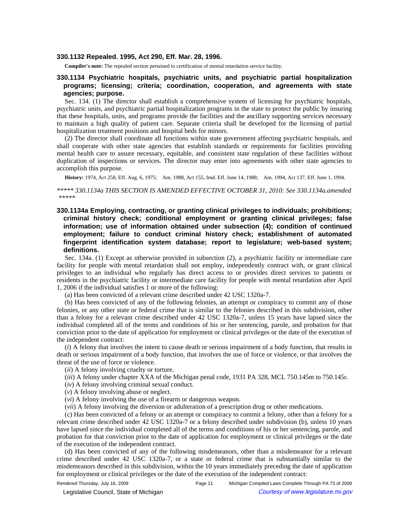### **330.1132 Repealed. 1995, Act 290, Eff. Mar. 28, 1996.**

**Compiler's note:** The repealed section pertained to certification of mental retardation service facility.

# **330.1134 Psychiatric hospitals, psychiatric units, and psychiatric partial hospitalization programs; licensing; criteria; coordination, cooperation, and agreements with state agencies; purpose.**

Sec. 134. (1) The director shall establish a comprehensive system of licensing for psychiatric hospitals, psychiatric units, and psychiatric partial hospitalization programs in the state to protect the public by insuring that these hospitals, units, and programs provide the facilities and the ancillary supporting services necessary to maintain a high quality of patient care. Separate criteria shall be developed for the licensing of partial hospitalization treatment positions and hospital beds for minors.

(2) The director shall coordinate all functions within state government affecting psychiatric hospitals, and shall cooperate with other state agencies that establish standards or requirements for facilities providing mental health care to assure necessary, equitable, and consistent state regulation of these facilities without duplication of inspections or services. The director may enter into agreements with other state agencies to accomplish this purpose.

History: 1974, Act 258, Eff. Aug. 6, 1975;—Am. 1988, Act 155, Imd. Eff. June 14, 1988;—Am. 1994, Act 137, Eff. June 1, 1994.

*\*\*\*\*\* 330.1134a THIS SECTION IS AMENDED EFFECTIVE OCTOBER 31, 2010: See 330.1134a.amended \*\*\*\*\** 

**330.1134a Employing, contracting, or granting clinical privileges to individuals; prohibitions; criminal history check; conditional employment or granting clinical privileges; false information; use of information obtained under subsection (4); condition of continued employment; failure to conduct criminal history check; establishment of automated fingerprint identification system database; report to legislature; web-based system; definitions.**

Sec. 134a. (1) Except as otherwise provided in subsection (2), a psychiatric facility or intermediate care facility for people with mental retardation shall not employ, independently contract with, or grant clinical privileges to an individual who regularly has direct access to or provides direct services to patients or residents in the psychiatric facility or intermediate care facility for people with mental retardation after April 1, 2006 if the individual satisfies 1 or more of the following:

(a) Has been convicted of a relevant crime described under 42 USC 1320a-7.

(b) Has been convicted of any of the following felonies, an attempt or conspiracy to commit any of those felonies, or any other state or federal crime that is similar to the felonies described in this subdivision, other than a felony for a relevant crime described under 42 USC 1320a-7, unless 15 years have lapsed since the individual completed all of the terms and conditions of his or her sentencing, parole, and probation for that conviction prior to the date of application for employment or clinical privileges or the date of the execution of the independent contract:

(*i*) A felony that involves the intent to cause death or serious impairment of a body function, that results in death or serious impairment of a body function, that involves the use of force or violence, or that involves the threat of the use of force or violence.

(*ii*) A felony involving cruelty or torture.

- (*iii*) A felony under chapter XXA of the Michigan penal code, 1931 PA 328, MCL 750.145m to 750.145r.
- (*iv*) A felony involving criminal sexual conduct.
- (*v*) A felony involving abuse or neglect.
- (*vi*) A felony involving the use of a firearm or dangerous weapon.

(*vii*) A felony involving the diversion or adulteration of a prescription drug or other medications.

(c) Has been convicted of a felony or an attempt or conspiracy to commit a felony, other than a felony for a relevant crime described under 42 USC 1320a-7 or a felony described under subdivision (b), unless 10 years have lapsed since the individual completed all of the terms and conditions of his or her sentencing, parole, and probation for that conviction prior to the date of application for employment or clinical privileges or the date of the execution of the independent contract.

(d) Has been convicted of any of the following misdemeanors, other than a misdemeanor for a relevant crime described under 42 USC 1320a-7, or a state or federal crime that is substantially similar to the misdemeanors described in this subdivision, within the 10 years immediately preceding the date of application for employment or clinical privileges or the date of the execution of the independent contract:

Rendered Thursday, July 16, 2009 **Page 11** Michigan Compiled Laws Complete Through PA 73 of 2009 Legislative Council, State of Michigan Courtesy of www.legislature.mi.gov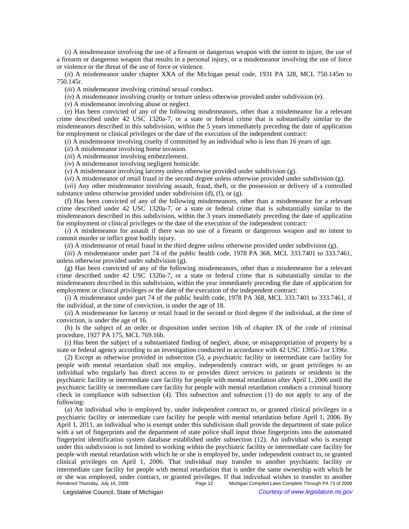(*i*) A misdemeanor involving the use of a firearm or dangerous weapon with the intent to injure, the use of a firearm or dangerous weapon that results in a personal injury, or a misdemeanor involving the use of force or violence or the threat of the use of force or violence.

(*ii*) A misdemeanor under chapter XXA of the Michigan penal code, 1931 PA 328, MCL 750.145m to 750.145r.

(*iii*) A misdemeanor involving criminal sexual conduct.

(*iv*) A misdemeanor involving cruelty or torture unless otherwise provided under subdivision (e).

(*v*) A misdemeanor involving abuse or neglect.

(e) Has been convicted of any of the following misdemeanors, other than a misdemeanor for a relevant crime described under 42 USC 1320a-7, or a state or federal crime that is substantially similar to the misdemeanors described in this subdivision, within the 5 years immediately preceding the date of application for employment or clinical privileges or the date of the execution of the independent contract:

(*i*) A misdemeanor involving cruelty if committed by an individual who is less than 16 years of age.

(*ii*) A misdemeanor involving home invasion.

(*iii*) A misdemeanor involving embezzlement.

(*iv*) A misdemeanor involving negligent homicide.

(*v*) A misdemeanor involving larceny unless otherwise provided under subdivision (g).

(*vi*) A misdemeanor of retail fraud in the second degree unless otherwise provided under subdivision (g).

(*vii*) Any other misdemeanor involving assault, fraud, theft, or the possession or delivery of a controlled substance unless otherwise provided under subdivision (d), (f), or (g).

(f) Has been convicted of any of the following misdemeanors, other than a misdemeanor for a relevant crime described under 42 USC 1320a-7, or a state or federal crime that is substantially similar to the misdemeanors described in this subdivision, within the 3 years immediately preceding the date of application for employment or clinical privileges or the date of the execution of the independent contract:

(*i*) A misdemeanor for assault if there was no use of a firearm or dangerous weapon and no intent to commit murder or inflict great bodily injury.

(*ii*) A misdemeanor of retail fraud in the third degree unless otherwise provided under subdivision (g).

(*iii*) A misdemeanor under part 74 of the public health code, 1978 PA 368, MCL 333.7401 to 333.7461, unless otherwise provided under subdivision (g).

(g) Has been convicted of any of the following misdemeanors, other than a misdemeanor for a relevant crime described under 42 USC 1320a-7, or a state or federal crime that is substantially similar to the misdemeanors described in this subdivision, within the year immediately preceding the date of application for employment or clinical privileges or the date of the execution of the independent contract:

(*i*) A misdemeanor under part 74 of the public health code, 1978 PA 368, MCL 333.7401 to 333.7461, if the individual, at the time of conviction, is under the age of 18.

(*ii*) A misdemeanor for larceny or retail fraud in the second or third degree if the individual, at the time of conviction, is under the age of 16.

(h) Is the subject of an order or disposition under section 16b of chapter IX of the code of criminal procedure, 1927 PA 175, MCL 769.16b.

(i) Has been the subject of a substantiated finding of neglect, abuse, or misappropriation of property by a state or federal agency according to an investigation conducted in accordance with 42 USC 1395i-3 or 1396r.

(2) Except as otherwise provided in subsection (5), a psychiatric facility or intermediate care facility for people with mental retardation shall not employ, independently contract with, or grant privileges to an individual who regularly has direct access to or provides direct services to patients or residents in the psychiatric facility or intermediate care facility for people with mental retardation after April 1, 2006 until the psychiatric facility or intermediate care facility for people with mental retardation conducts a criminal history check in compliance with subsection (4). This subsection and subsection (1) do not apply to any of the following:

(a) An individual who is employed by, under independent contract to, or granted clinical privileges in a psychiatric facility or intermediate care facility for people with mental retardation before April 1, 2006. By April 1, 2011, an individual who is exempt under this subdivision shall provide the department of state police with a set of fingerprints and the department of state police shall input those fingerprints into the automated fingerprint identification system database established under subsection (12). An individual who is exempt under this subdivision is not limited to working within the psychiatric facility or intermediate care facility for people with mental retardation with which he or she is employed by, under independent contract to, or granted clinical privileges on April 1, 2006. That individual may transfer to another psychiatric facility or intermediate care facility for people with mental retardation that is under the same ownership with which he or she was employed, under contract, or granted privileges. If that individual wishes to transfer to another Rendered Thursday, July 16, 2009<br>Page 12 Michigan Compiled Laws Complete Through PA 73 of 2009 Michigan Compiled Laws Complete Through PA 73 of 2009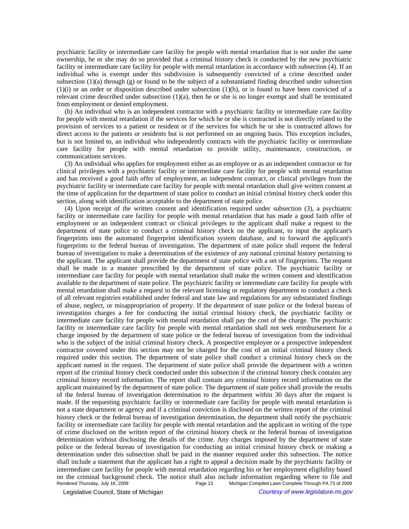psychiatric facility or intermediate care facility for people with mental retardation that is not under the same ownership, he or she may do so provided that a criminal history check is conducted by the new psychiatric facility or intermediate care facility for people with mental retardation in accordance with subsection (4). If an individual who is exempt under this subdivision is subsequently convicted of a crime described under subsection (1)(a) through (g) or found to be the subject of a substantiated finding described under subsection  $(1)(i)$  or an order or disposition described under subsection  $(1)(h)$ , or is found to have been convicted of a relevant crime described under subsection  $(1)(a)$ , then he or she is no longer exempt and shall be terminated from employment or denied employment.

(b) An individual who is an independent contractor with a psychiatric facility or intermediate care facility for people with mental retardation if the services for which he or she is contracted is not directly related to the provision of services to a patient or resident or if the services for which he or she is contracted allows for direct access to the patients or residents but is not performed on an ongoing basis. This exception includes, but is not limited to, an individual who independently contracts with the psychiatric facility or intermediate care facility for people with mental retardation to provide utility, maintenance, construction, or communications services.

(3) An individual who applies for employment either as an employee or as an independent contractor or for clinical privileges with a psychiatric facility or intermediate care facility for people with mental retardation and has received a good faith offer of employment, an independent contract, or clinical privileges from the psychiatric facility or intermediate care facility for people with mental retardation shall give written consent at the time of application for the department of state police to conduct an initial criminal history check under this section, along with identification acceptable to the department of state police.

(4) Upon receipt of the written consent and identification required under subsection (3), a psychiatric facility or intermediate care facility for people with mental retardation that has made a good faith offer of employment or an independent contract or clinical privileges to the applicant shall make a request to the department of state police to conduct a criminal history check on the applicant, to input the applicant's fingerprints into the automated fingerprint identification system database, and to forward the applicant's fingerprints to the federal bureau of investigation. The department of state police shall request the federal bureau of investigation to make a determination of the existence of any national criminal history pertaining to the applicant. The applicant shall provide the department of state police with a set of fingerprints. The request shall be made in a manner prescribed by the department of state police. The psychiatric facility or intermediate care facility for people with mental retardation shall make the written consent and identification available to the department of state police. The psychiatric facility or intermediate care facility for people with mental retardation shall make a request to the relevant licensing or regulatory department to conduct a check of all relevant registries established under federal and state law and regulations for any substantiated findings of abuse, neglect, or misappropriation of property. If the department of state police or the federal bureau of investigation charges a fee for conducting the initial criminal history check, the psychiatric facility or intermediate care facility for people with mental retardation shall pay the cost of the charge. The psychiatric facility or intermediate care facility for people with mental retardation shall not seek reimbursement for a charge imposed by the department of state police or the federal bureau of investigation from the individual who is the subject of the initial criminal history check. A prospective employee or a prospective independent contractor covered under this section may not be charged for the cost of an initial criminal history check required under this section. The department of state police shall conduct a criminal history check on the applicant named in the request. The department of state police shall provide the department with a written report of the criminal history check conducted under this subsection if the criminal history check contains any criminal history record information. The report shall contain any criminal history record information on the applicant maintained by the department of state police. The department of state police shall provide the results of the federal bureau of investigation determination to the department within 30 days after the request is made. If the requesting psychiatric facility or intermediate care facility for people with mental retardation is not a state department or agency and if a criminal conviction is disclosed on the written report of the criminal history check or the federal bureau of investigation determination, the department shall notify the psychiatric facility or intermediate care facility for people with mental retardation and the applicant in writing of the type of crime disclosed on the written report of the criminal history check or the federal bureau of investigation determination without disclosing the details of the crime. Any charges imposed by the department of state police or the federal bureau of investigation for conducting an initial criminal history check or making a determination under this subsection shall be paid in the manner required under this subsection. The notice shall include a statement that the applicant has a right to appeal a decision made by the psychiatric facility or intermediate care facility for people with mental retardation regarding his or her employment eligibility based on the criminal background check. The notice shall also include information regarding where to file and<br>Rendered Thursday, July 16, 2009<br>Page 13 Michigan Compiled Laws Complete Through PA 73 of 2009 Michigan Compiled Laws Complete Through PA 73 of 2009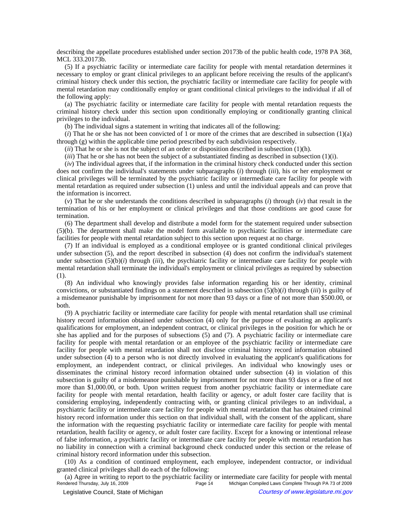describing the appellate procedures established under section 20173b of the public health code, 1978 PA 368, MCL 333.20173b.

(5) If a psychiatric facility or intermediate care facility for people with mental retardation determines it necessary to employ or grant clinical privileges to an applicant before receiving the results of the applicant's criminal history check under this section, the psychiatric facility or intermediate care facility for people with mental retardation may conditionally employ or grant conditional clinical privileges to the individual if all of the following apply:

(a) The psychiatric facility or intermediate care facility for people with mental retardation requests the criminal history check under this section upon conditionally employing or conditionally granting clinical privileges to the individual.

(b) The individual signs a statement in writing that indicates all of the following:

 $(i)$  That he or she has not been convicted of 1 or more of the crimes that are described in subsection  $(1)(a)$ through (g) within the applicable time period prescribed by each subdivision respectively.

(*ii*) That he or she is not the subject of an order or disposition described in subsection (1)(h).

(*iii*) That he or she has not been the subject of a substantiated finding as described in subsection (1)(i).

(*iv*) The individual agrees that, if the information in the criminal history check conducted under this section does not confirm the individual's statements under subparagraphs (*i*) through (*iii*), his or her employment or clinical privileges will be terminated by the psychiatric facility or intermediate care facility for people with mental retardation as required under subsection (1) unless and until the individual appeals and can prove that the information is incorrect.

(*v*) That he or she understands the conditions described in subparagraphs (*i*) through (*iv*) that result in the termination of his or her employment or clinical privileges and that those conditions are good cause for termination.

(6) The department shall develop and distribute a model form for the statement required under subsection (5)(b). The department shall make the model form available to psychiatric facilities or intermediate care facilities for people with mental retardation subject to this section upon request at no charge.

(7) If an individual is employed as a conditional employee or is granted conditional clinical privileges under subsection (5), and the report described in subsection (4) does not confirm the individual's statement under subsection (5)(b)(*i*) through (*iii*), the psychiatric facility or intermediate care facility for people with mental retardation shall terminate the individual's employment or clinical privileges as required by subsection  $(1)$ 

(8) An individual who knowingly provides false information regarding his or her identity, criminal convictions, or substantiated findings on a statement described in subsection (5)(b)(*i*) through (*iii*) is guilty of a misdemeanor punishable by imprisonment for not more than 93 days or a fine of not more than \$500.00, or both.

(9) A psychiatric facility or intermediate care facility for people with mental retardation shall use criminal history record information obtained under subsection (4) only for the purpose of evaluating an applicant's qualifications for employment, an independent contract, or clinical privileges in the position for which he or she has applied and for the purposes of subsections (5) and (7). A psychiatric facility or intermediate care facility for people with mental retardation or an employee of the psychiatric facility or intermediate care facility for people with mental retardation shall not disclose criminal history record information obtained under subsection (4) to a person who is not directly involved in evaluating the applicant's qualifications for employment, an independent contract, or clinical privileges. An individual who knowingly uses or disseminates the criminal history record information obtained under subsection (4) in violation of this subsection is guilty of a misdemeanor punishable by imprisonment for not more than 93 days or a fine of not more than \$1,000.00, or both. Upon written request from another psychiatric facility or intermediate care facility for people with mental retardation, health facility or agency, or adult foster care facility that is considering employing, independently contracting with, or granting clinical privileges to an individual, a psychiatric facility or intermediate care facility for people with mental retardation that has obtained criminal history record information under this section on that individual shall, with the consent of the applicant, share the information with the requesting psychiatric facility or intermediate care facility for people with mental retardation, health facility or agency, or adult foster care facility. Except for a knowing or intentional release of false information, a psychiatric facility or intermediate care facility for people with mental retardation has no liability in connection with a criminal background check conducted under this section or the release of criminal history record information under this subsection.

(10) As a condition of continued employment, each employee, independent contractor, or individual granted clinical privileges shall do each of the following:

(a) Agree in writing to report to the psychiatric facility or intermediate care facility for people with mental<br>Page 14 Michigan Compiled Laws Complete Through PA 73 of 2009 Michigan Compiled Laws Complete Through PA 73 of 2009 © Legislative Council, State of Michigan Council Courtesy of www.legislature.mi.gov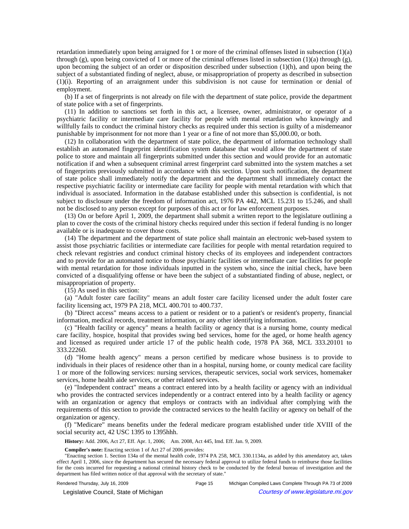retardation immediately upon being arraigned for 1 or more of the criminal offenses listed in subsection  $(1)(a)$ through (g), upon being convicted of 1 or more of the criminal offenses listed in subsection  $(1)(a)$  through  $(g)$ , upon becoming the subject of an order or disposition described under subsection (1)(h), and upon being the subject of a substantiated finding of neglect, abuse, or misappropriation of property as described in subsection (1)(i). Reporting of an arraignment under this subdivision is not cause for termination or denial of employment.

(b) If a set of fingerprints is not already on file with the department of state police, provide the department of state police with a set of fingerprints.

(11) In addition to sanctions set forth in this act, a licensee, owner, administrator, or operator of a psychiatric facility or intermediate care facility for people with mental retardation who knowingly and willfully fails to conduct the criminal history checks as required under this section is guilty of a misdemeanor punishable by imprisonment for not more than 1 year or a fine of not more than \$5,000.00, or both.

(12) In collaboration with the department of state police, the department of information technology shall establish an automated fingerprint identification system database that would allow the department of state police to store and maintain all fingerprints submitted under this section and would provide for an automatic notification if and when a subsequent criminal arrest fingerprint card submitted into the system matches a set of fingerprints previously submitted in accordance with this section. Upon such notification, the department of state police shall immediately notify the department and the department shall immediately contact the respective psychiatric facility or intermediate care facility for people with mental retardation with which that individual is associated. Information in the database established under this subsection is confidential, is not subject to disclosure under the freedom of information act, 1976 PA 442, MCL 15.231 to 15.246, and shall not be disclosed to any person except for purposes of this act or for law enforcement purposes.

(13) On or before April 1, 2009, the department shall submit a written report to the legislature outlining a plan to cover the costs of the criminal history checks required under this section if federal funding is no longer available or is inadequate to cover those costs.

(14) The department and the department of state police shall maintain an electronic web-based system to assist those psychiatric facilities or intermediate care facilities for people with mental retardation required to check relevant registries and conduct criminal history checks of its employees and independent contractors and to provide for an automated notice to those psychiatric facilities or intermediate care facilities for people with mental retardation for those individuals inputted in the system who, since the initial check, have been convicted of a disqualifying offense or have been the subject of a substantiated finding of abuse, neglect, or misappropriation of property.

(15) As used in this section:

(a) "Adult foster care facility" means an adult foster care facility licensed under the adult foster care facility licensing act, 1979 PA 218, MCL 400.701 to 400.737.

(b) "Direct access" means access to a patient or resident or to a patient's or resident's property, financial information, medical records, treatment information, or any other identifying information.

(c) "Health facility or agency" means a health facility or agency that is a nursing home, county medical care facility, hospice, hospital that provides swing bed services, home for the aged, or home health agency and licensed as required under article 17 of the public health code, 1978 PA 368, MCL 333.20101 to 333.22260.

(d) "Home health agency" means a person certified by medicare whose business is to provide to individuals in their places of residence other than in a hospital, nursing home, or county medical care facility 1 or more of the following services: nursing services, therapeutic services, social work services, homemaker services, home health aide services, or other related services.

(e) "Independent contract" means a contract entered into by a health facility or agency with an individual who provides the contracted services independently or a contract entered into by a health facility or agency with an organization or agency that employs or contracts with an individual after complying with the requirements of this section to provide the contracted services to the health facility or agency on behalf of the organization or agency.

(f) "Medicare" means benefits under the federal medicare program established under title XVIII of the social security act, 42 USC 1395 to 1395hhh.

History: Add. 2006, Act 27, Eff. Apr. 1, 2006;- Am. 2008, Act 445, Imd. Eff. Jan. 9, 2009.

**Compiler's note:** Enacting section 1 of Act 27 of 2006 provides:

"Enacting section 1. Section 134a of the mental health code, 1974 PA 258, MCL 330.1134a, as added by this amendatory act, takes effect April 1, 2006, since the department has secured the necessary federal approval to utilize federal funds to reimburse those facilities for the costs incurred for requesting a national criminal history check to be conducted by the federal bureau of investigation and the department has filed written notice of that approval with the secretary of state."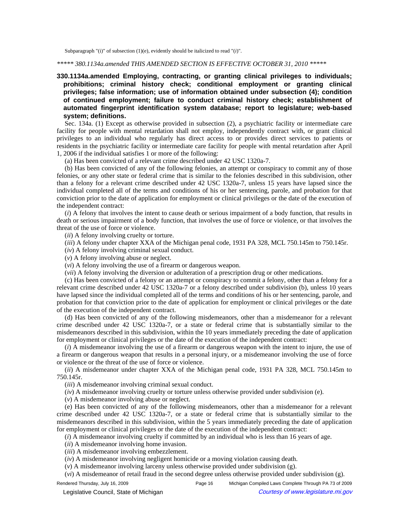Subparagraph "(i)" of subsection (1)(e), evidently should be italicized to read "(*i*)".

*\*\*\*\*\* 380.1134a.amended THIS AMENDED SECTION IS EFFECTIVE OCTOBER 31, 2010 \*\*\*\*\** 

**330.1134a.amended Employing, contracting, or granting clinical privileges to individuals; prohibitions; criminal history check; conditional employment or granting clinical privileges; false information; use of information obtained under subsection (4); condition of continued employment; failure to conduct criminal history check; establishment of automated fingerprint identification system database; report to legislature; web-based system; definitions.**

Sec. 134a. (1) Except as otherwise provided in subsection (2), a psychiatric facility or intermediate care facility for people with mental retardation shall not employ, independently contract with, or grant clinical privileges to an individual who regularly has direct access to or provides direct services to patients or residents in the psychiatric facility or intermediate care facility for people with mental retardation after April 1, 2006 if the individual satisfies 1 or more of the following:

(a) Has been convicted of a relevant crime described under 42 USC 1320a-7.

(b) Has been convicted of any of the following felonies, an attempt or conspiracy to commit any of those felonies, or any other state or federal crime that is similar to the felonies described in this subdivision, other than a felony for a relevant crime described under 42 USC 1320a-7, unless 15 years have lapsed since the individual completed all of the terms and conditions of his or her sentencing, parole, and probation for that conviction prior to the date of application for employment or clinical privileges or the date of the execution of the independent contract:

(*i*) A felony that involves the intent to cause death or serious impairment of a body function, that results in death or serious impairment of a body function, that involves the use of force or violence, or that involves the threat of the use of force or violence.

(*ii*) A felony involving cruelty or torture.

(*iii*) A felony under chapter XXA of the Michigan penal code, 1931 PA 328, MCL 750.145m to 750.145r.

(*iv*) A felony involving criminal sexual conduct.

(*v*) A felony involving abuse or neglect.

(*vi*) A felony involving the use of a firearm or dangerous weapon.

(*vii*) A felony involving the diversion or adulteration of a prescription drug or other medications.

(c) Has been convicted of a felony or an attempt or conspiracy to commit a felony, other than a felony for a relevant crime described under 42 USC 1320a-7 or a felony described under subdivision (b), unless 10 years have lapsed since the individual completed all of the terms and conditions of his or her sentencing, parole, and probation for that conviction prior to the date of application for employment or clinical privileges or the date of the execution of the independent contract.

(d) Has been convicted of any of the following misdemeanors, other than a misdemeanor for a relevant crime described under 42 USC 1320a-7, or a state or federal crime that is substantially similar to the misdemeanors described in this subdivision, within the 10 years immediately preceding the date of application for employment or clinical privileges or the date of the execution of the independent contract:

(*i*) A misdemeanor involving the use of a firearm or dangerous weapon with the intent to injure, the use of a firearm or dangerous weapon that results in a personal injury, or a misdemeanor involving the use of force or violence or the threat of the use of force or violence.

(*ii*) A misdemeanor under chapter XXA of the Michigan penal code, 1931 PA 328, MCL 750.145m to 750.145r.

(*iii*) A misdemeanor involving criminal sexual conduct.

(*iv*) A misdemeanor involving cruelty or torture unless otherwise provided under subdivision (e).

(*v*) A misdemeanor involving abuse or neglect.

(e) Has been convicted of any of the following misdemeanors, other than a misdemeanor for a relevant crime described under 42 USC 1320a-7, or a state or federal crime that is substantially similar to the misdemeanors described in this subdivision, within the 5 years immediately preceding the date of application for employment or clinical privileges or the date of the execution of the independent contract:

(*i*) A misdemeanor involving cruelty if committed by an individual who is less than 16 years of age.

(*ii*) A misdemeanor involving home invasion.

(*iii*) A misdemeanor involving embezzlement.

(*iv*) A misdemeanor involving negligent homicide or a moving violation causing death.

(*v*) A misdemeanor involving larceny unless otherwise provided under subdivision (g).

(*vi*) A misdemeanor of retail fraud in the second degree unless otherwise provided under subdivision (g).

Rendered Thursday, July 16, 2009 **Page 16** Page 16 Michigan Compiled Laws Complete Through PA 73 of 2009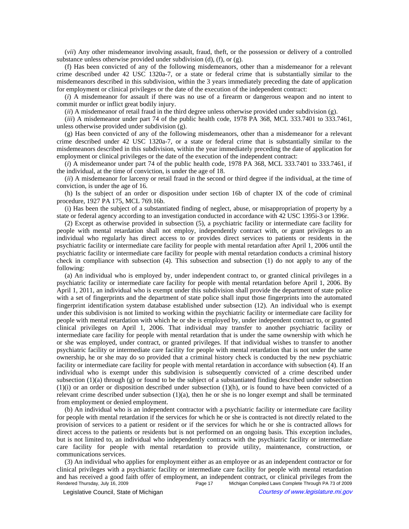(*vii*) Any other misdemeanor involving assault, fraud, theft, or the possession or delivery of a controlled substance unless otherwise provided under subdivision (d), (f), or (g).

(f) Has been convicted of any of the following misdemeanors, other than a misdemeanor for a relevant crime described under 42 USC 1320a-7, or a state or federal crime that is substantially similar to the misdemeanors described in this subdivision, within the 3 years immediately preceding the date of application for employment or clinical privileges or the date of the execution of the independent contract:

(*i*) A misdemeanor for assault if there was no use of a firearm or dangerous weapon and no intent to commit murder or inflict great bodily injury.

(*ii*) A misdemeanor of retail fraud in the third degree unless otherwise provided under subdivision (g).

(*iii*) A misdemeanor under part 74 of the public health code, 1978 PA 368, MCL 333.7401 to 333.7461, unless otherwise provided under subdivision (g).

(g) Has been convicted of any of the following misdemeanors, other than a misdemeanor for a relevant crime described under 42 USC 1320a-7, or a state or federal crime that is substantially similar to the misdemeanors described in this subdivision, within the year immediately preceding the date of application for employment or clinical privileges or the date of the execution of the independent contract:

(*i*) A misdemeanor under part 74 of the public health code, 1978 PA 368, MCL 333.7401 to 333.7461, if the individual, at the time of conviction, is under the age of 18.

(*ii*) A misdemeanor for larceny or retail fraud in the second or third degree if the individual, at the time of conviction, is under the age of 16.

(h) Is the subject of an order or disposition under section 16b of chapter IX of the code of criminal procedure, 1927 PA 175, MCL 769.16b.

(i) Has been the subject of a substantiated finding of neglect, abuse, or misappropriation of property by a state or federal agency according to an investigation conducted in accordance with 42 USC 1395i-3 or 1396r.

(2) Except as otherwise provided in subsection (5), a psychiatric facility or intermediate care facility for people with mental retardation shall not employ, independently contract with, or grant privileges to an individual who regularly has direct access to or provides direct services to patients or residents in the psychiatric facility or intermediate care facility for people with mental retardation after April 1, 2006 until the psychiatric facility or intermediate care facility for people with mental retardation conducts a criminal history check in compliance with subsection (4). This subsection and subsection (1) do not apply to any of the following:

(a) An individual who is employed by, under independent contract to, or granted clinical privileges in a psychiatric facility or intermediate care facility for people with mental retardation before April 1, 2006. By April 1, 2011, an individual who is exempt under this subdivision shall provide the department of state police with a set of fingerprints and the department of state police shall input those fingerprints into the automated fingerprint identification system database established under subsection (12). An individual who is exempt under this subdivision is not limited to working within the psychiatric facility or intermediate care facility for people with mental retardation with which he or she is employed by, under independent contract to, or granted clinical privileges on April 1, 2006. That individual may transfer to another psychiatric facility or intermediate care facility for people with mental retardation that is under the same ownership with which he or she was employed, under contract, or granted privileges. If that individual wishes to transfer to another psychiatric facility or intermediate care facility for people with mental retardation that is not under the same ownership, he or she may do so provided that a criminal history check is conducted by the new psychiatric facility or intermediate care facility for people with mental retardation in accordance with subsection (4). If an individual who is exempt under this subdivision is subsequently convicted of a crime described under subsection  $(1)(a)$  through  $(g)$  or found to be the subject of a substantiated finding described under subsection  $(1)(i)$  or an order or disposition described under subsection  $(1)(h)$ , or is found to have been convicted of a relevant crime described under subsection  $(1)(a)$ , then he or she is no longer exempt and shall be terminated from employment or denied employment.

(b) An individual who is an independent contractor with a psychiatric facility or intermediate care facility for people with mental retardation if the services for which he or she is contracted is not directly related to the provision of services to a patient or resident or if the services for which he or she is contracted allows for direct access to the patients or residents but is not performed on an ongoing basis. This exception includes, but is not limited to, an individual who independently contracts with the psychiatric facility or intermediate care facility for people with mental retardation to provide utility, maintenance, construction, or communications services.

(3) An individual who applies for employment either as an employee or as an independent contractor or for clinical privileges with a psychiatric facility or intermediate care facility for people with mental retardation and has received a good faith offer of employment, an independent contract, or clinical privileges from the Rendered Thursday, July 16, 2009<br>Page 17 Michigan Compiled Laws Complete Through PA 73 of 2009 Michigan Compiled Laws Complete Through PA 73 of 2009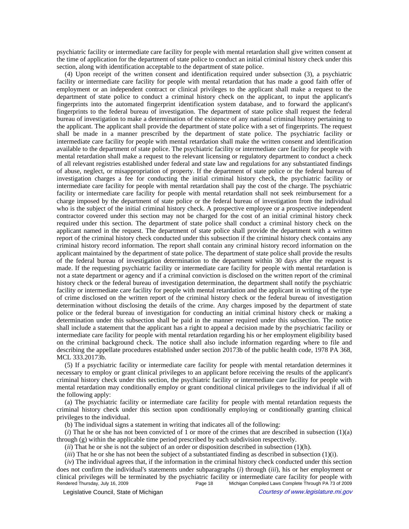psychiatric facility or intermediate care facility for people with mental retardation shall give written consent at the time of application for the department of state police to conduct an initial criminal history check under this section, along with identification acceptable to the department of state police.

(4) Upon receipt of the written consent and identification required under subsection (3), a psychiatric facility or intermediate care facility for people with mental retardation that has made a good faith offer of employment or an independent contract or clinical privileges to the applicant shall make a request to the department of state police to conduct a criminal history check on the applicant, to input the applicant's fingerprints into the automated fingerprint identification system database, and to forward the applicant's fingerprints to the federal bureau of investigation. The department of state police shall request the federal bureau of investigation to make a determination of the existence of any national criminal history pertaining to the applicant. The applicant shall provide the department of state police with a set of fingerprints. The request shall be made in a manner prescribed by the department of state police. The psychiatric facility or intermediate care facility for people with mental retardation shall make the written consent and identification available to the department of state police. The psychiatric facility or intermediate care facility for people with mental retardation shall make a request to the relevant licensing or regulatory department to conduct a check of all relevant registries established under federal and state law and regulations for any substantiated findings of abuse, neglect, or misappropriation of property. If the department of state police or the federal bureau of investigation charges a fee for conducting the initial criminal history check, the psychiatric facility or intermediate care facility for people with mental retardation shall pay the cost of the charge. The psychiatric facility or intermediate care facility for people with mental retardation shall not seek reimbursement for a charge imposed by the department of state police or the federal bureau of investigation from the individual who is the subject of the initial criminal history check. A prospective employee or a prospective independent contractor covered under this section may not be charged for the cost of an initial criminal history check required under this section. The department of state police shall conduct a criminal history check on the applicant named in the request. The department of state police shall provide the department with a written report of the criminal history check conducted under this subsection if the criminal history check contains any criminal history record information. The report shall contain any criminal history record information on the applicant maintained by the department of state police. The department of state police shall provide the results of the federal bureau of investigation determination to the department within 30 days after the request is made. If the requesting psychiatric facility or intermediate care facility for people with mental retardation is not a state department or agency and if a criminal conviction is disclosed on the written report of the criminal history check or the federal bureau of investigation determination, the department shall notify the psychiatric facility or intermediate care facility for people with mental retardation and the applicant in writing of the type of crime disclosed on the written report of the criminal history check or the federal bureau of investigation determination without disclosing the details of the crime. Any charges imposed by the department of state police or the federal bureau of investigation for conducting an initial criminal history check or making a determination under this subsection shall be paid in the manner required under this subsection. The notice shall include a statement that the applicant has a right to appeal a decision made by the psychiatric facility or intermediate care facility for people with mental retardation regarding his or her employment eligibility based on the criminal background check. The notice shall also include information regarding where to file and describing the appellate procedures established under section 20173b of the public health code, 1978 PA 368, MCL 333.20173b.

(5) If a psychiatric facility or intermediate care facility for people with mental retardation determines it necessary to employ or grant clinical privileges to an applicant before receiving the results of the applicant's criminal history check under this section, the psychiatric facility or intermediate care facility for people with mental retardation may conditionally employ or grant conditional clinical privileges to the individual if all of the following apply:

(a) The psychiatric facility or intermediate care facility for people with mental retardation requests the criminal history check under this section upon conditionally employing or conditionally granting clinical privileges to the individual.

(b) The individual signs a statement in writing that indicates all of the following:

 $(i)$  That he or she has not been convicted of 1 or more of the crimes that are described in subsection  $(1)(a)$ through (g) within the applicable time period prescribed by each subdivision respectively.

(*ii*) That he or she is not the subject of an order or disposition described in subsection (1)(h).

(*iii*) That he or she has not been the subject of a substantiated finding as described in subsection (1)(i).

(*iv*) The individual agrees that, if the information in the criminal history check conducted under this section does not confirm the individual's statements under subparagraphs (*i*) through (*iii*), his or her employment or clinical privileges will be terminated by the psychiatric facility or intermediate care facility for people with Michigan Compiled Laws Complete Through PA 73 of 2009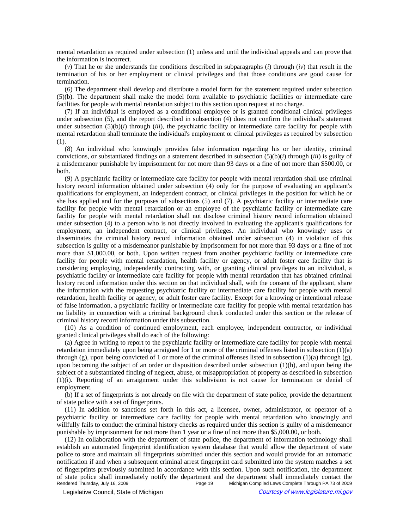mental retardation as required under subsection (1) unless and until the individual appeals and can prove that the information is incorrect.

(*v*) That he or she understands the conditions described in subparagraphs (*i*) through (*iv*) that result in the termination of his or her employment or clinical privileges and that those conditions are good cause for termination.

(6) The department shall develop and distribute a model form for the statement required under subsection (5)(b). The department shall make the model form available to psychiatric facilities or intermediate care facilities for people with mental retardation subject to this section upon request at no charge.

(7) If an individual is employed as a conditional employee or is granted conditional clinical privileges under subsection (5), and the report described in subsection (4) does not confirm the individual's statement under subsection (5)(b)(*i*) through (*iii*), the psychiatric facility or intermediate care facility for people with mental retardation shall terminate the individual's employment or clinical privileges as required by subsection (1).

(8) An individual who knowingly provides false information regarding his or her identity, criminal convictions, or substantiated findings on a statement described in subsection (5)(b)(*i*) through (*iii*) is guilty of a misdemeanor punishable by imprisonment for not more than 93 days or a fine of not more than \$500.00, or both.

(9) A psychiatric facility or intermediate care facility for people with mental retardation shall use criminal history record information obtained under subsection (4) only for the purpose of evaluating an applicant's qualifications for employment, an independent contract, or clinical privileges in the position for which he or she has applied and for the purposes of subsections (5) and (7). A psychiatric facility or intermediate care facility for people with mental retardation or an employee of the psychiatric facility or intermediate care facility for people with mental retardation shall not disclose criminal history record information obtained under subsection (4) to a person who is not directly involved in evaluating the applicant's qualifications for employment, an independent contract, or clinical privileges. An individual who knowingly uses or disseminates the criminal history record information obtained under subsection (4) in violation of this subsection is guilty of a misdemeanor punishable by imprisonment for not more than 93 days or a fine of not more than \$1,000.00, or both. Upon written request from another psychiatric facility or intermediate care facility for people with mental retardation, health facility or agency, or adult foster care facility that is considering employing, independently contracting with, or granting clinical privileges to an individual, a psychiatric facility or intermediate care facility for people with mental retardation that has obtained criminal history record information under this section on that individual shall, with the consent of the applicant, share the information with the requesting psychiatric facility or intermediate care facility for people with mental retardation, health facility or agency, or adult foster care facility. Except for a knowing or intentional release of false information, a psychiatric facility or intermediate care facility for people with mental retardation has no liability in connection with a criminal background check conducted under this section or the release of criminal history record information under this subsection.

(10) As a condition of continued employment, each employee, independent contractor, or individual granted clinical privileges shall do each of the following:

(a) Agree in writing to report to the psychiatric facility or intermediate care facility for people with mental retardation immediately upon being arraigned for 1 or more of the criminal offenses listed in subsection  $(1)(a)$ through (g), upon being convicted of 1 or more of the criminal offenses listed in subsection (1)(a) through (g), upon becoming the subject of an order or disposition described under subsection (1)(h), and upon being the subject of a substantiated finding of neglect, abuse, or misappropriation of property as described in subsection (1)(i). Reporting of an arraignment under this subdivision is not cause for termination or denial of employment.

(b) If a set of fingerprints is not already on file with the department of state police, provide the department of state police with a set of fingerprints.

(11) In addition to sanctions set forth in this act, a licensee, owner, administrator, or operator of a psychiatric facility or intermediate care facility for people with mental retardation who knowingly and willfully fails to conduct the criminal history checks as required under this section is guilty of a misdemeanor punishable by imprisonment for not more than 1 year or a fine of not more than \$5,000.00, or both.

(12) In collaboration with the department of state police, the department of information technology shall establish an automated fingerprint identification system database that would allow the department of state police to store and maintain all fingerprints submitted under this section and would provide for an automatic notification if and when a subsequent criminal arrest fingerprint card submitted into the system matches a set of fingerprints previously submitted in accordance with this section. Upon such notification, the department of state police shall immediately notify the department and the department shall immediately contact the<br>Page 19 Michigan Compiled Laws Complete Through PA 73 of 2009 Michigan Compiled Laws Complete Through PA 73 of 2009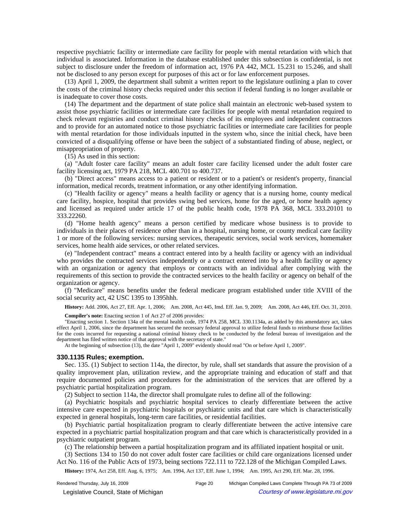respective psychiatric facility or intermediate care facility for people with mental retardation with which that individual is associated. Information in the database established under this subsection is confidential, is not subject to disclosure under the freedom of information act, 1976 PA 442, MCL 15.231 to 15.246, and shall not be disclosed to any person except for purposes of this act or for law enforcement purposes.

(13) April 1, 2009, the department shall submit a written report to the legislature outlining a plan to cover the costs of the criminal history checks required under this section if federal funding is no longer available or is inadequate to cover those costs.

(14) The department and the department of state police shall maintain an electronic web-based system to assist those psychiatric facilities or intermediate care facilities for people with mental retardation required to check relevant registries and conduct criminal history checks of its employees and independent contractors and to provide for an automated notice to those psychiatric facilities or intermediate care facilities for people with mental retardation for those individuals inputted in the system who, since the initial check, have been convicted of a disqualifying offense or have been the subject of a substantiated finding of abuse, neglect, or misappropriation of property.

(15) As used in this section:

(a) "Adult foster care facility" means an adult foster care facility licensed under the adult foster care facility licensing act, 1979 PA 218, MCL 400.701 to 400.737.

(b) "Direct access" means access to a patient or resident or to a patient's or resident's property, financial information, medical records, treatment information, or any other identifying information.

(c) "Health facility or agency" means a health facility or agency that is a nursing home, county medical care facility, hospice, hospital that provides swing bed services, home for the aged, or home health agency and licensed as required under article 17 of the public health code, 1978 PA 368, MCL 333.20101 to 333.22260.

(d) "Home health agency" means a person certified by medicare whose business is to provide to individuals in their places of residence other than in a hospital, nursing home, or county medical care facility 1 or more of the following services: nursing services, therapeutic services, social work services, homemaker services, home health aide services, or other related services.

(e) "Independent contract" means a contract entered into by a health facility or agency with an individual who provides the contracted services independently or a contract entered into by a health facility or agency with an organization or agency that employs or contracts with an individual after complying with the requirements of this section to provide the contracted services to the health facility or agency on behalf of the organization or agency.

(f) "Medicare" means benefits under the federal medicare program established under title XVIII of the social security act, 42 USC 1395 to 1395hhh.

History: Add. 2006, Act 27, Eff. Apr. 1, 2006;- Am. 2008, Act 445, Imd. Eff. Jan. 9, 2009;- Am. 2008, Act 446, Eff. Oct. 31, 2010. **Compiler's note:** Enacting section 1 of Act 27 of 2006 provides:

"Enacting section 1. Section 134a of the mental health code, 1974 PA 258, MCL 330.1134a, as added by this amendatory act, takes effect April 1, 2006, since the department has secured the necessary federal approval to utilize federal funds to reimburse those facilities for the costs incurred for requesting a national criminal history check to be conducted by the federal bureau of investigation and the department has filed written notice of that approval with the secretary of state."

At the beginning of subsection (13), the date "April 1, 2009" evidently should read "On or before April 1, 2009".

#### **330.1135 Rules; exemption.**

Sec. 135. (1) Subject to section 114a, the director, by rule, shall set standards that assure the provision of a quality improvement plan, utilization review, and the appropriate training and education of staff and that require documented policies and procedures for the administration of the services that are offered by a psychiatric partial hospitalization program.

(2) Subject to section 114a, the director shall promulgate rules to define all of the following:

(a) Psychiatric hospitals and psychiatric hospital services to clearly differentiate between the active intensive care expected in psychiatric hospitals or psychiatric units and that care which is characteristically expected in general hospitals, long-term care facilities, or residential facilities.

(b) Psychiatric partial hospitalization program to clearly differentiate between the active intensive care expected in a psychiatric partial hospitalization program and that care which is characteristically provided in a psychiatric outpatient program.

(c) The relationship between a partial hospitalization program and its affiliated inpatient hospital or unit.

(3) Sections 134 to 150 do not cover adult foster care facilities or child care organizations licensed under Act No. 116 of the Public Acts of 1973, being sections 722.111 to 722.128 of the Michigan Compiled Laws.

History: 1974, Act 258, Eff. Aug. 6, 1975;--Am. 1994, Act 137, Eff. June 1, 1994;--Am. 1995, Act 290, Eff. Mar. 28, 1996.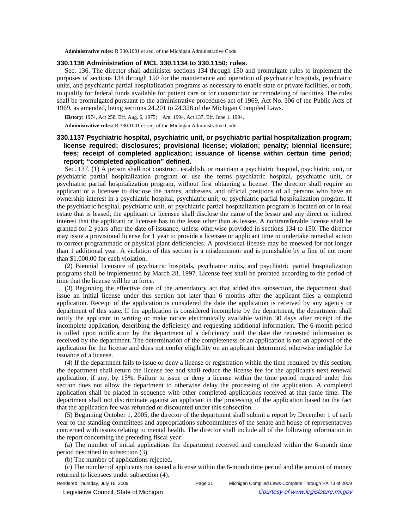**Administrative rules:** R 330.1001 et seq. of the Michigan Administrative Code.

### **330.1136 Administration of MCL 330.1134 to 330.1150; rules.**

Sec. 136. The director shall administer sections 134 through 150 and promulgate rules to implement the purposes of sections 134 through 150 for the maintenance and operation of psychiatric hospitals, psychiatric units, and psychiatric partial hospitalization programs as necessary to enable state or private facilities, or both, to qualify for federal funds available for patient care or for construction or remodeling of facilities. The rules shall be promulgated pursuant to the administrative procedures act of 1969, Act No. 306 of the Public Acts of 1969, as amended, being sections 24.201 to 24.328 of the Michigan Compiled Laws.

History: 1974, Act 258, Eff. Aug. 6, 1975;-- Am. 1994, Act 137, Eff. June 1, 1994.

**Administrative rules:** R 330.1001 et seq. of the Michigan Administrative Code.

# **330.1137 Psychiatric hospital, psychiatric unit, or psychiatric partial hospitalization program; license required; disclosures; provisional license; violation; penalty; biennial licensure; fees; receipt of completed application; issuance of license within certain time period; report; "completed application" defined.**

Sec. 137. (1) A person shall not construct, establish, or maintain a psychiatric hospital, psychiatric unit, or psychiatric partial hospitalization program or use the terms psychiatric hospital, psychiatric unit, or psychiatric partial hospitalization program, without first obtaining a license. The director shall require an applicant or a licensee to disclose the names, addresses, and official positions of all persons who have an ownership interest in a psychiatric hospital, psychiatric unit, or psychiatric partial hospitalization program. If the psychiatric hospital, psychiatric unit, or psychiatric partial hospitalization program is located on or in real estate that is leased, the applicant or licensee shall disclose the name of the lessor and any direct or indirect interest that the applicant or licensee has in the lease other than as lessee. A nontransferable license shall be granted for 2 years after the date of issuance, unless otherwise provided in sections 134 to 150. The director may issue a provisional license for 1 year to provide a licensee or applicant time to undertake remedial action to correct programmatic or physical plant deficiencies. A provisional license may be renewed for not longer than 1 additional year. A violation of this section is a misdemeanor and is punishable by a fine of not more than \$1,000.00 for each violation.

(2) Biennial licensure of psychiatric hospitals, psychiatric units, and psychiatric partial hospitalization programs shall be implemented by March 28, 1997. License fees shall be prorated according to the period of time that the license will be in force.

(3) Beginning the effective date of the amendatory act that added this subsection, the department shall issue an initial license under this section not later than 6 months after the applicant files a completed application. Receipt of the application is considered the date the application is received by any agency or department of this state. If the application is considered incomplete by the department, the department shall notify the applicant in writing or make notice electronically available within 30 days after receipt of the incomplete application, describing the deficiency and requesting additional information. The 6-month period is tolled upon notification by the department of a deficiency until the date the requested information is received by the department. The determination of the completeness of an application is not an approval of the application for the license and does not confer eligibility on an applicant determined otherwise ineligible for issuance of a license.

(4) If the department fails to issue or deny a license or registration within the time required by this section, the department shall return the license fee and shall reduce the license fee for the applicant's next renewal application, if any, by 15%. Failure to issue or deny a license within the time period required under this section does not allow the department to otherwise delay the processing of the application. A completed application shall be placed in sequence with other completed applications received at that same time. The department shall not discriminate against an applicant in the processing of the application based on the fact that the application fee was refunded or discounted under this subsection.

(5) Beginning October 1, 2005, the director of the department shall submit a report by December 1 of each year to the standing committees and appropriations subcommittees of the senate and house of representatives concerned with issues relating to mental health. The director shall include all of the following information in the report concerning the preceding fiscal year:

(a) The number of initial applications the department received and completed within the 6-month time period described in subsection (3).

(b) The number of applications rejected.

(c) The number of applicants not issued a license within the 6-month time period and the amount of money returned to licensees under subsection (4).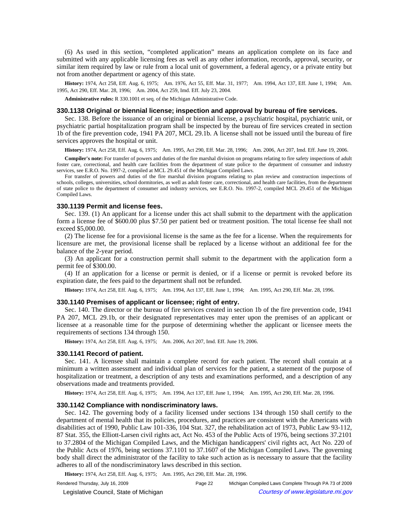(6) As used in this section, "completed application" means an application complete on its face and submitted with any applicable licensing fees as well as any other information, records, approval, security, or similar item required by law or rule from a local unit of government, a federal agency, or a private entity but not from another department or agency of this state.

History: 1974, Act 258, Eff. Aug. 6, 1975;—Am. 1976, Act 55, Eff. Mar. 31, 1977;—Am. 1994, Act 137, Eff. June 1, 1994;—Am. 1995, Act 290, Eff. Mar. 28, 1996;-- Am. 2004, Act 259, Imd. Eff. July 23, 2004.

**Administrative rules:** R 330.1001 et seq. of the Michigan Administrative Code.

#### **330.1138 Original or biennial license; inspection and approval by bureau of fire services.**

Sec. 138. Before the issuance of an original or biennial license, a psychiatric hospital, psychiatric unit, or psychiatric partial hospitalization program shall be inspected by the bureau of fire services created in section 1b of the fire prevention code, 1941 PA 207, MCL 29.1b. A license shall not be issued until the bureau of fire services approves the hospital or unit.

History: 1974, Act 258, Eff. Aug. 6, 1975;-Am. 1995, Act 290, Eff. Mar. 28, 1996;-Am. 2006, Act 207, Imd. Eff. June 19, 2006.

**Compiler's note:** For transfer of powers and duties of the fire marshal division on programs relating to fire safety inspections of adult foster care, correctional, and health care facilities from the department of state police to the department of consumer and industry services, see E.R.O. No. 1997-2, compiled at MCL 29.451 of the Michigan Compiled Laws.

For transfer of powers and duties of the fire marshal division programs relating to plan review and construction inspections of schools, colleges, universities, school dormitories, as well as adult foster care, correctional, and health care facilities, from the department of state police to the department of consumer and industry services, see E.R.O. No. 1997-2, compiled MCL 29.451 of the Michigan Compiled Laws.

### **330.1139 Permit and license fees.**

Sec. 139. (1) An applicant for a license under this act shall submit to the department with the application form a license fee of \$600.00 plus \$7.50 per patient bed or treatment position. The total license fee shall not exceed \$5,000.00.

(2) The license fee for a provisional license is the same as the fee for a license. When the requirements for licensure are met, the provisional license shall be replaced by a license without an additional fee for the balance of the 2-year period.

(3) An applicant for a construction permit shall submit to the department with the application form a permit fee of \$300.00.

(4) If an application for a license or permit is denied, or if a license or permit is revoked before its expiration date, the fees paid to the department shall not be refunded.

History: 1974, Act 258, Eff. Aug. 6, 1975;--Am. 1994, Act 137, Eff. June 1, 1994;--Am. 1995, Act 290, Eff. Mar. 28, 1996.

#### **330.1140 Premises of applicant or licensee; right of entry.**

Sec. 140. The director or the bureau of fire services created in section 1b of the fire prevention code, 1941 PA 207, MCL 29.1b, or their designated representatives may enter upon the premises of an applicant or licensee at a reasonable time for the purpose of determining whether the applicant or licensee meets the requirements of sections 134 through 150.

History: 1974, Act 258, Eff. Aug. 6, 1975;-- Am. 2006, Act 207, Imd. Eff. June 19, 2006.

#### **330.1141 Record of patient.**

Sec. 141. A licensee shall maintain a complete record for each patient. The record shall contain at a minimum a written assessment and individual plan of services for the patient, a statement of the purpose of hospitalization or treatment, a description of any tests and examinations performed, and a description of any observations made and treatments provided.

History: 1974, Act 258, Eff. Aug. 6, 1975;--Am. 1994, Act 137, Eff. June 1, 1994;--Am. 1995, Act 290, Eff. Mar. 28, 1996.

### **330.1142 Compliance with nondiscriminatory laws.**

Sec. 142. The governing body of a facility licensed under sections 134 through 150 shall certify to the department of mental health that its policies, procedures, and practices are consistent with the Americans with disabilities act of 1990, Public Law 101-336, 104 Stat. 327, the rehabilitation act of 1973, Public Law 93-112, 87 Stat. 355, the Elliott-Larsen civil rights act, Act No. 453 of the Public Acts of 1976, being sections 37.2101 to 37.2804 of the Michigan Compiled Laws, and the Michigan handicappers' civil rights act, Act No. 220 of the Public Acts of 1976, being sections 37.1101 to 37.1607 of the Michigan Compiled Laws. The governing body shall direct the administrator of the facility to take such action as is necessary to assure that the facility adheres to all of the nondiscriminatory laws described in this section.

History: 1974, Act 258, Eff. Aug. 6, 1975;-- Am. 1995, Act 290, Eff. Mar. 28, 1996.

Rendered Thursday, July 16, 2009 **Page 22** Michigan Compiled Laws Complete Through PA 73 of 2009 © Legislative Council, State of Michigan Council Council Council Council Council Council Council Council Council Council Council Council Council Council Council Council Council Council Council Council Council Council Counc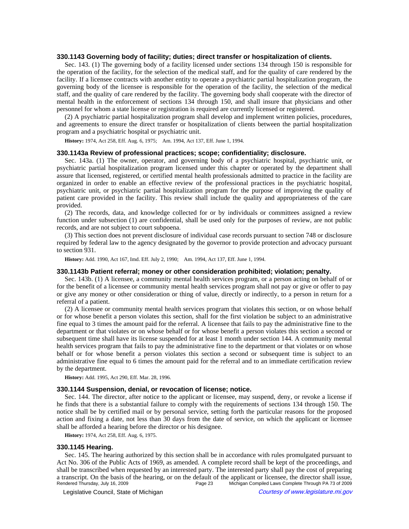### **330.1143 Governing body of facility; duties; direct transfer or hospitalization of clients.**

Sec. 143. (1) The governing body of a facility licensed under sections 134 through 150 is responsible for the operation of the facility, for the selection of the medical staff, and for the quality of care rendered by the facility. If a licensee contracts with another entity to operate a psychiatric partial hospitalization program, the governing body of the licensee is responsible for the operation of the facility, the selection of the medical staff, and the quality of care rendered by the facility. The governing body shall cooperate with the director of mental health in the enforcement of sections 134 through 150, and shall insure that physicians and other personnel for whom a state license or registration is required are currently licensed or registered.

(2) A psychiatric partial hospitalization program shall develop and implement written policies, procedures, and agreements to ensure the direct transfer or hospitalization of clients between the partial hospitalization program and a psychiatric hospital or psychiatric unit.

History: 1974, Act 258, Eff. Aug. 6, 1975;—Am. 1994, Act 137, Eff. June 1, 1994.

#### **330.1143a Review of professional practices; scope; confidentiality; disclosure.**

Sec. 143a. (1) The owner, operator, and governing body of a psychiatric hospital, psychiatric unit, or psychiatric partial hospitalization program licensed under this chapter or operated by the department shall assure that licensed, registered, or certified mental health professionals admitted to practice in the facility are organized in order to enable an effective review of the professional practices in the psychiatric hospital, psychiatric unit, or psychiatric partial hospitalization program for the purpose of improving the quality of patient care provided in the facility. This review shall include the quality and appropriateness of the care provided.

(2) The records, data, and knowledge collected for or by individuals or committees assigned a review function under subsection (1) are confidential, shall be used only for the purposes of review, are not public records, and are not subject to court subpoena.

(3) This section does not prevent disclosure of individual case records pursuant to section 748 or disclosure required by federal law to the agency designated by the governor to provide protection and advocacy pursuant to section 931.

**History:** Add. 1990, Act 167, Imd. Eff. July 2, 1990;—Am. 1994, Act 137, Eff. June 1, 1994.

### **330.1143b Patient referral; money or other consideration prohibited; violation; penalty.**

Sec. 143b. (1) A licensee, a community mental health services program, or a person acting on behalf of or for the benefit of a licensee or community mental health services program shall not pay or give or offer to pay or give any money or other consideration or thing of value, directly or indirectly, to a person in return for a referral of a patient.

(2) A licensee or community mental health services program that violates this section, or on whose behalf or for whose benefit a person violates this section, shall for the first violation be subject to an administrative fine equal to 3 times the amount paid for the referral. A licensee that fails to pay the administrative fine to the department or that violates or on whose behalf or for whose benefit a person violates this section a second or subsequent time shall have its license suspended for at least 1 month under section 144. A community mental health services program that fails to pay the administrative fine to the department or that violates or on whose behalf or for whose benefit a person violates this section a second or subsequent time is subject to an administrative fine equal to 6 times the amount paid for the referral and to an immediate certification review by the department.

**History:** Add. 1995, Act 290, Eff. Mar. 28, 1996.

### **330.1144 Suspension, denial, or revocation of license; notice.**

Sec. 144. The director, after notice to the applicant or licensee, may suspend, deny, or revoke a license if he finds that there is a substantial failure to comply with the requirements of sections 134 through 150. The notice shall be by certified mail or by personal service, setting forth the particular reasons for the proposed action and fixing a date, not less than 30 days from the date of service, on which the applicant or licensee shall be afforded a hearing before the director or his designee.

**History:** 1974, Act 258, Eff. Aug. 6, 1975.

### **330.1145 Hearing.**

Sec. 145. The hearing authorized by this section shall be in accordance with rules promulgated pursuant to Act No. 306 of the Public Acts of 1969, as amended. A complete record shall be kept of the proceedings, and shall be transcribed when requested by an interested party. The interested party shall pay the cost of preparing a transcript. On the basis of the hearing, or on the default of the applicant or licensee, the director shall issue,<br>Page 23 Michigan Compiled Laws Complete Through PA 73 of 2009 Michigan Compiled Laws Complete Through PA 73 of 2009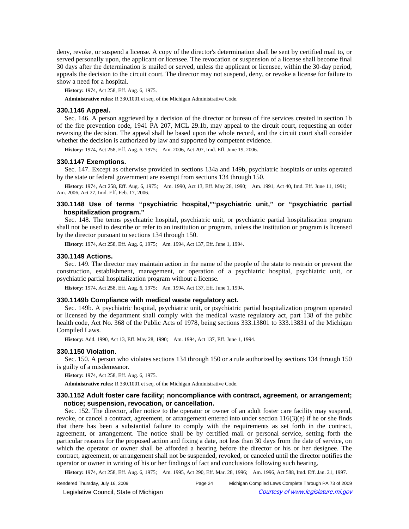deny, revoke, or suspend a license. A copy of the director's determination shall be sent by certified mail to, or served personally upon, the applicant or licensee. The revocation or suspension of a license shall become final 30 days after the determination is mailed or served, unless the applicant or licensee, within the 30-day period, appeals the decision to the circuit court. The director may not suspend, deny, or revoke a license for failure to show a need for a hospital.

**History:** 1974, Act 258, Eff. Aug. 6, 1975.

**Administrative rules:** R 330.1001 et seq. of the Michigan Administrative Code.

### **330.1146 Appeal.**

Sec. 146. A person aggrieved by a decision of the director or bureau of fire services created in section 1b of the fire prevention code, 1941 PA 207, MCL 29.1b, may appeal to the circuit court, requesting an order reversing the decision. The appeal shall be based upon the whole record, and the circuit court shall consider whether the decision is authorized by law and supported by competent evidence.

**History:** 1974, Act 258, Eff. Aug. 6, 1975;—Am. 2006, Act 207, Imd. Eff. June 19, 2006.

#### **330.1147 Exemptions.**

Sec. 147. Except as otherwise provided in sections 134a and 149b, psychiatric hospitals or units operated by the state or federal government are exempt from sections 134 through 150.

**History:** 1974, Act 258, Eff. Aug. 6, 1975;—Am. 1990, Act 13, Eff. May 28, 1990;—Am. 1991, Act 40, Imd. Eff. June 11, 1991;— Am. 2006, Act 27, Imd. Eff. Feb. 17, 2006.

### **330.1148 Use of terms "psychiatric hospital,""psychiatric unit," or "psychiatric partial hospitalization program."**

Sec. 148. The terms psychiatric hospital, psychiatric unit, or psychiatric partial hospitalization program shall not be used to describe or refer to an institution or program, unless the institution or program is licensed by the director pursuant to sections 134 through 150.

History: 1974, Act 258, Eff. Aug. 6, 1975;—Am. 1994, Act 137, Eff. June 1, 1994.

#### **330.1149 Actions.**

Sec. 149. The director may maintain action in the name of the people of the state to restrain or prevent the construction, establishment, management, or operation of a psychiatric hospital, psychiatric unit, or psychiatric partial hospitalization program without a license.

History: 1974, Act 258, Eff. Aug. 6, 1975;-- Am. 1994, Act 137, Eff. June 1, 1994.

#### **330.1149b Compliance with medical waste regulatory act.**

Sec. 149b. A psychiatric hospital, psychiatric unit, or psychiatric partial hospitalization program operated or licensed by the department shall comply with the medical waste regulatory act, part 138 of the public health code, Act No. 368 of the Public Acts of 1978, being sections 333.13801 to 333.13831 of the Michigan Compiled Laws.

History: Add. 1990, Act 13, Eff. May 28, 1990;-- Am. 1994, Act 137, Eff. June 1, 1994.

#### **330.1150 Violation.**

Sec. 150. A person who violates sections 134 through 150 or a rule authorized by sections 134 through 150 is guilty of a misdemeanor.

**History:** 1974, Act 258, Eff. Aug. 6, 1975.

**Administrative rules:** R 330.1001 et seq. of the Michigan Administrative Code.

### **330.1152 Adult foster care facility; noncompliance with contract, agreement, or arrangement; notice; suspension, revocation, or cancellation.**

Sec. 152. The director, after notice to the operator or owner of an adult foster care facility may suspend, revoke, or cancel a contract, agreement, or arrangement entered into under section 116(3)(e) if he or she finds that there has been a substantial failure to comply with the requirements as set forth in the contract, agreement, or arrangement. The notice shall be by certified mail or personal service, setting forth the particular reasons for the proposed action and fixing a date, not less than 30 days from the date of service, on which the operator or owner shall be afforded a hearing before the director or his or her designee. The contract, agreement, or arrangement shall not be suspended, revoked, or canceled until the director notifies the operator or owner in writing of his or her findings of fact and conclusions following such hearing.

History: 1974, Act 258, Eff. Aug. 6, 1975;—Am. 1995, Act 290, Eff. Mar. 28, 1996;—Am. 1996, Act 588, Imd. Eff. Jan. 21, 1997.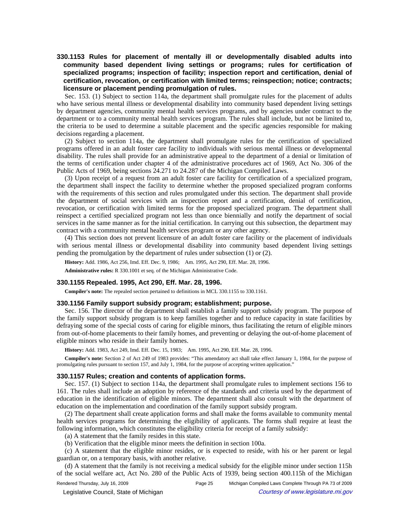**330.1153 Rules for placement of mentally ill or developmentally disabled adults into community based dependent living settings or programs; rules for certification of specialized programs; inspection of facility; inspection report and certification, denial of certification, revocation, or certification with limited terms; reinspection; notice; contracts; licensure or placement pending promulgation of rules.**

Sec. 153. (1) Subject to section 114a, the department shall promulgate rules for the placement of adults who have serious mental illness or developmental disability into community based dependent living settings by department agencies, community mental health services programs, and by agencies under contract to the department or to a community mental health services program. The rules shall include, but not be limited to, the criteria to be used to determine a suitable placement and the specific agencies responsible for making decisions regarding a placement.

(2) Subject to section 114a, the department shall promulgate rules for the certification of specialized programs offered in an adult foster care facility to individuals with serious mental illness or developmental disability. The rules shall provide for an administrative appeal to the department of a denial or limitation of the terms of certification under chapter 4 of the administrative procedures act of 1969, Act No. 306 of the Public Acts of 1969, being sections 24.271 to 24.287 of the Michigan Compiled Laws.

(3) Upon receipt of a request from an adult foster care facility for certification of a specialized program, the department shall inspect the facility to determine whether the proposed specialized program conforms with the requirements of this section and rules promulgated under this section. The department shall provide the department of social services with an inspection report and a certification, denial of certification, revocation, or certification with limited terms for the proposed specialized program. The department shall reinspect a certified specialized program not less than once biennially and notify the department of social services in the same manner as for the initial certification. In carrying out this subsection, the department may contract with a community mental health services program or any other agency.

(4) This section does not prevent licensure of an adult foster care facility or the placement of individuals with serious mental illness or developmental disability into community based dependent living settings pending the promulgation by the department of rules under subsection (1) or (2).

History: Add. 1986, Act 256, Imd. Eff. Dec. 9, 1986;-- Am. 1995, Act 290, Eff. Mar. 28, 1996.

**Administrative rules:** R 330.1001 et seq. of the Michigan Administrative Code.

### **330.1155 Repealed. 1995, Act 290, Eff. Mar. 28, 1996.**

**Compiler's note:** The repealed section pertained to definitions in MCL 330.1155 to 330.1161.

### **330.1156 Family support subsidy program; establishment; purpose.**

Sec. 156. The director of the department shall establish a family support subsidy program. The purpose of the family support subsidy program is to keep families together and to reduce capacity in state facilities by defraying some of the special costs of caring for eligible minors, thus facilitating the return of eligible minors from out-of-home placements to their family homes, and preventing or delaying the out-of-home placement of eligible minors who reside in their family homes.

History: Add. 1983, Act 249, Imd. Eff. Dec. 15, 1983;-- Am. 1995, Act 290, Eff. Mar. 28, 1996.

**Compiler's note:** Section 2 of Act 249 of 1983 provides: "This amendatory act shall take effect January 1, 1984, for the purpose of promulgating rules pursuant to section 157, and July 1, 1984, for the purpose of accepting written application."

### **330.1157 Rules; creation and contents of application forms.**

Sec. 157. (1) Subject to section 114a, the department shall promulgate rules to implement sections 156 to 161. The rules shall include an adoption by reference of the standards and criteria used by the department of education in the identification of eligible minors. The department shall also consult with the department of education on the implementation and coordination of the family support subsidy program.

(2) The department shall create application forms and shall make the forms available to community mental health services programs for determining the eligibility of applicants. The forms shall require at least the following information, which constitutes the eligibility criteria for receipt of a family subsidy:

(a) A statement that the family resides in this state.

(b) Verification that the eligible minor meets the definition in section 100a.

(c) A statement that the eligible minor resides, or is expected to reside, with his or her parent or legal guardian or, on a temporary basis, with another relative.

(d) A statement that the family is not receiving a medical subsidy for the eligible minor under section 115h of the social welfare act, Act No. 280 of the Public Acts of 1939, being section 400.115h of the Michigan

Rendered Thursday, July 16, 2009 **Page 25** Michigan Compiled Laws Complete Through PA 73 of 2009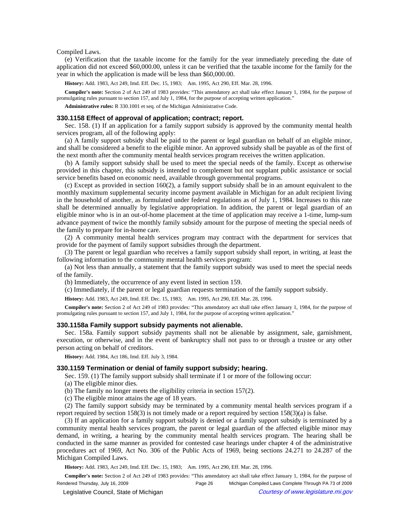#### Compiled Laws.

(e) Verification that the taxable income for the family for the year immediately preceding the date of application did not exceed \$60,000.00, unless it can be verified that the taxable income for the family for the year in which the application is made will be less than \$60,000.00.

History: Add. 1983, Act 249, Imd. Eff. Dec. 15, 1983;**--**Am. 1995, Act 290, Eff. Mar. 28, 1996.

**Compiler's note:** Section 2 of Act 249 of 1983 provides: "This amendatory act shall take effect January 1, 1984, for the purpose of promulgating rules pursuant to section 157, and July 1, 1984, for the purpose of accepting written application."

**Administrative rules:** R 330.1001 et seq. of the Michigan Administrative Code.

### **330.1158 Effect of approval of application; contract; report.**

Sec. 158. (1) If an application for a family support subsidy is approved by the community mental health services program, all of the following apply:

(a) A family support subsidy shall be paid to the parent or legal guardian on behalf of an eligible minor, and shall be considered a benefit to the eligible minor. An approved subsidy shall be payable as of the first of the next month after the community mental health services program receives the written application.

(b) A family support subsidy shall be used to meet the special needs of the family. Except as otherwise provided in this chapter, this subsidy is intended to complement but not supplant public assistance or social service benefits based on economic need, available through governmental programs.

(c) Except as provided in section 160(2), a family support subsidy shall be in an amount equivalent to the monthly maximum supplemental security income payment available in Michigan for an adult recipient living in the household of another, as formulated under federal regulations as of July 1, 1984. Increases to this rate shall be determined annually by legislative appropriation. In addition, the parent or legal guardian of an eligible minor who is in an out-of-home placement at the time of application may receive a 1-time, lump-sum advance payment of twice the monthly family subsidy amount for the purpose of meeting the special needs of the family to prepare for in-home care.

(2) A community mental health services program may contract with the department for services that provide for the payment of family support subsidies through the department.

(3) The parent or legal guardian who receives a family support subsidy shall report, in writing, at least the following information to the community mental health services program:

(a) Not less than annually, a statement that the family support subsidy was used to meet the special needs of the family.

(b) Immediately, the occurrence of any event listed in section 159.

(c) Immediately, if the parent or legal guardian requests termination of the family support subsidy.

History: Add. 1983, Act 249, Imd. Eff. Dec. 15, 1983;-- Am. 1995, Act 290, Eff. Mar. 28, 1996.

**Compiler's note:** Section 2 of Act 249 of 1983 provides: "This amendatory act shall take effect January 1, 1984, for the purpose of promulgating rules pursuant to section 157, and July 1, 1984, for the purpose of accepting written application."

#### **330.1158a Family support subsidy payments not alienable.**

Sec. 158a. Family support subsidy payments shall not be alienable by assignment, sale, garnishment, execution, or otherwise, and in the event of bankruptcy shall not pass to or through a trustee or any other person acting on behalf of creditors.

**History:** Add. 1984, Act 186, Imd. Eff. July 3, 1984.

#### **330.1159 Termination or denial of family support subsidy; hearing.**

Sec. 159. (1) The family support subsidy shall terminate if 1 or more of the following occur:

(a) The eligible minor dies.

(b) The family no longer meets the eligibility criteria in section 157(2).

(c) The eligible minor attains the age of 18 years.

(2) The family support subsidy may be terminated by a community mental health services program if a report required by section 158(3) is not timely made or a report required by section 158(3)(a) is false.

(3) If an application for a family support subsidy is denied or a family support subsidy is terminated by a community mental health services program, the parent or legal guardian of the affected eligible minor may demand, in writing, a hearing by the community mental health services program. The hearing shall be conducted in the same manner as provided for contested case hearings under chapter 4 of the administrative procedures act of 1969, Act No. 306 of the Public Acts of 1969, being sections 24.271 to 24.287 of the Michigan Compiled Laws.

History: Add. 1983, Act 249, Imd. Eff. Dec. 15, 1983;-- Am. 1995, Act 290, Eff. Mar. 28, 1996.

**Compiler's note:** Section 2 of Act 249 of 1983 provides: "This amendatory act shall take effect January 1, 1984, for the purpose of Rendered Thursday, July 16, 2009 **Page 26** Page 26 Michigan Compiled Laws Complete Through PA 73 of 2009 © Legislative Council, State of Michigan Council Council Council Council Council Council Council Council Council Council Council Council Council Council Council Council Council Council Council Council Council Council Counc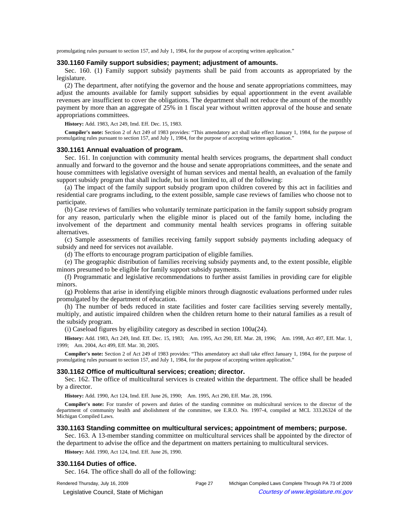promulgating rules pursuant to section 157, and July 1, 1984, for the purpose of accepting written application."

### **330.1160 Family support subsidies; payment; adjustment of amounts.**

Sec. 160. (1) Family support subsidy payments shall be paid from accounts as appropriated by the legislature.

(2) The department, after notifying the governor and the house and senate appropriations committees, may adjust the amounts available for family support subsidies by equal apportionment in the event available revenues are insufficient to cover the obligations. The department shall not reduce the amount of the monthly payment by more than an aggregate of 25% in 1 fiscal year without written approval of the house and senate appropriations committees.

**History:** Add. 1983, Act 249, Imd. Eff. Dec. 15, 1983.

**Compiler's note:** Section 2 of Act 249 of 1983 provides: "This amendatory act shall take effect January 1, 1984, for the purpose of promulgating rules pursuant to section 157, and July 1, 1984, for the purpose of accepting written application."

#### **330.1161 Annual evaluation of program.**

Sec. 161. In conjunction with community mental health services programs, the department shall conduct annually and forward to the governor and the house and senate appropriations committees, and the senate and house committees with legislative oversight of human services and mental health, an evaluation of the family support subsidy program that shall include, but is not limited to, all of the following:

(a) The impact of the family support subsidy program upon children covered by this act in facilities and residential care programs including, to the extent possible, sample case reviews of families who choose not to participate.

(b) Case reviews of families who voluntarily terminate participation in the family support subsidy program for any reason, particularly when the eligible minor is placed out of the family home, including the involvement of the department and community mental health services programs in offering suitable alternatives.

(c) Sample assessments of families receiving family support subsidy payments including adequacy of subsidy and need for services not available.

(d) The efforts to encourage program participation of eligible families.

(e) The geographic distribution of families receiving subsidy payments and, to the extent possible, eligible minors presumed to be eligible for family support subsidy payments.

(f) Programmatic and legislative recommendations to further assist families in providing care for eligible minors.

(g) Problems that arise in identifying eligible minors through diagnostic evaluations performed under rules promulgated by the department of education.

(h) The number of beds reduced in state facilities and foster care facilities serving severely mentally, multiply, and autistic impaired children when the children return home to their natural families as a result of the subsidy program.

(i) Caseload figures by eligibility category as described in section 100a(24).

History: Add. 1983, Act 249, Imd. Eff. Dec. 15, 1983;--Am. 1995, Act 290, Eff. Mar. 28, 1996;--Am. 1998, Act 497, Eff. Mar. 1, 1999; - Am. 2004, Act 499, Eff. Mar. 30, 2005.

**Compiler's note:** Section 2 of Act 249 of 1983 provides: "This amendatory act shall take effect January 1, 1984, for the purpose of promulgating rules pursuant to section 157, and July 1, 1984, for the purpose of accepting written application."

### **330.1162 Office of multicultural services; creation; director.**

Sec. 162. The office of multicultural services is created within the department. The office shall be headed by a director.

History: Add. 1990, Act 124, Imd. Eff. June 26, 1990;-- Am. 1995, Act 290, Eff. Mar. 28, 1996.

**Compiler's note:** For transfer of powers and duties of the standing committee on multicultural services to the director of the department of community health and abolishment of the committee, see E.R.O. No. 1997-4, compiled at MCL 333.26324 of the Michigan Compiled Laws.

### **330.1163 Standing committee on multicultural services; appointment of members; purpose.**

Sec. 163. A 13-member standing committee on multicultural services shall be appointed by the director of the department to advise the office and the department on matters pertaining to multicultural services.

**History:** Add. 1990, Act 124, Imd. Eff. June 26, 1990.

### **330.1164 Duties of office.**

Sec. 164. The office shall do all of the following:

Rendered Thursday, July 16, 2009 **Page 27** Michigan Compiled Laws Complete Through PA 73 of 2009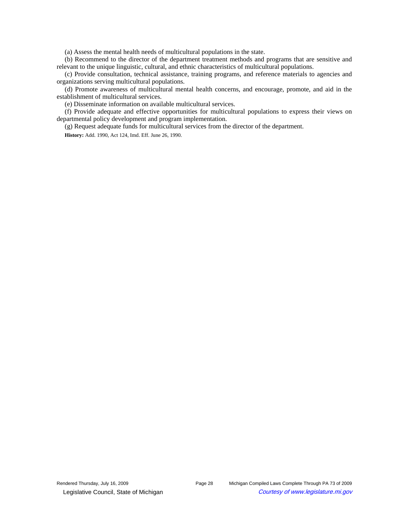(a) Assess the mental health needs of multicultural populations in the state.

(b) Recommend to the director of the department treatment methods and programs that are sensitive and relevant to the unique linguistic, cultural, and ethnic characteristics of multicultural populations.

(c) Provide consultation, technical assistance, training programs, and reference materials to agencies and organizations serving multicultural populations.

(d) Promote awareness of multicultural mental health concerns, and encourage, promote, and aid in the establishment of multicultural services.

(e) Disseminate information on available multicultural services.

(f) Provide adequate and effective opportunities for multicultural populations to express their views on departmental policy development and program implementation.

(g) Request adequate funds for multicultural services from the director of the department.

**History:** Add. 1990, Act 124, Imd. Eff. June 26, 1990.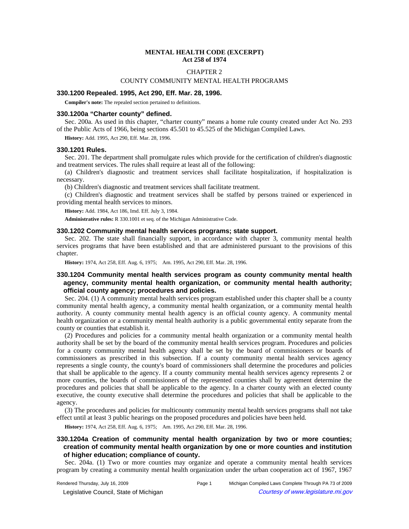# **MENTAL HEALTH CODE (EXCERPT) Act 258 of 1974**

## CHAPTER 2

# COUNTY COMMUNITY MENTAL HEALTH PROGRAMS

### **330.1200 Repealed. 1995, Act 290, Eff. Mar. 28, 1996.**

**Compiler's note:** The repealed section pertained to definitions.

# **330.1200a "Charter county" defined.**

Sec. 200a. As used in this chapter, "charter county" means a home rule county created under Act No. 293 of the Public Acts of 1966, being sections 45.501 to 45.525 of the Michigan Compiled Laws.

**History:** Add. 1995, Act 290, Eff. Mar. 28, 1996.

### **330.1201 Rules.**

Sec. 201. The department shall promulgate rules which provide for the certification of children's diagnostic and treatment services. The rules shall require at least all of the following:

(a) Children's diagnostic and treatment services shall facilitate hospitalization, if hospitalization is necessary.

(b) Children's diagnostic and treatment services shall facilitate treatment.

(c) Children's diagnostic and treatment services shall be staffed by persons trained or experienced in providing mental health services to minors.

**History:** Add. 1984, Act 186, Imd. Eff. July 3, 1984.

**Administrative rules:** R 330.1001 et seq. of the Michigan Administrative Code.

### **330.1202 Community mental health services programs; state support.**

Sec. 202. The state shall financially support, in accordance with chapter 3, community mental health services programs that have been established and that are administered pursuant to the provisions of this chapter.

History: 1974, Act 258, Eff. Aug. 6, 1975;-- Am. 1995, Act 290, Eff. Mar. 28, 1996.

# **330.1204 Community mental health services program as county community mental health agency, community mental health organization, or community mental health authority; official county agency; procedures and policies.**

Sec. 204. (1) A community mental health services program established under this chapter shall be a county community mental health agency, a community mental health organization, or a community mental health authority. A county community mental health agency is an official county agency. A community mental health organization or a community mental health authority is a public governmental entity separate from the county or counties that establish it.

(2) Procedures and policies for a community mental health organization or a community mental health authority shall be set by the board of the community mental health services program. Procedures and policies for a county community mental health agency shall be set by the board of commissioners or boards of commissioners as prescribed in this subsection. If a county community mental health services agency represents a single county, the county's board of commissioners shall determine the procedures and policies that shall be applicable to the agency. If a county community mental health services agency represents 2 or more counties, the boards of commissioners of the represented counties shall by agreement determine the procedures and policies that shall be applicable to the agency. In a charter county with an elected county executive, the county executive shall determine the procedures and policies that shall be applicable to the agency.

(3) The procedures and policies for multicounty community mental health services programs shall not take effect until at least 3 public hearings on the proposed procedures and policies have been held.

History: 1974, Act 258, Eff. Aug. 6, 1975;-- Am. 1995, Act 290, Eff. Mar. 28, 1996.

# **330.1204a Creation of community mental health organization by two or more counties; creation of community mental health organization by one or more counties and institution of higher education; compliance of county.**

Sec. 204a. (1) Two or more counties may organize and operate a community mental health services program by creating a community mental health organization under the urban cooperation act of 1967, 1967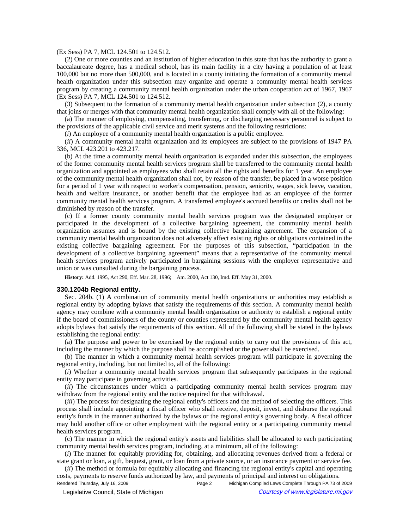(Ex Sess) PA 7, MCL 124.501 to 124.512.

(2) One or more counties and an institution of higher education in this state that has the authority to grant a baccalaureate degree, has a medical school, has its main facility in a city having a population of at least 100,000 but no more than 500,000, and is located in a county initiating the formation of a community mental health organization under this subsection may organize and operate a community mental health services program by creating a community mental health organization under the urban cooperation act of 1967, 1967 (Ex Sess) PA 7, MCL 124.501 to 124.512.

(3) Subsequent to the formation of a community mental health organization under subsection (2), a county that joins or merges with that community mental health organization shall comply with all of the following:

(a) The manner of employing, compensating, transferring, or discharging necessary personnel is subject to the provisions of the applicable civil service and merit systems and the following restrictions:

(*i*) An employee of a community mental health organization is a public employee.

(*ii*) A community mental health organization and its employees are subject to the provisions of 1947 PA 336, MCL 423.201 to 423.217.

(b) At the time a community mental health organization is expanded under this subsection, the employees of the former community mental health services program shall be transferred to the community mental health organization and appointed as employees who shall retain all the rights and benefits for 1 year. An employee of the community mental health organization shall not, by reason of the transfer, be placed in a worse position for a period of 1 year with respect to worker's compensation, pension, seniority, wages, sick leave, vacation, health and welfare insurance, or another benefit that the employee had as an employee of the former community mental health services program. A transferred employee's accrued benefits or credits shall not be diminished by reason of the transfer.

(c) If a former county community mental health services program was the designated employer or participated in the development of a collective bargaining agreement, the community mental health organization assumes and is bound by the existing collective bargaining agreement. The expansion of a community mental health organization does not adversely affect existing rights or obligations contained in the existing collective bargaining agreement. For the purposes of this subsection, "participation in the development of a collective bargaining agreement" means that a representative of the community mental health services program actively participated in bargaining sessions with the employer representative and union or was consulted during the bargaining process.

History: Add. 1995, Act 290, Eff. Mar. 28, 1996;-- Am. 2000, Act 130, Imd. Eff. May 31, 2000.

### **330.1204b Regional entity.**

Sec. 204b. (1) A combination of community mental health organizations or authorities may establish a regional entity by adopting bylaws that satisfy the requirements of this section. A community mental health agency may combine with a community mental health organization or authority to establish a regional entity if the board of commissioners of the county or counties represented by the community mental health agency adopts bylaws that satisfy the requirements of this section. All of the following shall be stated in the bylaws establishing the regional entity:

(a) The purpose and power to be exercised by the regional entity to carry out the provisions of this act, including the manner by which the purpose shall be accomplished or the power shall be exercised.

(b) The manner in which a community mental health services program will participate in governing the regional entity, including, but not limited to, all of the following:

(*i*) Whether a community mental health services program that subsequently participates in the regional entity may participate in governing activities.

(*ii*) The circumstances under which a participating community mental health services program may withdraw from the regional entity and the notice required for that withdrawal.

(*iii*) The process for designating the regional entity's officers and the method of selecting the officers. This process shall include appointing a fiscal officer who shall receive, deposit, invest, and disburse the regional entity's funds in the manner authorized by the bylaws or the regional entity's governing body. A fiscal officer may hold another office or other employment with the regional entity or a participating community mental health services program.

(c) The manner in which the regional entity's assets and liabilities shall be allocated to each participating community mental health services program, including, at a minimum, all of the following:

(*i*) The manner for equitably providing for, obtaining, and allocating revenues derived from a federal or state grant or loan, a gift, bequest, grant, or loan from a private source, or an insurance payment or service fee.

(*ii*) The method or formula for equitably allocating and financing the regional entity's capital and operating costs, payments to reserve funds authorized by law, and payments of principal and interest on obligations. Rendered Thursday, July 16, 2009 **Page 2** Michigan Compiled Laws Complete Through PA 73 of 2009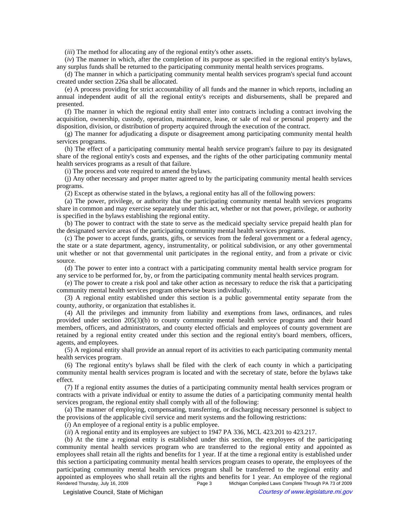(*iii*) The method for allocating any of the regional entity's other assets.

(*iv*) The manner in which, after the completion of its purpose as specified in the regional entity's bylaws, any surplus funds shall be returned to the participating community mental health services programs.

(d) The manner in which a participating community mental health services program's special fund account created under section 226a shall be allocated.

(e) A process providing for strict accountability of all funds and the manner in which reports, including an annual independent audit of all the regional entity's receipts and disbursements, shall be prepared and presented.

(f) The manner in which the regional entity shall enter into contracts including a contract involving the acquisition, ownership, custody, operation, maintenance, lease, or sale of real or personal property and the disposition, division, or distribution of property acquired through the execution of the contract.

(g) The manner for adjudicating a dispute or disagreement among participating community mental health services programs.

(h) The effect of a participating community mental health service program's failure to pay its designated share of the regional entity's costs and expenses, and the rights of the other participating community mental health services programs as a result of that failure.

(i) The process and vote required to amend the bylaws.

(j) Any other necessary and proper matter agreed to by the participating community mental health services programs.

(2) Except as otherwise stated in the bylaws, a regional entity has all of the following powers:

(a) The power, privilege, or authority that the participating community mental health services programs share in common and may exercise separately under this act, whether or not that power, privilege, or authority is specified in the bylaws establishing the regional entity.

(b) The power to contract with the state to serve as the medicaid specialty service prepaid health plan for the designated service areas of the participating community mental health services programs.

(c) The power to accept funds, grants, gifts, or services from the federal government or a federal agency, the state or a state department, agency, instrumentality, or political subdivision, or any other governmental unit whether or not that governmental unit participates in the regional entity, and from a private or civic source.

(d) The power to enter into a contract with a participating community mental health service program for any service to be performed for, by, or from the participating community mental health services program.

(e) The power to create a risk pool and take other action as necessary to reduce the risk that a participating community mental health services program otherwise bears individually.

(3) A regional entity established under this section is a public governmental entity separate from the county, authority, or organization that establishes it.

(4) All the privileges and immunity from liability and exemptions from laws, ordinances, and rules provided under section 205(3)(b) to county community mental health service programs and their board members, officers, and administrators, and county elected officials and employees of county government are retained by a regional entity created under this section and the regional entity's board members, officers, agents, and employees.

(5) A regional entity shall provide an annual report of its activities to each participating community mental health services program.

(6) The regional entity's bylaws shall be filed with the clerk of each county in which a participating community mental health services program is located and with the secretary of state, before the bylaws take effect.

(7) If a regional entity assumes the duties of a participating community mental health services program or contracts with a private individual or entity to assume the duties of a participating community mental health services program, the regional entity shall comply with all of the following:

(a) The manner of employing, compensating, transferring, or discharging necessary personnel is subject to the provisions of the applicable civil service and merit systems and the following restrictions:

(*i*) An employee of a regional entity is a public employee.

(*ii*) A regional entity and its employees are subject to 1947 PA 336, MCL 423.201 to 423.217.

(b) At the time a regional entity is established under this section, the employees of the participating community mental health services program who are transferred to the regional entity and appointed as employees shall retain all the rights and benefits for 1 year. If at the time a regional entity is established under this section a participating community mental health services program ceases to operate, the employees of the participating community mental health services program shall be transferred to the regional entity and appointed as employees who shall retain all the rights and benefits for 1 year. An employee of the regional Rendered Thursday, July 16, 2009<br>Page 3 Michigan Compiled Laws Complete Through PA 73 of 2009 Michigan Compiled Laws Complete Through PA 73 of 2009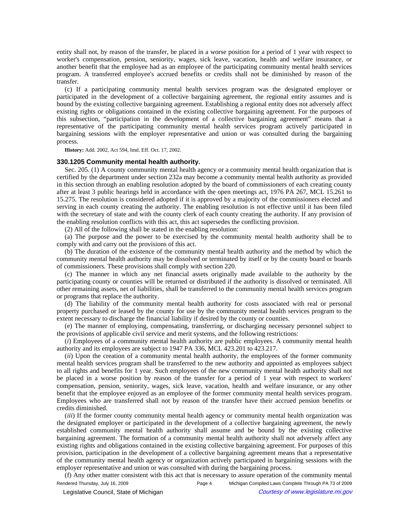entity shall not, by reason of the transfer, be placed in a worse position for a period of 1 year with respect to worker's compensation, pension, seniority, wages, sick leave, vacation, health and welfare insurance, or another benefit that the employee had as an employee of the participating community mental health services program. A transferred employee's accrued benefits or credits shall not be diminished by reason of the transfer.

(c) If a participating community mental health services program was the designated employer or participated in the development of a collective bargaining agreement, the regional entity assumes and is bound by the existing collective bargaining agreement. Establishing a regional entity does not adversely affect existing rights or obligations contained in the existing collective bargaining agreement. For the purposes of this subsection, "participation in the development of a collective bargaining agreement" means that a representative of the participating community mental health services program actively participated in bargaining sessions with the employer representative and union or was consulted during the bargaining process.

**History:** Add. 2002, Act 594, Imd. Eff. Oct. 17, 2002.

### **330.1205 Community mental health authority.**

Sec. 205. (1) A county community mental health agency or a community mental health organization that is certified by the department under section 232a may become a community mental health authority as provided in this section through an enabling resolution adopted by the board of commissioners of each creating county after at least 3 public hearings held in accordance with the open meetings act, 1976 PA 267, MCL 15.261 to 15.275. The resolution is considered adopted if it is approved by a majority of the commissioners elected and serving in each county creating the authority. The enabling resolution is not effective until it has been filed with the secretary of state and with the county clerk of each county creating the authority. If any provision of the enabling resolution conflicts with this act, this act supersedes the conflicting provision.

(2) All of the following shall be stated in the enabling resolution:

(a) The purpose and the power to be exercised by the community mental health authority shall be to comply with and carry out the provisions of this act.

(b) The duration of the existence of the community mental health authority and the method by which the community mental health authority may be dissolved or terminated by itself or by the county board or boards of commissioners. These provisions shall comply with section 220.

(c) The manner in which any net financial assets originally made available to the authority by the participating county or counties will be returned or distributed if the authority is dissolved or terminated. All other remaining assets, net of liabilities, shall be transferred to the community mental health services program or programs that replace the authority.

(d) The liability of the community mental health authority for costs associated with real or personal property purchased or leased by the county for use by the community mental health services program to the extent necessary to discharge the financial liability if desired by the county or counties.

(e) The manner of employing, compensating, transferring, or discharging necessary personnel subject to the provisions of applicable civil service and merit systems, and the following restrictions:

(*i*) Employees of a community mental health authority are public employees. A community mental health authority and its employees are subject to 1947 PA 336, MCL 423.201 to 423.217.

(*ii*) Upon the creation of a community mental health authority, the employees of the former community mental health services program shall be transferred to the new authority and appointed as employees subject to all rights and benefits for 1 year. Such employees of the new community mental health authority shall not be placed in a worse position by reason of the transfer for a period of 1 year with respect to workers' compensation, pension, seniority, wages, sick leave, vacation, health and welfare insurance, or any other benefit that the employee enjoyed as an employee of the former community mental health services program. Employees who are transferred shall not by reason of the transfer have their accrued pension benefits or credits diminished.

(*iii*) If the former county community mental health agency or community mental health organization was the designated employer or participated in the development of a collective bargaining agreement, the newly established community mental health authority shall assume and be bound by the existing collective bargaining agreement. The formation of a community mental health authority shall not adversely affect any existing rights and obligations contained in the existing collective bargaining agreement. For purposes of this provision, participation in the development of a collective bargaining agreement means that a representative of the community mental health agency or organization actively participated in bargaining sessions with the employer representative and union or was consulted with during the bargaining process.

(f) Any other matter consistent with this act that is necessary to assure operation of the community mental Rendered Thursday, July 16, 2009 **Page 4** Michigan Compiled Laws Complete Through PA 73 of 2009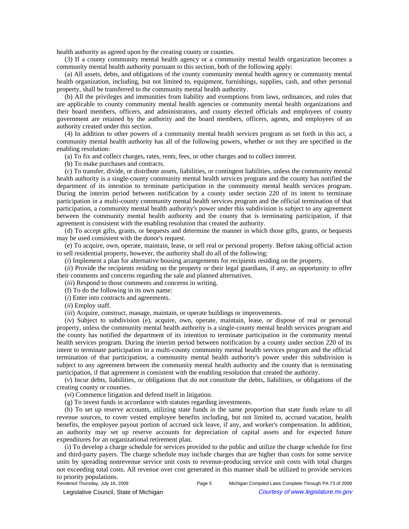health authority as agreed upon by the creating county or counties.

(3) If a county community mental health agency or a community mental health organization becomes a community mental health authority pursuant to this section, both of the following apply:

(a) All assets, debts, and obligations of the county community mental health agency or community mental health organization, including, but not limited to, equipment, furnishings, supplies, cash, and other personal property, shall be transferred to the community mental health authority.

(b) All the privileges and immunities from liability and exemptions from laws, ordinances, and rules that are applicable to county community mental health agencies or community mental health organizations and their board members, officers, and administrators, and county elected officials and employees of county government are retained by the authority and the board members, officers, agents, and employees of an authority created under this section.

(4) In addition to other powers of a community mental health services program as set forth in this act, a community mental health authority has all of the following powers, whether or not they are specified in the enabling resolution:

(a) To fix and collect charges, rates, rents, fees, or other charges and to collect interest.

(b) To make purchases and contracts.

(c) To transfer, divide, or distribute assets, liabilities, or contingent liabilities, unless the community mental health authority is a single-county community mental health services program and the county has notified the department of its intention to terminate participation in the community mental health services program. During the interim period between notification by a county under section 220 of its intent to terminate participation in a multi-county community mental health services program and the official termination of that participation, a community mental health authority's power under this subdivision is subject to any agreement between the community mental health authority and the county that is terminating participation, if that agreement is consistent with the enabling resolution that created the authority.

(d) To accept gifts, grants, or bequests and determine the manner in which those gifts, grants, or bequests may be used consistent with the donor's request.

(e) To acquire, own, operate, maintain, lease, or sell real or personal property. Before taking official action to sell residential property, however, the authority shall do all of the following:

(*i*) Implement a plan for alternative housing arrangements for recipients residing on the property.

(*ii*) Provide the recipients residing on the property or their legal guardians, if any, an opportunity to offer their comments and concerns regarding the sale and planned alternatives.

(*iii*) Respond to those comments and concerns in writing.

(f) To do the following in its own name:

(*i*) Enter into contracts and agreements.

(*ii*) Employ staff.

(*iii*) Acquire, construct, manage, maintain, or operate buildings or improvements.

(*iv*) Subject to subdivision (e), acquire, own, operate, maintain, lease, or dispose of real or personal property, unless the community mental health authority is a single-county mental health services program and the county has notified the department of its intention to terminate participation in the community mental health services program. During the interim period between notification by a county under section 220 of its intent to terminate participation in a multi-county community mental health services program and the official termination of that participation, a community mental health authority's power under this subdivision is subject to any agreement between the community mental health authority and the county that is terminating participation, if that agreement is consistent with the enabling resolution that created the authority.

(*v*) Incur debts, liabilities, or obligations that do not constitute the debts, liabilities, or obligations of the creating county or counties.

(*vi*) Commence litigation and defend itself in litigation.

(g) To invest funds in accordance with statutes regarding investments.

(h) To set up reserve accounts, utilizing state funds in the same proportion that state funds relate to all revenue sources, to cover vested employee benefits including, but not limited to, accrued vacation, health benefits, the employee payout portion of accrued sick leave, if any, and worker's compensation. In addition, an authority may set up reserve accounts for depreciation of capital assets and for expected future expenditures for an organizational retirement plan.

(i) To develop a charge schedule for services provided to the public and utilize the charge schedule for first and third-party payers. The charge schedule may include charges that are higher than costs for some service units by spreading nonrevenue service unit costs to revenue-producing service unit costs with total charges not exceeding total costs. All revenue over cost generated in this manner shall be utilized to provide services to priority populations.<br>Rendered Thursday, July 16, 2009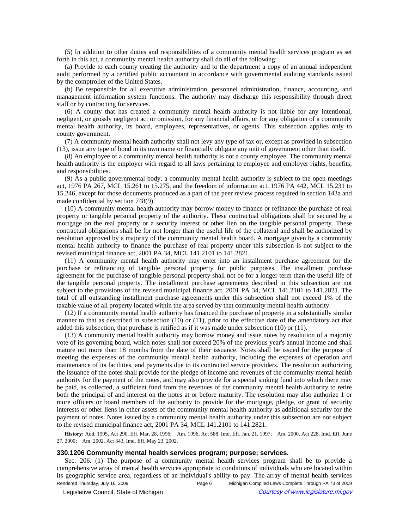(5) In addition to other duties and responsibilities of a community mental health services program as set forth in this act, a community mental health authority shall do all of the following:

(a) Provide to each county creating the authority and to the department a copy of an annual independent audit performed by a certified public accountant in accordance with governmental auditing standards issued by the comptroller of the United States.

(b) Be responsible for all executive administration, personnel administration, finance, accounting, and management information system functions. The authority may discharge this responsibility through direct staff or by contracting for services.

(6) A county that has created a community mental health authority is not liable for any intentional, negligent, or grossly negligent act or omission, for any financial affairs, or for any obligation of a community mental health authority, its board, employees, representatives, or agents. This subsection applies only to county government.

(7) A community mental health authority shall not levy any type of tax or, except as provided in subsection (13), issue any type of bond in its own name or financially obligate any unit of government other than itself.

(8) An employee of a community mental health authority is not a county employee. The community mental health authority is the employer with regard to all laws pertaining to employee and employer rights, benefits, and responsibilities.

(9) As a public governmental body, a community mental health authority is subject to the open meetings act, 1976 PA 267, MCL 15.261 to 15.275, and the freedom of information act, 1976 PA 442, MCL 15.231 to 15.246, except for those documents produced as a part of the peer review process required in section 143a and made confidential by section 748(9).

(10) A community mental health authority may borrow money to finance or refinance the purchase of real property or tangible personal property of the authority. These contractual obligations shall be secured by a mortgage on the real property or a security interest or other lien on the tangible personal property. These contractual obligations shall be for not longer than the useful life of the collateral and shall be authorized by resolution approved by a majority of the community mental health board. A mortgage given by a community mental health authority to finance the purchase of real property under this subsection is not subject to the revised municipal finance act, 2001 PA 34, MCL 141.2101 to 141.2821.

(11) A community mental health authority may enter into an installment purchase agreement for the purchase or refinancing of tangible personal property for public purposes. The installment purchase agreement for the purchase of tangible personal property shall not be for a longer term than the useful life of the tangible personal property. The installment purchase agreements described in this subsection are not subject to the provisions of the revised municipal finance act, 2001 PA 34, MCL 141.2101 to 141.2821. The total of all outstanding installment purchase agreements under this subsection shall not exceed 1% of the taxable value of all property located within the area served by that community mental health authority.

(12) If a community mental health authority has financed the purchase of property in a substantially similar manner to that as described in subsection (10) or (11), prior to the effective date of the amendatory act that added this subsection, that purchase is ratified as if it was made under subsection (10) or (11).

(13) A community mental health authority may borrow money and issue notes by resolution of a majority vote of its governing board, which notes shall not exceed 20% of the previous year's annual income and shall mature not more than 18 months from the date of their issuance. Notes shall be issued for the purpose of meeting the expenses of the community mental health authority, including the expenses of operation and maintenance of its facilities, and payments due to its contracted service providers. The resolution authorizing the issuance of the notes shall provide for the pledge of income and revenues of the community mental health authority for the payment of the notes, and may also provide for a special sinking fund into which there may be paid, as collected, a sufficient fund from the revenues of the community mental health authority to retire both the principal of and interest on the notes at or before maturity. The resolution may also authorize 1 or more officers or board members of the authority to provide for the mortgage, pledge, or grant of security interests or other liens in other assets of the community mental health authority as additional security for the payment of notes. Notes issued by a community mental health authority under this subsection are not subject to the revised municipal finance act, 2001 PA 34, MCL 141.2101 to 141.2821.

History: Add. 1995, Act 290, Eff. Mar. 28, 1996;-Am. 1996, Act 588, Imd. Eff. Jan. 21, 1997;-Am. 2000, Act 228, Imd. Eff. June 27, 2000; Am. 2002, Act 343, Imd. Eff. May 23, 2002.

### **330.1206 Community mental health services program; purpose; services.**

Sec. 206. (1) The purpose of a community mental health services program shall be to provide a comprehensive array of mental health services appropriate to conditions of individuals who are located within its geographic service area, regardless of an individual's ability to pay. The array of mental health services Rendered Thursday, July 16, 2009 **Page 6** Michigan Compiled Laws Complete Through PA 73 of 2009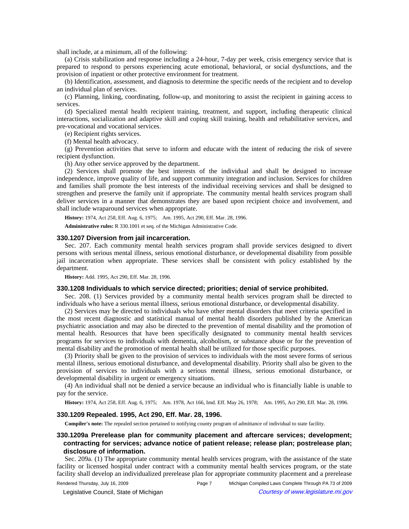shall include, at a minimum, all of the following:

(a) Crisis stabilization and response including a 24-hour, 7-day per week, crisis emergency service that is prepared to respond to persons experiencing acute emotional, behavioral, or social dysfunctions, and the provision of inpatient or other protective environment for treatment.

(b) Identification, assessment, and diagnosis to determine the specific needs of the recipient and to develop an individual plan of services.

(c) Planning, linking, coordinating, follow-up, and monitoring to assist the recipient in gaining access to services.

(d) Specialized mental health recipient training, treatment, and support, including therapeutic clinical interactions, socialization and adaptive skill and coping skill training, health and rehabilitative services, and pre-vocational and vocational services.

(e) Recipient rights services.

(f) Mental health advocacy.

(g) Prevention activities that serve to inform and educate with the intent of reducing the risk of severe recipient dysfunction.

(h) Any other service approved by the department.

(2) Services shall promote the best interests of the individual and shall be designed to increase independence, improve quality of life, and support community integration and inclusion. Services for children and families shall promote the best interests of the individual receiving services and shall be designed to strengthen and preserve the family unit if appropriate. The community mental health services program shall deliver services in a manner that demonstrates they are based upon recipient choice and involvement, and shall include wraparound services when appropriate.

History: 1974, Act 258, Eff. Aug. 6, 1975;-- Am. 1995, Act 290, Eff. Mar. 28, 1996.

**Administrative rules:** R 330.1001 et seq. of the Michigan Administrative Code.

### **330.1207 Diversion from jail incarceration.**

Sec. 207. Each community mental health services program shall provide services designed to divert persons with serious mental illness, serious emotional disturbance, or developmental disability from possible jail incarceration when appropriate. These services shall be consistent with policy established by the department.

**History:** Add. 1995, Act 290, Eff. Mar. 28, 1996.

#### **330.1208 Individuals to which service directed; priorities; denial of service prohibited.**

Sec. 208. (1) Services provided by a community mental health services program shall be directed to individuals who have a serious mental illness, serious emotional disturbance, or developmental disability.

(2) Services may be directed to individuals who have other mental disorders that meet criteria specified in the most recent diagnostic and statistical manual of mental health disorders published by the American psychiatric association and may also be directed to the prevention of mental disability and the promotion of mental health. Resources that have been specifically designated to community mental health services programs for services to individuals with dementia, alcoholism, or substance abuse or for the prevention of mental disability and the promotion of mental health shall be utilized for those specific purposes.

(3) Priority shall be given to the provision of services to individuals with the most severe forms of serious mental illness, serious emotional disturbance, and developmental disability. Priority shall also be given to the provision of services to individuals with a serious mental illness, serious emotional disturbance, or developmental disability in urgent or emergency situations.

(4) An individual shall not be denied a service because an individual who is financially liable is unable to pay for the service.

History: 1974, Act 258, Eff. Aug. 6, 1975;—Am. 1978, Act 166, Imd. Eff. May 26, 1978;—Am. 1995, Act 290, Eff. Mar. 28, 1996.

### **330.1209 Repealed. 1995, Act 290, Eff. Mar. 28, 1996.**

**Compiler's note:** The repealed section pertained to notifying county program of admittance of individual to state facility.

# **330.1209a Prerelease plan for community placement and aftercare services; development; contracting for services; advance notice of patient release; release plan; postrelease plan; disclosure of information.**

Sec. 209a. (1) The appropriate community mental health services program, with the assistance of the state facility or licensed hospital under contract with a community mental health services program, or the state facility shall develop an individualized prerelease plan for appropriate community placement and a prerelease

Rendered Thursday, July 16, 2009 **Page 7** Michigan Compiled Laws Complete Through PA 73 of 2009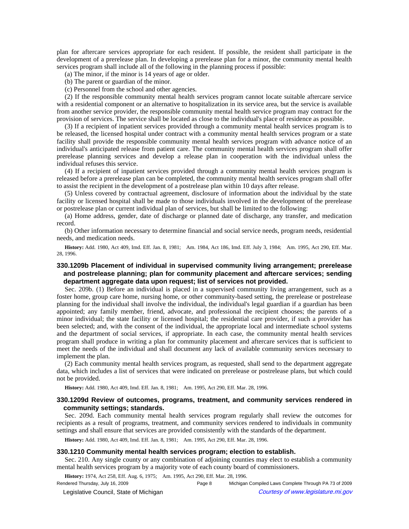plan for aftercare services appropriate for each resident. If possible, the resident shall participate in the development of a prerelease plan. In developing a prerelease plan for a minor, the community mental health services program shall include all of the following in the planning process if possible:

(a) The minor, if the minor is 14 years of age or older.

(b) The parent or guardian of the minor.

(c) Personnel from the school and other agencies.

(2) If the responsible community mental health services program cannot locate suitable aftercare service with a residential component or an alternative to hospitalization in its service area, but the service is available from another service provider, the responsible community mental health service program may contract for the provision of services. The service shall be located as close to the individual's place of residence as possible.

(3) If a recipient of inpatient services provided through a community mental health services program is to be released, the licensed hospital under contract with a community mental health services program or a state facility shall provide the responsible community mental health services program with advance notice of an individual's anticipated release from patient care. The community mental health services program shall offer prerelease planning services and develop a release plan in cooperation with the individual unless the individual refuses this service.

(4) If a recipient of inpatient services provided through a community mental health services program is released before a prerelease plan can be completed, the community mental health services program shall offer to assist the recipient in the development of a postrelease plan within 10 days after release.

(5) Unless covered by contractual agreement, disclosure of information about the individual by the state facility or licensed hospital shall be made to those individuals involved in the development of the prerelease or postrelease plan or current individual plan of services, but shall be limited to the following:

(a) Home address, gender, date of discharge or planned date of discharge, any transfer, and medication record.

(b) Other information necessary to determine financial and social service needs, program needs, residential needs, and medication needs.

History: Add. 1980, Act 409, Imd. Eff. Jan. 8, 1981;-Am. 1984, Act 186, Imd. Eff. July 3, 1984;-Am. 1995, Act 290, Eff. Mar. 28, 1996.

# **330.1209b Placement of individual in supervised community living arrangement; prerelease and postrelease planning; plan for community placement and aftercare services; sending department aggregate data upon request; list of services not provided.**

Sec. 209b. (1) Before an individual is placed in a supervised community living arrangement, such as a foster home, group care home, nursing home, or other community-based setting, the prerelease or postrelease planning for the individual shall involve the individual, the individual's legal guardian if a guardian has been appointed; any family member, friend, advocate, and professional the recipient chooses; the parents of a minor individual; the state facility or licensed hospital; the residential care provider, if such a provider has been selected; and, with the consent of the individual, the appropriate local and intermediate school systems and the department of social services, if appropriate. In each case, the community mental health services program shall produce in writing a plan for community placement and aftercare services that is sufficient to meet the needs of the individual and shall document any lack of available community services necessary to implement the plan.

(2) Each community mental health services program, as requested, shall send to the department aggregate data, which includes a list of services that were indicated on prerelease or postrelease plans, but which could not be provided.

History: Add. 1980, Act 409, Imd. Eff. Jan. 8, 1981;—Am. 1995, Act 290, Eff. Mar. 28, 1996.

# **330.1209d Review of outcomes, programs, treatment, and community services rendered in community settings; standards.**

Sec. 209d. Each community mental health services program regularly shall review the outcomes for recipients as a result of programs, treatment, and community services rendered to individuals in community settings and shall ensure that services are provided consistently with the standards of the department.

History: Add. 1980, Act 409, Imd. Eff. Jan. 8, 1981;**---**Am. 1995, Act 290, Eff. Mar. 28, 1996.

### **330.1210 Community mental health services program; election to establish.**

Sec. 210. Any single county or any combination of adjoining counties may elect to establish a community mental health services program by a majority vote of each county board of commissioners.

History: 1974, Act 258, Eff. Aug. 6, 1975;-- Am. 1995, Act 290, Eff. Mar. 28, 1996.

Rendered Thursday, July 16, 2009 **Page 8** Michigan Compiled Laws Complete Through PA 73 of 2009 © Legislative Council, State of Michigan Council Courtesy of www.legislature.mi.gov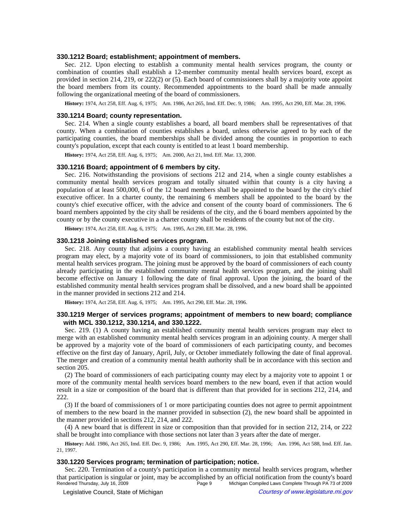#### **330.1212 Board; establishment; appointment of members.**

Sec. 212. Upon electing to establish a community mental health services program, the county or combination of counties shall establish a 12-member community mental health services board, except as provided in section 214, 219, or 222(2) or (5). Each board of commissioners shall by a majority vote appoint the board members from its county. Recommended appointments to the board shall be made annually following the organizational meeting of the board of commissioners.

History: 1974, Act 258, Eff. Aug. 6, 1975;—Am. 1986, Act 265, Imd. Eff. Dec. 9, 1986;—Am. 1995, Act 290, Eff. Mar. 28, 1996.

#### **330.1214 Board; county representation.**

Sec. 214. When a single county establishes a board, all board members shall be representatives of that county. When a combination of counties establishes a board, unless otherwise agreed to by each of the participating counties, the board memberships shall be divided among the counties in proportion to each county's population, except that each county is entitled to at least 1 board membership.

History: 1974, Act 258, Eff. Aug. 6, 1975;-- Am. 2000, Act 21, Imd. Eff. Mar. 13, 2000.

#### **330.1216 Board; appointment of 6 members by city.**

Sec. 216. Notwithstanding the provisions of sections 212 and 214, when a single county establishes a community mental health services program and totally situated within that county is a city having a population of at least 500,000, 6 of the 12 board members shall be appointed to the board by the city's chief executive officer. In a charter county, the remaining 6 members shall be appointed to the board by the county's chief executive officer, with the advice and consent of the county board of commissioners. The 6 board members appointed by the city shall be residents of the city, and the 6 board members appointed by the county or by the county executive in a charter county shall be residents of the county but not of the city.

History: 1974, Act 258, Eff. Aug. 6, 1975;-- Am. 1995, Act 290, Eff. Mar. 28, 1996.

#### **330.1218 Joining established services program.**

Sec. 218. Any county that adjoins a county having an established community mental health services program may elect, by a majority vote of its board of commissioners, to join that established community mental health services program. The joining must be approved by the board of commissioners of each county already participating in the established community mental health services program, and the joining shall become effective on January 1 following the date of final approval. Upon the joining, the board of the established community mental health services program shall be dissolved, and a new board shall be appointed in the manner provided in sections 212 and 214.

History: 1974, Act 258, Eff. Aug. 6, 1975;-- Am. 1995, Act 290, Eff. Mar. 28, 1996.

## **330.1219 Merger of services programs; appointment of members to new board; compliance with MCL 330.1212, 330.1214, and 330.1222.**

Sec. 219. (1) A county having an established community mental health services program may elect to merge with an established community mental health services program in an adjoining county. A merger shall be approved by a majority vote of the board of commissioners of each participating county, and becomes effective on the first day of January, April, July, or October immediately following the date of final approval. The merger and creation of a community mental health authority shall be in accordance with this section and section 205.

(2) The board of commissioners of each participating county may elect by a majority vote to appoint 1 or more of the community mental health services board members to the new board, even if that action would result in a size or composition of the board that is different than that provided for in sections 212, 214, and 222.

(3) If the board of commissioners of 1 or more participating counties does not agree to permit appointment of members to the new board in the manner provided in subsection (2), the new board shall be appointed in the manner provided in sections 212, 214, and 222.

(4) A new board that is different in size or composition than that provided for in section 212, 214, or 222 shall be brought into compliance with those sections not later than 3 years after the date of merger.

History: Add. 1986, Act 265, Imd. Eff. Dec. 9, 1986;--Am. 1995, Act 290, Eff. Mar. 28, 1996;--Am. 1996, Act 588, Imd. Eff. Jan. 21, 1997.

## **330.1220 Services program; termination of participation; notice.**

Sec. 220. Termination of a county's participation in a community mental health services program, whether that participation is singular or joint, may be accomplished by an official notification from the county's board<br>Page 9 Michigan Compiled Laws Complete Through PA 73 of 2009 Michigan Compiled Laws Complete Through PA 73 of 2009

© Legislative Council, State of Michigan Council Courtesy of www.legislature.mi.gov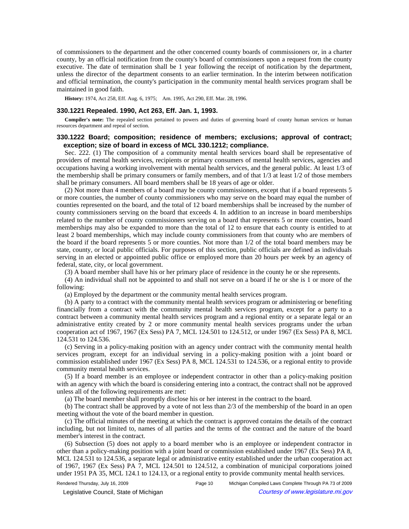of commissioners to the department and the other concerned county boards of commissioners or, in a charter county, by an official notification from the county's board of commissioners upon a request from the county executive. The date of termination shall be 1 year following the receipt of notification by the department, unless the director of the department consents to an earlier termination. In the interim between notification and official termination, the county's participation in the community mental health services program shall be maintained in good faith.

History: 1974, Act 258, Eff. Aug. 6, 1975;-- Am. 1995, Act 290, Eff. Mar. 28, 1996.

### **330.1221 Repealed. 1990, Act 263, Eff. Jan. 1, 1993.**

**Compiler's note:** The repealed section pertained to powers and duties of governing board of county human services or human resources department and repeal of section.

## **330.1222 Board; composition; residence of members; exclusions; approval of contract; exception; size of board in excess of MCL 330.1212; compliance.**

Sec. 222. (1) The composition of a community mental health services board shall be representative of providers of mental health services, recipients or primary consumers of mental health services, agencies and occupations having a working involvement with mental health services, and the general public. At least 1/3 of the membership shall be primary consumers or family members, and of that 1/3 at least 1/2 of those members shall be primary consumers. All board members shall be 18 years of age or older.

(2) Not more than 4 members of a board may be county commissioners, except that if a board represents 5 or more counties, the number of county commissioners who may serve on the board may equal the number of counties represented on the board, and the total of 12 board memberships shall be increased by the number of county commissioners serving on the board that exceeds 4. In addition to an increase in board memberships related to the number of county commissioners serving on a board that represents 5 or more counties, board memberships may also be expanded to more than the total of 12 to ensure that each county is entitled to at least 2 board memberships, which may include county commissioners from that county who are members of the board if the board represents 5 or more counties. Not more than 1/2 of the total board members may be state, county, or local public officials. For purposes of this section, public officials are defined as individuals serving in an elected or appointed public office or employed more than 20 hours per week by an agency of federal, state, city, or local government.

(3) A board member shall have his or her primary place of residence in the county he or she represents.

(4) An individual shall not be appointed to and shall not serve on a board if he or she is 1 or more of the following:

(a) Employed by the department or the community mental health services program.

(b) A party to a contract with the community mental health services program or administering or benefiting financially from a contract with the community mental health services program, except for a party to a contract between a community mental health services program and a regional entity or a separate legal or an administrative entity created by 2 or more community mental health services programs under the urban cooperation act of 1967, 1967 (Ex Sess) PA 7, MCL 124.501 to 124.512, or under 1967 (Ex Sess) PA 8, MCL 124.531 to 124.536.

(c) Serving in a policy-making position with an agency under contract with the community mental health services program, except for an individual serving in a policy-making position with a joint board or commission established under 1967 (Ex Sess) PA 8, MCL 124.531 to 124.536, or a regional entity to provide community mental health services.

(5) If a board member is an employee or independent contractor in other than a policy-making position with an agency with which the board is considering entering into a contract, the contract shall not be approved unless all of the following requirements are met:

(a) The board member shall promptly disclose his or her interest in the contract to the board.

(b) The contract shall be approved by a vote of not less than 2/3 of the membership of the board in an open meeting without the vote of the board member in question.

(c) The official minutes of the meeting at which the contract is approved contains the details of the contract including, but not limited to, names of all parties and the terms of the contract and the nature of the board member's interest in the contract.

(6) Subsection (5) does not apply to a board member who is an employee or independent contractor in other than a policy-making position with a joint board or commission established under 1967 (Ex Sess) PA 8, MCL 124.531 to 124.536, a separate legal or administrative entity established under the urban cooperation act of 1967, 1967 (Ex Sess) PA 7, MCL 124.501 to 124.512, a combination of municipal corporations joined under 1951 PA 35, MCL 124.1 to 124.13, or a regional entity to provide community mental health services.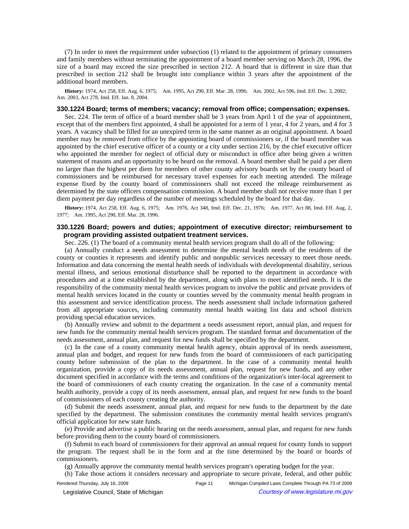(7) In order to meet the requirement under subsection (1) related to the appointment of primary consumers and family members without terminating the appointment of a board member serving on March 28, 1996, the size of a board may exceed the size prescribed in section 212. A board that is different in size than that prescribed in section 212 shall be brought into compliance within 3 years after the appointment of the additional board members.

History: 1974, Act 258, Eff. Aug. 6, 1975;—Am. 1995, Act 290, Eff. Mar. 28, 1996;—Am. 2002, Act 596, Imd. Eff. Dec. 3, 2002;— Am. 2003, Act 278, Imd. Eff. Jan. 8, 2004.

#### **330.1224 Board; terms of members; vacancy; removal from office; compensation; expenses.**

Sec. 224. The term of office of a board member shall be 3 years from April 1 of the year of appointment, except that of the members first appointed, 4 shall be appointed for a term of 1 year, 4 for 2 years, and 4 for 3 years. A vacancy shall be filled for an unexpired term in the same manner as an original appointment. A board member may be removed from office by the appointing board of commissioners or, if the board member was appointed by the chief executive officer of a county or a city under section 216, by the chief executive officer who appointed the member for neglect of official duty or misconduct in office after being given a written statement of reasons and an opportunity to be heard on the removal. A board member shall be paid a per diem no larger than the highest per diem for members of other county advisory boards set by the county board of commissioners and be reimbursed for necessary travel expenses for each meeting attended. The mileage expense fixed by the county board of commissioners shall not exceed the mileage reimbursement as determined by the state officers compensation commission. A board member shall not receive more than 1 per diem payment per day regardless of the number of meetings scheduled by the board for that day.

History: 1974, Act 258, Eff. Aug. 6, 1975;—Am. 1976, Act 348, Imd. Eff. Dec. 21, 1976;—Am. 1977, Act 88, Imd. Eff. Aug. 2, 1977;--- Am. 1995, Act 290, Eff. Mar. 28, 1996.

# **330.1226 Board; powers and duties; appointment of executive director; reimbursement to program providing assisted outpatient treatment services.**

Sec. 226. (1) The board of a community mental health services program shall do all of the following:

(a) Annually conduct a needs assessment to determine the mental health needs of the residents of the county or counties it represents and identify public and nonpublic services necessary to meet those needs. Information and data concerning the mental health needs of individuals with developmental disability, serious mental illness, and serious emotional disturbance shall be reported to the department in accordance with procedures and at a time established by the department, along with plans to meet identified needs. It is the responsibility of the community mental health services program to involve the public and private providers of mental health services located in the county or counties served by the community mental health program in this assessment and service identification process. The needs assessment shall include information gathered from all appropriate sources, including community mental health waiting list data and school districts providing special education services.

(b) Annually review and submit to the department a needs assessment report, annual plan, and request for new funds for the community mental health services program. The standard format and documentation of the needs assessment, annual plan, and request for new funds shall be specified by the department.

(c) In the case of a county community mental health agency, obtain approval of its needs assessment, annual plan and budget, and request for new funds from the board of commissioners of each participating county before submission of the plan to the department. In the case of a community mental health organization, provide a copy of its needs assessment, annual plan, request for new funds, and any other document specified in accordance with the terms and conditions of the organization's inter-local agreement to the board of commissioners of each county creating the organization. In the case of a community mental health authority, provide a copy of its needs assessment, annual plan, and request for new funds to the board of commissioners of each county creating the authority.

(d) Submit the needs assessment, annual plan, and request for new funds to the department by the date specified by the department. The submission constitutes the community mental health services program's official application for new state funds.

(e) Provide and advertise a public hearing on the needs assessment, annual plan, and request for new funds before providing them to the county board of commissioners.

(f) Submit to each board of commissioners for their approval an annual request for county funds to support the program. The request shall be in the form and at the time determined by the board or boards of commissioners.

(g) Annually approve the community mental health services program's operating budget for the year.

(h) Take those actions it considers necessary and appropriate to secure private, federal, and other public

Rendered Thursday, July 16, 2009 **Page 11** Michigan Compiled Laws Complete Through PA 73 of 2009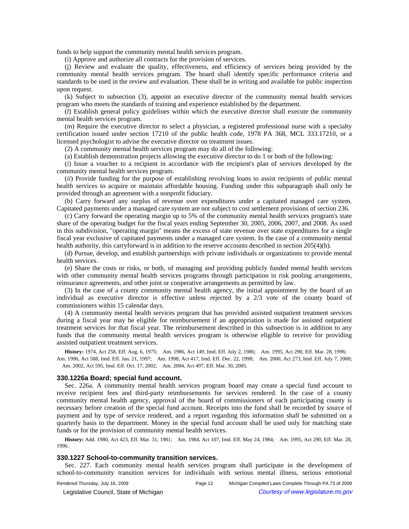funds to help support the community mental health services program.

(i) Approve and authorize all contracts for the provision of services.

(j) Review and evaluate the quality, effectiveness, and efficiency of services being provided by the community mental health services program. The board shall identify specific performance criteria and standards to be used in the review and evaluation. These shall be in writing and available for public inspection upon request.

(k) Subject to subsection (3), appoint an executive director of the community mental health services program who meets the standards of training and experience established by the department.

(*l*) Establish general policy guidelines within which the executive director shall execute the community mental health services program.

(m) Require the executive director to select a physician, a registered professional nurse with a specialty certification issued under section 17210 of the public health code, 1978 PA 368, MCL 333.17210, or a licensed psychologist to advise the executive director on treatment issues.

(2) A community mental health services program may do all of the following:

(a) Establish demonstration projects allowing the executive director to do 1 or both of the following:

(*i*) Issue a voucher to a recipient in accordance with the recipient's plan of services developed by the community mental health services program.

(*ii*) Provide funding for the purpose of establishing revolving loans to assist recipients of public mental health services to acquire or maintain affordable housing. Funding under this subparagraph shall only be provided through an agreement with a nonprofit fiduciary.

(b) Carry forward any surplus of revenue over expenditures under a capitated managed care system. Capitated payments under a managed care system are not subject to cost settlement provisions of section 236.

(c) Carry forward the operating margin up to 5% of the community mental health services program's state share of the operating budget for the fiscal years ending September 30, 2005, 2006, 2007, and 2008. As used in this subdivision, "operating margin" means the excess of state revenue over state expenditures for a single fiscal year exclusive of capitated payments under a managed care system. In the case of a community mental health authority, this carryforward is in addition to the reserve accounts described in section 205(4)(h).

(d) Pursue, develop, and establish partnerships with private individuals or organizations to provide mental health services.

(e) Share the costs or risks, or both, of managing and providing publicly funded mental health services with other community mental health services programs through participation in risk pooling arrangements, reinsurance agreements, and other joint or cooperative arrangements as permitted by law.

(3) In the case of a county community mental health agency, the initial appointment by the board of an individual as executive director is effective unless rejected by a 2/3 vote of the county board of commissioners within 15 calendar days.

(4) A community mental health services program that has provided assisted outpatient treatment services during a fiscal year may be eligible for reimbursement if an appropriation is made for assisted outpatient treatment services for that fiscal year. The reimbursement described in this subsection is in addition to any funds that the community mental health services program is otherwise eligible to receive for providing assisted outpatient treatment services.

History: 1974, Act 258, Eff. Aug. 6, 1975;-Am. 1986, Act 149, Imd. Eff. July 2, 1986;--Am. 1995, Act 290, Eff. Mar. 28, 1996;-Am. 1996, Act 588, Imd. Eff. Jan. 21, 1997;—Am. 1998, Act 417, Imd. Eff. Dec. 22, 1998;—Am. 2000, Act 273, Imd. Eff. July 7, 2000; -Am. 2002, Act 595, Imd. Eff. Oct. 17, 2002;-- Am. 2004, Act 497, Eff. Mar. 30, 2005.

## **330.1226a Board; special fund account.**

Sec. 226a. A community mental health services program board may create a special fund account to receive recipient fees and third-party reimbursements for services rendered. In the case of a county community mental health agency, approval of the board of commissioners of each participating county is necessary before creation of the special fund account. Receipts into the fund shall be recorded by source of payment and by type of service rendered, and a report regarding this information shall be submitted on a quarterly basis to the department. Money in the special fund account shall be used only for matching state funds or for the provision of community mental health services.

History: Add. 1980, Act 423, Eff. Mar. 31, 1981;—Am. 1984, Act 107, Imd. Eff. May 24, 1984;—Am. 1995, Act 290, Eff. Mar. 28, 1996.

### **330.1227 School-to-community transition services.**

Sec. 227. Each community mental health services program shall participate in the development of school-to-community transition services for individuals with serious mental illness, serious emotional

© Legislative Council, State of Michigan Council Courtesy of www.legislature.mi.gov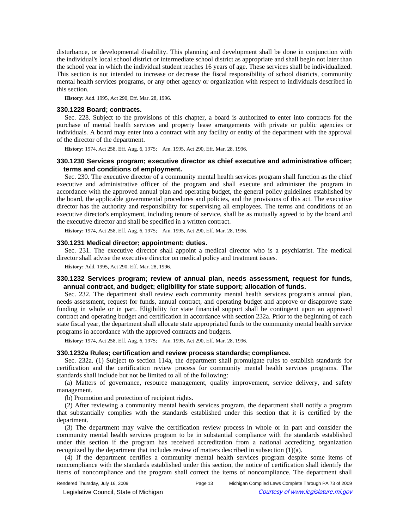disturbance, or developmental disability. This planning and development shall be done in conjunction with the individual's local school district or intermediate school district as appropriate and shall begin not later than the school year in which the individual student reaches 16 years of age. These services shall be individualized. This section is not intended to increase or decrease the fiscal responsibility of school districts, community mental health services programs, or any other agency or organization with respect to individuals described in this section.

**History:** Add. 1995, Act 290, Eff. Mar. 28, 1996.

### **330.1228 Board; contracts.**

Sec. 228. Subject to the provisions of this chapter, a board is authorized to enter into contracts for the purchase of mental health services and property lease arrangements with private or public agencies or individuals. A board may enter into a contract with any facility or entity of the department with the approval of the director of the department.

History: 1974, Act 258, Eff. Aug. 6, 1975;-- Am. 1995, Act 290, Eff. Mar. 28, 1996.

# **330.1230 Services program; executive director as chief executive and administrative officer; terms and conditions of employment.**

Sec. 230. The executive director of a community mental health services program shall function as the chief executive and administrative officer of the program and shall execute and administer the program in accordance with the approved annual plan and operating budget, the general policy guidelines established by the board, the applicable governmental procedures and policies, and the provisions of this act. The executive director has the authority and responsibility for supervising all employees. The terms and conditions of an executive director's employment, including tenure of service, shall be as mutually agreed to by the board and the executive director and shall be specified in a written contract.

History: 1974, Act 258, Eff. Aug. 6, 1975;-- Am. 1995, Act 290, Eff. Mar. 28, 1996.

## **330.1231 Medical director; appointment; duties.**

Sec. 231. The executive director shall appoint a medical director who is a psychiatrist. The medical director shall advise the executive director on medical policy and treatment issues.

**History:** Add. 1995, Act 290, Eff. Mar. 28, 1996.

# **330.1232 Services program; review of annual plan, needs assessment, request for funds, annual contract, and budget; eligibility for state support; allocation of funds.**

Sec. 232. The department shall review each community mental health services program's annual plan, needs assessment, request for funds, annual contract, and operating budget and approve or disapprove state funding in whole or in part. Eligibility for state financial support shall be contingent upon an approved contract and operating budget and certification in accordance with section 232a. Prior to the beginning of each state fiscal year, the department shall allocate state appropriated funds to the community mental health service programs in accordance with the approved contracts and budgets.

History: 1974, Act 258, Eff. Aug. 6, 1975;-- Am. 1995, Act 290, Eff. Mar. 28, 1996.

## **330.1232a Rules; certification and review process standards; compliance.**

Sec. 232a. (1) Subject to section 114a, the department shall promulgate rules to establish standards for certification and the certification review process for community mental health services programs. The standards shall include but not be limited to all of the following:

(a) Matters of governance, resource management, quality improvement, service delivery, and safety management.

(b) Promotion and protection of recipient rights.

(2) After reviewing a community mental health services program, the department shall notify a program that substantially complies with the standards established under this section that it is certified by the department.

(3) The department may waive the certification review process in whole or in part and consider the community mental health services program to be in substantial compliance with the standards established under this section if the program has received accreditation from a national accrediting organization recognized by the department that includes review of matters described in subsection (1)(a).

(4) If the department certifies a community mental health services program despite some items of noncompliance with the standards established under this section, the notice of certification shall identify the items of noncompliance and the program shall correct the items of noncompliance. The department shall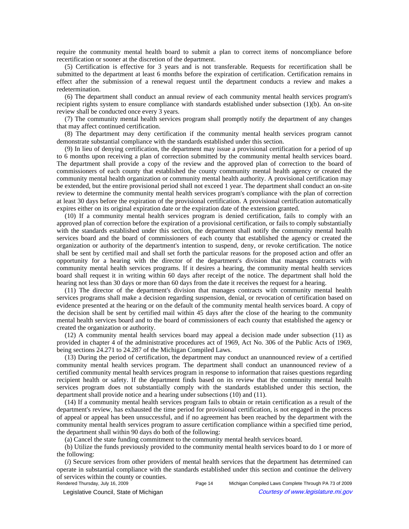require the community mental health board to submit a plan to correct items of noncompliance before recertification or sooner at the discretion of the department.

(5) Certification is effective for 3 years and is not transferable. Requests for recertification shall be submitted to the department at least 6 months before the expiration of certification. Certification remains in effect after the submission of a renewal request until the department conducts a review and makes a redetermination.

(6) The department shall conduct an annual review of each community mental health services program's recipient rights system to ensure compliance with standards established under subsection (1)(b). An on-site review shall be conducted once every 3 years.

(7) The community mental health services program shall promptly notify the department of any changes that may affect continued certification.

(8) The department may deny certification if the community mental health services program cannot demonstrate substantial compliance with the standards established under this section.

(9) In lieu of denying certification, the department may issue a provisional certification for a period of up to 6 months upon receiving a plan of correction submitted by the community mental health services board. The department shall provide a copy of the review and the approved plan of correction to the board of commissioners of each county that established the county community mental health agency or created the community mental health organization or community mental health authority. A provisional certification may be extended, but the entire provisional period shall not exceed 1 year. The department shall conduct an on-site review to determine the community mental health services program's compliance with the plan of correction at least 30 days before the expiration of the provisional certification. A provisional certification automatically expires either on its original expiration date or the expiration date of the extension granted.

(10) If a community mental health services program is denied certification, fails to comply with an approved plan of correction before the expiration of a provisional certification, or fails to comply substantially with the standards established under this section, the department shall notify the community mental health services board and the board of commissioners of each county that established the agency or created the organization or authority of the department's intention to suspend, deny, or revoke certification. The notice shall be sent by certified mail and shall set forth the particular reasons for the proposed action and offer an opportunity for a hearing with the director of the department's division that manages contracts with community mental health services programs. If it desires a hearing, the community mental health services board shall request it in writing within 60 days after receipt of the notice. The department shall hold the hearing not less than 30 days or more than 60 days from the date it receives the request for a hearing.

(11) The director of the department's division that manages contracts with community mental health services programs shall make a decision regarding suspension, denial, or revocation of certification based on evidence presented at the hearing or on the default of the community mental health services board. A copy of the decision shall be sent by certified mail within 45 days after the close of the hearing to the community mental health services board and to the board of commissioners of each county that established the agency or created the organization or authority.

(12) A community mental health services board may appeal a decision made under subsection (11) as provided in chapter 4 of the administrative procedures act of 1969, Act No. 306 of the Public Acts of 1969, being sections 24.271 to 24.287 of the Michigan Compiled Laws.

(13) During the period of certification, the department may conduct an unannounced review of a certified community mental health services program. The department shall conduct an unannounced review of a certified community mental health services program in response to information that raises questions regarding recipient health or safety. If the department finds based on its review that the community mental health services program does not substantially comply with the standards established under this section, the department shall provide notice and a hearing under subsections (10) and (11).

(14) If a community mental health services program fails to obtain or retain certification as a result of the department's review, has exhausted the time period for provisional certification, is not engaged in the process of appeal or appeal has been unsuccessful, and if no agreement has been reached by the department with the community mental health services program to assure certification compliance within a specified time period, the department shall within 90 days do both of the following:

(a) Cancel the state funding commitment to the community mental health services board.

(b) Utilize the funds previously provided to the community mental health services board to do 1 or more of the following:

(*i*) Secure services from other providers of mental health services that the department has determined can operate in substantial compliance with the standards established under this section and continue the delivery of services within the county or counties.<br>Rendered Thursday, July 16, 2009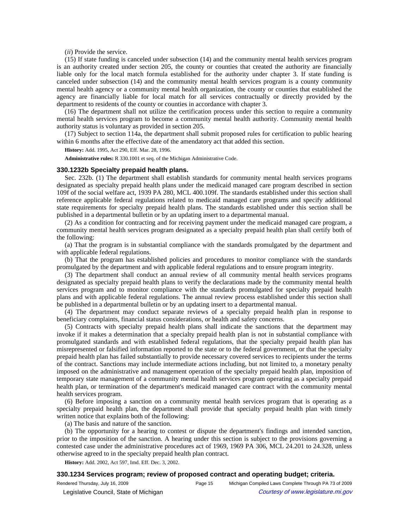(*ii*) Provide the service.

(15) If state funding is canceled under subsection (14) and the community mental health services program is an authority created under section 205, the county or counties that created the authority are financially liable only for the local match formula established for the authority under chapter 3. If state funding is canceled under subsection (14) and the community mental health services program is a county community mental health agency or a community mental health organization, the county or counties that established the agency are financially liable for local match for all services contractually or directly provided by the department to residents of the county or counties in accordance with chapter 3.

(16) The department shall not utilize the certification process under this section to require a community mental health services program to become a community mental health authority. Community mental health authority status is voluntary as provided in section 205.

(17) Subject to section 114a, the department shall submit proposed rules for certification to public hearing within 6 months after the effective date of the amendatory act that added this section.

**History:** Add. 1995, Act 290, Eff. Mar. 28, 1996.

**Administrative rules:** R 330.1001 et seq. of the Michigan Administrative Code.

#### **330.1232b Specialty prepaid health plans.**

Sec. 232b. (1) The department shall establish standards for community mental health services programs designated as specialty prepaid health plans under the medicaid managed care program described in section 109f of the social welfare act, 1939 PA 280, MCL 400.109f. The standards established under this section shall reference applicable federal regulations related to medicaid managed care programs and specify additional state requirements for specialty prepaid health plans. The standards established under this section shall be published in a departmental bulletin or by an updating insert to a departmental manual.

(2) As a condition for contracting and for receiving payment under the medicaid managed care program, a community mental health services program designated as a specialty prepaid health plan shall certify both of the following:

(a) That the program is in substantial compliance with the standards promulgated by the department and with applicable federal regulations.

(b) That the program has established policies and procedures to monitor compliance with the standards promulgated by the department and with applicable federal regulations and to ensure program integrity.

(3) The department shall conduct an annual review of all community mental health services programs designated as specialty prepaid health plans to verify the declarations made by the community mental health services program and to monitor compliance with the standards promulgated for specialty prepaid health plans and with applicable federal regulations. The annual review process established under this section shall be published in a departmental bulletin or by an updating insert to a departmental manual.

(4) The department may conduct separate reviews of a specialty prepaid health plan in response to beneficiary complaints, financial status considerations, or health and safety concerns.

(5) Contracts with specialty prepaid health plans shall indicate the sanctions that the department may invoke if it makes a determination that a specialty prepaid health plan is not in substantial compliance with promulgated standards and with established federal regulations, that the specialty prepaid health plan has misrepresented or falsified information reported to the state or to the federal government, or that the specialty prepaid health plan has failed substantially to provide necessary covered services to recipients under the terms of the contract. Sanctions may include intermediate actions including, but not limited to, a monetary penalty imposed on the administrative and management operation of the specialty prepaid health plan, imposition of temporary state management of a community mental health services program operating as a specialty prepaid health plan, or termination of the department's medicaid managed care contract with the community mental health services program.

(6) Before imposing a sanction on a community mental health services program that is operating as a specialty prepaid health plan, the department shall provide that specialty prepaid health plan with timely written notice that explains both of the following:

(a) The basis and nature of the sanction.

(b) The opportunity for a hearing to contest or dispute the department's findings and intended sanction, prior to the imposition of the sanction. A hearing under this section is subject to the provisions governing a contested case under the administrative procedures act of 1969, 1969 PA 306, MCL 24.201 to 24.328, unless otherwise agreed to in the specialty prepaid health plan contract.

**History:** Add. 2002, Act 597, Imd. Eff. Dec. 3, 2002.

### **330.1234 Services program; review of proposed contract and operating budget; criteria.**

Rendered Thursday, July 16, 2009 **Page 15** Page 15 Michigan Compiled Laws Complete Through PA 73 of 2009 © Legislative Council, State of Michigan Council Courtesy of www.legislature.mi.gov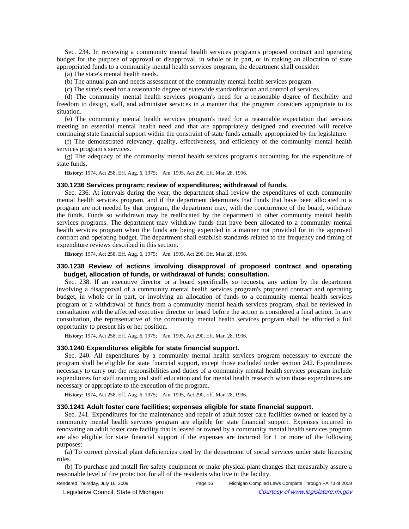Sec. 234. In reviewing a community mental health services program's proposed contract and operating budget for the purpose of approval or disapproval, in whole or in part, or in making an allocation of state appropriated funds to a community mental health services program, the department shall consider:

(a) The state's mental health needs.

(b) The annual plan and needs assessment of the community mental health services program.

(c) The state's need for a reasonable degree of statewide standardization and control of services.

(d) The community mental health services program's need for a reasonable degree of flexibility and freedom to design, staff, and administer services in a manner that the program considers appropriate to its situation.

(e) The community mental health services program's need for a reasonable expectation that services meeting an essential mental health need and that are appropriately designed and executed will receive continuing state financial support within the constraint of state funds actually appropriated by the legislature.

(f) The demonstrated relevancy, quality, effectiveness, and efficiency of the community mental health services program's services.

(g) The adequacy of the community mental health services program's accounting for the expenditure of state funds.

History: 1974, Act 258, Eff. Aug. 6, 1975;-- Am. 1995, Act 290, Eff. Mar. 28, 1996.

### **330.1236 Services program; review of expenditures; withdrawal of funds.**

Sec. 236. At intervals during the year, the department shall review the expenditures of each community mental health services program, and if the department determines that funds that have been allocated to a program are not needed by that program, the department may, with the concurrence of the board, withdraw the funds. Funds so withdrawn may be reallocated by the department to other community mental health services programs. The department may withdraw funds that have been allocated to a community mental health services program when the funds are being expended in a manner not provided for in the approved contract and operating budget. The department shall establish standards related to the frequency and timing of expenditure reviews described in this section.

History: 1974, Act 258, Eff. Aug. 6, 1975;-- Am. 1995, Act 290, Eff. Mar. 28, 1996.

# **330.1238 Review of actions involving disapproval of proposed contract and operating budget, allocation of funds, or withdrawal of funds; consultation.**

Sec. 238. If an executive director or a board specifically so requests, any action by the department involving a disapproval of a community mental health services program's proposed contract and operating budget, in whole or in part, or involving an allocation of funds to a community mental health services program or a withdrawal of funds from a community mental health services program, shall be reviewed in consultation with the affected executive director or board before the action is considered a final action. In any consultation, the representative of the community mental health services program shall be afforded a full opportunity to present his or her position.

History: 1974, Act 258, Eff. Aug. 6, 1975;-- Am. 1995, Act 290, Eff. Mar. 28, 1996.

#### **330.1240 Expenditures eligible for state financial support.**

Sec. 240. All expenditures by a community mental health services program necessary to execute the program shall be eligible for state financial support, except those excluded under section 242. Expenditures necessary to carry out the responsibilities and duties of a community mental health services program include expenditures for staff training and staff education and for mental health research when those expenditures are necessary or appropriate to the execution of the program.

History: 1974, Act 258, Eff. Aug. 6, 1975;-- Am. 1995, Act 290, Eff. Mar. 28, 1996.

## **330.1241 Adult foster care facilities; expenses eligible for state financial support.**

Sec. 241. Expenditures for the maintenance and repair of adult foster care facilities owned or leased by a community mental health services program are eligible for state financial support. Expenses incurred in renovating an adult foster care facility that is leased or owned by a community mental health services program are also eligible for state financial support if the expenses are incurred for 1 or more of the following purposes:

(a) To correct physical plant deficiencies cited by the department of social services under state licensing rules.

(b) To purchase and install fire safety equipment or make physical plant changes that measurably assure a reasonable level of fire protection for all of the residents who live in the facility.

© Legislative Council, State of Michigan Council Courtesy of www.legislature.mi.gov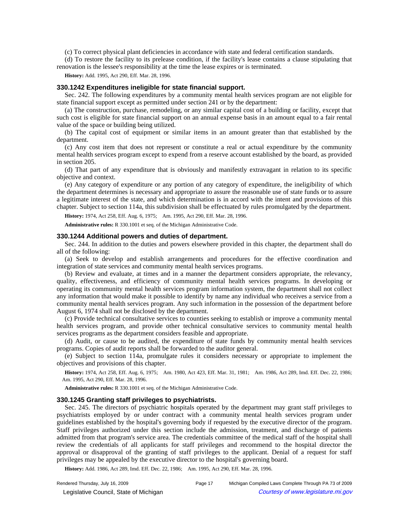(c) To correct physical plant deficiencies in accordance with state and federal certification standards.

(d) To restore the facility to its prelease condition, if the facility's lease contains a clause stipulating that renovation is the lessee's responsibility at the time the lease expires or is terminated.

**History:** Add. 1995, Act 290, Eff. Mar. 28, 1996.

# **330.1242 Expenditures ineligible for state financial support.**

Sec. 242. The following expenditures by a community mental health services program are not eligible for state financial support except as permitted under section 241 or by the department:

(a) The construction, purchase, remodeling, or any similar capital cost of a building or facility, except that such cost is eligible for state financial support on an annual expense basis in an amount equal to a fair rental value of the space or building being utilized.

(b) The capital cost of equipment or similar items in an amount greater than that established by the department.

(c) Any cost item that does not represent or constitute a real or actual expenditure by the community mental health services program except to expend from a reserve account established by the board, as provided in section 205.

(d) That part of any expenditure that is obviously and manifestly extravagant in relation to its specific objective and context.

(e) Any category of expenditure or any portion of any category of expenditure, the ineligibility of which the department determines is necessary and appropriate to assure the reasonable use of state funds or to assure a legitimate interest of the state, and which determination is in accord with the intent and provisions of this chapter. Subject to section 114a, this subdivision shall be effectuated by rules promulgated by the department.

History: 1974, Act 258, Eff. Aug. 6, 1975;-- Am. 1995, Act 290, Eff. Mar. 28, 1996.

**Administrative rules:** R 330.1001 et seq. of the Michigan Administrative Code.

### **330.1244 Additional powers and duties of department.**

Sec. 244. In addition to the duties and powers elsewhere provided in this chapter, the department shall do all of the following:

(a) Seek to develop and establish arrangements and procedures for the effective coordination and integration of state services and community mental health services programs.

(b) Review and evaluate, at times and in a manner the department considers appropriate, the relevancy, quality, effectiveness, and efficiency of community mental health services programs. In developing or operating its community mental health services program information system, the department shall not collect any information that would make it possible to identify by name any individual who receives a service from a community mental health services program. Any such information in the possession of the department before August 6, 1974 shall not be disclosed by the department.

(c) Provide technical consultative services to counties seeking to establish or improve a community mental health services program, and provide other technical consultative services to community mental health services programs as the department considers feasible and appropriate.

(d) Audit, or cause to be audited, the expenditure of state funds by community mental health services programs. Copies of audit reports shall be forwarded to the auditor general.

(e) Subject to section 114a, promulgate rules it considers necessary or appropriate to implement the objectives and provisions of this chapter.

History: 1974, Act 258, Eff. Aug. 6, 1975;—Am. 1980, Act 423, Eff. Mar. 31, 1981;—Am. 1986, Act 289, Imd. Eff. Dec. 22, 1986; Am. 1995, Act 290, Eff. Mar. 28, 1996.

**Administrative rules:** R 330.1001 et seq. of the Michigan Administrative Code.

#### **330.1245 Granting staff privileges to psychiatrists.**

Sec. 245. The directors of psychiatric hospitals operated by the department may grant staff privileges to psychiatrists employed by or under contract with a community mental health services program under guidelines established by the hospital's governing body if requested by the executive director of the program. Staff privileges authorized under this section include the admission, treatment, and discharge of patients admitted from that program's service area. The credentials committee of the medical staff of the hospital shall review the credentials of all applicants for staff privileges and recommend to the hospital director the approval or disapproval of the granting of staff privileges to the applicant. Denial of a request for staff privileges may be appealed by the executive director to the hospital's governing board.

History: Add. 1986, Act 289, Imd. Eff. Dec. 22, 1986; Am. 1995, Act 290, Eff. Mar. 28, 1996.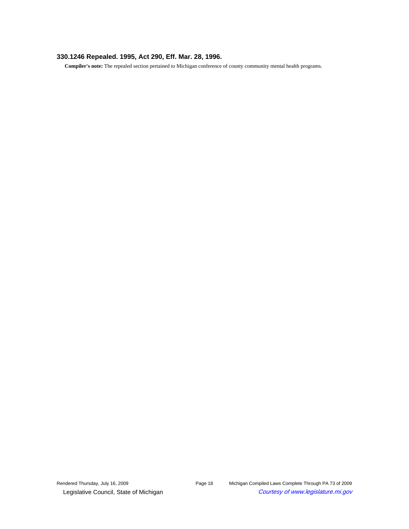# **330.1246 Repealed. 1995, Act 290, Eff. Mar. 28, 1996.**

**Compiler's note:** The repealed section pertained to Michigan conference of county community mental health programs.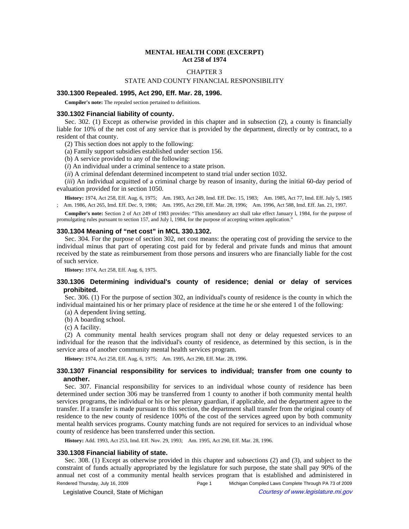# **MENTAL HEALTH CODE (EXCERPT) Act 258 of 1974**

## CHAPTER 3

## STATE AND COUNTY FINANCIAL RESPONSIBILITY

### **330.1300 Repealed. 1995, Act 290, Eff. Mar. 28, 1996.**

**Compiler's note:** The repealed section pertained to definitions.

## **330.1302 Financial liability of county.**

Sec. 302. (1) Except as otherwise provided in this chapter and in subsection (2), a county is financially liable for 10% of the net cost of any service that is provided by the department, directly or by contract, to a resident of that county.

(2) This section does not apply to the following:

(a) Family support subsidies established under section 156.

(b) A service provided to any of the following:

(*i*) An individual under a criminal sentence to a state prison.

(*ii*) A criminal defendant determined incompetent to stand trial under section 1032.

(*iii*) An individual acquitted of a criminal charge by reason of insanity, during the initial 60-day period of evaluation provided for in section 1050.

History: 1974, Act 258, Eff. Aug. 6, 1975;-Am. 1983, Act 249, Imd. Eff. Dec. 15, 1983;-Am. 1985, Act 77, Imd. Eff. July 5, 1985 ;-Am. 1986, Act 265, Imd. Eff. Dec. 9, 1986;-Am. 1995, Act 290, Eff. Mar. 28, 1996;-Am. 1996, Act 588, Imd. Eff. Jan. 21, 1997.

**Compiler's note:** Section 2 of Act 249 of 1983 provides: "This amendatory act shall take effect January l, 1984, for the purpose of promulgating rules pursuant to section 157, and July l, 1984, for the purpose of accepting written application."

## **330.1304 Meaning of "net cost" in MCL 330.1302.**

Sec. 304. For the purpose of section 302, net cost means: the operating cost of providing the service to the individual minus that part of operating cost paid for by federal and private funds and minus that amount received by the state as reimbursement from those persons and insurers who are financially liable for the cost of such service.

**History:** 1974, Act 258, Eff. Aug. 6, 1975.

# **330.1306 Determining individual's county of residence; denial or delay of services prohibited.**

Sec. 306. (1) For the purpose of section 302, an individual's county of residence is the county in which the individual maintained his or her primary place of residence at the time he or she entered 1 of the following:

(a) A dependent living setting.

(b) A boarding school.

(c) A facility.

(2) A community mental health services program shall not deny or delay requested services to an individual for the reason that the individual's county of residence, as determined by this section, is in the service area of another community mental health services program.

History: 1974, Act 258, Eff. Aug. 6, 1975;-- Am. 1995, Act 290, Eff. Mar. 28, 1996.

# **330.1307 Financial responsibility for services to individual; transfer from one county to another.**

Sec. 307. Financial responsibility for services to an individual whose county of residence has been determined under section 306 may be transferred from 1 county to another if both community mental health services programs, the individual or his or her plenary guardian, if applicable, and the department agree to the transfer. If a transfer is made pursuant to this section, the department shall transfer from the original county of residence to the new county of residence 100% of the cost of the services agreed upon by both community mental health services programs. County matching funds are not required for services to an individual whose county of residence has been transferred under this section.

History: Add. 1993, Act 253, Imd. Eff. Nov. 29, 1993;- Am. 1995, Act 290, Eff. Mar. 28, 1996.

#### **330.1308 Financial liability of state.**

Sec. 308. (1) Except as otherwise provided in this chapter and subsections (2) and (3), and subject to the constraint of funds actually appropriated by the legislature for such purpose, the state shall pay 90% of the annual net cost of a community mental health services program that is established and administered in Rendered Thursday, July 16, 2009 **Page 1** Page 1 Michigan Compiled Laws Complete Through PA 73 of 2009 © Legislative Council, State of Michigan Council Courtesy of www.legislature.mi.gov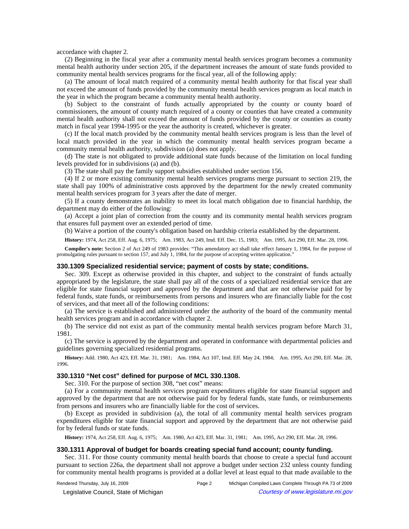accordance with chapter 2.

(2) Beginning in the fiscal year after a community mental health services program becomes a community mental health authority under section 205, if the department increases the amount of state funds provided to community mental health services programs for the fiscal year, all of the following apply:

(a) The amount of local match required of a community mental health authority for that fiscal year shall not exceed the amount of funds provided by the community mental health services program as local match in the year in which the program became a community mental health authority.

(b) Subject to the constraint of funds actually appropriated by the county or county board of commissioners, the amount of county match required of a county or counties that have created a community mental health authority shall not exceed the amount of funds provided by the county or counties as county match in fiscal year 1994-1995 or the year the authority is created, whichever is greater.

(c) If the local match provided by the community mental health services program is less than the level of local match provided in the year in which the community mental health services program became a community mental health authority, subdivision (a) does not apply.

(d) The state is not obligated to provide additional state funds because of the limitation on local funding levels provided for in subdivisions (a) and (b).

(3) The state shall pay the family support subsidies established under section 156.

(4) If 2 or more existing community mental health services programs merge pursuant to section 219, the state shall pay 100% of administrative costs approved by the department for the newly created community mental health services program for 3 years after the date of merger.

(5) If a county demonstrates an inability to meet its local match obligation due to financial hardship, the department may do either of the following:

(a) Accept a joint plan of correction from the county and its community mental health services program that ensures full payment over an extended period of time.

(b) Waive a portion of the county's obligation based on hardship criteria established by the department.

History: 1974, Act 258, Eff. Aug. 6, 1975;—Am. 1983, Act 249, Imd. Eff. Dec. 15, 1983;—Am. 1995, Act 290, Eff. Mar. 28, 1996.

**Compiler's note:** Section 2 of Act 249 of 1983 provides: "This amendatory act shall take effect January 1, 1984, for the purpose of promulgating rules pursuant to section 157, and July 1, 1984, for the purpose of accepting written application."

### **330.1309 Specialized residential service; payment of costs by state; conditions.**

Sec. 309. Except as otherwise provided in this chapter, and subject to the constraint of funds actually appropriated by the legislature, the state shall pay all of the costs of a specialized residential service that are eligible for state financial support and approved by the department and that are not otherwise paid for by federal funds, state funds, or reimbursements from persons and insurers who are financially liable for the cost of services, and that meet all of the following conditions:

(a) The service is established and administered under the authority of the board of the community mental health services program and in accordance with chapter 2.

(b) The service did not exist as part of the community mental health services program before March 31, 1981.

(c) The service is approved by the department and operated in conformance with departmental policies and guidelines governing specialized residential programs.

History: Add. 1980, Act 423, Eff. Mar. 31, 1981;-Am. 1984, Act 107, Imd. Eff. May 24, 1984;-Am. 1995, Act 290, Eff. Mar. 28, 1996.

### **330.1310 "Net cost" defined for purpose of MCL 330.1308.**

Sec. 310. For the purpose of section 308, "net cost" means:

(a) For a community mental health services program expenditures eligible for state financial support and approved by the department that are not otherwise paid for by federal funds, state funds, or reimbursements from persons and insurers who are financially liable for the cost of services.

(b) Except as provided in subdivision (a), the total of all community mental health services program expenditures eligible for state financial support and approved by the department that are not otherwise paid for by federal funds or state funds.

History: 1974, Act 258, Eff. Aug. 6, 1975;—Am. 1980, Act 423, Eff. Mar. 31, 1981;—Am. 1995, Act 290, Eff. Mar. 28, 1996.

## **330.1311 Approval of budget for boards creating special fund account; county funding.**

Sec. 311. For those county community mental health boards that choose to create a special fund account pursuant to section 226a, the department shall not approve a budget under section 232 unless county funding for community mental health programs is provided at a dollar level at least equal to that made available to the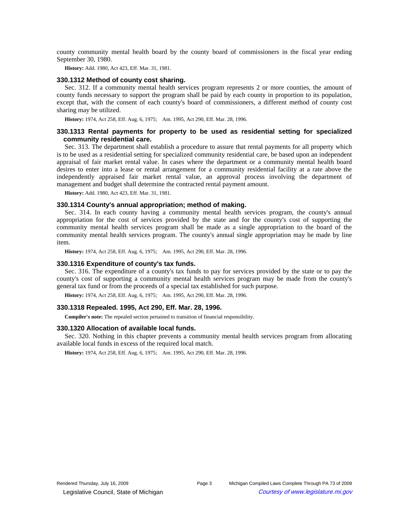county community mental health board by the county board of commissioners in the fiscal year ending September 30, 1980.

**History:** Add. 1980, Act 423, Eff. Mar. 31, 1981.

# **330.1312 Method of county cost sharing.**

Sec. 312. If a community mental health services program represents 2 or more counties, the amount of county funds necessary to support the program shall be paid by each county in proportion to its population, except that, with the consent of each county's board of commissioners, a different method of county cost sharing may be utilized.

History: 1974, Act 258, Eff. Aug. 6, 1975;-- Am. 1995, Act 290, Eff. Mar. 28, 1996.

# **330.1313 Rental payments for property to be used as residential setting for specialized community residential care.**

Sec. 313. The department shall establish a procedure to assure that rental payments for all property which is to be used as a residential setting for specialized community residential care, be based upon an independent appraisal of fair market rental value. In cases where the department or a community mental health board desires to enter into a lease or rental arrangement for a community residential facility at a rate above the independently appraised fair market rental value, an approval process involving the department of management and budget shall determine the contracted rental payment amount.

**History:** Add. 1980, Act 423, Eff. Mar. 31, 1981.

### **330.1314 County's annual appropriation; method of making.**

Sec. 314. In each county having a community mental health services program, the county's annual appropriation for the cost of services provided by the state and for the county's cost of supporting the community mental health services program shall be made as a single appropriation to the board of the community mental health services program. The county's annual single appropriation may be made by line item.

History: 1974, Act 258, Eff. Aug. 6, 1975;-- Am. 1995, Act 290, Eff. Mar. 28, 1996.

### **330.1316 Expenditure of county's tax funds.**

Sec. 316. The expenditure of a county's tax funds to pay for services provided by the state or to pay the county's cost of supporting a community mental health services program may be made from the county's general tax fund or from the proceeds of a special tax established for such purpose.

**History:** 1974, Act 258, Eff. Aug. 6, 1975;-- Am. 1995, Act 290, Eff. Mar. 28, 1996.

## **330.1318 Repealed. 1995, Act 290, Eff. Mar. 28, 1996.**

**Compiler's note:** The repealed section pertained to transition of financial responsibility.

#### **330.1320 Allocation of available local funds.**

Sec. 320. Nothing in this chapter prevents a community mental health services program from allocating available local funds in excess of the required local match.

History: 1974, Act 258, Eff. Aug. 6, 1975;-- Am. 1995, Act 290, Eff. Mar. 28, 1996.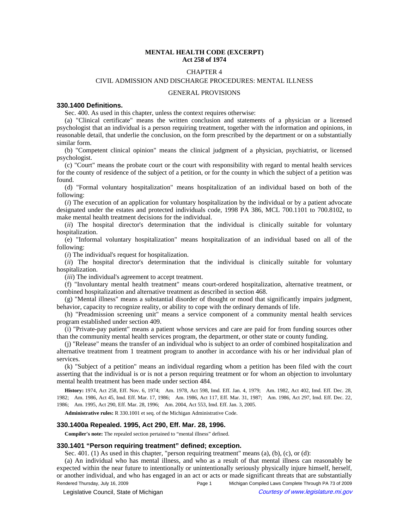## **MENTAL HEALTH CODE (EXCERPT) Act 258 of 1974**

### CHAPTER 4

## CIVIL ADMISSION AND DISCHARGE PROCEDURES: MENTAL ILLNESS

#### GENERAL PROVISIONS

#### **330.1400 Definitions.**

Sec. 400. As used in this chapter, unless the context requires otherwise:

(a) "Clinical certificate" means the written conclusion and statements of a physician or a licensed psychologist that an individual is a person requiring treatment, together with the information and opinions, in reasonable detail, that underlie the conclusion, on the form prescribed by the department or on a substantially similar form.

(b) "Competent clinical opinion" means the clinical judgment of a physician, psychiatrist, or licensed psychologist.

(c) "Court" means the probate court or the court with responsibility with regard to mental health services for the county of residence of the subject of a petition, or for the county in which the subject of a petition was found.

(d) "Formal voluntary hospitalization" means hospitalization of an individual based on both of the following:

(*i*) The execution of an application for voluntary hospitalization by the individual or by a patient advocate designated under the estates and protected individuals code, 1998 PA 386, MCL 700.1101 to 700.8102, to make mental health treatment decisions for the individual.

(*ii*) The hospital director's determination that the individual is clinically suitable for voluntary hospitalization.

(e) "Informal voluntary hospitalization" means hospitalization of an individual based on all of the following:

(*i*) The individual's request for hospitalization.

(*ii*) The hospital director's determination that the individual is clinically suitable for voluntary hospitalization.

(*iii*) The individual's agreement to accept treatment.

(f) "Involuntary mental health treatment" means court-ordered hospitalization, alternative treatment, or combined hospitalization and alternative treatment as described in section 468.

(g) "Mental illness" means a substantial disorder of thought or mood that significantly impairs judgment, behavior, capacity to recognize reality, or ability to cope with the ordinary demands of life.

(h) "Preadmission screening unit" means a service component of a community mental health services program established under section 409.

(i) "Private-pay patient" means a patient whose services and care are paid for from funding sources other than the community mental health services program, the department, or other state or county funding.

(j) "Release" means the transfer of an individual who is subject to an order of combined hospitalization and alternative treatment from 1 treatment program to another in accordance with his or her individual plan of services.

(k) "Subject of a petition" means an individual regarding whom a petition has been filed with the court asserting that the individual is or is not a person requiring treatment or for whom an objection to involuntary mental health treatment has been made under section 484.

History: 1974, Act 258, Eff. Nov. 6, 1974;**---**Am. 1978, Act 598, Imd. Eff. Jan. 4, 1979;----Am. 1982, Act 402, Imd. Eff. Dec. 28, 1982;--Am. 1986, Act 45, Imd. Eff. Mar. 17, 1986;--Am. 1986, Act 117, Eff. Mar. 31, 1987;--Am. 1986, Act 297, Imd. Eff. Dec. 22, 1986; Am. 1995, Act 290, Eff. Mar. 28, 1996; Am. 2004, Act 553, Imd. Eff. Jan. 3, 2005.

**Administrative rules:** R 330.1001 et seq. of the Michigan Administrative Code.

## **330.1400a Repealed. 1995, Act 290, Eff. Mar. 28, 1996.**

**Compiler's note:** The repealed section pertained to "mental illness" defined.

### **330.1401 "Person requiring treatment" defined; exception.**

Sec.  $401$ . (1) As used in this chapter, "person requiring treatment" means (a), (b), (c), or (d):

(a) An individual who has mental illness, and who as a result of that mental illness can reasonably be expected within the near future to intentionally or unintentionally seriously physically injure himself, herself, or another individual, and who has engaged in an act or acts or made significant threats that are substantially Rendered Thursday, July 16, 2009 **Page 1** Page 1 Michigan Compiled Laws Complete Through PA 73 of 2009

© Legislative Council, State of Michigan Council Courtesy of www.legislature.mi.gov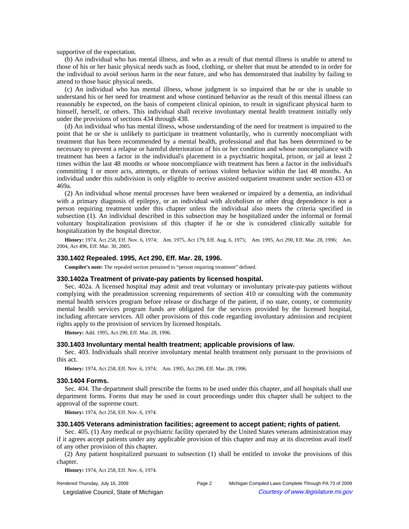supportive of the expectation.

(b) An individual who has mental illness, and who as a result of that mental illness is unable to attend to those of his or her basic physical needs such as food, clothing, or shelter that must be attended to in order for the individual to avoid serious harm in the near future, and who has demonstrated that inability by failing to attend to those basic physical needs.

(c) An individual who has mental illness, whose judgment is so impaired that he or she is unable to understand his or her need for treatment and whose continued behavior as the result of this mental illness can reasonably be expected, on the basis of competent clinical opinion, to result in significant physical harm to himself, herself, or others. This individual shall receive involuntary mental health treatment initially only under the provisions of sections 434 through 438.

(d) An individual who has mental illness, whose understanding of the need for treatment is impaired to the point that he or she is unlikely to participate in treatment voluntarily, who is currently noncompliant with treatment that has been recommended by a mental health, professional and that has been determined to be necessary to prevent a relapse or harmful deterioration of his or her condition and whose noncompliance with treatment has been a factor in the individual's placement in a psychiatric hospital, prison, or jail at least 2 times within the last 48 months or whose noncompliance with treatment has been a factor in the individual's committing 1 or more acts, attempts, or threats of serious violent behavior within the last 48 months. An individual under this subdivision is only eligible to receive assisted outpatient treatment under section 433 or 469a.

(2) An individual whose mental processes have been weakened or impaired by a dementia, an individual with a primary diagnosis of epilepsy, or an individual with alcoholism or other drug dependence is not a person requiring treatment under this chapter unless the individual also meets the criteria specified in subsection (1). An individual described in this subsection may be hospitalized under the informal or formal voluntary hospitalization provisions of this chapter if he or she is considered clinically suitable for hospitalization by the hospital director.

History: 1974, Act 258, Eff. Nov. 6, 1974;—Am. 1975, Act 179, Eff. Aug. 6, 1975;—Am. 1995, Act 290, Eff. Mar. 28, 1996;—Am. 2004, Act 496, Eff. Mar. 30, 2005.

## **330.1402 Repealed. 1995, Act 290, Eff. Mar. 28, 1996.**

**Compiler's note:** The repealed section pertained to "person requiring treatment" defined.

## **330.1402a Treatment of private-pay patients by licensed hospital.**

Sec. 402a. A licensed hospital may admit and treat voluntary or involuntary private-pay patients without complying with the preadmission screening requirements of section 410 or consulting with the community mental health services program before release or discharge of the patient, if no state, county, or community mental health services program funds are obligated for the services provided by the licensed hospital, including aftercare services. All other provisions of this code regarding involuntary admission and recipient rights apply to the provision of services by licensed hospitals.

**History:** Add. 1995, Act 290, Eff. Mar. 28, 1996.

#### **330.1403 Involuntary mental health treatment; applicable provisions of law.**

Sec. 403. Individuals shall receive involuntary mental health treatment only pursuant to the provisions of this act.

History: 1974, Act 258, Eff. Nov. 6, 1974;-- Am. 1995, Act 290, Eff. Mar. 28, 1996.

#### **330.1404 Forms.**

Sec. 404. The department shall prescribe the forms to be used under this chapter, and all hospitals shall use department forms. Forms that may be used in court proceedings under this chapter shall be subject to the approval of the supreme court.

**History:** 1974, Act 258, Eff. Nov. 6, 1974.

### **330.1405 Veterans administration facilities; agreement to accept patient; rights of patient.**

Sec. 405. (1) Any medical or psychiatric facility operated by the United States veterans administration may if it agrees accept patients under any applicable provision of this chapter and may at its discretion avail itself of any other provision of this chapter.

(2) Any patient hospitalized pursuant to subsection (1) shall be entitled to invoke the provisions of this chapter.

**History:** 1974, Act 258, Eff. Nov. 6, 1974.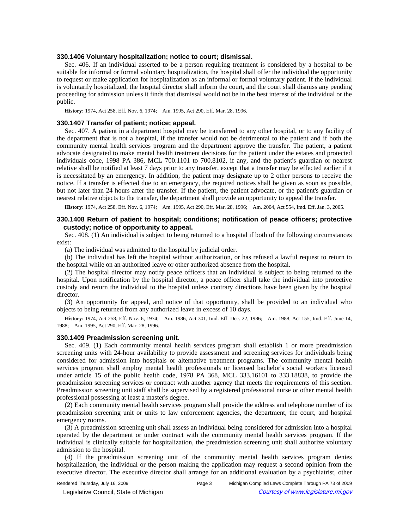### **330.1406 Voluntary hospitalization; notice to court; dismissal.**

Sec. 406. If an individual asserted to be a person requiring treatment is considered by a hospital to be suitable for informal or formal voluntary hospitalization, the hospital shall offer the individual the opportunity to request or make application for hospitalization as an informal or formal voluntary patient. If the individual is voluntarily hospitalized, the hospital director shall inform the court, and the court shall dismiss any pending proceeding for admission unless it finds that dismissal would not be in the best interest of the individual or the public.

History: 1974, Act 258, Eff. Nov. 6, 1974;-- Am. 1995, Act 290, Eff. Mar. 28, 1996.

#### **330.1407 Transfer of patient; notice; appeal.**

Sec. 407. A patient in a department hospital may be transferred to any other hospital, or to any facility of the department that is not a hospital, if the transfer would not be detrimental to the patient and if both the community mental health services program and the department approve the transfer. The patient, a patient advocate designated to make mental health treatment decisions for the patient under the estates and protected individuals code, 1998 PA 386, MCL 700.1101 to 700.8102, if any, and the patient's guardian or nearest relative shall be notified at least 7 days prior to any transfer, except that a transfer may be effected earlier if it is necessitated by an emergency. In addition, the patient may designate up to 2 other persons to receive the notice. If a transfer is effected due to an emergency, the required notices shall be given as soon as possible, but not later than 24 hours after the transfer. If the patient, the patient advocate, or the patient's guardian or nearest relative objects to the transfer, the department shall provide an opportunity to appeal the transfer.

History: 1974, Act 258, Eff. Nov. 6, 1974;—Am. 1995, Act 290, Eff. Mar. 28, 1996;—Am. 2004, Act 554, Imd. Eff. Jan. 3, 2005.

## **330.1408 Return of patient to hospital; conditions; notification of peace officers; protective custody; notice of opportunity to appeal.**

Sec. 408. (1) An individual is subject to being returned to a hospital if both of the following circumstances exist:

(a) The individual was admitted to the hospital by judicial order.

(b) The individual has left the hospital without authorization, or has refused a lawful request to return to the hospital while on an authorized leave or other authorized absence from the hospital.

(2) The hospital director may notify peace officers that an individual is subject to being returned to the hospital. Upon notification by the hospital director, a peace officer shall take the individual into protective custody and return the individual to the hospital unless contrary directions have been given by the hospital director.

(3) An opportunity for appeal, and notice of that opportunity, shall be provided to an individual who objects to being returned from any authorized leave in excess of 10 days.

History: 1974, Act 258, Eff. Nov. 6, 1974;—Am. 1986, Act 301, Imd. Eff. Dec. 22, 1986;—Am. 1988, Act 155, Imd. Eff. June 14, 1988; Am. 1995, Act 290, Eff. Mar. 28, 1996.

#### **330.1409 Preadmission screening unit.**

Sec. 409. (1) Each community mental health services program shall establish 1 or more preadmission screening units with 24-hour availability to provide assessment and screening services for individuals being considered for admission into hospitals or alternative treatment programs. The community mental health services program shall employ mental health professionals or licensed bachelor's social workers licensed under article 15 of the public health code, 1978 PA 368, MCL 333.16101 to 333.18838, to provide the preadmission screening services or contract with another agency that meets the requirements of this section. Preadmission screening unit staff shall be supervised by a registered professional nurse or other mental health professional possessing at least a master's degree.

(2) Each community mental health services program shall provide the address and telephone number of its preadmission screening unit or units to law enforcement agencies, the department, the court, and hospital emergency rooms.

(3) A preadmission screening unit shall assess an individual being considered for admission into a hospital operated by the department or under contract with the community mental health services program. If the individual is clinically suitable for hospitalization, the preadmission screening unit shall authorize voluntary admission to the hospital.

(4) If the preadmission screening unit of the community mental health services program denies hospitalization, the individual or the person making the application may request a second opinion from the executive director. The executive director shall arrange for an additional evaluation by a psychiatrist, other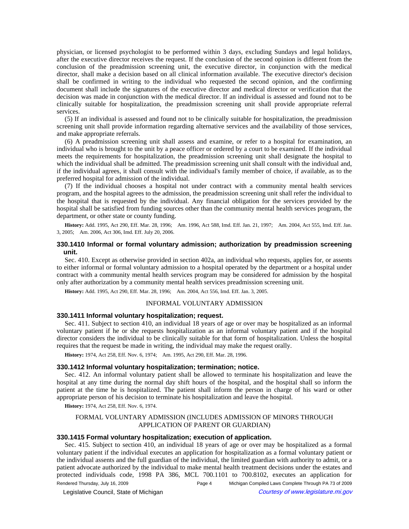physician, or licensed psychologist to be performed within 3 days, excluding Sundays and legal holidays, after the executive director receives the request. If the conclusion of the second opinion is different from the conclusion of the preadmission screening unit, the executive director, in conjunction with the medical director, shall make a decision based on all clinical information available. The executive director's decision shall be confirmed in writing to the individual who requested the second opinion, and the confirming document shall include the signatures of the executive director and medical director or verification that the decision was made in conjunction with the medical director. If an individual is assessed and found not to be clinically suitable for hospitalization, the preadmission screening unit shall provide appropriate referral services.

(5) If an individual is assessed and found not to be clinically suitable for hospitalization, the preadmission screening unit shall provide information regarding alternative services and the availability of those services, and make appropriate referrals.

(6) A preadmission screening unit shall assess and examine, or refer to a hospital for examination, an individual who is brought to the unit by a peace officer or ordered by a court to be examined. If the individual meets the requirements for hospitalization, the preadmission screening unit shall designate the hospital to which the individual shall be admitted. The preadmission screening unit shall consult with the individual and, if the individual agrees, it shall consult with the individual's family member of choice, if available, as to the preferred hospital for admission of the individual.

(7) If the individual chooses a hospital not under contract with a community mental health services program, and the hospital agrees to the admission, the preadmission screening unit shall refer the individual to the hospital that is requested by the individual. Any financial obligation for the services provided by the hospital shall be satisfied from funding sources other than the community mental health services program, the department, or other state or county funding.

History: Add. 1995, Act 290, Eff. Mar. 28, 1996;—Am. 1996, Act 588, Imd. Eff. Jan. 21, 1997;—Am. 2004, Act 555, Imd. Eff. Jan. 3, 2005; Am. 2006, Act 306, Imd. Eff. July 20, 2006.

# **330.1410 Informal or formal voluntary admission; authorization by preadmission screening unit.**

Sec. 410. Except as otherwise provided in section 402a, an individual who requests, applies for, or assents to either informal or formal voluntary admission to a hospital operated by the department or a hospital under contract with a community mental health services program may be considered for admission by the hospital only after authorization by a community mental health services preadmission screening unit.

History: Add. 1995, Act 290, Eff. Mar. 28, 1996;- Am. 2004, Act 556, Imd. Eff. Jan. 3, 2005.

## INFORMAL VOLUNTARY ADMISSION

## **330.1411 Informal voluntary hospitalization; request.**

Sec. 411. Subject to section 410, an individual 18 years of age or over may be hospitalized as an informal voluntary patient if he or she requests hospitalization as an informal voluntary patient and if the hospital director considers the individual to be clinically suitable for that form of hospitalization. Unless the hospital requires that the request be made in writing, the individual may make the request orally.

**History:** 1974, Act 258, Eff. Nov. 6, 1974;—Am. 1995, Act 290, Eff. Mar. 28, 1996.

# **330.1412 Informal voluntary hospitalization; termination; notice.**

Sec. 412. An informal voluntary patient shall be allowed to terminate his hospitalization and leave the hospital at any time during the normal day shift hours of the hospital, and the hospital shall so inform the patient at the time he is hospitalized. The patient shall inform the person in charge of his ward or other appropriate person of his decision to terminate his hospitalization and leave the hospital.

**History:** 1974, Act 258, Eff. Nov. 6, 1974.

## FORMAL VOLUNTARY ADMISSION (INCLUDES ADMISSION OF MINORS THROUGH APPLICATION OF PARENT OR GUARDIAN)

## **330.1415 Formal voluntary hospitalization; execution of application.**

Sec. 415. Subject to section 410, an individual 18 years of age or over may be hospitalized as a formal voluntary patient if the individual executes an application for hospitalization as a formal voluntary patient or the individual assents and the full guardian of the individual, the limited guardian with authority to admit, or a patient advocate authorized by the individual to make mental health treatment decisions under the estates and protected individuals code, 1998 PA 386, MCL 700.1101 to 700.8102, executes an application for

Rendered Thursday, July 16, 2009 **Page 4** Michigan Compiled Laws Complete Through PA 73 of 2009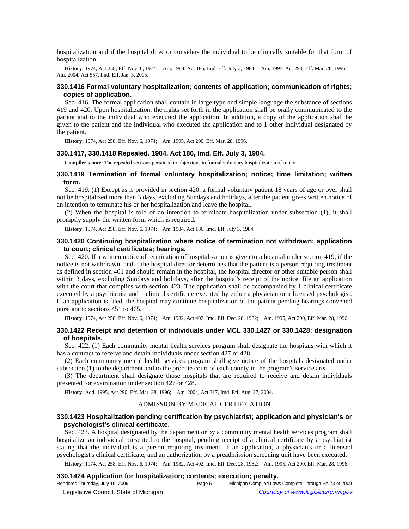hospitalization and if the hospital director considers the individual to be clinically suitable for that form of hospitalization.

History: 1974, Act 258, Eff. Nov. 6, 1974;—Am. 1984, Act 186, Imd. Eff. July 3, 1984;—Am. 1995, Act 290, Eff. Mar. 28, 1996;— Am. 2004, Act 557, Imd. Eff. Jan. 3, 2005.

## **330.1416 Formal voluntary hospitalization; contents of application; communication of rights; copies of application.**

Sec. 416. The formal application shall contain in large type and simple language the substance of sections 419 and 420. Upon hospitalization, the rights set forth in the application shall be orally communicated to the patient and to the individual who executed the application. In addition, a copy of the application shall be given to the patient and the individual who executed the application and to 1 other individual designated by the patient.

History: 1974, Act 258, Eff. Nov. 6, 1974;-- Am. 1995, Act 290, Eff. Mar. 28, 1996.

## **330.1417, 330.1418 Repealed. 1984, Act 186, Imd. Eff. July 3, 1984.**

**Compiler's note:** The repealed sections pertained to objections to formal voluntary hospitalization of minor.

## **330.1419 Termination of formal voluntary hospitalization; notice; time limitation; written form.**

Sec. 419. (1) Except as is provided in section 420, a formal voluntary patient 18 years of age or over shall not be hospitalized more than 3 days, excluding Sundays and holidays, after the patient gives written notice of an intention to terminate his or her hospitalization and leave the hospital.

(2) When the hospital is told of an intention to terminate hospitalization under subsection (1), it shall promptly supply the written form which is required.

History: 1974, Act 258, Eff. Nov. 6, 1974;-- Am. 1984, Act 186, Imd. Eff. July 3, 1984.

## **330.1420 Continuing hospitalization where notice of termination not withdrawn; application to court; clinical certificates; hearings.**

Sec. 420. If a written notice of termination of hospitalization is given to a hospital under section 419, if the notice is not withdrawn, and if the hospital director determines that the patient is a person requiring treatment as defined in section 401 and should remain in the hospital, the hospital director or other suitable person shall within 3 days, excluding Sundays and holidays, after the hospital's receipt of the notice, file an application with the court that complies with section 423. The application shall be accompanied by 1 clinical certificate executed by a psychiatrist and 1 clinical certificate executed by either a physician or a licensed psychologist. If an application is filed, the hospital may continue hospitalization of the patient pending hearings convened pursuant to sections 451 to 465.

History: 1974, Act 258, Eff. Nov. 6, 1974;—Am. 1982, Act 402, Imd. Eff. Dec. 28, 1982;—Am. 1995, Act 290, Eff. Mar. 28, 1996.

# **330.1422 Receipt and detention of individuals under MCL 330.1427 or 330.1428; designation of hospitals.**

Sec. 422. (1) Each community mental health services program shall designate the hospitals with which it has a contract to receive and detain individuals under section 427 or 428.

(2) Each community mental health services program shall give notice of the hospitals designated under subsection (1) to the department and to the probate court of each county in the program's service area.

(3) The department shall designate those hospitals that are required to receive and detain individuals presented for examination under section 427 or 428.

History: Add. 1995, Act 290, Eff. Mar. 28, 1996;- Am. 2004, Act 317, Imd. Eff. Aug. 27, 2004.

## ADMISSION BY MEDICAL CERTIFICATION

# **330.1423 Hospitalization pending certification by psychiatrist; application and physician's or psychologist's clinical certificate.**

Sec. 423. A hospital designated by the department or by a community mental health services program shall hospitalize an individual presented to the hospital, pending receipt of a clinical certificate by a psychiatrist stating that the individual is a person requiring treatment, if an application, a physician's or a licensed psychologist's clinical certificate, and an authorization by a preadmission screening unit have been executed.

History: 1974, Act 258, Eff. Nov. 6, 1974;—Am. 1982, Act 402, Imd. Eff. Dec. 28, 1982;—Am. 1995, Act 290, Eff. Mar. 28, 1996.

#### **330.1424 Application for hospitalization; contents; execution; penalty.**

| Rendered Thursday, July 16, 2009         | Page 5 | Michigan Compiled Laws Complete Through PA 73 of 2009 |
|------------------------------------------|--------|-------------------------------------------------------|
| © Legislative Council, State of Michigan |        | Courtesy of www.legislature.mi.gov                    |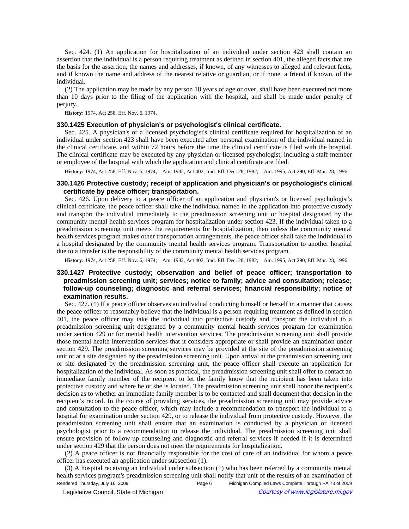Sec. 424. (1) An application for hospitalization of an individual under section 423 shall contain an assertion that the individual is a person requiring treatment as defined in section 401, the alleged facts that are the basis for the assertion, the names and addresses, if known, of any witnesses to alleged and relevant facts, and if known the name and address of the nearest relative or guardian, or if none, a friend if known, of the individual.

(2) The application may be made by any person 18 years of age or over, shall have been executed not more than 10 days prior to the filing of the application with the hospital, and shall be made under penalty of perjury.

**History:** 1974, Act 258, Eff. Nov. 6, 1974.

# **330.1425 Execution of physician's or psychologist's clinical certificate.**

Sec. 425. A physician's or a licensed psychologist's clinical certificate required for hospitalization of an individual under section 423 shall have been executed after personal examination of the individual named in the clinical certificate, and within 72 hours before the time the clinical certificate is filed with the hospital. The clinical certificate may be executed by any physician or licensed psychologist, including a staff member or employee of the hospital with which the application and clinical certificate are filed.

History: 1974, Act 258, Eff. Nov. 6, 1974;—Am. 1982, Act 402, Imd. Eff. Dec. 28, 1982;—Am. 1995, Act 290, Eff. Mar. 28, 1996.

# **330.1426 Protective custody; receipt of application and physician's or psychologist's clinical certificate by peace officer; transportation.**

Sec. 426. Upon delivery to a peace officer of an application and physician's or licensed psychologist's clinical certificate, the peace officer shall take the individual named in the application into protective custody and transport the individual immediately to the preadmission screening unit or hospital designated by the community mental health services program for hospitalization under section 423. If the individual taken to a preadmission screening unit meets the requirements for hospitalization, then unless the community mental health services program makes other transportation arrangements, the peace officer shall take the individual to a hospital designated by the community mental health services program. Transportation to another hospital due to a transfer is the responsibility of the community mental health services program.

History: 1974, Act 258, Eff. Nov. 6, 1974;—Am. 1982, Act 402, Imd. Eff. Dec. 28, 1982;—Am. 1995, Act 290, Eff. Mar. 28, 1996.

# **330.1427 Protective custody; observation and belief of peace officer; transportation to preadmission screening unit; services; notice to family; advice and consultation; release; follow-up counseling; diagnostic and referral services; financial responsibility; notice of examination results.**

Sec. 427. (1) If a peace officer observes an individual conducting himself or herself in a manner that causes the peace officer to reasonably believe that the individual is a person requiring treatment as defined in section 401, the peace officer may take the individual into protective custody and transport the individual to a preadmission screening unit designated by a community mental health services program for examination under section 429 or for mental health intervention services. The preadmission screening unit shall provide those mental health intervention services that it considers appropriate or shall provide an examination under section 429. The preadmission screening services may be provided at the site of the preadmission screening unit or at a site designated by the preadmission screening unit. Upon arrival at the preadmission screening unit or site designated by the preadmission screening unit, the peace officer shall execute an application for hospitalization of the individual. As soon as practical, the preadmission screening unit shall offer to contact an immediate family member of the recipient to let the family know that the recipient has been taken into protective custody and where he or she is located. The preadmission screening unit shall honor the recipient's decision as to whether an immediate family member is to be contacted and shall document that decision in the recipient's record. In the course of providing services, the preadmission screening unit may provide advice and consultation to the peace officer, which may include a recommendation to transport the individual to a hospital for examination under section 429, or to release the individual from protective custody. However, the preadmission screening unit shall ensure that an examination is conducted by a physician or licensed psychologist prior to a recommendation to release the individual. The preadmission screening unit shall ensure provision of follow-up counseling and diagnostic and referral services if needed if it is determined under section 429 that the person does not meet the requirements for hospitalization.

(2) A peace officer is not financially responsible for the cost of care of an individual for whom a peace officer has executed an application under subsection (1).

(3) A hospital receiving an individual under subsection (1) who has been referred by a community mental health services program's preadmission screening unit shall notify that unit of the results of an examination of Rendered Thursday, July 16, 2009 **Page 6** Michigan Compiled Laws Complete Through PA 73 of 2009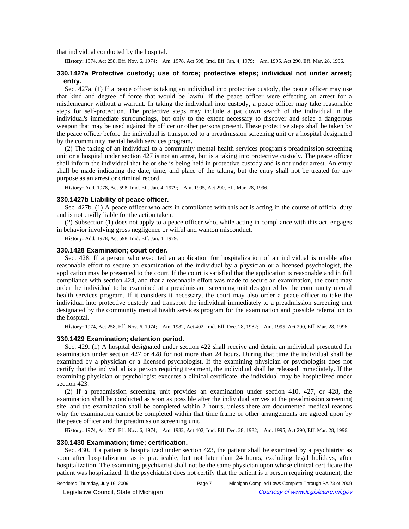that individual conducted by the hospital.

History: 1974, Act 258, Eff. Nov. 6, 1974;—Am. 1978, Act 598, Imd. Eff. Jan. 4, 1979;—Am. 1995, Act 290, Eff. Mar. 28, 1996.

## **330.1427a Protective custody; use of force; protective steps; individual not under arrest; entry.**

Sec. 427a. (1) If a peace officer is taking an individual into protective custody, the peace officer may use that kind and degree of force that would be lawful if the peace officer were effecting an arrest for a misdemeanor without a warrant. In taking the individual into custody, a peace officer may take reasonable steps for self-protection. The protective steps may include a pat down search of the individual in the individual's immediate surroundings, but only to the extent necessary to discover and seize a dangerous weapon that may be used against the officer or other persons present. These protective steps shall be taken by the peace officer before the individual is transported to a preadmission screening unit or a hospital designated by the community mental health services program.

(2) The taking of an individual to a community mental health services program's preadmission screening unit or a hospital under section 427 is not an arrest, but is a taking into protective custody. The peace officer shall inform the individual that he or she is being held in protective custody and is not under arrest. An entry shall be made indicating the date, time, and place of the taking, but the entry shall not be treated for any purpose as an arrest or criminal record.

History: Add. 1978, Act 598, Imd. Eff. Jan. 4, 1979;-- Am. 1995, Act 290, Eff. Mar. 28, 1996.

#### **330.1427b Liability of peace officer.**

Sec. 427b. (1) A peace officer who acts in compliance with this act is acting in the course of official duty and is not civilly liable for the action taken.

(2) Subsection (1) does not apply to a peace officer who, while acting in compliance with this act, engages in behavior involving gross negligence or wilful and wanton misconduct.

**History:** Add. 1978, Act 598, Imd. Eff. Jan. 4, 1979.

### **330.1428 Examination; court order.**

Sec. 428. If a person who executed an application for hospitalization of an individual is unable after reasonable effort to secure an examination of the individual by a physician or a licensed psychologist, the application may be presented to the court. If the court is satisfied that the application is reasonable and in full compliance with section 424, and that a reasonable effort was made to secure an examination, the court may order the individual to be examined at a preadmission screening unit designated by the community mental health services program. If it considers it necessary, the court may also order a peace officer to take the individual into protective custody and transport the individual immediately to a preadmission screening unit designated by the community mental health services program for the examination and possible referral on to the hospital.

History: 1974, Act 258, Eff. Nov. 6, 1974;—Am. 1982, Act 402, Imd. Eff. Dec. 28, 1982;—Am. 1995, Act 290, Eff. Mar. 28, 1996.

#### **330.1429 Examination; detention period.**

Sec. 429. (1) A hospital designated under section 422 shall receive and detain an individual presented for examination under section 427 or 428 for not more than 24 hours. During that time the individual shall be examined by a physician or a licensed psychologist. If the examining physician or psychologist does not certify that the individual is a person requiring treatment, the individual shall be released immediately. If the examining physician or psychologist executes a clinical certificate, the individual may be hospitalized under section 423.

(2) If a preadmission screening unit provides an examination under section 410, 427, or 428, the examination shall be conducted as soon as possible after the individual arrives at the preadmission screening site, and the examination shall be completed within 2 hours, unless there are documented medical reasons why the examination cannot be completed within that time frame or other arrangements are agreed upon by the peace officer and the preadmission screening unit.

History: 1974, Act 258, Eff. Nov. 6, 1974;—Am. 1982, Act 402, Imd. Eff. Dec. 28, 1982;—Am. 1995, Act 290, Eff. Mar. 28, 1996.

### **330.1430 Examination; time; certification.**

Sec. 430. If a patient is hospitalized under section 423, the patient shall be examined by a psychiatrist as soon after hospitalization as is practicable, but not later than 24 hours, excluding legal holidays, after hospitalization. The examining psychiatrist shall not be the same physician upon whose clinical certificate the patient was hospitalized. If the psychiatrist does not certify that the patient is a person requiring treatment, the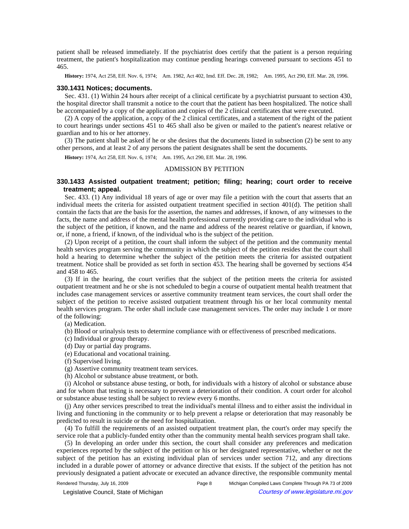patient shall be released immediately. If the psychiatrist does certify that the patient is a person requiring treatment, the patient's hospitalization may continue pending hearings convened pursuant to sections 451 to 465.

History: 1974, Act 258, Eff. Nov. 6, 1974;—Am. 1982, Act 402, Imd. Eff. Dec. 28, 1982;—Am. 1995, Act 290, Eff. Mar. 28, 1996.

## **330.1431 Notices; documents.**

Sec. 431. (1) Within 24 hours after receipt of a clinical certificate by a psychiatrist pursuant to section 430, the hospital director shall transmit a notice to the court that the patient has been hospitalized. The notice shall be accompanied by a copy of the application and copies of the 2 clinical certificates that were executed.

(2) A copy of the application, a copy of the 2 clinical certificates, and a statement of the right of the patient to court hearings under sections 451 to 465 shall also be given or mailed to the patient's nearest relative or guardian and to his or her attorney.

(3) The patient shall be asked if he or she desires that the documents listed in subsection (2) be sent to any other persons, and at least 2 of any persons the patient designates shall be sent the documents.

History: 1974, Act 258, Eff. Nov. 6, 1974;-- Am. 1995, Act 290, Eff. Mar. 28, 1996.

### ADMISSION BY PETITION

## **330.1433 Assisted outpatient treatment; petition; filing; hearing; court order to receive treatment; appeal.**

Sec. 433. (1) Any individual 18 years of age or over may file a petition with the court that asserts that an individual meets the criteria for assisted outpatient treatment specified in section 401(d). The petition shall contain the facts that are the basis for the assertion, the names and addresses, if known, of any witnesses to the facts, the name and address of the mental health professional currently providing care to the individual who is the subject of the petition, if known, and the name and address of the nearest relative or guardian, if known, or, if none, a friend, if known, of the individual who is the subject of the petition.

(2) Upon receipt of a petition, the court shall inform the subject of the petition and the community mental health services program serving the community in which the subject of the petition resides that the court shall hold a hearing to determine whether the subject of the petition meets the criteria for assisted outpatient treatment. Notice shall be provided as set forth in section 453. The hearing shall be governed by sections 454 and 458 to 465.

(3) If in the hearing, the court verifies that the subject of the petition meets the criteria for assisted outpatient treatment and he or she is not scheduled to begin a course of outpatient mental health treatment that includes case management services or assertive community treatment team services, the court shall order the subject of the petition to receive assisted outpatient treatment through his or her local community mental health services program. The order shall include case management services. The order may include 1 or more of the following:

(a) Medication.

(b) Blood or urinalysis tests to determine compliance with or effectiveness of prescribed medications.

(c) Individual or group therapy.

(d) Day or partial day programs.

(e) Educational and vocational training.

(f) Supervised living.

(g) Assertive community treatment team services.

(h) Alcohol or substance abuse treatment, or both.

(i) Alcohol or substance abuse testing, or both, for individuals with a history of alcohol or substance abuse and for whom that testing is necessary to prevent a deterioration of their condition. A court order for alcohol or substance abuse testing shall be subject to review every 6 months.

(j) Any other services prescribed to treat the individual's mental illness and to either assist the individual in living and functioning in the community or to help prevent a relapse or deterioration that may reasonably be predicted to result in suicide or the need for hospitalization.

(4) To fulfill the requirements of an assisted outpatient treatment plan, the court's order may specify the service role that a publicly-funded entity other than the community mental health services program shall take.

(5) In developing an order under this section, the court shall consider any preferences and medication experiences reported by the subject of the petition or his or her designated representative, whether or not the subject of the petition has an existing individual plan of services under section 712, and any directions included in a durable power of attorney or advance directive that exists. If the subject of the petition has not previously designated a patient advocate or executed an advance directive, the responsible community mental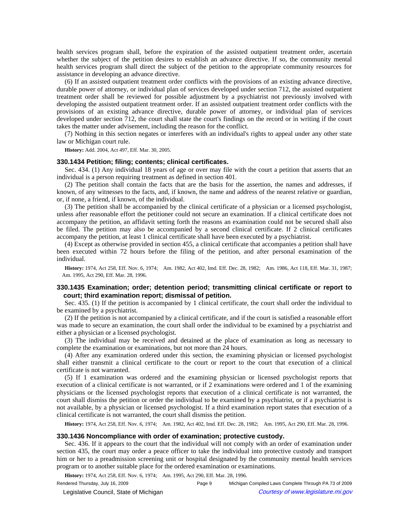health services program shall, before the expiration of the assisted outpatient treatment order, ascertain whether the subject of the petition desires to establish an advance directive. If so, the community mental health services program shall direct the subject of the petition to the appropriate community resources for assistance in developing an advance directive.

(6) If an assisted outpatient treatment order conflicts with the provisions of an existing advance directive, durable power of attorney, or individual plan of services developed under section 712, the assisted outpatient treatment order shall be reviewed for possible adjustment by a psychiatrist not previously involved with developing the assisted outpatient treatment order. If an assisted outpatient treatment order conflicts with the provisions of an existing advance directive, durable power of attorney, or individual plan of services developed under section 712, the court shall state the court's findings on the record or in writing if the court takes the matter under advisement, including the reason for the conflict.

(7) Nothing in this section negates or interferes with an individual's rights to appeal under any other state law or Michigan court rule.

**History:** Add. 2004, Act 497, Eff. Mar. 30, 2005.

#### **330.1434 Petition; filing; contents; clinical certificates.**

Sec. 434. (1) Any individual 18 years of age or over may file with the court a petition that asserts that an individual is a person requiring treatment as defined in section 401.

(2) The petition shall contain the facts that are the basis for the assertion, the names and addresses, if known, of any witnesses to the facts, and, if known, the name and address of the nearest relative or guardian, or, if none, a friend, if known, of the individual.

(3) The petition shall be accompanied by the clinical certificate of a physician or a licensed psychologist, unless after reasonable effort the petitioner could not secure an examination. If a clinical certificate does not accompany the petition, an affidavit setting forth the reasons an examination could not be secured shall also be filed. The petition may also be accompanied by a second clinical certificate. If 2 clinical certificates accompany the petition, at least 1 clinical certificate shall have been executed by a psychiatrist.

(4) Except as otherwise provided in section 455, a clinical certificate that accompanies a petition shall have been executed within 72 hours before the filing of the petition, and after personal examination of the individual.

History: 1974, Act 258, Eff. Nov. 6, 1974;—Am. 1982, Act 402, Imd. Eff. Dec. 28, 1982;—Am. 1986, Act 118, Eff. Mar. 31, 1987; Am. 1995, Act 290, Eff. Mar. 28, 1996.

## **330.1435 Examination; order; detention period; transmitting clinical certificate or report to court; third examination report; dismissal of petition.**

Sec. 435. (1) If the petition is accompanied by 1 clinical certificate, the court shall order the individual to be examined by a psychiatrist.

(2) If the petition is not accompanied by a clinical certificate, and if the court is satisfied a reasonable effort was made to secure an examination, the court shall order the individual to be examined by a psychiatrist and either a physician or a licensed psychologist.

(3) The individual may be received and detained at the place of examination as long as necessary to complete the examination or examinations, but not more than 24 hours.

(4) After any examination ordered under this section, the examining physician or licensed psychologist shall either transmit a clinical certificate to the court or report to the court that execution of a clinical certificate is not warranted.

(5) If 1 examination was ordered and the examining physician or licensed psychologist reports that execution of a clinical certificate is not warranted, or if 2 examinations were ordered and 1 of the examining physicians or the licensed psychologist reports that execution of a clinical certificate is not warranted, the court shall dismiss the petition or order the individual to be examined by a psychiatrist, or if a psychiatrist is not available, by a physician or licensed psychologist. If a third examination report states that execution of a clinical certificate is not warranted, the court shall dismiss the petition.

History: 1974, Act 258, Eff. Nov. 6, 1974;—Am. 1982, Act 402, Imd. Eff. Dec. 28, 1982;—Am. 1995, Act 290, Eff. Mar. 28, 1996.

## **330.1436 Noncompliance with order of examination; protective custody.**

Sec. 436. If it appears to the court that the individual will not comply with an order of examination under section 435, the court may order a peace officer to take the individual into protective custody and transport him or her to a preadmission screening unit or hospital designated by the community mental health services program or to another suitable place for the ordered examination or examinations.

History: 1974, Act 258, Eff. Nov. 6, 1974;-- Am. 1995, Act 290, Eff. Mar. 28, 1996.

Rendered Thursday, July 16, 2009 **Page 9** Michigan Compiled Laws Complete Through PA 73 of 2009 © Legislative Council, State of Michigan Council Courtesy of www.legislature.mi.gov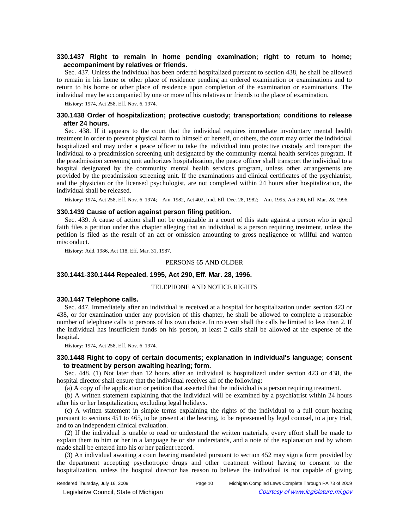# **330.1437 Right to remain in home pending examination; right to return to home; accompaniment by relatives or friends.**

Sec. 437. Unless the individual has been ordered hospitalized pursuant to section 438, he shall be allowed to remain in his home or other place of residence pending an ordered examination or examinations and to return to his home or other place of residence upon completion of the examination or examinations. The individual may be accompanied by one or more of his relatives or friends to the place of examination.

**History:** 1974, Act 258, Eff. Nov. 6, 1974.

# **330.1438 Order of hospitalization; protective custody; transportation; conditions to release after 24 hours.**

Sec. 438. If it appears to the court that the individual requires immediate involuntary mental health treatment in order to prevent physical harm to himself or herself, or others, the court may order the individual hospitalized and may order a peace officer to take the individual into protective custody and transport the individual to a preadmission screening unit designated by the community mental health services program. If the preadmission screening unit authorizes hospitalization, the peace officer shall transport the individual to a hospital designated by the community mental health services program, unless other arrangements are provided by the preadmission screening unit. If the examinations and clinical certificates of the psychiatrist, and the physician or the licensed psychologist, are not completed within 24 hours after hospitalization, the individual shall be released.

History: 1974, Act 258, Eff. Nov. 6, 1974;—Am. 1982, Act 402, Imd. Eff. Dec. 28, 1982;—Am. 1995, Act 290, Eff. Mar. 28, 1996.

#### **330.1439 Cause of action against person filing petition.**

Sec. 439. A cause of action shall not be cognizable in a court of this state against a person who in good faith files a petition under this chapter alleging that an individual is a person requiring treatment, unless the petition is filed as the result of an act or omission amounting to gross negligence or willful and wanton misconduct.

**History:** Add. 1986, Act 118, Eff. Mar. 31, 1987.

#### PERSONS 65 AND OLDER

## **330.1441-330.1444 Repealed. 1995, Act 290, Eff. Mar. 28, 1996.**

### TELEPHONE AND NOTICE RIGHTS

### **330.1447 Telephone calls.**

Sec. 447. Immediately after an individual is received at a hospital for hospitalization under section 423 or 438, or for examination under any provision of this chapter, he shall be allowed to complete a reasonable number of telephone calls to persons of his own choice. In no event shall the calls be limited to less than 2. If the individual has insufficient funds on his person, at least 2 calls shall be allowed at the expense of the hospital.

**History:** 1974, Act 258, Eff. Nov. 6, 1974.

## **330.1448 Right to copy of certain documents; explanation in individual's language; consent to treatment by person awaiting hearing; form.**

Sec. 448. (1) Not later than 12 hours after an individual is hospitalized under section 423 or 438, the hospital director shall ensure that the individual receives all of the following:

(a) A copy of the application or petition that asserted that the individual is a person requiring treatment.

(b) A written statement explaining that the individual will be examined by a psychiatrist within 24 hours after his or her hospitalization, excluding legal holidays.

(c) A written statement in simple terms explaining the rights of the individual to a full court hearing pursuant to sections 451 to 465, to be present at the hearing, to be represented by legal counsel, to a jury trial, and to an independent clinical evaluation.

(2) If the individual is unable to read or understand the written materials, every effort shall be made to explain them to him or her in a language he or she understands, and a note of the explanation and by whom made shall be entered into his or her patient record.

(3) An individual awaiting a court hearing mandated pursuant to section 452 may sign a form provided by the department accepting psychotropic drugs and other treatment without having to consent to the hospitalization, unless the hospital director has reason to believe the individual is not capable of giving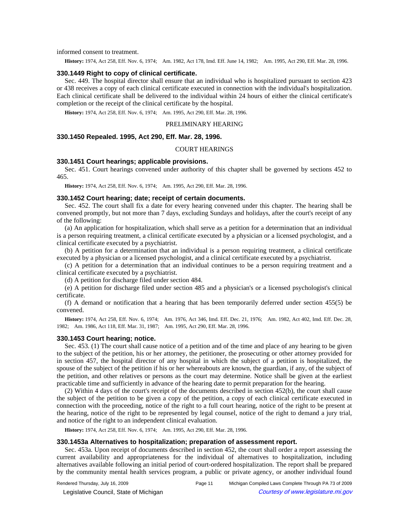informed consent to treatment.

History: 1974, Act 258, Eff. Nov. 6, 1974;—Am. 1982, Act 178, Imd. Eff. June 14, 1982;—Am. 1995, Act 290, Eff. Mar. 28, 1996.

### **330.1449 Right to copy of clinical certificate.**

Sec. 449. The hospital director shall ensure that an individual who is hospitalized pursuant to section 423 or 438 receives a copy of each clinical certificate executed in connection with the individual's hospitalization. Each clinical certificate shall be delivered to the individual within 24 hours of either the clinical certificate's completion or the receipt of the clinical certificate by the hospital.

**History:** 1974, Act 258, Eff. Nov. 6, 1974;-- Am. 1995, Act 290, Eff. Mar. 28, 1996.

## PRELIMINARY HEARING

### **330.1450 Repealed. 1995, Act 290, Eff. Mar. 28, 1996.**

#### COURT HEARINGS

## **330.1451 Court hearings; applicable provisions.**

Sec. 451. Court hearings convened under authority of this chapter shall be governed by sections 452 to 465.

History: 1974, Act 258, Eff. Nov. 6, 1974;-- Am. 1995, Act 290, Eff. Mar. 28, 1996.

#### **330.1452 Court hearing; date; receipt of certain documents.**

Sec. 452. The court shall fix a date for every hearing convened under this chapter. The hearing shall be convened promptly, but not more than 7 days, excluding Sundays and holidays, after the court's receipt of any of the following:

(a) An application for hospitalization, which shall serve as a petition for a determination that an individual is a person requiring treatment, a clinical certificate executed by a physician or a licensed psychologist, and a clinical certificate executed by a psychiatrist.

(b) A petition for a determination that an individual is a person requiring treatment, a clinical certificate executed by a physician or a licensed psychologist, and a clinical certificate executed by a psychiatrist.

(c) A petition for a determination that an individual continues to be a person requiring treatment and a clinical certificate executed by a psychiatrist.

(d) A petition for discharge filed under section 484.

(e) A petition for discharge filed under section 485 and a physician's or a licensed psychologist's clinical certificate.

(f) A demand or notification that a hearing that has been temporarily deferred under section 455(5) be convened.

History: 1974, Act 258, Eff. Nov. 6, 1974;—Am. 1976, Act 346, Imd. Eff. Dec. 21, 1976;—Am. 1982, Act 402, Imd. Eff. Dec. 28, 1982; Am. 1986, Act 118, Eff. Mar. 31, 1987; Am. 1995, Act 290, Eff. Mar. 28, 1996.

### **330.1453 Court hearing; notice.**

Sec. 453. (1) The court shall cause notice of a petition and of the time and place of any hearing to be given to the subject of the petition, his or her attorney, the petitioner, the prosecuting or other attorney provided for in section 457, the hospital director of any hospital in which the subject of a petition is hospitalized, the spouse of the subject of the petition if his or her whereabouts are known, the guardian, if any, of the subject of the petition, and other relatives or persons as the court may determine. Notice shall be given at the earliest practicable time and sufficiently in advance of the hearing date to permit preparation for the hearing.

(2) Within 4 days of the court's receipt of the documents described in section 452(b), the court shall cause the subject of the petition to be given a copy of the petition, a copy of each clinical certificate executed in connection with the proceeding, notice of the right to a full court hearing, notice of the right to be present at the hearing, notice of the right to be represented by legal counsel, notice of the right to demand a jury trial, and notice of the right to an independent clinical evaluation.

History: 1974, Act 258, Eff. Nov. 6, 1974;-- Am. 1995, Act 290, Eff. Mar. 28, 1996.

### **330.1453a Alternatives to hospitalization; preparation of assessment report.**

Sec. 453a. Upon receipt of documents described in section 452, the court shall order a report assessing the current availability and appropriateness for the individual of alternatives to hospitalization, including alternatives available following an initial period of court-ordered hospitalization. The report shall be prepared by the community mental health services program, a public or private agency, or another individual found

© Legislative Council, State of Michigan Council Courtesy of www.legislature.mi.gov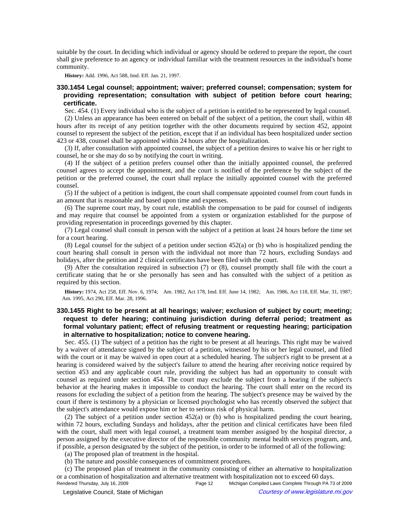suitable by the court. In deciding which individual or agency should be ordered to prepare the report, the court shall give preference to an agency or individual familiar with the treatment resources in the individual's home community.

**History:** Add. 1996, Act 588, Imd. Eff. Jan. 21, 1997.

# **330.1454 Legal counsel; appointment; waiver; preferred counsel; compensation; system for providing representation; consultation with subject of petition before court hearing; certificate.**

Sec. 454. (1) Every individual who is the subject of a petition is entitled to be represented by legal counsel.

(2) Unless an appearance has been entered on behalf of the subject of a petition, the court shall, within 48 hours after its receipt of any petition together with the other documents required by section 452, appoint counsel to represent the subject of the petition, except that if an individual has been hospitalized under section 423 or 438, counsel shall be appointed within 24 hours after the hospitalization.

(3) If, after consultation with appointed counsel, the subject of a petition desires to waive his or her right to counsel, he or she may do so by notifying the court in writing.

(4) If the subject of a petition prefers counsel other than the initially appointed counsel, the preferred counsel agrees to accept the appointment, and the court is notified of the preference by the subject of the petition or the preferred counsel, the court shall replace the initially appointed counsel with the preferred counsel.

(5) If the subject of a petition is indigent, the court shall compensate appointed counsel from court funds in an amount that is reasonable and based upon time and expenses.

(6) The supreme court may, by court rule, establish the compensation to be paid for counsel of indigents and may require that counsel be appointed from a system or organization established for the purpose of providing representation in proceedings governed by this chapter.

(7) Legal counsel shall consult in person with the subject of a petition at least 24 hours before the time set for a court hearing.

(8) Legal counsel for the subject of a petition under section 452(a) or (b) who is hospitalized pending the court hearing shall consult in person with the individual not more than 72 hours, excluding Sundays and holidays, after the petition and 2 clinical certificates have been filed with the court.

(9) After the consultation required in subsection (7) or (8), counsel promptly shall file with the court a certificate stating that he or she personally has seen and has consulted with the subject of a petition as required by this section.

History: 1974, Act 258, Eff. Nov. 6, 1974;—Am. 1982, Act 178, Imd. Eff. June 14, 1982;—Am. 1986, Act 118, Eff. Mar. 31, 1987; Am. 1995, Act 290, Eff. Mar. 28, 1996.

# **330.1455 Right to be present at all hearings; waiver; exclusion of subject by court; meeting; request to defer hearing; continuing jurisdiction during deferral period; treatment as formal voluntary patient; effect of refusing treatment or requesting hearing; participation in alternative to hospitalization; notice to convene hearing.**

Sec. 455. (1) The subject of a petition has the right to be present at all hearings. This right may be waived by a waiver of attendance signed by the subject of a petition, witnessed by his or her legal counsel, and filed with the court or it may be waived in open court at a scheduled hearing. The subject's right to be present at a hearing is considered waived by the subject's failure to attend the hearing after receiving notice required by section 453 and any applicable court rule, providing the subject has had an opportunity to consult with counsel as required under section 454. The court may exclude the subject from a hearing if the subject's behavior at the hearing makes it impossible to conduct the hearing. The court shall enter on the record its reasons for excluding the subject of a petition from the hearing. The subject's presence may be waived by the court if there is testimony by a physician or licensed psychologist who has recently observed the subject that the subject's attendance would expose him or her to serious risk of physical harm.

(2) The subject of a petition under section 452(a) or (b) who is hospitalized pending the court hearing, within 72 hours, excluding Sundays and holidays, after the petition and clinical certificates have been filed with the court, shall meet with legal counsel, a treatment team member assigned by the hospital director, a person assigned by the executive director of the responsible community mental health services program, and, if possible, a person designated by the subject of the petition, in order to be informed of all of the following:

(a) The proposed plan of treatment in the hospital.

(b) The nature and possible consequences of commitment procedures.

(c) The proposed plan of treatment in the community consisting of either an alternative to hospitalization or a combination of hospitalization and alternative treatment with hospitalization not to exceed 60 days.

Rendered Thursday, July 16, 2009 **Page 12** Page 12 Michigan Compiled Laws Complete Through PA 73 of 2009 © Legislative Council, State of Michigan Council Courtesy of www.legislature.mi.gov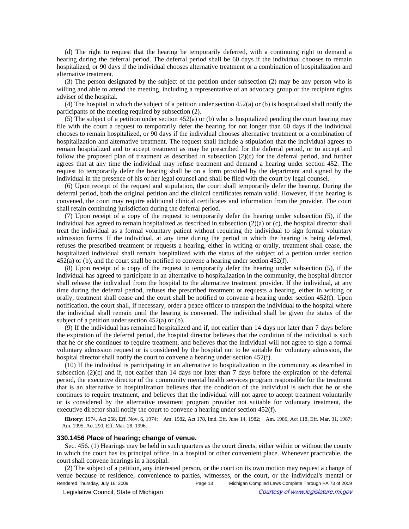(d) The right to request that the hearing be temporarily deferred, with a continuing right to demand a hearing during the deferral period. The deferral period shall be 60 days if the individual chooses to remain hospitalized, or 90 days if the individual chooses alternative treatment or a combination of hospitalization and alternative treatment.

(3) The person designated by the subject of the petition under subsection (2) may be any person who is willing and able to attend the meeting, including a representative of an advocacy group or the recipient rights adviser of the hospital.

(4) The hospital in which the subject of a petition under section 452(a) or (b) is hospitalized shall notify the participants of the meeting required by subsection (2).

(5) The subject of a petition under section  $452(a)$  or (b) who is hospitalized pending the court hearing may file with the court a request to temporarily defer the hearing for not longer than 60 days if the individual chooses to remain hospitalized, or 90 days if the individual chooses alternative treatment or a combination of hospitalization and alternative treatment. The request shall include a stipulation that the individual agrees to remain hospitalized and to accept treatment as may be prescribed for the deferral period, or to accept and follow the proposed plan of treatment as described in subsection (2)(c) for the deferral period, and further agrees that at any time the individual may refuse treatment and demand a hearing under section 452. The request to temporarily defer the hearing shall be on a form provided by the department and signed by the individual in the presence of his or her legal counsel and shall be filed with the court by legal counsel.

(6) Upon receipt of the request and stipulation, the court shall temporarily defer the hearing. During the deferral period, both the original petition and the clinical certificates remain valid. However, if the hearing is convened, the court may require additional clinical certificates and information from the provider. The court shall retain continuing jurisdiction during the deferral period.

(7) Upon receipt of a copy of the request to temporarily defer the hearing under subsection (5), if the individual has agreed to remain hospitalized as described in subsection (2)(a) or (c), the hospital director shall treat the individual as a formal voluntary patient without requiring the individual to sign formal voluntary admission forms. If the individual, at any time during the period in which the hearing is being deferred, refuses the prescribed treatment or requests a hearing, either in writing or orally, treatment shall cease, the hospitalized individual shall remain hospitalized with the status of the subject of a petition under section 452(a) or (b), and the court shall be notified to convene a hearing under section 452(f).

(8) Upon receipt of a copy of the request to temporarily defer the hearing under subsection (5), if the individual has agreed to participate in an alternative to hospitalization in the community, the hospital director shall release the individual from the hospital to the alternative treatment provider. If the individual, at any time during the deferral period, refuses the prescribed treatment or requests a hearing, either in writing or orally, treatment shall cease and the court shall be notified to convene a hearing under section 452(f). Upon notification, the court shall, if necessary, order a peace officer to transport the individual to the hospital where the individual shall remain until the hearing is convened. The individual shall be given the status of the subject of a petition under section 452(a) or (b).

(9) If the individual has remained hospitalized and if, not earlier than 14 days nor later than 7 days before the expiration of the deferral period, the hospital director believes that the condition of the individual is such that he or she continues to require treatment, and believes that the individual will not agree to sign a formal voluntary admission request or is considered by the hospital not to be suitable for voluntary admission, the hospital director shall notify the court to convene a hearing under section 452(f).

(10) If the individual is participating in an alternative to hospitalization in the community as described in subsection (2)(c) and if, not earlier than 14 days nor later than 7 days before the expiration of the deferral period, the executive director of the community mental health services program responsible for the treatment that is an alternative to hospitalization believes that the condition of the individual is such that he or she continues to require treatment, and believes that the individual will not agree to accept treatment voluntarily or is considered by the alternative treatment program provider not suitable for voluntary treatment, the executive director shall notify the court to convene a hearing under section 452(f).

History: 1974, Act 258, Eff. Nov. 6, 1974;
-- Am. 1982, Act 178, Imd. Eff. June 14, 1982;
-- Am. 1986, Act 118, Eff. Mar. 31, 1987; Am. 1995, Act 290, Eff. Mar. 28, 1996.

#### **330.1456 Place of hearing; change of venue.**

Sec. 456. (1) Hearings may be held in such quarters as the court directs; either within or without the county in which the court has its principal office, in a hospital or other convenient place. Whenever practicable, the court shall convene hearings in a hospital.

(2) The subject of a petition, any interested person, or the court on its own motion may request a change of venue because of residence, convenience to parties, witnesses, or the court, or the individual's mental or Rendered Thursday, July 16, 2009 **Page 13** Page 13 Michigan Compiled Laws Complete Through PA 73 of 2009

© Legislative Council, State of Michigan Council Courtesy of www.legislature.mi.gov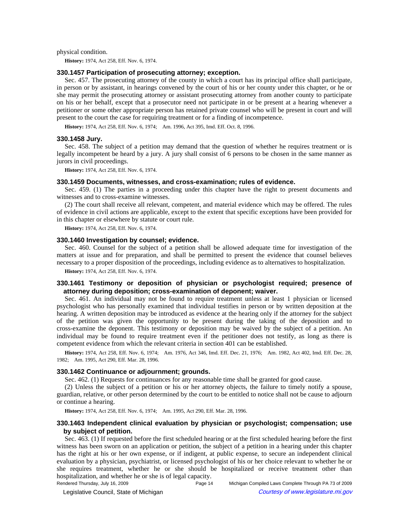physical condition.

**History:** 1974, Act 258, Eff. Nov. 6, 1974.

### **330.1457 Participation of prosecuting attorney; exception.**

Sec. 457. The prosecuting attorney of the county in which a court has its principal office shall participate, in person or by assistant, in hearings convened by the court of his or her county under this chapter, or he or she may permit the prosecuting attorney or assistant prosecuting attorney from another county to participate on his or her behalf, except that a prosecutor need not participate in or be present at a hearing whenever a petitioner or some other appropriate person has retained private counsel who will be present in court and will present to the court the case for requiring treatment or for a finding of incompetence.

**History:** 1974, Act 258, Eff. Nov. 6, 1974;—Am. 1996, Act 395, Imd. Eff. Oct. 8, 1996.

### **330.1458 Jury.**

Sec. 458. The subject of a petition may demand that the question of whether he requires treatment or is legally incompetent be heard by a jury. A jury shall consist of 6 persons to be chosen in the same manner as jurors in civil proceedings.

**History:** 1974, Act 258, Eff. Nov. 6, 1974.

#### **330.1459 Documents, witnesses, and cross-examination; rules of evidence.**

Sec. 459. (1) The parties in a proceeding under this chapter have the right to present documents and witnesses and to cross-examine witnesses.

(2) The court shall receive all relevant, competent, and material evidence which may be offered. The rules of evidence in civil actions are applicable, except to the extent that specific exceptions have been provided for in this chapter or elsewhere by statute or court rule.

**History:** 1974, Act 258, Eff. Nov. 6, 1974.

### **330.1460 Investigation by counsel; evidence.**

Sec. 460. Counsel for the subject of a petition shall be allowed adequate time for investigation of the matters at issue and for preparation, and shall be permitted to present the evidence that counsel believes necessary to a proper disposition of the proceedings, including evidence as to alternatives to hospitalization.

**History:** 1974, Act 258, Eff. Nov. 6, 1974.

# **330.1461 Testimony or deposition of physician or psychologist required; presence of attorney during deposition; cross-examination of deponent; waiver.**

Sec. 461. An individual may not be found to require treatment unless at least 1 physician or licensed psychologist who has personally examined that individual testifies in person or by written deposition at the hearing. A written deposition may be introduced as evidence at the hearing only if the attorney for the subject of the petition was given the opportunity to be present during the taking of the deposition and to cross-examine the deponent. This testimony or deposition may be waived by the subject of a petition. An individual may be found to require treatment even if the petitioner does not testify, as long as there is competent evidence from which the relevant criteria in section 401 can be established.

History: 1974, Act 258, Eff. Nov. 6, 1974;—Am. 1976, Act 346, Imd. Eff. Dec. 21, 1976;—Am. 1982, Act 402, Imd. Eff. Dec. 28, 1982; Am. 1995, Act 290, Eff. Mar. 28, 1996.

#### **330.1462 Continuance or adjournment; grounds.**

Sec. 462. (1) Requests for continuances for any reasonable time shall be granted for good cause.

(2) Unless the subject of a petition or his or her attorney objects, the failure to timely notify a spouse, guardian, relative, or other person determined by the court to be entitled to notice shall not be cause to adjourn or continue a hearing.

**History:** 1974, Act 258, Eff. Nov. 6, 1974;-- Am. 1995, Act 290, Eff. Mar. 28, 1996.

## **330.1463 Independent clinical evaluation by physician or psychologist; compensation; use by subject of petition.**

Sec. 463. (1) If requested before the first scheduled hearing or at the first scheduled hearing before the first witness has been sworn on an application or petition, the subject of a petition in a hearing under this chapter has the right at his or her own expense, or if indigent, at public expense, to secure an independent clinical evaluation by a physician, psychiatrist, or licensed psychologist of his or her choice relevant to whether he or she requires treatment, whether he or she should be hospitalized or receive treatment other than hospitalization, and whether he or she is of legal capacity.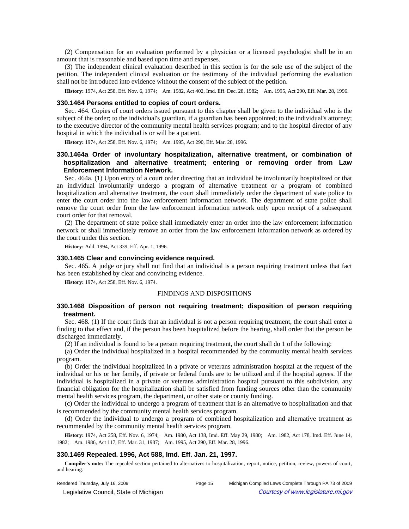(2) Compensation for an evaluation performed by a physician or a licensed psychologist shall be in an amount that is reasonable and based upon time and expenses.

(3) The independent clinical evaluation described in this section is for the sole use of the subject of the petition. The independent clinical evaluation or the testimony of the individual performing the evaluation shall not be introduced into evidence without the consent of the subject of the petition.

History: 1974, Act 258, Eff. Nov. 6, 1974;—Am. 1982, Act 402, Imd. Eff. Dec. 28, 1982;—Am. 1995, Act 290, Eff. Mar. 28, 1996.

## **330.1464 Persons entitled to copies of court orders.**

Sec. 464. Copies of court orders issued pursuant to this chapter shall be given to the individual who is the subject of the order; to the individual's guardian, if a guardian has been appointed; to the individual's attorney; to the executive director of the community mental health services program; and to the hospital director of any hospital in which the individual is or will be a patient.

History: 1974, Act 258, Eff. Nov. 6, 1974;-- Am. 1995, Act 290, Eff. Mar. 28, 1996.

# **330.1464a Order of involuntary hospitalization, alternative treatment, or combination of hospitalization and alternative treatment; entering or removing order from Law Enforcement Information Network.**

Sec. 464a. (1) Upon entry of a court order directing that an individual be involuntarily hospitalized or that an individual involuntarily undergo a program of alternative treatment or a program of combined hospitalization and alternative treatment, the court shall immediately order the department of state police to enter the court order into the law enforcement information network. The department of state police shall remove the court order from the law enforcement information network only upon receipt of a subsequent court order for that removal.

(2) The department of state police shall immediately enter an order into the law enforcement information network or shall immediately remove an order from the law enforcement information network as ordered by the court under this section.

**History:** Add. 1994, Act 339, Eff. Apr. 1, 1996.

## **330.1465 Clear and convincing evidence required.**

Sec. 465. A judge or jury shall not find that an individual is a person requiring treatment unless that fact has been established by clear and convincing evidence.

**History:** 1974, Act 258, Eff. Nov. 6, 1974.

## FINDINGS AND DISPOSITIONS

## **330.1468 Disposition of person not requiring treatment; disposition of person requiring treatment.**

Sec. 468. (1) If the court finds that an individual is not a person requiring treatment, the court shall enter a finding to that effect and, if the person has been hospitalized before the hearing, shall order that the person be discharged immediately.

(2) If an individual is found to be a person requiring treatment, the court shall do 1 of the following:

(a) Order the individual hospitalized in a hospital recommended by the community mental health services program.

(b) Order the individual hospitalized in a private or veterans administration hospital at the request of the individual or his or her family, if private or federal funds are to be utilized and if the hospital agrees. If the individual is hospitalized in a private or veterans administration hospital pursuant to this subdivision, any financial obligation for the hospitalization shall be satisfied from funding sources other than the community mental health services program, the department, or other state or county funding.

(c) Order the individual to undergo a program of treatment that is an alternative to hospitalization and that is recommended by the community mental health services program.

(d) Order the individual to undergo a program of combined hospitalization and alternative treatment as recommended by the community mental health services program.

History: 1974, Act 258, Eff. Nov. 6, 1974;—Am. 1980, Act 138, Imd. Eff. May 29, 1980;—Am. 1982, Act 178, Imd. Eff. June 14, 1982;—Am. 1986, Act 117, Eff. Mar. 31, 1987;—Am. 1995, Act 290, Eff. Mar. 28, 1996.

#### **330.1469 Repealed. 1996, Act 588, Imd. Eff. Jan. 21, 1997.**

**Compiler's note:** The repealed section pertained to alternatives to hospitalization, report, notice, petition, review, powers of court, and hearing.

© Legislative Council, State of Michigan Council Courtesy of www.legislature.mi.gov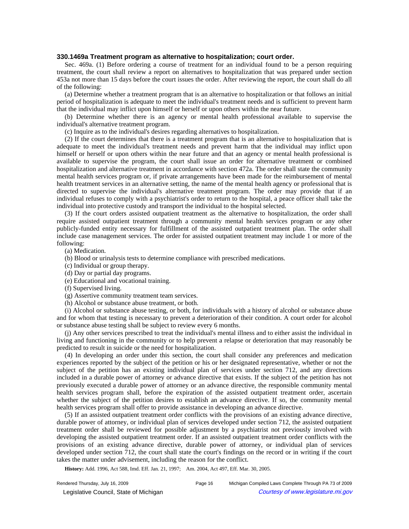### **330.1469a Treatment program as alternative to hospitalization; court order.**

Sec. 469a. (1) Before ordering a course of treatment for an individual found to be a person requiring treatment, the court shall review a report on alternatives to hospitalization that was prepared under section 453a not more than 15 days before the court issues the order. After reviewing the report, the court shall do all of the following:

(a) Determine whether a treatment program that is an alternative to hospitalization or that follows an initial period of hospitalization is adequate to meet the individual's treatment needs and is sufficient to prevent harm that the individual may inflict upon himself or herself or upon others within the near future.

(b) Determine whether there is an agency or mental health professional available to supervise the individual's alternative treatment program.

(c) Inquire as to the individual's desires regarding alternatives to hospitalization.

(2) If the court determines that there is a treatment program that is an alternative to hospitalization that is adequate to meet the individual's treatment needs and prevent harm that the individual may inflict upon himself or herself or upon others within the near future and that an agency or mental health professional is available to supervise the program, the court shall issue an order for alternative treatment or combined hospitalization and alternative treatment in accordance with section 472a. The order shall state the community mental health services program or, if private arrangements have been made for the reimbursement of mental health treatment services in an alternative setting, the name of the mental health agency or professional that is directed to supervise the individual's alternative treatment program. The order may provide that if an individual refuses to comply with a psychiatrist's order to return to the hospital, a peace officer shall take the individual into protective custody and transport the individual to the hospital selected.

(3) If the court orders assisted outpatient treatment as the alternative to hospitalization, the order shall require assisted outpatient treatment through a community mental health services program or any other publicly-funded entity necessary for fulfillment of the assisted outpatient treatment plan. The order shall include case management services. The order for assisted outpatient treatment may include 1 or more of the following:

(a) Medication.

- (b) Blood or urinalysis tests to determine compliance with prescribed medications.
- (c) Individual or group therapy.
- (d) Day or partial day programs.
- (e) Educational and vocational training.
- (f) Supervised living.
- (g) Assertive community treatment team services.
- (h) Alcohol or substance abuse treatment, or both.

(i) Alcohol or substance abuse testing, or both, for individuals with a history of alcohol or substance abuse and for whom that testing is necessary to prevent a deterioration of their condition. A court order for alcohol or substance abuse testing shall be subject to review every 6 months.

(j) Any other services prescribed to treat the individual's mental illness and to either assist the individual in living and functioning in the community or to help prevent a relapse or deterioration that may reasonably be predicted to result in suicide or the need for hospitalization.

(4) In developing an order under this section, the court shall consider any preferences and medication experiences reported by the subject of the petition or his or her designated representative, whether or not the subject of the petition has an existing individual plan of services under section 712, and any directions included in a durable power of attorney or advance directive that exists. If the subject of the petition has not previously executed a durable power of attorney or an advance directive, the responsible community mental health services program shall, before the expiration of the assisted outpatient treatment order, ascertain whether the subject of the petition desires to establish an advance directive. If so, the community mental health services program shall offer to provide assistance in developing an advance directive.

(5) If an assisted outpatient treatment order conflicts with the provisions of an existing advance directive, durable power of attorney, or individual plan of services developed under section 712, the assisted outpatient treatment order shall be reviewed for possible adjustment by a psychiatrist not previously involved with developing the assisted outpatient treatment order. If an assisted outpatient treatment order conflicts with the provisions of an existing advance directive, durable power of attorney, or individual plan of services developed under section 712, the court shall state the court's findings on the record or in writing if the court takes the matter under advisement, including the reason for the conflict.

History: Add. 1996, Act 588, Imd. Eff. Jan. 21, 1997;-- Am. 2004, Act 497, Eff. Mar. 30, 2005.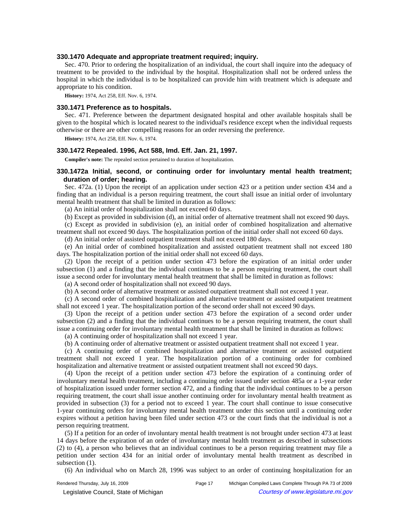#### **330.1470 Adequate and appropriate treatment required; inquiry.**

Sec. 470. Prior to ordering the hospitalization of an individual, the court shall inquire into the adequacy of treatment to be provided to the individual by the hospital. Hospitalization shall not be ordered unless the hospital in which the individual is to be hospitalized can provide him with treatment which is adequate and appropriate to his condition.

**History:** 1974, Act 258, Eff. Nov. 6, 1974.

### **330.1471 Preference as to hospitals.**

Sec. 471. Preference between the department designated hospital and other available hospitals shall be given to the hospital which is located nearest to the individual's residence except when the individual requests otherwise or there are other compelling reasons for an order reversing the preference.

**History:** 1974, Act 258, Eff. Nov. 6, 1974.

## **330.1472 Repealed. 1996, Act 588, Imd. Eff. Jan. 21, 1997.**

**Compiler's note:** The repealed section pertained to duration of hospitalization.

## **330.1472a Initial, second, or continuing order for involuntary mental health treatment; duration of order; hearing.**

Sec. 472a. (1) Upon the receipt of an application under section 423 or a petition under section 434 and a finding that an individual is a person requiring treatment, the court shall issue an initial order of involuntary mental health treatment that shall be limited in duration as follows:

(a) An initial order of hospitalization shall not exceed 60 days.

(b) Except as provided in subdivision (d), an initial order of alternative treatment shall not exceed 90 days.

(c) Except as provided in subdivision (e), an initial order of combined hospitalization and alternative treatment shall not exceed 90 days. The hospitalization portion of the initial order shall not exceed 60 days.

(d) An initial order of assisted outpatient treatment shall not exceed 180 days.

(e) An initial order of combined hospitalization and assisted outpatient treatment shall not exceed 180 days. The hospitalization portion of the initial order shall not exceed 60 days.

(2) Upon the receipt of a petition under section 473 before the expiration of an initial order under subsection (1) and a finding that the individual continues to be a person requiring treatment, the court shall issue a second order for involuntary mental health treatment that shall be limited in duration as follows:

(a) A second order of hospitalization shall not exceed 90 days.

(b) A second order of alternative treatment or assisted outpatient treatment shall not exceed 1 year.

(c) A second order of combined hospitalization and alternative treatment or assisted outpatient treatment shall not exceed 1 year. The hospitalization portion of the second order shall not exceed 90 days.

(3) Upon the receipt of a petition under section 473 before the expiration of a second order under subsection (2) and a finding that the individual continues to be a person requiring treatment, the court shall issue a continuing order for involuntary mental health treatment that shall be limited in duration as follows:

(a) A continuing order of hospitalization shall not exceed 1 year.

(b) A continuing order of alternative treatment or assisted outpatient treatment shall not exceed 1 year.

(c) A continuing order of combined hospitalization and alternative treatment or assisted outpatient treatment shall not exceed 1 year. The hospitalization portion of a continuing order for combined hospitalization and alternative treatment or assisted outpatient treatment shall not exceed 90 days.

(4) Upon the receipt of a petition under section 473 before the expiration of a continuing order of involuntary mental health treatment, including a continuing order issued under section 485a or a 1-year order of hospitalization issued under former section 472, and a finding that the individual continues to be a person requiring treatment, the court shall issue another continuing order for involuntary mental health treatment as provided in subsection (3) for a period not to exceed 1 year. The court shall continue to issue consecutive 1-year continuing orders for involuntary mental health treatment under this section until a continuing order expires without a petition having been filed under section 473 or the court finds that the individual is not a person requiring treatment.

(5) If a petition for an order of involuntary mental health treatment is not brought under section 473 at least 14 days before the expiration of an order of involuntary mental health treatment as described in subsections (2) to (4), a person who believes that an individual continues to be a person requiring treatment may file a petition under section 434 for an initial order of involuntary mental health treatment as described in subsection  $(1)$ .

(6) An individual who on March 28, 1996 was subject to an order of continuing hospitalization for an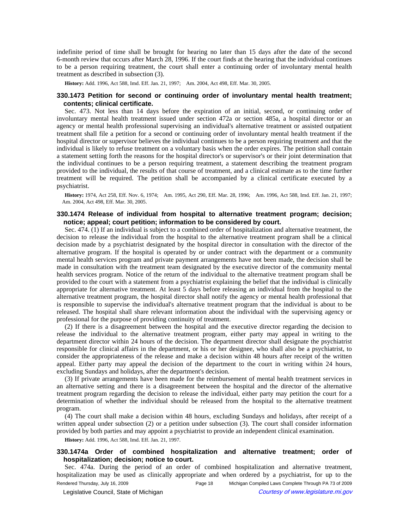indefinite period of time shall be brought for hearing no later than 15 days after the date of the second 6-month review that occurs after March 28, 1996. If the court finds at the hearing that the individual continues to be a person requiring treatment, the court shall enter a continuing order of involuntary mental health treatment as described in subsection (3).

History: Add. 1996, Act 588, Imd. Eff. Jan. 21, 1997;-- Am. 2004, Act 498, Eff. Mar. 30, 2005.

## **330.1473 Petition for second or continuing order of involuntary mental health treatment; contents; clinical certificate.**

Sec. 473. Not less than 14 days before the expiration of an initial, second, or continuing order of involuntary mental health treatment issued under section 472a or section 485a, a hospital director or an agency or mental health professional supervising an individual's alternative treatment or assisted outpatient treatment shall file a petition for a second or continuing order of involuntary mental health treatment if the hospital director or supervisor believes the individual continues to be a person requiring treatment and that the individual is likely to refuse treatment on a voluntary basis when the order expires. The petition shall contain a statement setting forth the reasons for the hospital director's or supervisor's or their joint determination that the individual continues to be a person requiring treatment, a statement describing the treatment program provided to the individual, the results of that course of treatment, and a clinical estimate as to the time further treatment will be required. The petition shall be accompanied by a clinical certificate executed by a psychiatrist.

History: 1974, Act 258, Eff. Nov. 6, 1974;-Am. 1995, Act 290, Eff. Mar. 28, 1996;-Am. 1996, Act 588, Imd. Eff. Jan. 21, 1997; Am. 2004, Act 498, Eff. Mar. 30, 2005.

# **330.1474 Release of individual from hospital to alternative treatment program; decision; notice; appeal; court petition; information to be considered by court.**

Sec. 474. (1) If an individual is subject to a combined order of hospitalization and alternative treatment, the decision to release the individual from the hospital to the alternative treatment program shall be a clinical decision made by a psychiatrist designated by the hospital director in consultation with the director of the alternative program. If the hospital is operated by or under contract with the department or a community mental health services program and private payment arrangements have not been made, the decision shall be made in consultation with the treatment team designated by the executive director of the community mental health services program. Notice of the return of the individual to the alternative treatment program shall be provided to the court with a statement from a psychiatrist explaining the belief that the individual is clinically appropriate for alternative treatment. At least 5 days before releasing an individual from the hospital to the alternative treatment program, the hospital director shall notify the agency or mental health professional that is responsible to supervise the individual's alternative treatment program that the individual is about to be released. The hospital shall share relevant information about the individual with the supervising agency or professional for the purpose of providing continuity of treatment.

(2) If there is a disagreement between the hospital and the executive director regarding the decision to release the individual to the alternative treatment program, either party may appeal in writing to the department director within 24 hours of the decision. The department director shall designate the psychiatrist responsible for clinical affairs in the department, or his or her designee, who shall also be a psychiatrist, to consider the appropriateness of the release and make a decision within 48 hours after receipt of the written appeal. Either party may appeal the decision of the department to the court in writing within 24 hours, excluding Sundays and holidays, after the department's decision.

(3) If private arrangements have been made for the reimbursement of mental health treatment services in an alternative setting and there is a disagreement between the hospital and the director of the alternative treatment program regarding the decision to release the individual, either party may petition the court for a determination of whether the individual should be released from the hospital to the alternative treatment program.

(4) The court shall make a decision within 48 hours, excluding Sundays and holidays, after receipt of a written appeal under subsection (2) or a petition under subsection (3). The court shall consider information provided by both parties and may appoint a psychiatrist to provide an independent clinical examination.

**History:** Add. 1996, Act 588, Imd. Eff. Jan. 21, 1997.

## **330.1474a Order of combined hospitalization and alternative treatment; order of hospitalization; decision; notice to court.**

Sec. 474a. During the period of an order of combined hospitalization and alternative treatment, hospitalization may be used as clinically appropriate and when ordered by a psychiatrist, for up to the Rendered Thursday, July 16, 2009 **Page 18** Page 18 Michigan Compiled Laws Complete Through PA 73 of 2009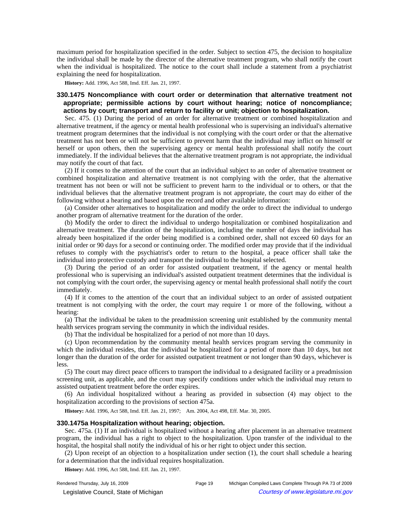maximum period for hospitalization specified in the order. Subject to section 475, the decision to hospitalize the individual shall be made by the director of the alternative treatment program, who shall notify the court when the individual is hospitalized. The notice to the court shall include a statement from a psychiatrist explaining the need for hospitalization.

**History:** Add. 1996, Act 588, Imd. Eff. Jan. 21, 1997.

# **330.1475 Noncompliance with court order or determination that alternative treatment not appropriate; permissible actions by court without hearing; notice of noncompliance; actions by court; transport and return to facility or unit; objection to hospitalization.**

Sec. 475. (1) During the period of an order for alternative treatment or combined hospitalization and alternative treatment, if the agency or mental health professional who is supervising an individual's alternative treatment program determines that the individual is not complying with the court order or that the alternative treatment has not been or will not be sufficient to prevent harm that the individual may inflict on himself or herself or upon others, then the supervising agency or mental health professional shall notify the court immediately. If the individual believes that the alternative treatment program is not appropriate, the individual may notify the court of that fact.

(2) If it comes to the attention of the court that an individual subject to an order of alternative treatment or combined hospitalization and alternative treatment is not complying with the order, that the alternative treatment has not been or will not be sufficient to prevent harm to the individual or to others, or that the individual believes that the alternative treatment program is not appropriate, the court may do either of the following without a hearing and based upon the record and other available information:

(a) Consider other alternatives to hospitalization and modify the order to direct the individual to undergo another program of alternative treatment for the duration of the order.

(b) Modify the order to direct the individual to undergo hospitalization or combined hospitalization and alternative treatment. The duration of the hospitalization, including the number of days the individual has already been hospitalized if the order being modified is a combined order, shall not exceed 60 days for an initial order or 90 days for a second or continuing order. The modified order may provide that if the individual refuses to comply with the psychiatrist's order to return to the hospital, a peace officer shall take the individual into protective custody and transport the individual to the hospital selected.

(3) During the period of an order for assisted outpatient treatment, if the agency or mental health professional who is supervising an individual's assisted outpatient treatment determines that the individual is not complying with the court order, the supervising agency or mental health professional shall notify the court immediately.

(4) If it comes to the attention of the court that an individual subject to an order of assisted outpatient treatment is not complying with the order, the court may require 1 or more of the following, without a hearing:

(a) That the individual be taken to the preadmission screening unit established by the community mental health services program serving the community in which the individual resides.

(b) That the individual be hospitalized for a period of not more than 10 days.

(c) Upon recommendation by the community mental health services program serving the community in which the individual resides, that the individual be hospitalized for a period of more than 10 days, but not longer than the duration of the order for assisted outpatient treatment or not longer than 90 days, whichever is less.

(5) The court may direct peace officers to transport the individual to a designated facility or a preadmission screening unit, as applicable, and the court may specify conditions under which the individual may return to assisted outpatient treatment before the order expires.

(6) An individual hospitalized without a hearing as provided in subsection (4) may object to the hospitalization according to the provisions of section 475a.

History: Add. 1996, Act 588, Imd. Eff. Jan. 21, 1997;-- Am. 2004, Act 498, Eff. Mar. 30, 2005.

### **330.1475a Hospitalization without hearing; objection.**

Sec. 475a. (1) If an individual is hospitalized without a hearing after placement in an alternative treatment program, the individual has a right to object to the hospitalization. Upon transfer of the individual to the hospital, the hospital shall notify the individual of his or her right to object under this section.

(2) Upon receipt of an objection to a hospitalization under section (1), the court shall schedule a hearing for a determination that the individual requires hospitalization.

**History:** Add. 1996, Act 588, Imd. Eff. Jan. 21, 1997.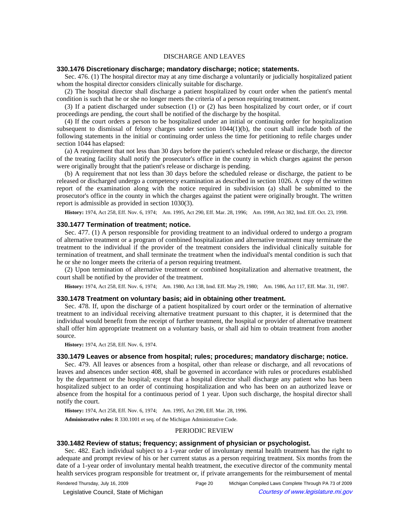### DISCHARGE AND LEAVES

### **330.1476 Discretionary discharge; mandatory discharge; notice; statements.**

Sec. 476. (1) The hospital director may at any time discharge a voluntarily or judicially hospitalized patient whom the hospital director considers clinically suitable for discharge.

(2) The hospital director shall discharge a patient hospitalized by court order when the patient's mental condition is such that he or she no longer meets the criteria of a person requiring treatment.

(3) If a patient discharged under subsection (1) or (2) has been hospitalized by court order, or if court proceedings are pending, the court shall be notified of the discharge by the hospital.

(4) If the court orders a person to be hospitalized under an initial or continuing order for hospitalization subsequent to dismissal of felony charges under section 1044(1)(b), the court shall include both of the following statements in the initial or continuing order unless the time for petitioning to refile charges under section 1044 has elapsed:

(a) A requirement that not less than 30 days before the patient's scheduled release or discharge, the director of the treating facility shall notify the prosecutor's office in the county in which charges against the person were originally brought that the patient's release or discharge is pending.

(b) A requirement that not less than 30 days before the scheduled release or discharge, the patient to be released or discharged undergo a competency examination as described in section 1026. A copy of the written report of the examination along with the notice required in subdivision (a) shall be submitted to the prosecutor's office in the county in which the charges against the patient were originally brought. The written report is admissible as provided in section 1030(3).

History: 1974, Act 258, Eff. Nov. 6, 1974;--Am. 1995, Act 290, Eff. Mar. 28, 1996;--Am. 1998, Act 382, Imd. Eff. Oct. 23, 1998.

## **330.1477 Termination of treatment; notice.**

Sec. 477. (1) A person responsible for providing treatment to an individual ordered to undergo a program of alternative treatment or a program of combined hospitalization and alternative treatment may terminate the treatment to the individual if the provider of the treatment considers the individual clinically suitable for termination of treatment, and shall terminate the treatment when the individual's mental condition is such that he or she no longer meets the criteria of a person requiring treatment.

(2) Upon termination of alternative treatment or combined hospitalization and alternative treatment, the court shall be notified by the provider of the treatment.

History: 1974, Act 258, Eff. Nov. 6, 1974;—Am. 1980, Act 138, Imd. Eff. May 29, 1980;—Am. 1986, Act 117, Eff. Mar. 31, 1987.

#### **330.1478 Treatment on voluntary basis; aid in obtaining other treatment.**

Sec. 478. If, upon the discharge of a patient hospitalized by court order or the termination of alternative treatment to an individual receiving alternative treatment pursuant to this chapter, it is determined that the individual would benefit from the receipt of further treatment, the hospital or provider of alternative treatment shall offer him appropriate treatment on a voluntary basis, or shall aid him to obtain treatment from another source.

**History:** 1974, Act 258, Eff. Nov. 6, 1974.

## **330.1479 Leaves or absence from hospital; rules; procedures; mandatory discharge; notice.**

Sec. 479. All leaves or absences from a hospital, other than release or discharge, and all revocations of leaves and absences under section 408, shall be governed in accordance with rules or procedures established by the department or the hospital; except that a hospital director shall discharge any patient who has been hospitalized subject to an order of continuing hospitalization and who has been on an authorized leave or absence from the hospital for a continuous period of 1 year. Upon such discharge, the hospital director shall notify the court.

History: 1974, Act 258, Eff. Nov. 6, 1974;-- Am. 1995, Act 290, Eff. Mar. 28, 1996.

**Administrative rules:** R 330.1001 et seq. of the Michigan Administrative Code.

### PERIODIC REVIEW

## **330.1482 Review of status; frequency; assignment of physician or psychologist.**

Sec. 482. Each individual subject to a 1-year order of involuntary mental health treatment has the right to adequate and prompt review of his or her current status as a person requiring treatment. Six months from the date of a 1-year order of involuntary mental health treatment, the executive director of the community mental health services program responsible for treatment or, if private arrangements for the reimbursement of mental

Rendered Thursday, July 16, 2009 **Page 20** Michigan Compiled Laws Complete Through PA 73 of 2009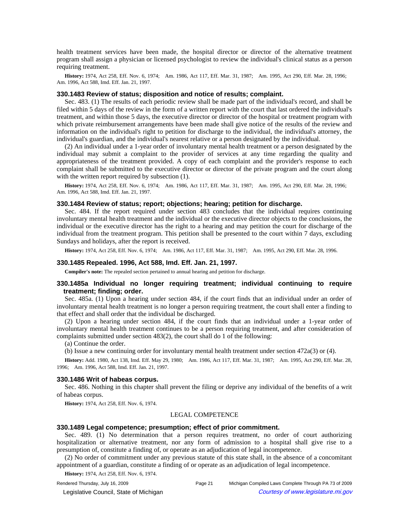health treatment services have been made, the hospital director or director of the alternative treatment program shall assign a physician or licensed psychologist to review the individual's clinical status as a person requiring treatment.

History: 1974, Act 258, Eff. Nov. 6, 1974;—Am. 1986, Act 117, Eff. Mar. 31, 1987;—Am. 1995, Act 290, Eff. Mar. 28, 1996;— Am. 1996, Act 588, Imd. Eff. Jan. 21, 1997.

#### **330.1483 Review of status; disposition and notice of results; complaint.**

Sec. 483. (1) The results of each periodic review shall be made part of the individual's record, and shall be filed within 5 days of the review in the form of a written report with the court that last ordered the individual's treatment, and within those 5 days, the executive director or director of the hospital or treatment program with which private reimbursement arrangements have been made shall give notice of the results of the review and information on the individual's right to petition for discharge to the individual, the individual's attorney, the individual's guardian, and the individual's nearest relative or a person designated by the individual.

(2) An individual under a 1-year order of involuntary mental health treatment or a person designated by the individual may submit a complaint to the provider of services at any time regarding the quality and appropriateness of the treatment provided. A copy of each complaint and the provider's response to each complaint shall be submitted to the executive director or director of the private program and the court along with the written report required by subsection  $(1)$ .

History: 1974, Act 258, Eff. Nov. 6, 1974;
-- Am. 1986, Act 117, Eff. Mar. 31, 1987;
-- Am. 1995, Act 290, Eff. Mar. 28, 1996; Am. 1996, Act 588, Imd. Eff. Jan. 21, 1997.

# **330.1484 Review of status; report; objections; hearing; petition for discharge.**

Sec. 484. If the report required under section 483 concludes that the individual requires continuing involuntary mental health treatment and the individual or the executive director objects to the conclusions, the individual or the executive director has the right to a hearing and may petition the court for discharge of the individual from the treatment program. This petition shall be presented to the court within 7 days, excluding Sundays and holidays, after the report is received.

History: 1974, Act 258, Eff. Nov. 6, 1974;<sup>Am.</sup> 1986, Act 117, Eff. Mar. 31, 1987;Am. 1995, Act 290, Eff. Mar. 28, 1996.

### **330.1485 Repealed. 1996, Act 588, Imd. Eff. Jan. 21, 1997.**

**Compiler's note:** The repealed section pertained to annual hearing and petition for discharge.

# **330.1485a Individual no longer requiring treatment; individual continuing to require treatment; finding; order.**

Sec. 485a. (1) Upon a hearing under section 484, if the court finds that an individual under an order of involuntary mental health treatment is no longer a person requiring treatment, the court shall enter a finding to that effect and shall order that the individual be discharged.

(2) Upon a hearing under section 484, if the court finds that an individual under a 1-year order of involuntary mental health treatment continues to be a person requiring treatment, and after consideration of complaints submitted under section 483(2), the court shall do 1 of the following:

(a) Continue the order.

(b) Issue a new continuing order for involuntary mental health treatment under section 472a(3) or (4).

History: Add. 1980, Act 138, Imd. Eff. May 29, 1980;-Am. 1986, Act 117, Eff. Mar. 31, 1987;-Am. 1995, Act 290, Eff. Mar. 28, 1996; Am. 1996, Act 588, Imd. Eff. Jan. 21, 1997.

#### **330.1486 Writ of habeas corpus.**

Sec. 486. Nothing in this chapter shall prevent the filing or deprive any individual of the benefits of a writ of habeas corpus.

**History:** 1974, Act 258, Eff. Nov. 6, 1974.

## LEGAL COMPETENCE

## **330.1489 Legal competence; presumption; effect of prior commitment.**

Sec. 489. (1) No determination that a person requires treatment, no order of court authorizing hospitalization or alternative treatment, nor any form of admission to a hospital shall give rise to a presumption of, constitute a finding of, or operate as an adjudication of legal incompetence.

(2) No order of commitment under any previous statute of this state shall, in the absence of a concomitant appointment of a guardian, constitute a finding of or operate as an adjudication of legal incompetence.

**History:** 1974, Act 258, Eff. Nov. 6, 1974.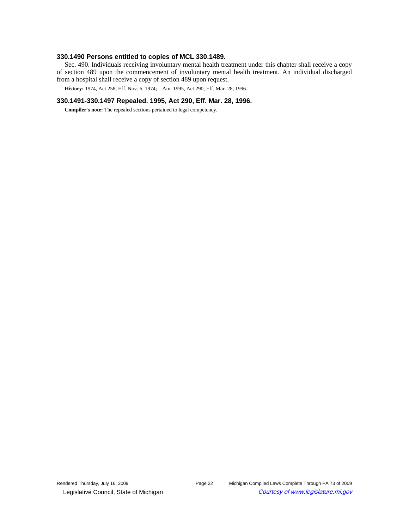## **330.1490 Persons entitled to copies of MCL 330.1489.**

Sec. 490. Individuals receiving involuntary mental health treatment under this chapter shall receive a copy of section 489 upon the commencement of involuntary mental health treatment. An individual discharged from a hospital shall receive a copy of section 489 upon request.

History: 1974, Act 258, Eff. Nov. 6, 1974;-- Am. 1995, Act 290, Eff. Mar. 28, 1996.

# **330.1491-330.1497 Repealed. 1995, Act 290, Eff. Mar. 28, 1996.**

**Compiler's note:** The repealed sections pertained to legal competency.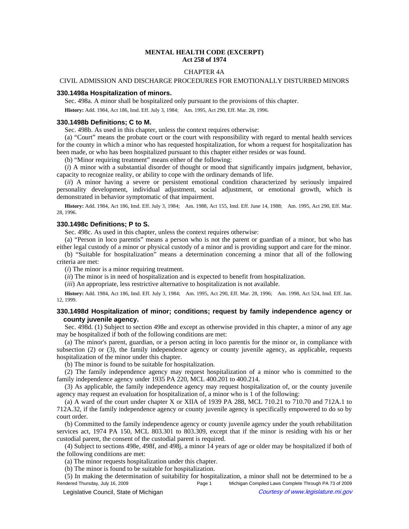## **MENTAL HEALTH CODE (EXCERPT) Act 258 of 1974**

## CHAPTER 4A

### CIVIL ADMISSION AND DISCHARGE PROCEDURES FOR EMOTIONALLY DISTURBED MINORS

#### **330.1498a Hospitalization of minors.**

Sec. 498a. A minor shall be hospitalized only pursuant to the provisions of this chapter.

History: Add. 1984, Act 186, Imd. Eff. July 3, 1984;**-**Am. 1995, Act 290, Eff. Mar. 28, 1996.

## **330.1498b Definitions; C to M.**

Sec. 498b. As used in this chapter, unless the context requires otherwise:

(a) "Court" means the probate court or the court with responsibility with regard to mental health services for the county in which a minor who has requested hospitalization, for whom a request for hospitalization has been made, or who has been hospitalized pursuant to this chapter either resides or was found.

(b) "Minor requiring treatment" means either of the following:

(*i*) A minor with a substantial disorder of thought or mood that significantly impairs judgment, behavior, capacity to recognize reality, or ability to cope with the ordinary demands of life.

(*ii*) A minor having a severe or persistent emotional condition characterized by seriously impaired personality development, individual adjustment, social adjustment, or emotional growth, which is demonstrated in behavior symptomatic of that impairment.

History: Add. 1984, Act 186, Imd. Eff. July 3, 1984;--Am. 1988, Act 155, Imd. Eff. June 14, 1988;--Am. 1995, Act 290, Eff. Mar. 28, 1996.

## **330.1498c Definitions; P to S.**

Sec. 498c. As used in this chapter, unless the context requires otherwise:

(a) "Person in loco parentis" means a person who is not the parent or guardian of a minor, but who has either legal custody of a minor or physical custody of a minor and is providing support and care for the minor.

(b) "Suitable for hospitalization" means a determination concerning a minor that all of the following criteria are met:

(*i*) The minor is a minor requiring treatment.

(*ii*) The minor is in need of hospitalization and is expected to benefit from hospitalization.

(*iii*) An appropriate, less restrictive alternative to hospitalization is not available.

History: Add. 1984, Act 186, Imd. Eff. July 3, 1984;—Am. 1995, Act 290, Eff. Mar. 28, 1996;—Am. 1998, Act 524, Imd. Eff. Jan. 12, 1999.

## **330.1498d Hospitalization of minor; conditions; request by family independence agency or county juvenile agency.**

Sec. 498d. (1) Subject to section 498e and except as otherwise provided in this chapter, a minor of any age may be hospitalized if both of the following conditions are met:

(a) The minor's parent, guardian, or a person acting in loco parentis for the minor or, in compliance with subsection (2) or (3), the family independence agency or county juvenile agency, as applicable, requests hospitalization of the minor under this chapter.

(b) The minor is found to be suitable for hospitalization.

(2) The family independence agency may request hospitalization of a minor who is committed to the family independence agency under 1935 PA 220, MCL 400.201 to 400.214.

(3) As applicable, the family independence agency may request hospitalization of, or the county juvenile agency may request an evaluation for hospitalization of, a minor who is 1 of the following:

(a) A ward of the court under chapter X or XIIA of 1939 PA 288, MCL 710.21 to 710.70 and 712A.1 to 712A.32, if the family independence agency or county juvenile agency is specifically empowered to do so by court order.

(b) Committed to the family independence agency or county juvenile agency under the youth rehabilitation services act, 1974 PA 150, MCL 803.301 to 803.309, except that if the minor is residing with his or her custodial parent, the consent of the custodial parent is required.

(4) Subject to sections 498e, 498f, and 498j, a minor 14 years of age or older may be hospitalized if both of the following conditions are met:

(a) The minor requests hospitalization under this chapter.

(b) The minor is found to be suitable for hospitalization.

(5) In making the determination of suitability for hospitalization, a minor shall not be determined to be a Rendered Thursday, July 16, 2009 **Page 1** Page 1 Michigan Compiled Laws Complete Through PA 73 of 2009 © Legislative Council, State of Michigan Council Courtesy of www.legislature.mi.gov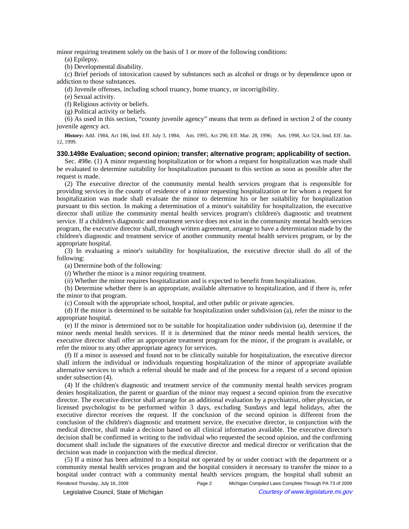minor requiring treatment solely on the basis of 1 or more of the following conditions:

(a) Epilepsy.

(b) Developmental disability.

(c) Brief periods of intoxication caused by substances such as alcohol or drugs or by dependence upon or addiction to those substances.

(d) Juvenile offenses, including school truancy, home truancy, or incorrigibility.

(e) Sexual activity.

(f) Religious activity or beliefs.

(g) Political activity or beliefs.

(6) As used in this section, "county juvenile agency" means that term as defined in section 2 of the county juvenile agency act.

History: Add. 1984, Act 186, Imd. Eff. July 3, 1984;--Am. 1995, Act 290, Eff. Mar. 28, 1996;--Am. 1998, Act 524, Imd. Eff. Jan. 12, 1999.

# **330.1498e Evaluation; second opinion; transfer; alternative program; applicability of section.**

Sec. 498e. (1) A minor requesting hospitalization or for whom a request for hospitalization was made shall be evaluated to determine suitability for hospitalization pursuant to this section as soon as possible after the request is made.

(2) The executive director of the community mental health services program that is responsible for providing services in the county of residence of a minor requesting hospitalization or for whom a request for hospitalization was made shall evaluate the minor to determine his or her suitability for hospitalization pursuant to this section. In making a determination of a minor's suitability for hospitalization, the executive director shall utilize the community mental health services program's children's diagnostic and treatment service. If a children's diagnostic and treatment service does not exist in the community mental health services program, the executive director shall, through written agreement, arrange to have a determination made by the children's diagnostic and treatment service of another community mental health services program, or by the appropriate hospital.

(3) In evaluating a minor's suitability for hospitalization, the executive director shall do all of the following:

(a) Determine both of the following:

(*i*) Whether the minor is a minor requiring treatment.

(*ii*) Whether the minor requires hospitalization and is expected to benefit from hospitalization.

(b) Determine whether there is an appropriate, available alternative to hospitalization, and if there is, refer the minor to that program.

(c) Consult with the appropriate school, hospital, and other public or private agencies.

(d) If the minor is determined to be suitable for hospitalization under subdivision (a), refer the minor to the appropriate hospital.

(e) If the minor is determined not to be suitable for hospitalization under subdivision (a), determine if the minor needs mental health services. If it is determined that the minor needs mental health services, the executive director shall offer an appropriate treatment program for the minor, if the program is available, or refer the minor to any other appropriate agency for services.

(f) If a minor is assessed and found not to be clinically suitable for hospitalization, the executive director shall inform the individual or individuals requesting hospitalization of the minor of appropriate available alternative services to which a referral should be made and of the process for a request of a second opinion under subsection (4).

(4) If the children's diagnostic and treatment service of the community mental health services program denies hospitalization, the parent or guardian of the minor may request a second opinion from the executive director. The executive director shall arrange for an additional evaluation by a psychiatrist, other physician, or licensed psychologist to be performed within 3 days, excluding Sundays and legal holidays, after the executive director receives the request. If the conclusion of the second opinion is different from the conclusion of the children's diagnostic and treatment service, the executive director, in conjunction with the medical director, shall make a decision based on all clinical information available. The executive director's decision shall be confirmed in writing to the individual who requested the second opinion, and the confirming document shall include the signatures of the executive director and medical director or verification that the decision was made in conjunction with the medical director.

(5) If a minor has been admitted to a hospital not operated by or under contract with the department or a community mental health services program and the hospital considers it necessary to transfer the minor to a hospital under contract with a community mental health services program, the hospital shall submit an

Rendered Thursday, July 16, 2009 **Page 2** Michigan Compiled Laws Complete Through PA 73 of 2009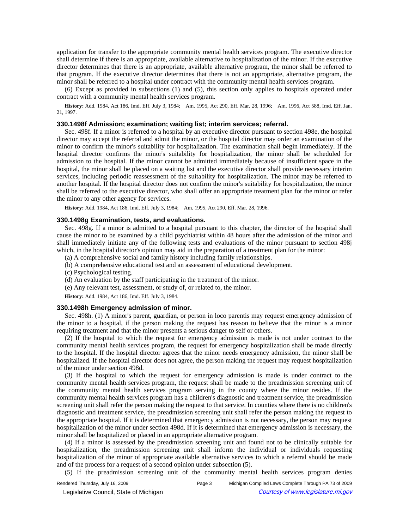application for transfer to the appropriate community mental health services program. The executive director shall determine if there is an appropriate, available alternative to hospitalization of the minor. If the executive director determines that there is an appropriate, available alternative program, the minor shall be referred to that program. If the executive director determines that there is not an appropriate, alternative program, the minor shall be referred to a hospital under contract with the community mental health services program.

(6) Except as provided in subsections (1) and (5), this section only applies to hospitals operated under contract with a community mental health services program.

History: Add. 1984, Act 186, Imd. Eff. July 3, 1984;—Am. 1995, Act 290, Eff. Mar. 28, 1996;—Am. 1996, Act 588, Imd. Eff. Jan. 21, 1997.

## **330.1498f Admission; examination; waiting list; interim services; referral.**

Sec. 498f. If a minor is referred to a hospital by an executive director pursuant to section 498e, the hospital director may accept the referral and admit the minor, or the hospital director may order an examination of the minor to confirm the minor's suitability for hospitalization. The examination shall begin immediately. If the hospital director confirms the minor's suitability for hospitalization, the minor shall be scheduled for admission to the hospital. If the minor cannot be admitted immediately because of insufficient space in the hospital, the minor shall be placed on a waiting list and the executive director shall provide necessary interim services, including periodic reassessment of the suitability for hospitalization. The minor may be referred to another hospital. If the hospital director does not confirm the minor's suitability for hospitalization, the minor shall be referred to the executive director, who shall offer an appropriate treatment plan for the minor or refer the minor to any other agency for services.

History: Add. 1984, Act 186, Imd. Eff. July 3, 1984;—Am. 1995, Act 290, Eff. Mar. 28, 1996.

## **330.1498g Examination, tests, and evaluations.**

Sec. 498g. If a minor is admitted to a hospital pursuant to this chapter, the director of the hospital shall cause the minor to be examined by a child psychiatrist within 48 hours after the admission of the minor and shall immediately initiate any of the following tests and evaluations of the minor pursuant to section 498j which, in the hospital director's opinion may aid in the preparation of a treatment plan for the minor:

(a) A comprehensive social and family history including family relationships.

- (b) A comprehensive educational test and an assessment of educational development.
- (c) Psychological testing.
- (d) An evaluation by the staff participating in the treatment of the minor.

(e) Any relevant test, assessment, or study of, or related to, the minor.

**History:** Add. 1984, Act 186, Imd. Eff. July 3, 1984.

# **330.1498h Emergency admission of minor.**

Sec. 498h. (1) A minor's parent, guardian, or person in loco parentis may request emergency admission of the minor to a hospital, if the person making the request has reason to believe that the minor is a minor requiring treatment and that the minor presents a serious danger to self or others.

(2) If the hospital to which the request for emergency admission is made is not under contract to the community mental health services program, the request for emergency hospitalization shall be made directly to the hospital. If the hospital director agrees that the minor needs emergency admission, the minor shall be hospitalized. If the hospital director does not agree, the person making the request may request hospitalization of the minor under section 498d.

(3) If the hospital to which the request for emergency admission is made is under contract to the community mental health services program, the request shall be made to the preadmission screening unit of the community mental health services program serving in the county where the minor resides. If the community mental health services program has a children's diagnostic and treatment service, the preadmission screening unit shall refer the person making the request to that service. In counties where there is no children's diagnostic and treatment service, the preadmission screening unit shall refer the person making the request to the appropriate hospital. If it is determined that emergency admission is not necessary, the person may request hospitalization of the minor under section 498d. If it is determined that emergency admission is necessary, the minor shall be hospitalized or placed in an appropriate alternative program.

(4) If a minor is assessed by the preadmission screening unit and found not to be clinically suitable for hospitalization, the preadmission screening unit shall inform the individual or individuals requesting hospitalization of the minor of appropriate available alternative services to which a referral should be made and of the process for a request of a second opinion under subsection (5).

(5) If the preadmission screening unit of the community mental health services program denies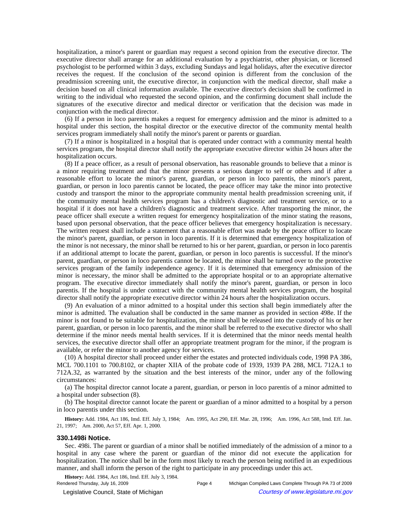hospitalization, a minor's parent or guardian may request a second opinion from the executive director. The executive director shall arrange for an additional evaluation by a psychiatrist, other physician, or licensed psychologist to be performed within 3 days, excluding Sundays and legal holidays, after the executive director receives the request. If the conclusion of the second opinion is different from the conclusion of the preadmission screening unit, the executive director, in conjunction with the medical director, shall make a decision based on all clinical information available. The executive director's decision shall be confirmed in writing to the individual who requested the second opinion, and the confirming document shall include the signatures of the executive director and medical director or verification that the decision was made in conjunction with the medical director.

(6) If a person in loco parentis makes a request for emergency admission and the minor is admitted to a hospital under this section, the hospital director or the executive director of the community mental health services program immediately shall notify the minor's parent or parents or guardian.

(7) If a minor is hospitalized in a hospital that is operated under contract with a community mental health services program, the hospital director shall notify the appropriate executive director within 24 hours after the hospitalization occurs.

(8) If a peace officer, as a result of personal observation, has reasonable grounds to believe that a minor is a minor requiring treatment and that the minor presents a serious danger to self or others and if after a reasonable effort to locate the minor's parent, guardian, or person in loco parentis, the minor's parent, guardian, or person in loco parentis cannot be located, the peace officer may take the minor into protective custody and transport the minor to the appropriate community mental health preadmission screening unit, if the community mental health services program has a children's diagnostic and treatment service, or to a hospital if it does not have a children's diagnostic and treatment service. After transporting the minor, the peace officer shall execute a written request for emergency hospitalization of the minor stating the reasons, based upon personal observation, that the peace officer believes that emergency hospitalization is necessary. The written request shall include a statement that a reasonable effort was made by the peace officer to locate the minor's parent, guardian, or person in loco parentis. If it is determined that emergency hospitalization of the minor is not necessary, the minor shall be returned to his or her parent, guardian, or person in loco parentis if an additional attempt to locate the parent, guardian, or person in loco parentis is successful. If the minor's parent, guardian, or person in loco parentis cannot be located, the minor shall be turned over to the protective services program of the family independence agency. If it is determined that emergency admission of the minor is necessary, the minor shall be admitted to the appropriate hospital or to an appropriate alternative program. The executive director immediately shall notify the minor's parent, guardian, or person in loco parentis. If the hospital is under contract with the community mental health services program, the hospital director shall notify the appropriate executive director within 24 hours after the hospitalization occurs.

(9) An evaluation of a minor admitted to a hospital under this section shall begin immediately after the minor is admitted. The evaluation shall be conducted in the same manner as provided in section 498e. If the minor is not found to be suitable for hospitalization, the minor shall be released into the custody of his or her parent, guardian, or person in loco parentis, and the minor shall be referred to the executive director who shall determine if the minor needs mental health services. If it is determined that the minor needs mental health services, the executive director shall offer an appropriate treatment program for the minor, if the program is available, or refer the minor to another agency for services.

(10) A hospital director shall proceed under either the estates and protected individuals code, 1998 PA 386, MCL 700.1101 to 700.8102, or chapter XIIA of the probate code of 1939, 1939 PA 288, MCL 712A.1 to 712A.32, as warranted by the situation and the best interests of the minor, under any of the following circumstances:

(a) The hospital director cannot locate a parent, guardian, or person in loco parentis of a minor admitted to a hospital under subsection (8).

(b) The hospital director cannot locate the parent or guardian of a minor admitted to a hospital by a person in loco parentis under this section.

History: Add. 1984, Act 186, Imd. Eff. July 3, 1984;--Am. 1995, Act 290, Eff. Mar. 28, 1996;--Am. 1996, Act 588, Imd. Eff. Jan. 21, 1997;--- Am. 2000, Act 57, Eff. Apr. 1, 2000.

### **330.1498i Notice.**

Sec. 498i. The parent or guardian of a minor shall be notified immediately of the admission of a minor to a hospital in any case where the parent or guardian of the minor did not execute the application for hospitalization. The notice shall be in the form most likely to reach the person being notified in an expeditious manner, and shall inform the person of the right to participate in any proceedings under this act.

**History:** Add. 1984, Act 186, Imd. Eff. July 3, 1984. Rendered Thursday, July 16, 2009 **Page 4** Michigan Compiled Laws Complete Through PA 73 of 2009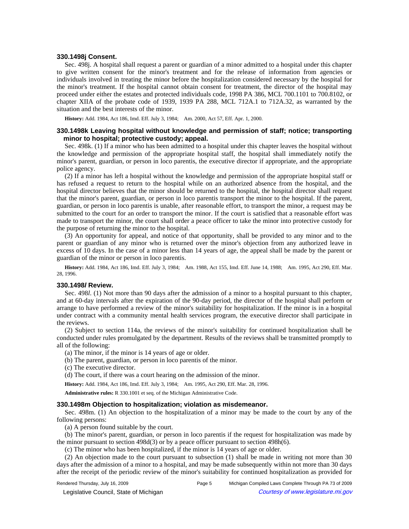### **330.1498j Consent.**

Sec. 498j. A hospital shall request a parent or guardian of a minor admitted to a hospital under this chapter to give written consent for the minor's treatment and for the release of information from agencies or individuals involved in treating the minor before the hospitalization considered necessary by the hospital for the minor's treatment. If the hospital cannot obtain consent for treatment, the director of the hospital may proceed under either the estates and protected individuals code, 1998 PA 386, MCL 700.1101 to 700.8102, or chapter XIIA of the probate code of 1939, 1939 PA 288, MCL 712A.1 to 712A.32, as warranted by the situation and the best interests of the minor.

History: Add. 1984, Act 186, Imd. Eff. July 3, 1984;-- Am. 2000, Act 57, Eff. Apr. 1, 2000.

# **330.1498k Leaving hospital without knowledge and permission of staff; notice; transporting minor to hospital; protective custody; appeal.**

Sec. 498k. (1) If a minor who has been admitted to a hospital under this chapter leaves the hospital without the knowledge and permission of the appropriate hospital staff, the hospital shall immediately notify the minor's parent, guardian, or person in loco parentis, the executive director if appropriate, and the appropriate police agency.

(2) If a minor has left a hospital without the knowledge and permission of the appropriate hospital staff or has refused a request to return to the hospital while on an authorized absence from the hospital, and the hospital director believes that the minor should be returned to the hospital, the hospital director shall request that the minor's parent, guardian, or person in loco parentis transport the minor to the hospital. If the parent, guardian, or person in loco parentis is unable, after reasonable effort, to transport the minor, a request may be submitted to the court for an order to transport the minor. If the court is satisfied that a reasonable effort was made to transport the minor, the court shall order a peace officer to take the minor into protective custody for the purpose of returning the minor to the hospital.

(3) An opportunity for appeal, and notice of that opportunity, shall be provided to any minor and to the parent or guardian of any minor who is returned over the minor's objection from any authorized leave in excess of 10 days. In the case of a minor less than 14 years of age, the appeal shall be made by the parent or guardian of the minor or person in loco parentis.

History: Add. 1984, Act 186, Imd. Eff. July 3, 1984;--Am. 1988, Act 155, Imd. Eff. June 14, 1988;--Am. 1995, Act 290, Eff. Mar. 28, 1996.

#### **330.1498l Review.**

Sec. 498*l*. (1) Not more than 90 days after the admission of a minor to a hospital pursuant to this chapter, and at 60-day intervals after the expiration of the 90-day period, the director of the hospital shall perform or arrange to have performed a review of the minor's suitability for hospitalization. If the minor is in a hospital under contract with a community mental health services program, the executive director shall participate in the reviews.

(2) Subject to section 114a, the reviews of the minor's suitability for continued hospitalization shall be conducted under rules promulgated by the department. Results of the reviews shall be transmitted promptly to all of the following:

(a) The minor, if the minor is 14 years of age or older.

(b) The parent, guardian, or person in loco parentis of the minor.

(c) The executive director.

(d) The court, if there was a court hearing on the admission of the minor.

History: Add. 1984, Act 186, Imd. Eff. July 3, 1984;—Am. 1995, Act 290, Eff. Mar. 28, 1996.

**Administrative rules:** R 330.1001 et seq. of the Michigan Administrative Code.

### **330.1498m Objection to hospitalization; violation as misdemeanor.**

Sec. 498m. (1) An objection to the hospitalization of a minor may be made to the court by any of the following persons:

(a) A person found suitable by the court.

(b) The minor's parent, guardian, or person in loco parentis if the request for hospitalization was made by the minor pursuant to section 498d(3) or by a peace officer pursuant to section 498h(6).

(c) The minor who has been hospitalized, if the minor is 14 years of age or older.

(2) An objection made to the court pursuant to subsection (1) shall be made in writing not more than 30 days after the admission of a minor to a hospital, and may be made subsequently within not more than 30 days after the receipt of the periodic review of the minor's suitability for continued hospitalization as provided for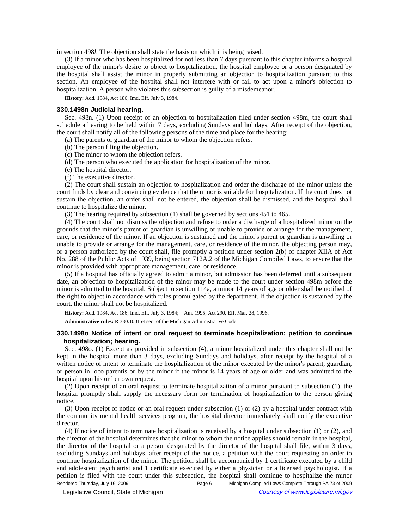in section 498*l*. The objection shall state the basis on which it is being raised.

(3) If a minor who has been hospitalized for not less than 7 days pursuant to this chapter informs a hospital employee of the minor's desire to object to hospitalization, the hospital employee or a person designated by the hospital shall assist the minor in properly submitting an objection to hospitalization pursuant to this section. An employee of the hospital shall not interfere with or fail to act upon a minor's objection to hospitalization. A person who violates this subsection is guilty of a misdemeanor.

**History:** Add. 1984, Act 186, Imd. Eff. July 3, 1984.

# **330.1498n Judicial hearing.**

Sec. 498n. (1) Upon receipt of an objection to hospitalization filed under section 498m, the court shall schedule a hearing to be held within 7 days, excluding Sundays and holidays. After receipt of the objection, the court shall notify all of the following persons of the time and place for the hearing:

(a) The parents or guardian of the minor to whom the objection refers.

(b) The person filing the objection.

- (c) The minor to whom the objection refers.
- (d) The person who executed the application for hospitalization of the minor.
- (e) The hospital director.
- (f) The executive director.

(2) The court shall sustain an objection to hospitalization and order the discharge of the minor unless the court finds by clear and convincing evidence that the minor is suitable for hospitalization. If the court does not sustain the objection, an order shall not be entered, the objection shall be dismissed, and the hospital shall continue to hospitalize the minor.

(3) The hearing required by subsection (1) shall be governed by sections 451 to 465.

(4) The court shall not dismiss the objection and refuse to order a discharge of a hospitalized minor on the grounds that the minor's parent or guardian is unwilling or unable to provide or arrange for the management, care, or residence of the minor. If an objection is sustained and the minor's parent or guardian is unwilling or unable to provide or arrange for the management, care, or residence of the minor, the objecting person may, or a person authorized by the court shall, file promptly a petition under section 2(b) of chapter XIIA of Act No. 288 of the Public Acts of 1939, being section 712A.2 of the Michigan Compiled Laws, to ensure that the minor is provided with appropriate management, care, or residence.

(5) If a hospital has officially agreed to admit a minor, but admission has been deferred until a subsequent date, an objection to hospitalization of the minor may be made to the court under section 498m before the minor is admitted to the hospital. Subject to section 114a, a minor 14 years of age or older shall be notified of the right to object in accordance with rules promulgated by the department. If the objection is sustained by the court, the minor shall not be hospitalized.

History: Add. 1984, Act 186, Imd. Eff. July 3, 1984;- Am. 1995, Act 290, Eff. Mar. 28, 1996.

**Administrative rules:** R 330.1001 et seq. of the Michigan Administrative Code.

## **330.1498o Notice of intent or oral request to terminate hospitalization; petition to continue hospitalization; hearing.**

Sec. 498o. (1) Except as provided in subsection (4), a minor hospitalized under this chapter shall not be kept in the hospital more than 3 days, excluding Sundays and holidays, after receipt by the hospital of a written notice of intent to terminate the hospitalization of the minor executed by the minor's parent, guardian, or person in loco parentis or by the minor if the minor is 14 years of age or older and was admitted to the hospital upon his or her own request.

(2) Upon receipt of an oral request to terminate hospitalization of a minor pursuant to subsection (1), the hospital promptly shall supply the necessary form for termination of hospitalization to the person giving notice.

(3) Upon receipt of notice or an oral request under subsection (1) or (2) by a hospital under contract with the community mental health services program, the hospital director immediately shall notify the executive director.

(4) If notice of intent to terminate hospitalization is received by a hospital under subsection (1) or (2), and the director of the hospital determines that the minor to whom the notice applies should remain in the hospital, the director of the hospital or a person designated by the director of the hospital shall file, within 3 days, excluding Sundays and holidays, after receipt of the notice, a petition with the court requesting an order to continue hospitalization of the minor. The petition shall be accompanied by 1 certificate executed by a child and adolescent psychiatrist and 1 certificate executed by either a physician or a licensed psychologist. If a petition is filed with the court under this subsection, the hospital shall continue to hospitalize the minor Rendered Thursday, July 16, 2009 **Page 6** Michigan Compiled Laws Complete Through PA 73 of 2009

© Legislative Council, State of Michigan Council Courtesy of www.legislature.mi.gov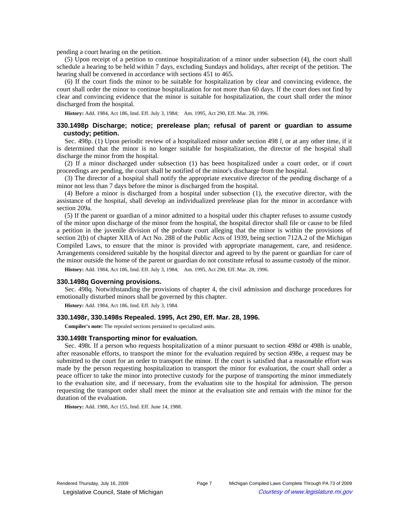pending a court hearing on the petition.

(5) Upon receipt of a petition to continue hospitalization of a minor under subsection (4), the court shall schedule a hearing to be held within 7 days, excluding Sundays and holidays, after receipt of the petition. The hearing shall be convened in accordance with sections 451 to 465.

(6) If the court finds the minor to be suitable for hospitalization by clear and convincing evidence, the court shall order the minor to continue hospitalization for not more than 60 days. If the court does not find by clear and convincing evidence that the minor is suitable for hospitalization, the court shall order the minor discharged from the hospital.

History: Add. 1984, Act 186, Imd. Eff. July 3, 1984;-- Am. 1995, Act 290, Eff. Mar. 28, 1996.

# **330.1498p Discharge; notice; prerelease plan; refusal of parent or guardian to assume custody; petition.**

Sec. 498p. (1) Upon periodic review of a hospitalized minor under section 498 *l*, or at any other time, if it is determined that the minor is no longer suitable for hospitalization, the director of the hospital shall discharge the minor from the hospital.

(2) If a minor discharged under subsection (1) has been hospitalized under a court order, or if court proceedings are pending, the court shall be notified of the minor's discharge from the hospital.

(3) The director of a hospital shall notify the appropriate executive director of the pending discharge of a minor not less than 7 days before the minor is discharged from the hospital.

(4) Before a minor is discharged from a hospital under subsection (1), the executive director, with the assistance of the hospital, shall develop an individualized prerelease plan for the minor in accordance with section 209a.

(5) If the parent or guardian of a minor admitted to a hospital under this chapter refuses to assume custody of the minor upon discharge of the minor from the hospital, the hospital director shall file or cause to be filed a petition in the juvenile division of the probate court alleging that the minor is within the provisions of section 2(b) of chapter XIIA of Act No. 288 of the Public Acts of 1939, being section 712A.2 of the Michigan Compiled Laws, to ensure that the minor is provided with appropriate management, care, and residence. Arrangements considered suitable by the hospital director and agreed to by the parent or guardian for care of the minor outside the home of the parent or guardian do not constitute refusal to assume custody of the minor.

History: Add. 1984, Act 186, Imd. Eff. July 3, 1984;-Am. 1995, Act 290, Eff. Mar. 28, 1996.

#### **330.1498q Governing provisions.**

Sec. 498q. Notwithstanding the provisions of chapter 4, the civil admission and discharge procedures for emotionally disturbed minors shall be governed by this chapter.

**History:** Add. 1984, Act 186, Imd. Eff. July 3, 1984.

### **330.1498r, 330.1498s Repealed. 1995, Act 290, Eff. Mar. 28, 1996.**

**Compiler's note:** The repealed sections pertained to specialized units.

#### **330.1498t Transporting minor for evaluation.**

Sec. 498t. If a person who requests hospitalization of a minor pursuant to section 498d or 498h is unable, after reasonable efforts, to transport the minor for the evaluation required by section 498e, a request may be submitted to the court for an order to transport the minor. If the court is satisfied that a reasonable effort was made by the person requesting hospitalization to transport the minor for evaluation, the court shall order a peace officer to take the minor into protective custody for the purpose of transporting the minor immediately to the evaluation site, and if necessary, from the evaluation site to the hospital for admission. The person requesting the transport order shall meet the minor at the evaluation site and remain with the minor for the duration of the evaluation.

**History:** Add. 1988, Act 155, Imd. Eff. June 14, 1988.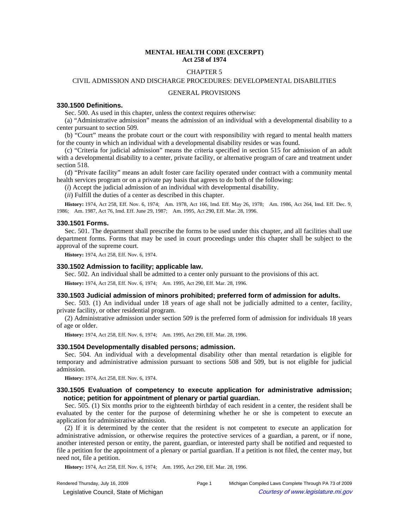# **MENTAL HEALTH CODE (EXCERPT) Act 258 of 1974**

## CHAPTER 5

## CIVIL ADMISSION AND DISCHARGE PROCEDURES: DEVELOPMENTAL DISABILITIES

### GENERAL PROVISIONS

## **330.1500 Definitions.**

Sec. 500. As used in this chapter, unless the context requires otherwise:

(a) "Administrative admission" means the admission of an individual with a developmental disability to a center pursuant to section 509.

(b) "Court" means the probate court or the court with responsibility with regard to mental health matters for the county in which an individual with a developmental disability resides or was found.

(c) "Criteria for judicial admission" means the criteria specified in section 515 for admission of an adult with a developmental disability to a center, private facility, or alternative program of care and treatment under section 518.

(d) "Private facility" means an adult foster care facility operated under contract with a community mental health services program or on a private pay basis that agrees to do both of the following:

(*i*) Accept the judicial admission of an individual with developmental disability.

(*ii*) Fulfill the duties of a center as described in this chapter.

History: 1974, Act 258, Eff. Nov. 6, 1974;—Am. 1978, Act 166, Imd. Eff. May 26, 1978;—Am. 1986, Act 264, Imd. Eff. Dec. 9, 1986; Am. 1987, Act 76, Imd. Eff. June 29, 1987; Am. 1995, Act 290, Eff. Mar. 28, 1996.

### **330.1501 Forms.**

Sec. 501. The department shall prescribe the forms to be used under this chapter, and all facilities shall use department forms. Forms that may be used in court proceedings under this chapter shall be subject to the approval of the supreme court.

**History:** 1974, Act 258, Eff. Nov. 6, 1974.

### **330.1502 Admission to facility; applicable law.**

Sec. 502. An individual shall be admitted to a center only pursuant to the provisions of this act.

History: 1974, Act 258, Eff. Nov. 6, 1974;-- Am. 1995, Act 290, Eff. Mar. 28, 1996.

#### **330.1503 Judicial admission of minors prohibited; preferred form of admission for adults.**

Sec. 503. (1) An individual under 18 years of age shall not be judicially admitted to a center, facility, private facility, or other residential program.

(2) Administrative admission under section 509 is the preferred form of admission for individuals 18 years of age or older.

History: 1974, Act 258, Eff. Nov. 6, 1974;-Am. 1995, Act 290, Eff. Mar. 28, 1996.

#### **330.1504 Developmentally disabled persons; admission.**

Sec. 504. An individual with a developmental disability other than mental retardation is eligible for temporary and administrative admission pursuant to sections 508 and 509, but is not eligible for judicial admission.

**History:** 1974, Act 258, Eff. Nov. 6, 1974.

# **330.1505 Evaluation of competency to execute application for administrative admission; notice; petition for appointment of plenary or partial guardian.**

Sec. 505. (1) Six months prior to the eighteenth birthday of each resident in a center, the resident shall be evaluated by the center for the purpose of determining whether he or she is competent to execute an application for administrative admission.

(2) If it is determined by the center that the resident is not competent to execute an application for administrative admission, or otherwise requires the protective services of a guardian, a parent, or if none, another interested person or entity, the parent, guardian, or interested party shall be notified and requested to file a petition for the appointment of a plenary or partial guardian. If a petition is not filed, the center may, but need not, file a petition.

History: 1974, Act 258, Eff. Nov. 6, 1974;-- Am. 1995, Act 290, Eff. Mar. 28, 1996.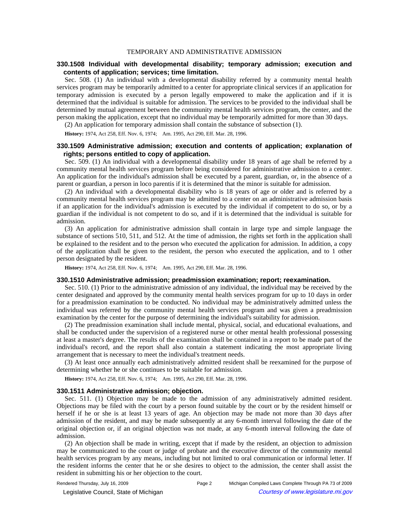# **330.1508 Individual with developmental disability; temporary admission; execution and contents of application; services; time limitation.**

Sec. 508. (1) An individual with a developmental disability referred by a community mental health services program may be temporarily admitted to a center for appropriate clinical services if an application for temporary admission is executed by a person legally empowered to make the application and if it is determined that the individual is suitable for admission. The services to be provided to the individual shall be determined by mutual agreement between the community mental health services program, the center, and the person making the application, except that no individual may be temporarily admitted for more than 30 days.

(2) An application for temporary admission shall contain the substance of subsection (1).

History: 1974, Act 258, Eff. Nov. 6, 1974;-- Am. 1995, Act 290, Eff. Mar. 28, 1996.

# **330.1509 Administrative admission; execution and contents of application; explanation of rights; persons entitled to copy of application.**

Sec. 509. (1) An individual with a developmental disability under 18 years of age shall be referred by a community mental health services program before being considered for administrative admission to a center. An application for the individual's admission shall be executed by a parent, guardian, or, in the absence of a parent or guardian, a person in loco parentis if it is determined that the minor is suitable for admission.

(2) An individual with a developmental disability who is 18 years of age or older and is referred by a community mental health services program may be admitted to a center on an administrative admission basis if an application for the individual's admission is executed by the individual if competent to do so, or by a guardian if the individual is not competent to do so, and if it is determined that the individual is suitable for admission.

(3) An application for administrative admission shall contain in large type and simple language the substance of sections 510, 511, and 512. At the time of admission, the rights set forth in the application shall be explained to the resident and to the person who executed the application for admission. In addition, a copy of the application shall be given to the resident, the person who executed the application, and to 1 other person designated by the resident.

History: 1974, Act 258, Eff. Nov. 6, 1974;-Am. 1995, Act 290, Eff. Mar. 28, 1996.

#### **330.1510 Administrative admission; preadmission examination; report; reexamination.**

Sec. 510. (1) Prior to the administrative admission of any individual, the individual may be received by the center designated and approved by the community mental health services program for up to 10 days in order for a preadmission examination to be conducted. No individual may be administratively admitted unless the individual was referred by the community mental health services program and was given a preadmission examination by the center for the purpose of determining the individual's suitability for admission.

(2) The preadmission examination shall include mental, physical, social, and educational evaluations, and shall be conducted under the supervision of a registered nurse or other mental health professional possessing at least a master's degree. The results of the examination shall be contained in a report to be made part of the individual's record, and the report shall also contain a statement indicating the most appropriate living arrangement that is necessary to meet the individual's treatment needs.

(3) At least once annually each administratively admitted resident shall be reexamined for the purpose of determining whether he or she continues to be suitable for admission.

History: 1974, Act 258, Eff. Nov. 6, 1974;-Am. 1995, Act 290, Eff. Mar. 28, 1996.

#### **330.1511 Administrative admission; objection.**

Sec. 511. (1) Objection may be made to the admission of any administratively admitted resident. Objections may be filed with the court by a person found suitable by the court or by the resident himself or herself if he or she is at least 13 years of age. An objection may be made not more than 30 days after admission of the resident, and may be made subsequently at any 6-month interval following the date of the original objection or, if an original objection was not made, at any 6-month interval following the date of admission.

(2) An objection shall be made in writing, except that if made by the resident, an objection to admission may be communicated to the court or judge of probate and the executive director of the community mental health services program by any means, including but not limited to oral communication or informal letter. If the resident informs the center that he or she desires to object to the admission, the center shall assist the resident in submitting his or her objection to the court.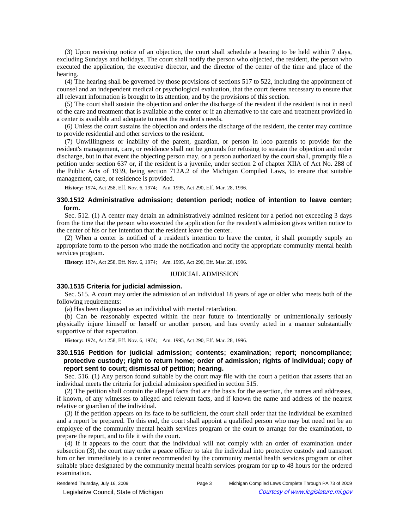(3) Upon receiving notice of an objection, the court shall schedule a hearing to be held within 7 days, excluding Sundays and holidays. The court shall notify the person who objected, the resident, the person who executed the application, the executive director, and the director of the center of the time and place of the hearing.

(4) The hearing shall be governed by those provisions of sections 517 to 522, including the appointment of counsel and an independent medical or psychological evaluation, that the court deems necessary to ensure that all relevant information is brought to its attention, and by the provisions of this section.

(5) The court shall sustain the objection and order the discharge of the resident if the resident is not in need of the care and treatment that is available at the center or if an alternative to the care and treatment provided in a center is available and adequate to meet the resident's needs.

(6) Unless the court sustains the objection and orders the discharge of the resident, the center may continue to provide residential and other services to the resident.

(7) Unwillingness or inability of the parent, guardian, or person in loco parentis to provide for the resident's management, care, or residence shall not be grounds for refusing to sustain the objection and order discharge, but in that event the objecting person may, or a person authorized by the court shall, promptly file a petition under section 637 or, if the resident is a juvenile, under section 2 of chapter XIIA of Act No. 288 of the Public Acts of 1939, being section 712A.2 of the Michigan Compiled Laws, to ensure that suitable management, care, or residence is provided.

History: 1974, Act 258, Eff. Nov. 6, 1974;-Am. 1995, Act 290, Eff. Mar. 28, 1996.

# **330.1512 Administrative admission; detention period; notice of intention to leave center; form.**

Sec. 512. (1) A center may detain an administratively admitted resident for a period not exceeding 3 days from the time that the person who executed the application for the resident's admission gives written notice to the center of his or her intention that the resident leave the center.

(2) When a center is notified of a resident's intention to leave the center, it shall promptly supply an appropriate form to the person who made the notification and notify the appropriate community mental health services program.

History: 1974, Act 258, Eff. Nov. 6, 1974;-- Am. 1995, Act 290, Eff. Mar. 28, 1996.

## JUDICIAL ADMISSION

# **330.1515 Criteria for judicial admission.**

Sec. 515. A court may order the admission of an individual 18 years of age or older who meets both of the following requirements:

(a) Has been diagnosed as an individual with mental retardation.

(b) Can be reasonably expected within the near future to intentionally or unintentionally seriously physically injure himself or herself or another person, and has overtly acted in a manner substantially supportive of that expectation.

History: 1974, Act 258, Eff. Nov. 6, 1974;-- Am. 1995, Act 290, Eff. Mar. 28, 1996.

# **330.1516 Petition for judicial admission; contents; examination; report; noncompliance; protective custody; right to return home; order of admission; rights of individual; copy of report sent to court; dismissal of petition; hearing.**

Sec. 516. (1) Any person found suitable by the court may file with the court a petition that asserts that an individual meets the criteria for judicial admission specified in section 515.

(2) The petition shall contain the alleged facts that are the basis for the assertion, the names and addresses, if known, of any witnesses to alleged and relevant facts, and if known the name and address of the nearest relative or guardian of the individual.

(3) If the petition appears on its face to be sufficient, the court shall order that the individual be examined and a report be prepared. To this end, the court shall appoint a qualified person who may but need not be an employee of the community mental health services program or the court to arrange for the examination, to prepare the report, and to file it with the court.

(4) If it appears to the court that the individual will not comply with an order of examination under subsection (3), the court may order a peace officer to take the individual into protective custody and transport him or her immediately to a center recommended by the community mental health services program or other suitable place designated by the community mental health services program for up to 48 hours for the ordered examination.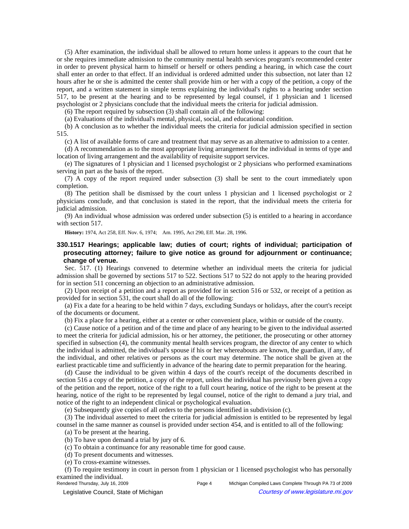(5) After examination, the individual shall be allowed to return home unless it appears to the court that he or she requires immediate admission to the community mental health services program's recommended center in order to prevent physical harm to himself or herself or others pending a hearing, in which case the court shall enter an order to that effect. If an individual is ordered admitted under this subsection, not later than 12 hours after he or she is admitted the center shall provide him or her with a copy of the petition, a copy of the report, and a written statement in simple terms explaining the individual's rights to a hearing under section 517, to be present at the hearing and to be represented by legal counsel, if 1 physician and 1 licensed psychologist or 2 physicians conclude that the individual meets the criteria for judicial admission.

(6) The report required by subsection (3) shall contain all of the following:

(a) Evaluations of the individual's mental, physical, social, and educational condition.

(b) A conclusion as to whether the individual meets the criteria for judicial admission specified in section 515.

(c) A list of available forms of care and treatment that may serve as an alternative to admission to a center.

(d) A recommendation as to the most appropriate living arrangement for the individual in terms of type and location of living arrangement and the availability of requisite support services.

(e) The signatures of 1 physician and 1 licensed psychologist or 2 physicians who performed examinations serving in part as the basis of the report.

(7) A copy of the report required under subsection (3) shall be sent to the court immediately upon completion.

(8) The petition shall be dismissed by the court unless 1 physician and 1 licensed psychologist or 2 physicians conclude, and that conclusion is stated in the report, that the individual meets the criteria for judicial admission.

(9) An individual whose admission was ordered under subsection (5) is entitled to a hearing in accordance with section 517.

History: 1974, Act 258, Eff. Nov. 6, 1974;-- Am. 1995, Act 290, Eff. Mar. 28, 1996.

# **330.1517 Hearings; applicable law; duties of court; rights of individual; participation of prosecuting attorney; failure to give notice as ground for adjournment or continuance; change of venue.**

Sec. 517. (1) Hearings convened to determine whether an individual meets the criteria for judicial admission shall be governed by sections 517 to 522. Sections 517 to 522 do not apply to the hearing provided for in section 511 concerning an objection to an administrative admission.

(2) Upon receipt of a petition and a report as provided for in section 516 or 532, or receipt of a petition as provided for in section 531, the court shall do all of the following:

(a) Fix a date for a hearing to be held within 7 days, excluding Sundays or holidays, after the court's receipt of the documents or document.

(b) Fix a place for a hearing, either at a center or other convenient place, within or outside of the county.

(c) Cause notice of a petition and of the time and place of any hearing to be given to the individual asserted to meet the criteria for judicial admission, his or her attorney, the petitioner, the prosecuting or other attorney specified in subsection (4), the community mental health services program, the director of any center to which the individual is admitted, the individual's spouse if his or her whereabouts are known, the guardian, if any, of the individual, and other relatives or persons as the court may determine. The notice shall be given at the earliest practicable time and sufficiently in advance of the hearing date to permit preparation for the hearing.

(d) Cause the individual to be given within 4 days of the court's receipt of the documents described in section 516 a copy of the petition, a copy of the report, unless the individual has previously been given a copy of the petition and the report, notice of the right to a full court hearing, notice of the right to be present at the hearing, notice of the right to be represented by legal counsel, notice of the right to demand a jury trial, and notice of the right to an independent clinical or psychological evaluation.

(e) Subsequently give copies of all orders to the persons identified in subdivision (c).

(3) The individual asserted to meet the criteria for judicial admission is entitled to be represented by legal counsel in the same manner as counsel is provided under section 454, and is entitled to all of the following:

(a) To be present at the hearing.

(b) To have upon demand a trial by jury of 6.

(c) To obtain a continuance for any reasonable time for good cause.

(d) To present documents and witnesses.

(e) To cross-examine witnesses.

(f) To require testimony in court in person from 1 physician or 1 licensed psychologist who has personally examined the individual.<br>Rendered Thursday, July 16, 2009

Page 4 Michigan Compiled Laws Complete Through PA 73 of 2009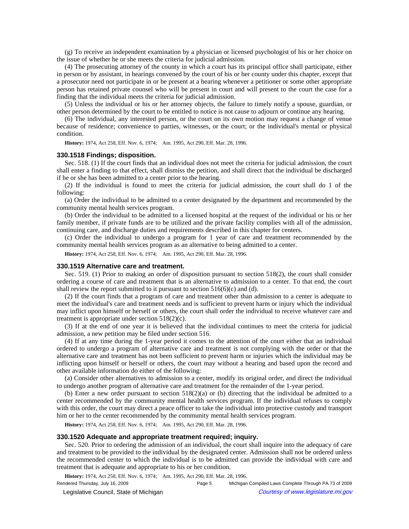(g) To receive an independent examination by a physician or licensed psychologist of his or her choice on the issue of whether he or she meets the criteria for judicial admission.

(4) The prosecuting attorney of the county in which a court has its principal office shall participate, either in person or by assistant, in hearings convened by the court of his or her county under this chapter, except that a prosecutor need not participate in or be present at a hearing whenever a petitioner or some other appropriate person has retained private counsel who will be present in court and will present to the court the case for a finding that the individual meets the criteria for judicial admission.

(5) Unless the individual or his or her attorney objects, the failure to timely notify a spouse, guardian, or other person determined by the court to be entitled to notice is not cause to adjourn or continue any hearing.

(6) The individual, any interested person, or the court on its own motion may request a change of venue because of residence; convenience to parties, witnesses, or the court; or the individual's mental or physical condition.

**History:** 1974, Act 258, Eff. Nov. 6, 1974;-- Am. 1995, Act 290, Eff. Mar. 28, 1996.

#### **330.1518 Findings; disposition.**

Sec. 518. (1) If the court finds that an individual does not meet the criteria for judicial admission, the court shall enter a finding to that effect, shall dismiss the petition, and shall direct that the individual be discharged if he or she has been admitted to a center prior to the hearing.

(2) If the individual is found to meet the criteria for judicial admission, the court shall do 1 of the following:

(a) Order the individual to be admitted to a center designated by the department and recommended by the community mental health services program.

(b) Order the individual to be admitted to a licensed hospital at the request of the individual or his or her family member, if private funds are to be utilized and the private facility complies with all of the admission, continuing care, and discharge duties and requirements described in this chapter for centers.

(c) Order the individual to undergo a program for 1 year of care and treatment recommended by the community mental health services program as an alternative to being admitted to a center.

History: 1974, Act 258, Eff. Nov. 6, 1974;-Am. 1995, Act 290, Eff. Mar. 28, 1996.

### **330.1519 Alternative care and treatment.**

Sec. 519. (1) Prior to making an order of disposition pursuant to section 518(2), the court shall consider ordering a course of care and treatment that is an alternative to admission to a center. To that end, the court shall review the report submitted to it pursuant to section  $516(6)(c)$  and (d).

(2) If the court finds that a program of care and treatment other than admission to a center is adequate to meet the individual's care and treatment needs and is sufficient to prevent harm or injury which the individual may inflict upon himself or herself or others, the court shall order the individual to receive whatever care and treatment is appropriate under section 518(2)(c).

(3) If at the end of one year it is believed that the individual continues to meet the criteria for judicial admission, a new petition may be filed under section 516.

(4) If at any time during the 1-year period it comes to the attention of the court either that an individual ordered to undergo a program of alternative care and treatment is not complying with the order or that the alternative care and treatment has not been sufficient to prevent harm or injuries which the individual may be inflicting upon himself or herself or others, the court may without a hearing and based upon the record and other available information do either of the following:

(a) Consider other alternatives to admission to a center, modify its original order, and direct the individual to undergo another program of alternative care and treatment for the remainder of the 1-year period.

(b) Enter a new order pursuant to section  $518(2)(a)$  or (b) directing that the individual be admitted to a center recommended by the community mental health services program. If the individual refuses to comply with this order, the court may direct a peace officer to take the individual into protective custody and transport him or her to the center recommended by the community mental health services program.

History: 1974, Act 258, Eff. Nov. 6, 1974;-- Am. 1995, Act 290, Eff. Mar. 28, 1996.

### **330.1520 Adequate and appropriate treatment required; inquiry.**

Sec. 520. Prior to ordering the admission of an individual, the court shall inquire into the adequacy of care and treatment to be provided to the individual by the designated center. Admission shall not be ordered unless the recommended center to which the individual is to be admitted can provide the individual with care and treatment that is adequate and appropriate to his or her condition.

History: 1974, Act 258, Eff. Nov. 6, 1974;—Am. 1995, Act 290, Eff. Mar. 28, 1996.

Rendered Thursday, July 16, 2009 **Page 5** Michigan Compiled Laws Complete Through PA 73 of 2009 © Legislative Council, State of Michigan Council Council Council Council Council Council Council Council Council Council Council Council Council Council Council Council Council Council Council Council Council Council Counc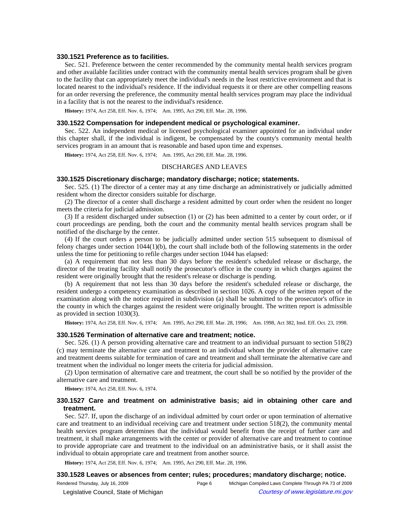### **330.1521 Preference as to facilities.**

Sec. 521. Preference between the center recommended by the community mental health services program and other available facilities under contract with the community mental health services program shall be given to the facility that can appropriately meet the individual's needs in the least restrictive environment and that is located nearest to the individual's residence. If the individual requests it or there are other compelling reasons for an order reversing the preference, the community mental health services program may place the individual in a facility that is not the nearest to the individual's residence.

History: 1974, Act 258, Eff. Nov. 6, 1974;-Am. 1995, Act 290, Eff. Mar. 28, 1996.

### **330.1522 Compensation for independent medical or psychological examiner.**

Sec. 522. An independent medical or licensed psychological examiner appointed for an individual under this chapter shall, if the individual is indigent, be compensated by the county's community mental health services program in an amount that is reasonable and based upon time and expenses.

History: 1974, Act 258, Eff. Nov. 6, 1974;-Am. 1995, Act 290, Eff. Mar. 28, 1996.

### DISCHARGES AND LEAVES

### **330.1525 Discretionary discharge; mandatory discharge; notice; statements.**

Sec. 525. (1) The director of a center may at any time discharge an administratively or judicially admitted resident whom the director considers suitable for discharge.

(2) The director of a center shall discharge a resident admitted by court order when the resident no longer meets the criteria for judicial admission.

(3) If a resident discharged under subsection (1) or (2) has been admitted to a center by court order, or if court proceedings are pending, both the court and the community mental health services program shall be notified of the discharge by the center.

(4) If the court orders a person to be judicially admitted under section 515 subsequent to dismissal of felony charges under section 1044(1)(b), the court shall include both of the following statements in the order unless the time for petitioning to refile charges under section 1044 has elapsed:

(a) A requirement that not less than 30 days before the resident's scheduled release or discharge, the director of the treating facility shall notify the prosecutor's office in the county in which charges against the resident were originally brought that the resident's release or discharge is pending.

(b) A requirement that not less than 30 days before the resident's scheduled release or discharge, the resident undergo a competency examination as described in section 1026. A copy of the written report of the examination along with the notice required in subdivision (a) shall be submitted to the prosecutor's office in the county in which the charges against the resident were originally brought. The written report is admissible as provided in section 1030(3).

History: 1974, Act 258, Eff. Nov. 6, 1974;—Am. 1995, Act 290, Eff. Mar. 28, 1996;—Am. 1998, Act 382, Imd. Eff. Oct. 23, 1998.

### **330.1526 Termination of alternative care and treatment; notice.**

Sec. 526. (1) A person providing alternative care and treatment to an individual pursuant to section 518(2) (c) may terminate the alternative care and treatment to an individual whom the provider of alternative care and treatment deems suitable for termination of care and treatment and shall terminate the alternative care and treatment when the individual no longer meets the criteria for judicial admission.

(2) Upon termination of alternative care and treatment, the court shall be so notified by the provider of the alternative care and treatment.

**History:** 1974, Act 258, Eff. Nov. 6, 1974.

# **330.1527 Care and treatment on administrative basis; aid in obtaining other care and treatment.**

Sec. 527. If, upon the discharge of an individual admitted by court order or upon termination of alternative care and treatment to an individual receiving care and treatment under section 518(2), the community mental health services program determines that the individual would benefit from the receipt of further care and treatment, it shall make arrangements with the center or provider of alternative care and treatment to continue to provide appropriate care and treatment to the individual on an administrative basis, or it shall assist the individual to obtain appropriate care and treatment from another source.

History: 1974, Act 258, Eff. Nov. 6, 1974;-- Am. 1995, Act 290, Eff. Mar. 28, 1996.

### **330.1528 Leaves or absences from center; rules; procedures; mandatory discharge; notice.**

| Rendered Thursday, July 16, 2009         | Page 6 | Michigan Compiled Laws Complete Through PA 73 of 2009 |
|------------------------------------------|--------|-------------------------------------------------------|
| © Legislative Council, State of Michigan |        | Courtesy of www.legislature.mi.gov                    |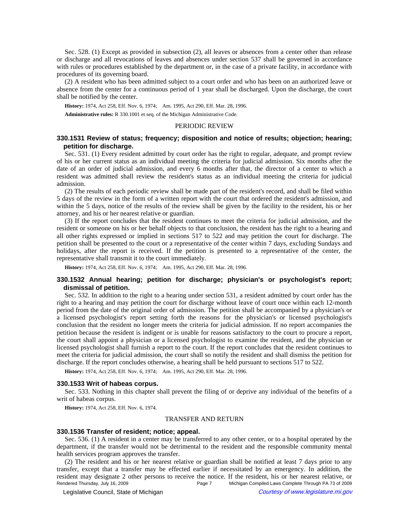Sec. 528. (1) Except as provided in subsection (2), all leaves or absences from a center other than release or discharge and all revocations of leaves and absences under section 537 shall be governed in accordance with rules or procedures established by the department or, in the case of a private facility, in accordance with procedures of its governing board.

(2) A resident who has been admitted subject to a court order and who has been on an authorized leave or absence from the center for a continuous period of 1 year shall be discharged. Upon the discharge, the court shall be notified by the center.

History: 1974, Act 258, Eff. Nov. 6, 1974;-- Am. 1995, Act 290, Eff. Mar. 28, 1996.

**Administrative rules:** R 330.1001 et seq. of the Michigan Administrative Code.

## PERIODIC REVIEW

# **330.1531 Review of status; frequency; disposition and notice of results; objection; hearing; petition for discharge.**

Sec. 531. (1) Every resident admitted by court order has the right to regular, adequate, and prompt review of his or her current status as an individual meeting the criteria for judicial admission. Six months after the date of an order of judicial admission, and every 6 months after that, the director of a center to which a resident was admitted shall review the resident's status as an individual meeting the criteria for judicial admission.

(2) The results of each periodic review shall be made part of the resident's record, and shall be filed within 5 days of the review in the form of a written report with the court that ordered the resident's admission, and within the 5 days, notice of the results of the review shall be given by the facility to the resident, his or her attorney, and his or her nearest relative or guardian.

(3) If the report concludes that the resident continues to meet the criteria for judicial admission, and the resident or someone on his or her behalf objects to that conclusion, the resident has the right to a hearing and all other rights expressed or implied in sections 517 to 522 and may petition the court for discharge. The petition shall be presented to the court or a representative of the center within 7 days, excluding Sundays and holidays, after the report is received. If the petition is presented to a representative of the center, the representative shall transmit it to the court immediately.

History: 1974, Act 258, Eff. Nov. 6, 1974;-- Am. 1995, Act 290, Eff. Mar. 28, 1996.

# **330.1532 Annual hearing; petition for discharge; physician's or psychologist's report; dismissal of petition.**

Sec. 532. In addition to the right to a hearing under section 531, a resident admitted by court order has the right to a hearing and may petition the court for discharge without leave of court once within each 12-month period from the date of the original order of admission. The petition shall be accompanied by a physician's or a licensed psychologist's report setting forth the reasons for the physician's or licensed psychologist's conclusion that the resident no longer meets the criteria for judicial admission. If no report accompanies the petition because the resident is indigent or is unable for reasons satisfactory to the court to procure a report, the court shall appoint a physician or a licensed psychologist to examine the resident, and the physician or licensed psychologist shall furnish a report to the court. If the report concludes that the resident continues to meet the criteria for judicial admission, the court shall so notify the resident and shall dismiss the petition for discharge. If the report concludes otherwise, a hearing shall be held pursuant to sections 517 to 522.

History: 1974, Act 258, Eff. Nov. 6, 1974;-- Am. 1995, Act 290, Eff. Mar. 28, 1996.

#### **330.1533 Writ of habeas corpus.**

Sec. 533. Nothing in this chapter shall prevent the filing of or deprive any individual of the benefits of a writ of habeas corpus.

**History:** 1974, Act 258, Eff. Nov. 6, 1974.

# TRANSFER AND RETURN

#### **330.1536 Transfer of resident; notice; appeal.**

Sec. 536. (1) A resident in a center may be transferred to any other center, or to a hospital operated by the department, if the transfer would not be detrimental to the resident and the responsible community mental health services program approves the transfer.

(2) The resident and his or her nearest relative or guardian shall be notified at least 7 days prior to any transfer, except that a transfer may be effected earlier if necessitated by an emergency. In addition, the resident may designate 2 other persons to receive the notice. If the resident, his or her nearest relative, or Rendered Thursday, July 16, 2009 **Page 7** Michigan Compiled Laws Complete Through PA 73 of 2009

© Legislative Council, State of Michigan Council Courtesy of www.legislature.mi.gov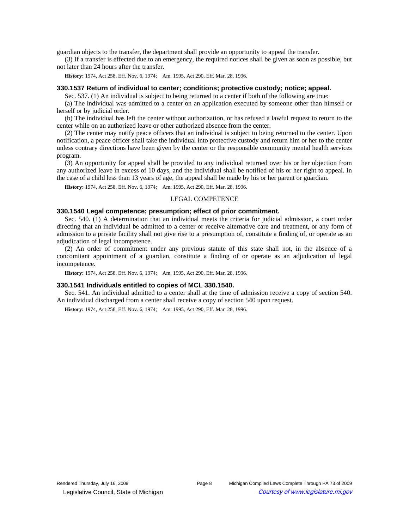guardian objects to the transfer, the department shall provide an opportunity to appeal the transfer.

(3) If a transfer is effected due to an emergency, the required notices shall be given as soon as possible, but not later than 24 hours after the transfer.

History: 1974, Act 258, Eff. Nov. 6, 1974;-- Am. 1995, Act 290, Eff. Mar. 28, 1996.

# **330.1537 Return of individual to center; conditions; protective custody; notice; appeal.**

Sec. 537. (1) An individual is subject to being returned to a center if both of the following are true:

(a) The individual was admitted to a center on an application executed by someone other than himself or herself or by judicial order.

(b) The individual has left the center without authorization, or has refused a lawful request to return to the center while on an authorized leave or other authorized absence from the center.

(2) The center may notify peace officers that an individual is subject to being returned to the center. Upon notification, a peace officer shall take the individual into protective custody and return him or her to the center unless contrary directions have been given by the center or the responsible community mental health services program.

(3) An opportunity for appeal shall be provided to any individual returned over his or her objection from any authorized leave in excess of 10 days, and the individual shall be notified of his or her right to appeal. In the case of a child less than 13 years of age, the appeal shall be made by his or her parent or guardian.

History: 1974, Act 258, Eff. Nov. 6, 1974;-- Am. 1995, Act 290, Eff. Mar. 28, 1996.

## LEGAL COMPETENCE

### **330.1540 Legal competence; presumption; effect of prior commitment.**

Sec. 540. (1) A determination that an individual meets the criteria for judicial admission, a court order directing that an individual be admitted to a center or receive alternative care and treatment, or any form of admission to a private facility shall not give rise to a presumption of, constitute a finding of, or operate as an adjudication of legal incompetence.

(2) An order of commitment under any previous statute of this state shall not, in the absence of a concomitant appointment of a guardian, constitute a finding of or operate as an adjudication of legal incompetence.

History: 1974, Act 258, Eff. Nov. 6, 1974;-- Am. 1995, Act 290, Eff. Mar. 28, 1996.

### **330.1541 Individuals entitled to copies of MCL 330.1540.**

Sec. 541. An individual admitted to a center shall at the time of admission receive a copy of section 540. An individual discharged from a center shall receive a copy of section 540 upon request.

**History:** 1974, Act 258, Eff. Nov. 6, 1974;-- Am. 1995, Act 290, Eff. Mar. 28, 1996.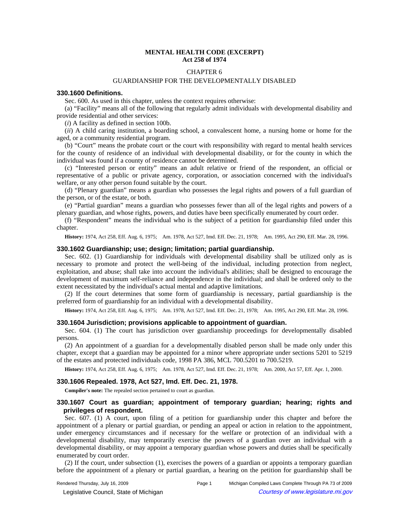# **MENTAL HEALTH CODE (EXCERPT) Act 258 of 1974**

## CHAPTER 6

### GUARDIANSHIP FOR THE DEVELOPMENTALLY DISABLED

### **330.1600 Definitions.**

Sec. 600. As used in this chapter, unless the context requires otherwise:

(a) "Facility" means all of the following that regularly admit individuals with developmental disability and provide residential and other services:

(*i*) A facility as defined in section 100b.

(*ii*) A child caring institution, a boarding school, a convalescent home, a nursing home or home for the aged, or a community residential program.

(b) "Court" means the probate court or the court with responsibility with regard to mental health services for the county of residence of an individual with developmental disability, or for the county in which the individual was found if a county of residence cannot be determined.

(c) "Interested person or entity" means an adult relative or friend of the respondent, an official or representative of a public or private agency, corporation, or association concerned with the individual's welfare, or any other person found suitable by the court.

(d) "Plenary guardian" means a guardian who possesses the legal rights and powers of a full guardian of the person, or of the estate, or both.

(e) "Partial guardian" means a guardian who possesses fewer than all of the legal rights and powers of a plenary guardian, and whose rights, powers, and duties have been specifically enumerated by court order.

(f) "Respondent" means the individual who is the subject of a petition for guardianship filed under this chapter.

History: 1974, Act 258, Eff. Aug. 6, 1975;—Am. 1978, Act 527, Imd. Eff. Dec. 21, 1978;—Am. 1995, Act 290, Eff. Mar. 28, 1996.

## **330.1602 Guardianship; use; design; limitation; partial guardianship.**

Sec. 602. (1) Guardianship for individuals with developmental disability shall be utilized only as is necessary to promote and protect the well-being of the individual, including protection from neglect, exploitation, and abuse; shall take into account the individual's abilities; shall be designed to encourage the development of maximum self-reliance and independence in the individual; and shall be ordered only to the extent necessitated by the individual's actual mental and adaptive limitations.

(2) If the court determines that some form of guardianship is necessary, partial guardianship is the preferred form of guardianship for an individual with a developmental disability.

History: 1974, Act 258, Eff. Aug. 6, 1975;—Am. 1978, Act 527, Imd. Eff. Dec. 21, 1978;—Am. 1995, Act 290, Eff. Mar. 28, 1996.

## **330.1604 Jurisdiction; provisions applicable to appointment of guardian.**

Sec. 604. (1) The court has jurisdiction over guardianship proceedings for developmentally disabled persons.

(2) An appointment of a guardian for a developmentally disabled person shall be made only under this chapter, except that a guardian may be appointed for a minor where appropriate under sections 5201 to 5219 of the estates and protected individuals code, 1998 PA 386, MCL 700.5201 to 700.5219.

**History:** 1974, Act 258, Eff. Aug. 6, 1975;—Am. 1978, Act 527, Imd. Eff. Dec. 21, 1978;—Am. 2000, Act 57, Eff. Apr. 1, 2000.

# **330.1606 Repealed. 1978, Act 527, Imd. Eff. Dec. 21, 1978.**

**Compiler's note:** The repealed section pertained to court as guardian.

# **330.1607 Court as guardian; appointment of temporary guardian; hearing; rights and privileges of respondent.**

Sec. 607. (1) A court, upon filing of a petition for guardianship under this chapter and before the appointment of a plenary or partial guardian, or pending an appeal or action in relation to the appointment, under emergency circumstances and if necessary for the welfare or protection of an individual with a developmental disability, may temporarily exercise the powers of a guardian over an individual with a developmental disability, or may appoint a temporary guardian whose powers and duties shall be specifically enumerated by court order.

(2) If the court, under subsection (1), exercises the powers of a guardian or appoints a temporary guardian before the appointment of a plenary or partial guardian, a hearing on the petition for guardianship shall be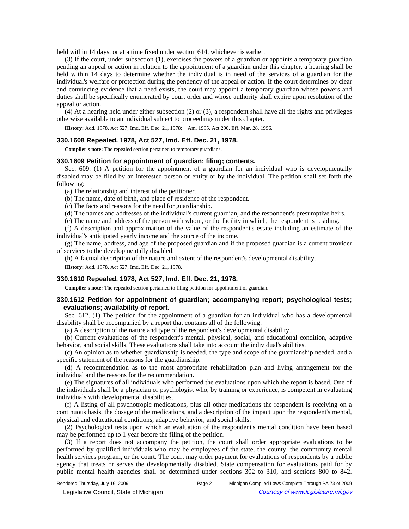held within 14 days, or at a time fixed under section 614, whichever is earlier.

(3) If the court, under subsection (1), exercises the powers of a guardian or appoints a temporary guardian pending an appeal or action in relation to the appointment of a guardian under this chapter, a hearing shall be held within 14 days to determine whether the individual is in need of the services of a guardian for the individual's welfare or protection during the pendency of the appeal or action. If the court determines by clear and convincing evidence that a need exists, the court may appoint a temporary guardian whose powers and duties shall be specifically enumerated by court order and whose authority shall expire upon resolution of the appeal or action.

(4) At a hearing held under either subsection (2) or (3), a respondent shall have all the rights and privileges otherwise available to an individual subject to proceedings under this chapter.

History: Add. 1978, Act 527, Imd. Eff. Dec. 21, 1978;-- Am. 1995, Act 290, Eff. Mar. 28, 1996.

## **330.1608 Repealed. 1978, Act 527, Imd. Eff. Dec. 21, 1978.**

**Compiler's note:** The repealed section pertained to temporary guardians.

## **330.1609 Petition for appointment of guardian; filing; contents.**

Sec. 609. (1) A petition for the appointment of a guardian for an individual who is developmentally disabled may be filed by an interested person or entity or by the individual. The petition shall set forth the following:

(a) The relationship and interest of the petitioner.

(b) The name, date of birth, and place of residence of the respondent.

(c) The facts and reasons for the need for guardianship.

(d) The names and addresses of the individual's current guardian, and the respondent's presumptive heirs.

(e) The name and address of the person with whom, or the facility in which, the respondent is residing.

(f) A description and approximation of the value of the respondent's estate including an estimate of the individual's anticipated yearly income and the source of the income.

(g) The name, address, and age of the proposed guardian and if the proposed guardian is a current provider of services to the developmentally disabled.

(h) A factual description of the nature and extent of the respondent's developmental disability.

**History:** Add. 1978, Act 527, Imd. Eff. Dec. 21, 1978.

# **330.1610 Repealed. 1978, Act 527, Imd. Eff. Dec. 21, 1978.**

**Compiler's note:** The repealed section pertained to filing petition for appointment of guardian.

## **330.1612 Petition for appointment of guardian; accompanying report; psychological tests; evaluations; availability of report.**

Sec. 612. (1) The petition for the appointment of a guardian for an individual who has a developmental disability shall be accompanied by a report that contains all of the following:

(a) A description of the nature and type of the respondent's developmental disability.

(b) Current evaluations of the respondent's mental, physical, social, and educational condition, adaptive behavior, and social skills. These evaluations shall take into account the individual's abilities.

(c) An opinion as to whether guardianship is needed, the type and scope of the guardianship needed, and a specific statement of the reasons for the guardianship.

(d) A recommendation as to the most appropriate rehabilitation plan and living arrangement for the individual and the reasons for the recommendation.

(e) The signatures of all individuals who performed the evaluations upon which the report is based. One of the individuals shall be a physician or psychologist who, by training or experience, is competent in evaluating individuals with developmental disabilities.

(f) A listing of all psychotropic medications, plus all other medications the respondent is receiving on a continuous basis, the dosage of the medications, and a description of the impact upon the respondent's mental, physical and educational conditions, adaptive behavior, and social skills.

(2) Psychological tests upon which an evaluation of the respondent's mental condition have been based may be performed up to 1 year before the filing of the petition.

(3) If a report does not accompany the petition, the court shall order appropriate evaluations to be performed by qualified individuals who may be employees of the state, the county, the community mental health services program, or the court. The court may order payment for evaluations of respondents by a public agency that treats or serves the developmentally disabled. State compensation for evaluations paid for by public mental health agencies shall be determined under sections 302 to 310, and sections 800 to 842.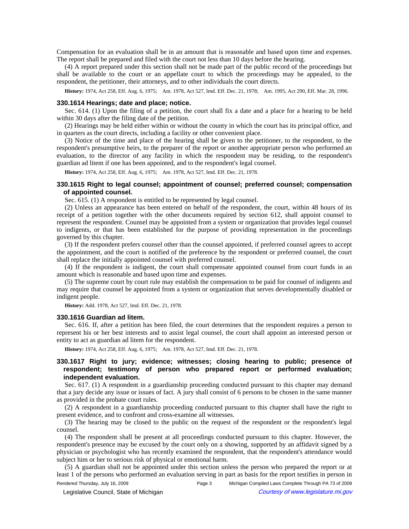Compensation for an evaluation shall be in an amount that is reasonable and based upon time and expenses. The report shall be prepared and filed with the court not less than 10 days before the hearing.

(4) A report prepared under this section shall not be made part of the public record of the proceedings but shall be available to the court or an appellate court to which the proceedings may be appealed, to the respondent, the petitioner, their attorneys, and to other individuals the court directs.

History: 1974, Act 258, Eff. Aug. 6, 1975;-Am. 1978, Act 527, Imd. Eff. Dec. 21, 1978;--Am. 1995, Act 290, Eff. Mar. 28, 1996.

## **330.1614 Hearings; date and place; notice.**

Sec. 614. (1) Upon the filing of a petition, the court shall fix a date and a place for a hearing to be held within 30 days after the filing date of the petition.

(2) Hearings may be held either within or without the county in which the court has its principal office, and in quarters as the court directs, including a facility or other convenient place.

(3) Notice of the time and place of the hearing shall be given to the petitioner, to the respondent, to the respondent's presumptive heirs, to the preparer of the report or another appropriate person who performed an evaluation, to the director of any facility in which the respondent may be residing, to the respondent's guardian ad litem if one has been appointed, and to the respondent's legal counsel.

**History:** 1974, Act 258, Eff. Aug. 6, 1975;—Am. 1978, Act 527, Imd. Eff. Dec. 21, 1978.

# **330.1615 Right to legal counsel; appointment of counsel; preferred counsel; compensation of appointed counsel.**

Sec. 615. (1) A respondent is entitled to be represented by legal counsel.

(2) Unless an appearance has been entered on behalf of the respondent, the court, within 48 hours of its receipt of a petition together with the other documents required by section 612, shall appoint counsel to represent the respondent. Counsel may be appointed from a system or organization that provides legal counsel to indigents, or that has been established for the purpose of providing representation in the proceedings governed by this chapter.

(3) If the respondent prefers counsel other than the counsel appointed, if preferred counsel agrees to accept the appointment, and the court is notified of the preference by the respondent or preferred counsel, the court shall replace the initially appointed counsel with preferred counsel.

(4) If the respondent is indigent, the court shall compensate appointed counsel from court funds in an amount which is reasonable and based upon time and expenses.

(5) The supreme court by court rule may establish the compensation to be paid for counsel of indigents and may require that counsel be appointed from a system or organization that serves developmentally disabled or indigent people.

**History:** Add. 1978, Act 527, Imd. Eff. Dec. 21, 1978.

### **330.1616 Guardian ad litem.**

Sec. 616. If, after a petition has been filed, the court determines that the respondent requires a person to represent his or her best interests and to assist legal counsel, the court shall appoint an interested person or entity to act as guardian ad litem for the respondent.

History: 1974, Act 258, Eff. Aug. 6, 1975;-- Am. 1978, Act 527, Imd. Eff. Dec. 21, 1978.

# **330.1617 Right to jury; evidence; witnesses; closing hearing to public; presence of respondent; testimony of person who prepared report or performed evaluation; independent evaluation.**

Sec. 617. (1) A respondent in a guardianship proceeding conducted pursuant to this chapter may demand that a jury decide any issue or issues of fact. A jury shall consist of 6 persons to be chosen in the same manner as provided in the probate court rules.

(2) A respondent in a guardianship proceeding conducted pursuant to this chapter shall have the right to present evidence, and to confront and cross-examine all witnesses.

(3) The hearing may be closed to the public on the request of the respondent or the respondent's legal counsel.

(4) The respondent shall be present at all proceedings conducted pursuant to this chapter. However, the respondent's presence may be excused by the court only on a showing, supported by an affidavit signed by a physician or psychologist who has recently examined the respondent, that the respondent's attendance would subject him or her to serious risk of physical or emotional harm.

(5) A guardian shall not be appointed under this section unless the person who prepared the report or at least 1 of the persons who performed an evaluation serving in part as basis for the report testifies in person in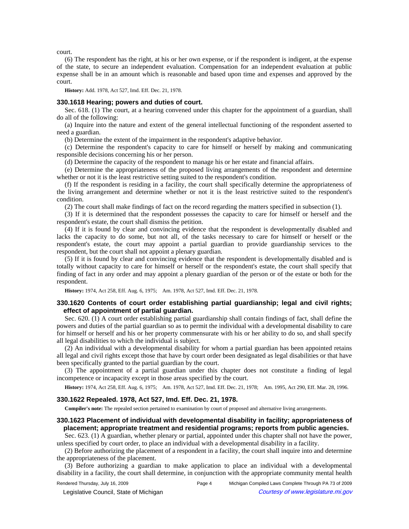court.

(6) The respondent has the right, at his or her own expense, or if the respondent is indigent, at the expense of the state, to secure an independent evaluation. Compensation for an independent evaluation at public expense shall be in an amount which is reasonable and based upon time and expenses and approved by the court.

**History:** Add. 1978, Act 527, Imd. Eff. Dec. 21, 1978.

# **330.1618 Hearing; powers and duties of court.**

Sec. 618. (1) The court, at a hearing convened under this chapter for the appointment of a guardian, shall do all of the following:

(a) Inquire into the nature and extent of the general intellectual functioning of the respondent asserted to need a guardian.

(b) Determine the extent of the impairment in the respondent's adaptive behavior.

(c) Determine the respondent's capacity to care for himself or herself by making and communicating responsible decisions concerning his or her person.

(d) Determine the capacity of the respondent to manage his or her estate and financial affairs.

(e) Determine the appropriateness of the proposed living arrangements of the respondent and determine whether or not it is the least restrictive setting suited to the respondent's condition.

(f) If the respondent is residing in a facility, the court shall specifically determine the appropriateness of the living arrangement and determine whether or not it is the least restrictive suited to the respondent's condition.

(2) The court shall make findings of fact on the record regarding the matters specified in subsection (1).

(3) If it is determined that the respondent possesses the capacity to care for himself or herself and the respondent's estate, the court shall dismiss the petition.

(4) If it is found by clear and convincing evidence that the respondent is developmentally disabled and lacks the capacity to do some, but not all, of the tasks necessary to care for himself or herself or the respondent's estate, the court may appoint a partial guardian to provide guardianship services to the respondent, but the court shall not appoint a plenary guardian.

(5) If it is found by clear and convincing evidence that the respondent is developmentally disabled and is totally without capacity to care for himself or herself or the respondent's estate, the court shall specify that finding of fact in any order and may appoint a plenary guardian of the person or of the estate or both for the respondent.

History: 1974, Act 258, Eff. Aug. 6, 1975;-- Am. 1978, Act 527, Imd. Eff. Dec. 21, 1978.

# **330.1620 Contents of court order establishing partial guardianship; legal and civil rights; effect of appointment of partial guardian.**

Sec. 620. (1) A court order establishing partial guardianship shall contain findings of fact, shall define the powers and duties of the partial guardian so as to permit the individual with a developmental disability to care for himself or herself and his or her property commensurate with his or her ability to do so, and shall specify all legal disabilities to which the individual is subject.

(2) An individual with a developmental disability for whom a partial guardian has been appointed retains all legal and civil rights except those that have by court order been designated as legal disabilities or that have been specifically granted to the partial guardian by the court.

(3) The appointment of a partial guardian under this chapter does not constitute a finding of legal incompetence or incapacity except in those areas specified by the court.

History: 1974, Act 258, Eff. Aug. 6, 1975;—Am. 1978, Act 527, Imd. Eff. Dec. 21, 1978;—Am. 1995, Act 290, Eff. Mar. 28, 1996.

# **330.1622 Repealed. 1978, Act 527, Imd. Eff. Dec. 21, 1978.**

**Compiler's note:** The repealed section pertained to examination by court of proposed and alternative living arrangements.

# **330.1623 Placement of individual with developmental disability in facility; appropriateness of placement; appropriate treatment and residential programs; reports from public agencies.**

Sec. 623. (1) A guardian, whether plenary or partial, appointed under this chapter shall not have the power, unless specified by court order, to place an individual with a developmental disability in a facility.

(2) Before authorizing the placement of a respondent in a facility, the court shall inquire into and determine the appropriateness of the placement.

(3) Before authorizing a guardian to make application to place an individual with a developmental disability in a facility, the court shall determine, in conjunction with the appropriate community mental health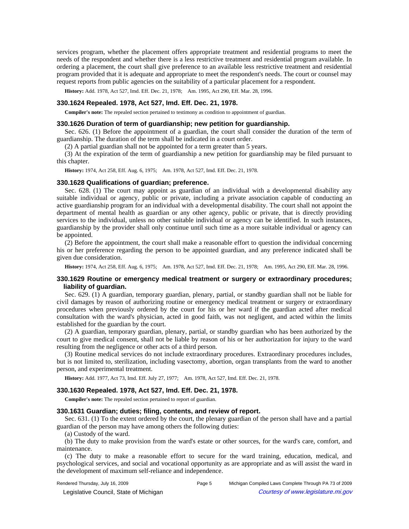services program, whether the placement offers appropriate treatment and residential programs to meet the needs of the respondent and whether there is a less restrictive treatment and residential program available. In ordering a placement, the court shall give preference to an available less restrictive treatment and residential program provided that it is adequate and appropriate to meet the respondent's needs. The court or counsel may request reports from public agencies on the suitability of a particular placement for a respondent.

History: Add. 1978, Act 527, Imd. Eff. Dec. 21, 1978;-- Am. 1995, Act 290, Eff. Mar. 28, 1996.

# **330.1624 Repealed. 1978, Act 527, Imd. Eff. Dec. 21, 1978.**

**Compiler's note:** The repealed section pertained to testimony as condition to appointment of guardian.

### **330.1626 Duration of term of guardianship; new petition for guardianship.**

Sec. 626. (1) Before the appointment of a guardian, the court shall consider the duration of the term of guardianship. The duration of the term shall be indicated in a court order.

(2) A partial guardian shall not be appointed for a term greater than 5 years.

(3) At the expiration of the term of guardianship a new petition for guardianship may be filed pursuant to this chapter.

History: 1974, Act 258, Eff. Aug. 6, 1975;—Am. 1978, Act 527, Imd. Eff. Dec. 21, 1978.

### **330.1628 Qualifications of guardian; preference.**

Sec. 628. (1) The court may appoint as guardian of an individual with a developmental disability any suitable individual or agency, public or private, including a private association capable of conducting an active guardianship program for an individual with a developmental disability. The court shall not appoint the department of mental health as guardian or any other agency, public or private, that is directly providing services to the individual, unless no other suitable individual or agency can be identified. In such instances, guardianship by the provider shall only continue until such time as a more suitable individual or agency can be appointed.

(2) Before the appointment, the court shall make a reasonable effort to question the individual concerning his or her preference regarding the person to be appointed guardian, and any preference indicated shall be given due consideration.

History: 1974, Act 258, Eff. Aug. 6, 1975;—Am. 1978, Act 527, Imd. Eff. Dec. 21, 1978;—Am. 1995, Act 290, Eff. Mar. 28, 1996.

# **330.1629 Routine or emergency medical treatment or surgery or extraordinary procedures; liability of guardian.**

Sec. 629. (1) A guardian, temporary guardian, plenary, partial, or standby guardian shall not be liable for civil damages by reason of authorizing routine or emergency medical treatment or surgery or extraordinary procedures when previously ordered by the court for his or her ward if the guardian acted after medical consultation with the ward's physician, acted in good faith, was not negligent, and acted within the limits established for the guardian by the court.

(2) A guardian, temporary guardian, plenary, partial, or standby guardian who has been authorized by the court to give medical consent, shall not be liable by reason of his or her authorization for injury to the ward resulting from the negligence or other acts of a third person.

(3) Routine medical services do not include extraordinary procedures. Extraordinary procedures includes, but is not limited to, sterilization, including vasectomy, abortion, organ transplants from the ward to another person, and experimental treatment.

History: Add. 1977, Act 73, Imd. Eff. July 27, 1977;-- Am. 1978, Act 527, Imd. Eff. Dec. 21, 1978.

### **330.1630 Repealed. 1978, Act 527, Imd. Eff. Dec. 21, 1978.**

**Compiler's note:** The repealed section pertained to report of guardian.

# **330.1631 Guardian; duties; filing, contents, and review of report.**

Sec. 631. (1) To the extent ordered by the court, the plenary guardian of the person shall have and a partial guardian of the person may have among others the following duties:

(a) Custody of the ward.

(b) The duty to make provision from the ward's estate or other sources, for the ward's care, comfort, and maintenance.

(c) The duty to make a reasonable effort to secure for the ward training, education, medical, and psychological services, and social and vocational opportunity as are appropriate and as will assist the ward in the development of maximum self-reliance and independence.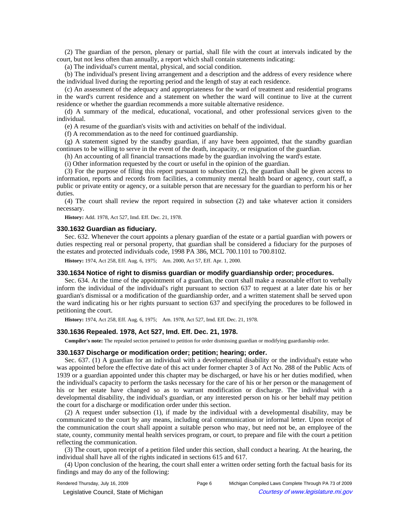(2) The guardian of the person, plenary or partial, shall file with the court at intervals indicated by the court, but not less often than annually, a report which shall contain statements indicating:

(a) The individual's current mental, physical, and social condition.

(b) The individual's present living arrangement and a description and the address of every residence where the individual lived during the reporting period and the length of stay at each residence.

(c) An assessment of the adequacy and appropriateness for the ward of treatment and residential programs in the ward's current residence and a statement on whether the ward will continue to live at the current residence or whether the guardian recommends a more suitable alternative residence.

(d) A summary of the medical, educational, vocational, and other professional services given to the individual.

(e) A resume of the guardian's visits with and activities on behalf of the individual.

(f) A recommendation as to the need for continued guardianship.

(g) A statement signed by the standby guardian, if any have been appointed, that the standby guardian continues to be willing to serve in the event of the death, incapacity, or resignation of the guardian.

(h) An accounting of all financial transactions made by the guardian involving the ward's estate.

(i) Other information requested by the court or useful in the opinion of the guardian.

(3) For the purpose of filing this report pursuant to subsection (2), the guardian shall be given access to information, reports and records from facilities, a community mental health board or agency, court staff, a public or private entity or agency, or a suitable person that are necessary for the guardian to perform his or her duties.

(4) The court shall review the report required in subsection (2) and take whatever action it considers necessary.

**History:** Add. 1978, Act 527, Imd. Eff. Dec. 21, 1978.

### **330.1632 Guardian as fiduciary.**

Sec. 632. Whenever the court appoints a plenary guardian of the estate or a partial guardian with powers or duties respecting real or personal property, that guardian shall be considered a fiduciary for the purposes of the estates and protected individuals code, 1998 PA 386, MCL 700.1101 to 700.8102.

History: 1974, Act 258, Eff. Aug. 6, 1975;-- Am. 2000, Act 57, Eff. Apr. 1, 2000.

### **330.1634 Notice of right to dismiss guardian or modify guardianship order; procedures.**

Sec. 634. At the time of the appointment of a guardian, the court shall make a reasonable effort to verbally inform the individual of the individual's right pursuant to section 637 to request at a later date his or her guardian's dismissal or a modification of the guardianship order, and a written statement shall be served upon the ward indicating his or her rights pursuant to section 637 and specifying the procedures to be followed in petitioning the court.

History: 1974, Act 258, Eff. Aug. 6, 1975;-- Am. 1978, Act 527, Imd. Eff. Dec. 21, 1978.

### **330.1636 Repealed. 1978, Act 527, Imd. Eff. Dec. 21, 1978.**

**Compiler's note:** The repealed section pertained to petition for order dismissing guardian or modifying guardianship order.

## **330.1637 Discharge or modification order; petition; hearing; order.**

Sec. 637. (1) A guardian for an individual with a developmental disability or the individual's estate who was appointed before the effective date of this act under former chapter 3 of Act No. 288 of the Public Acts of 1939 or a guardian appointed under this chapter may be discharged, or have his or her duties modified, when the individual's capacity to perform the tasks necessary for the care of his or her person or the management of his or her estate have changed so as to warrant modification or discharge. The individual with a developmental disability, the individual's guardian, or any interested person on his or her behalf may petition the court for a discharge or modification order under this section.

(2) A request under subsection (1), if made by the individual with a developmental disability, may be communicated to the court by any means, including oral communication or informal letter. Upon receipt of the communication the court shall appoint a suitable person who may, but need not be, an employee of the state, county, community mental health services program, or court, to prepare and file with the court a petition reflecting the communication.

(3) The court, upon receipt of a petition filed under this section, shall conduct a hearing. At the hearing, the individual shall have all of the rights indicated in sections 615 and 617.

(4) Upon conclusion of the hearing, the court shall enter a written order setting forth the factual basis for its findings and may do any of the following:

© Legislative Council, State of Michigan Council Courtesy of www.legislature.mi.gov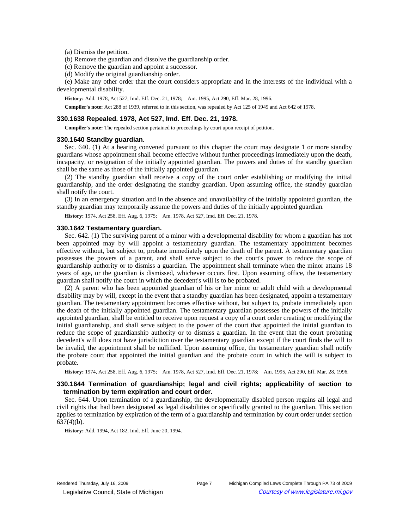(a) Dismiss the petition.

(b) Remove the guardian and dissolve the guardianship order.

(c) Remove the guardian and appoint a successor.

(d) Modify the original guardianship order.

(e) Make any other order that the court considers appropriate and in the interests of the individual with a developmental disability.

History: Add. 1978, Act 527, Imd. Eff. Dec. 21, 1978;-- Am. 1995, Act 290, Eff. Mar. 28, 1996.

**Compiler's note:** Act 288 of 1939, referred to in this section, was repealed by Act 125 of 1949 and Act 642 of 1978.

## **330.1638 Repealed. 1978, Act 527, Imd. Eff. Dec. 21, 1978.**

**Compiler's note:** The repealed section pertained to proceedings by court upon receipt of petition.

## **330.1640 Standby guardian.**

Sec. 640. (1) At a hearing convened pursuant to this chapter the court may designate 1 or more standby guardians whose appointment shall become effective without further proceedings immediately upon the death, incapacity, or resignation of the initially appointed guardian. The powers and duties of the standby guardian shall be the same as those of the initially appointed guardian.

(2) The standby guardian shall receive a copy of the court order establishing or modifying the initial guardianship, and the order designating the standby guardian. Upon assuming office, the standby guardian shall notify the court.

(3) In an emergency situation and in the absence and unavailability of the initially appointed guardian, the standby guardian may temporarily assume the powers and duties of the initially appointed guardian.

History: 1974, Act 258, Eff. Aug. 6, 1975;—Am. 1978, Act 527, Imd. Eff. Dec. 21, 1978.

### **330.1642 Testamentary guardian.**

Sec. 642. (1) The surviving parent of a minor with a developmental disability for whom a guardian has not been appointed may by will appoint a testamentary guardian. The testamentary appointment becomes effective without, but subject to, probate immediately upon the death of the parent. A testamentary guardian possesses the powers of a parent, and shall serve subject to the court's power to reduce the scope of guardianship authority or to dismiss a guardian. The appointment shall terminate when the minor attains 18 years of age, or the guardian is dismissed, whichever occurs first. Upon assuming office, the testamentary guardian shall notify the court in which the decedent's will is to be probated.

(2) A parent who has been appointed guardian of his or her minor or adult child with a developmental disability may by will, except in the event that a standby guardian has been designated, appoint a testamentary guardian. The testamentary appointment becomes effective without, but subject to, probate immediately upon the death of the initially appointed guardian. The testamentary guardian possesses the powers of the initially appointed guardian, shall be entitled to receive upon request a copy of a court order creating or modifying the initial guardianship, and shall serve subject to the power of the court that appointed the initial guardian to reduce the scope of guardianship authority or to dismiss a guardian. In the event that the court probating decedent's will does not have jurisdiction over the testamentary guardian except if the court finds the will to be invalid, the appointment shall be nullified. Upon assuming office, the testamentary guardian shall notify the probate court that appointed the initial guardian and the probate court in which the will is subject to probate.

History: 1974, Act 258, Eff. Aug. 6, 1975;-Am. 1978, Act 527, Imd. Eff. Dec. 21, 1978;-Am. 1995, Act 290, Eff. Mar. 28, 1996.

## **330.1644 Termination of guardianship; legal and civil rights; applicability of section to termination by term expiration and court order.**

Sec. 644. Upon termination of a guardianship, the developmentally disabled person regains all legal and civil rights that had been designated as legal disabilities or specifically granted to the guardian. This section applies to termination by expiration of the term of a guardianship and termination by court order under section 637(4)(b).

**History:** Add. 1994, Act 182, Imd. Eff. June 20, 1994.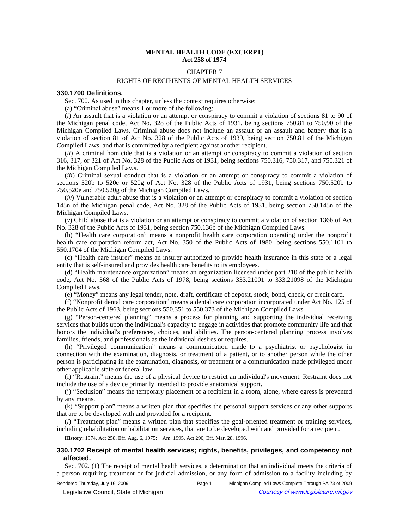# **MENTAL HEALTH CODE (EXCERPT) Act 258 of 1974**

## CHAPTER 7

## RIGHTS OF RECIPIENTS OF MENTAL HEALTH SERVICES

### **330.1700 Definitions.**

Sec. 700. As used in this chapter, unless the context requires otherwise:

(a) "Criminal abuse" means 1 or more of the following:

(*i*) An assault that is a violation or an attempt or conspiracy to commit a violation of sections 81 to 90 of the Michigan penal code, Act No. 328 of the Public Acts of 1931, being sections 750.81 to 750.90 of the Michigan Compiled Laws. Criminal abuse does not include an assault or an assault and battery that is a violation of section 81 of Act No. 328 of the Public Acts of 1939, being section 750.81 of the Michigan Compiled Laws, and that is committed by a recipient against another recipient.

(*ii*) A criminal homicide that is a violation or an attempt or conspiracy to commit a violation of section 316, 317, or 321 of Act No. 328 of the Public Acts of 1931, being sections 750.316, 750.317, and 750.321 of the Michigan Compiled Laws.

(*iii*) Criminal sexual conduct that is a violation or an attempt or conspiracy to commit a violation of sections 520b to 520e or 520g of Act No. 328 of the Public Acts of 1931, being sections 750.520b to 750.520e and 750.520g of the Michigan Compiled Laws.

(*iv*) Vulnerable adult abuse that is a violation or an attempt or conspiracy to commit a violation of section 145n of the Michigan penal code, Act No. 328 of the Public Acts of 1931, being section 750.145n of the Michigan Compiled Laws.

(*v*) Child abuse that is a violation or an attempt or conspiracy to commit a violation of section 136b of Act No. 328 of the Public Acts of 1931, being section 750.136b of the Michigan Compiled Laws.

(b) "Health care corporation" means a nonprofit health care corporation operating under the nonprofit health care corporation reform act, Act No. 350 of the Public Acts of 1980, being sections 550.1101 to 550.1704 of the Michigan Compiled Laws.

(c) "Health care insurer" means an insurer authorized to provide health insurance in this state or a legal entity that is self-insured and provides health care benefits to its employees.

(d) "Health maintenance organization" means an organization licensed under part 210 of the public health code, Act No. 368 of the Public Acts of 1978, being sections 333.21001 to 333.21098 of the Michigan Compiled Laws.

(e) "Money" means any legal tender, note, draft, certificate of deposit, stock, bond, check, or credit card.

(f) "Nonprofit dental care corporation" means a dental care corporation incorporated under Act No. 125 of the Public Acts of 1963, being sections 550.351 to 550.373 of the Michigan Compiled Laws.

(g) "Person-centered planning" means a process for planning and supporting the individual receiving services that builds upon the individual's capacity to engage in activities that promote community life and that honors the individual's preferences, choices, and abilities. The person-centered planning process involves families, friends, and professionals as the individual desires or requires.

(h) "Privileged communication" means a communication made to a psychiatrist or psychologist in connection with the examination, diagnosis, or treatment of a patient, or to another person while the other person is participating in the examination, diagnosis, or treatment or a communication made privileged under other applicable state or federal law.

(i) "Restraint" means the use of a physical device to restrict an individual's movement. Restraint does not include the use of a device primarily intended to provide anatomical support.

(j) "Seclusion" means the temporary placement of a recipient in a room, alone, where egress is prevented by any means.

(k) "Support plan" means a written plan that specifies the personal support services or any other supports that are to be developed with and provided for a recipient.

(*l*) "Treatment plan" means a written plan that specifies the goal-oriented treatment or training services, including rehabilitation or habilitation services, that are to be developed with and provided for a recipient.

History: 1974, Act 258, Eff. Aug. 6, 1975;-- Am. 1995, Act 290, Eff. Mar. 28, 1996.

## **330.1702 Receipt of mental health services; rights, benefits, privileges, and competency not affected.**

Sec. 702. (1) The receipt of mental health services, a determination that an individual meets the criteria of a person requiring treatment or for judicial admission, or any form of admission to a facility including by

Rendered Thursday, July 16, 2009 **Page 1** Page 1 Michigan Compiled Laws Complete Through PA 73 of 2009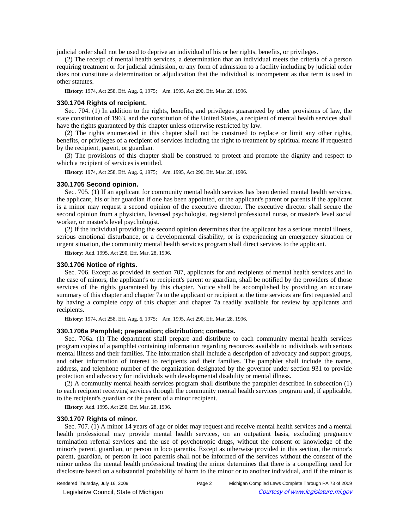judicial order shall not be used to deprive an individual of his or her rights, benefits, or privileges.

(2) The receipt of mental health services, a determination that an individual meets the criteria of a person requiring treatment or for judicial admission, or any form of admission to a facility including by judicial order does not constitute a determination or adjudication that the individual is incompetent as that term is used in other statutes.

History: 1974, Act 258, Eff. Aug. 6, 1975;-Am. 1995, Act 290, Eff. Mar. 28, 1996.

# **330.1704 Rights of recipient.**

Sec. 704. (1) In addition to the rights, benefits, and privileges guaranteed by other provisions of law, the state constitution of 1963, and the constitution of the United States, a recipient of mental health services shall have the rights guaranteed by this chapter unless otherwise restricted by law.

(2) The rights enumerated in this chapter shall not be construed to replace or limit any other rights, benefits, or privileges of a recipient of services including the right to treatment by spiritual means if requested by the recipient, parent, or guardian.

(3) The provisions of this chapter shall be construed to protect and promote the dignity and respect to which a recipient of services is entitled.

History: 1974, Act 258, Eff. Aug. 6, 1975;-- Am. 1995, Act 290, Eff. Mar. 28, 1996.

### **330.1705 Second opinion.**

Sec. 705. (1) If an applicant for community mental health services has been denied mental health services, the applicant, his or her guardian if one has been appointed, or the applicant's parent or parents if the applicant is a minor may request a second opinion of the executive director. The executive director shall secure the second opinion from a physician, licensed psychologist, registered professional nurse, or master's level social worker, or master's level psychologist.

(2) If the individual providing the second opinion determines that the applicant has a serious mental illness, serious emotional disturbance, or a developmental disability, or is experiencing an emergency situation or urgent situation, the community mental health services program shall direct services to the applicant.

**History:** Add. 1995, Act 290, Eff. Mar. 28, 1996.

## **330.1706 Notice of rights.**

Sec. 706. Except as provided in section 707, applicants for and recipients of mental health services and in the case of minors, the applicant's or recipient's parent or guardian, shall be notified by the providers of those services of the rights guaranteed by this chapter. Notice shall be accomplished by providing an accurate summary of this chapter and chapter 7a to the applicant or recipient at the time services are first requested and by having a complete copy of this chapter and chapter 7a readily available for review by applicants and recipients.

History: 1974, Act 258, Eff. Aug. 6, 1975;-- Am. 1995, Act 290, Eff. Mar. 28, 1996.

### **330.1706a Pamphlet; preparation; distribution; contents.**

Sec. 706a. (1) The department shall prepare and distribute to each community mental health services program copies of a pamphlet containing information regarding resources available to individuals with serious mental illness and their families. The information shall include a description of advocacy and support groups, and other information of interest to recipients and their families. The pamphlet shall include the name, address, and telephone number of the organization designated by the governor under section 931 to provide protection and advocacy for individuals with developmental disability or mental illness.

(2) A community mental health services program shall distribute the pamphlet described in subsection (1) to each recipient receiving services through the community mental health services program and, if applicable, to the recipient's guardian or the parent of a minor recipient.

**History:** Add. 1995, Act 290, Eff. Mar. 28, 1996.

### **330.1707 Rights of minor.**

Sec. 707. (1) A minor 14 years of age or older may request and receive mental health services and a mental health professional may provide mental health services, on an outpatient basis, excluding pregnancy termination referral services and the use of psychotropic drugs, without the consent or knowledge of the minor's parent, guardian, or person in loco parentis. Except as otherwise provided in this section, the minor's parent, guardian, or person in loco parentis shall not be informed of the services without the consent of the minor unless the mental health professional treating the minor determines that there is a compelling need for disclosure based on a substantial probability of harm to the minor or to another individual, and if the minor is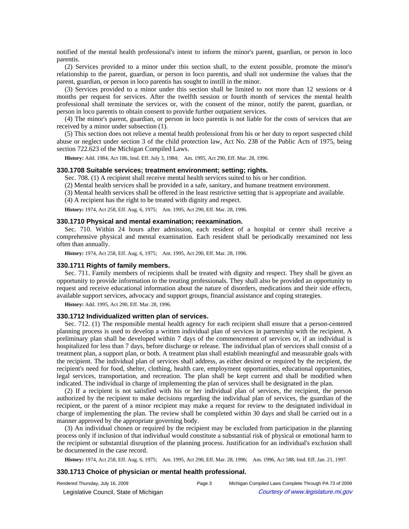notified of the mental health professional's intent to inform the minor's parent, guardian, or person in loco parentis.

(2) Services provided to a minor under this section shall, to the extent possible, promote the minor's relationship to the parent, guardian, or person in loco parentis, and shall not undermine the values that the parent, guardian, or person in loco parentis has sought to instill in the minor.

(3) Services provided to a minor under this section shall be limited to not more than 12 sessions or 4 months per request for services. After the twelfth session or fourth month of services the mental health professional shall terminate the services or, with the consent of the minor, notify the parent, guardian, or person in loco parentis to obtain consent to provide further outpatient services.

(4) The minor's parent, guardian, or person in loco parentis is not liable for the costs of services that are received by a minor under subsection (1).

(5) This section does not relieve a mental health professional from his or her duty to report suspected child abuse or neglect under section 3 of the child protection law, Act No. 238 of the Public Acts of 1975, being section 722.623 of the Michigan Compiled Laws.

History: Add. 1984, Act 186, Imd. Eff. July 3, 1984;- Am. 1995, Act 290, Eff. Mar. 28, 1996.

### **330.1708 Suitable services; treatment environment; setting; rights.**

Sec. 708. (1) A recipient shall receive mental health services suited to his or her condition.

(2) Mental health services shall be provided in a safe, sanitary, and humane treatment environment.

(3) Mental health services shall be offered in the least restrictive setting that is appropriate and available.

(4) A recipient has the right to be treated with dignity and respect.

History: 1974, Act 258, Eff. Aug. 6, 1975;-Am. 1995, Act 290, Eff. Mar. 28, 1996.

## **330.1710 Physical and mental examination; reexamination.**

Sec. 710. Within 24 hours after admission, each resident of a hospital or center shall receive a comprehensive physical and mental examination. Each resident shall be periodically reexamined not less often than annually.

History: 1974, Act 258, Eff. Aug. 6, 1975;-- Am. 1995, Act 290, Eff. Mar. 28, 1996.

#### **330.1711 Rights of family members.**

Sec. 711. Family members of recipients shall be treated with dignity and respect. They shall be given an opportunity to provide information to the treating professionals. They shall also be provided an opportunity to request and receive educational information about the nature of disorders, medications and their side effects, available support services, advocacy and support groups, financial assistance and coping strategies.

**History:** Add. 1995, Act 290, Eff. Mar. 28, 1996.

## **330.1712 Individualized written plan of services.**

Sec. 712. (1) The responsible mental health agency for each recipient shall ensure that a person-centered planning process is used to develop a written individual plan of services in partnership with the recipient. A preliminary plan shall be developed within 7 days of the commencement of services or, if an individual is hospitalized for less than 7 days, before discharge or release. The individual plan of services shall consist of a treatment plan, a support plan, or both. A treatment plan shall establish meaningful and measurable goals with the recipient. The individual plan of services shall address, as either desired or required by the recipient, the recipient's need for food, shelter, clothing, health care, employment opportunities, educational opportunities, legal services, transportation, and recreation. The plan shall be kept current and shall be modified when indicated. The individual in charge of implementing the plan of services shall be designated in the plan.

(2) If a recipient is not satisfied with his or her individual plan of services, the recipient, the person authorized by the recipient to make decisions regarding the individual plan of services, the guardian of the recipient, or the parent of a minor recipient may make a request for review to the designated individual in charge of implementing the plan. The review shall be completed within 30 days and shall be carried out in a manner approved by the appropriate governing body.

(3) An individual chosen or required by the recipient may be excluded from participation in the planning process only if inclusion of that individual would constitute a substantial risk of physical or emotional harm to the recipient or substantial disruption of the planning process. Justification for an individual's exclusion shall be documented in the case record.

History: 1974, Act 258, Eff. Aug. 6, 1975;—Am. 1995, Act 290, Eff. Mar. 28, 1996;—Am. 1996, Act 588, Imd. Eff. Jan. 21, 1997.

### **330.1713 Choice of physician or mental health professional.**

© Legislative Council, State of Michigan Council Courtesy of www.legislature.mi.gov

Rendered Thursday, July 16, 2009 **Page 3** Michigan Compiled Laws Complete Through PA 73 of 2009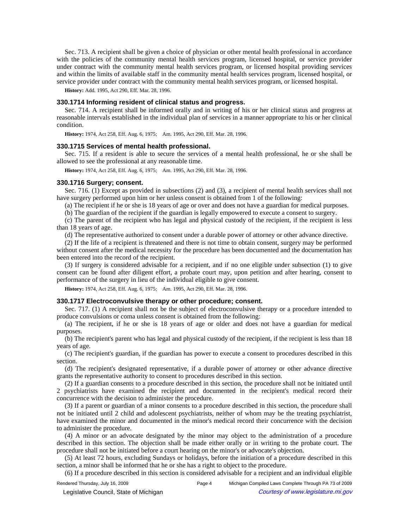Sec. 713. A recipient shall be given a choice of physician or other mental health professional in accordance with the policies of the community mental health services program, licensed hospital, or service provider under contract with the community mental health services program, or licensed hospital providing services and within the limits of available staff in the community mental health services program, licensed hospital, or service provider under contract with the community mental health services program, or licensed hospital.

**History:** Add. 1995, Act 290, Eff. Mar. 28, 1996.

# **330.1714 Informing resident of clinical status and progress.**

Sec. 714. A recipient shall be informed orally and in writing of his or her clinical status and progress at reasonable intervals established in the individual plan of services in a manner appropriate to his or her clinical condition.

History: 1974, Act 258, Eff. Aug. 6, 1975;-- Am. 1995, Act 290, Eff. Mar. 28, 1996.

## **330.1715 Services of mental health professional.**

Sec. 715. If a resident is able to secure the services of a mental health professional, he or she shall be allowed to see the professional at any reasonable time.

History: 1974, Act 258, Eff. Aug. 6, 1975;-- Am. 1995, Act 290, Eff. Mar. 28, 1996.

## **330.1716 Surgery; consent.**

Sec. 716. (1) Except as provided in subsections (2) and (3), a recipient of mental health services shall not have surgery performed upon him or her unless consent is obtained from 1 of the following:

(a) The recipient if he or she is 18 years of age or over and does not have a guardian for medical purposes.

(b) The guardian of the recipient if the guardian is legally empowered to execute a consent to surgery.

(c) The parent of the recipient who has legal and physical custody of the recipient, if the recipient is less than 18 years of age.

(d) The representative authorized to consent under a durable power of attorney or other advance directive.

(2) If the life of a recipient is threatened and there is not time to obtain consent, surgery may be performed without consent after the medical necessity for the procedure has been documented and the documentation has been entered into the record of the recipient.

(3) If surgery is considered advisable for a recipient, and if no one eligible under subsection (1) to give consent can be found after diligent effort, a probate court may, upon petition and after hearing, consent to performance of the surgery in lieu of the individual eligible to give consent.

History: 1974, Act 258, Eff. Aug. 6, 1975;-- Am. 1995, Act 290, Eff. Mar. 28, 1996.

### **330.1717 Electroconvulsive therapy or other procedure; consent.**

Sec. 717. (1) A recipient shall not be the subject of electroconvulsive therapy or a procedure intended to produce convulsions or coma unless consent is obtained from the following:

(a) The recipient, if he or she is 18 years of age or older and does not have a guardian for medical purposes.

(b) The recipient's parent who has legal and physical custody of the recipient, if the recipient is less than 18 years of age.

(c) The recipient's guardian, if the guardian has power to execute a consent to procedures described in this section.

(d) The recipient's designated representative, if a durable power of attorney or other advance directive grants the representative authority to consent to procedures described in this section.

(2) If a guardian consents to a procedure described in this section, the procedure shall not be initiated until 2 psychiatrists have examined the recipient and documented in the recipient's medical record their concurrence with the decision to administer the procedure.

(3) If a parent or guardian of a minor consents to a procedure described in this section, the procedure shall not be initiated until 2 child and adolescent psychiatrists, neither of whom may be the treating psychiatrist, have examined the minor and documented in the minor's medical record their concurrence with the decision to administer the procedure.

(4) A minor or an advocate designated by the minor may object to the administration of a procedure described in this section. The objection shall be made either orally or in writing to the probate court. The procedure shall not be initiated before a court hearing on the minor's or advocate's objection.

(5) At least 72 hours, excluding Sundays or holidays, before the initiation of a procedure described in this section, a minor shall be informed that he or she has a right to object to the procedure.

(6) If a procedure described in this section is considered advisable for a recipient and an individual eligible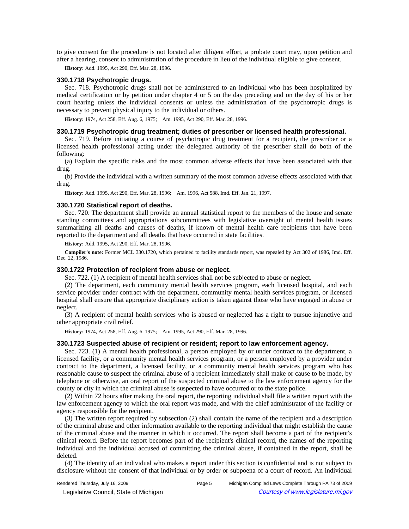to give consent for the procedure is not located after diligent effort, a probate court may, upon petition and after a hearing, consent to administration of the procedure in lieu of the individual eligible to give consent.

**History:** Add. 1995, Act 290, Eff. Mar. 28, 1996.

### **330.1718 Psychotropic drugs.**

Sec. 718. Psychotropic drugs shall not be administered to an individual who has been hospitalized by medical certification or by petition under chapter 4 or 5 on the day preceding and on the day of his or her court hearing unless the individual consents or unless the administration of the psychotropic drugs is necessary to prevent physical injury to the individual or others.

History: 1974, Act 258, Eff. Aug. 6, 1975;-- Am. 1995, Act 290, Eff. Mar. 28, 1996.

## **330.1719 Psychotropic drug treatment; duties of prescriber or licensed health professional.**

Sec. 719. Before initiating a course of psychotropic drug treatment for a recipient, the prescriber or a licensed health professional acting under the delegated authority of the prescriber shall do both of the following:

(a) Explain the specific risks and the most common adverse effects that have been associated with that drug.

(b) Provide the individual with a written summary of the most common adverse effects associated with that drug.

History: Add. 1995, Act 290, Eff. Mar. 28, 1996;- Am. 1996, Act 588, Imd. Eff. Jan. 21, 1997.

### **330.1720 Statistical report of deaths.**

Sec. 720. The department shall provide an annual statistical report to the members of the house and senate standing committees and appropriations subcommittees with legislative oversight of mental health issues summarizing all deaths and causes of deaths, if known of mental health care recipients that have been reported to the department and all deaths that have occurred in state facilities.

**History:** Add. 1995, Act 290, Eff. Mar. 28, 1996.

**Compiler's note:** Former MCL 330.1720, which pertained to facility standards report, was repealed by Act 302 of 1986, Imd. Eff. Dec. 22, 1986.

## **330.1722 Protection of recipient from abuse or neglect.**

Sec. 722. (1) A recipient of mental health services shall not be subjected to abuse or neglect.

(2) The department, each community mental health services program, each licensed hospital, and each service provider under contract with the department, community mental health services program, or licensed hospital shall ensure that appropriate disciplinary action is taken against those who have engaged in abuse or neglect.

(3) A recipient of mental health services who is abused or neglected has a right to pursue injunctive and other appropriate civil relief.

History: 1974, Act 258, Eff. Aug. 6, 1975;-- Am. 1995, Act 290, Eff. Mar. 28, 1996.

### **330.1723 Suspected abuse of recipient or resident; report to law enforcement agency.**

Sec. 723. (1) A mental health professional, a person employed by or under contract to the department, a licensed facility, or a community mental health services program, or a person employed by a provider under contract to the department, a licensed facility, or a community mental health services program who has reasonable cause to suspect the criminal abuse of a recipient immediately shall make or cause to be made, by telephone or otherwise, an oral report of the suspected criminal abuse to the law enforcement agency for the county or city in which the criminal abuse is suspected to have occurred or to the state police.

(2) Within 72 hours after making the oral report, the reporting individual shall file a written report with the law enforcement agency to which the oral report was made, and with the chief administrator of the facility or agency responsible for the recipient.

(3) The written report required by subsection (2) shall contain the name of the recipient and a description of the criminal abuse and other information available to the reporting individual that might establish the cause of the criminal abuse and the manner in which it occurred. The report shall become a part of the recipient's clinical record. Before the report becomes part of the recipient's clinical record, the names of the reporting individual and the individual accused of committing the criminal abuse, if contained in the report, shall be deleted.

(4) The identity of an individual who makes a report under this section is confidential and is not subject to disclosure without the consent of that individual or by order or subpoena of a court of record. An individual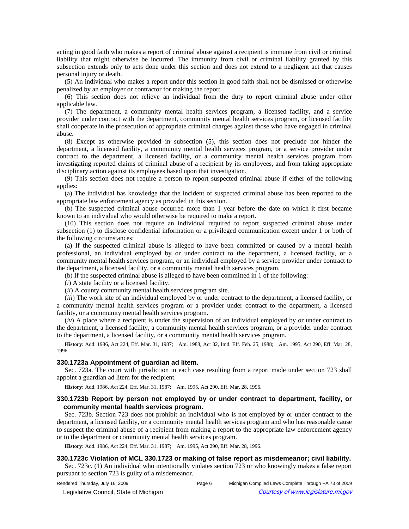acting in good faith who makes a report of criminal abuse against a recipient is immune from civil or criminal liability that might otherwise be incurred. The immunity from civil or criminal liability granted by this subsection extends only to acts done under this section and does not extend to a negligent act that causes personal injury or death.

(5) An individual who makes a report under this section in good faith shall not be dismissed or otherwise penalized by an employer or contractor for making the report.

(6) This section does not relieve an individual from the duty to report criminal abuse under other applicable law.

(7) The department, a community mental health services program, a licensed facility, and a service provider under contract with the department, community mental health services program, or licensed facility shall cooperate in the prosecution of appropriate criminal charges against those who have engaged in criminal abuse.

(8) Except as otherwise provided in subsection (5), this section does not preclude nor hinder the department, a licensed facility, a community mental health services program, or a service provider under contract to the department, a licensed facility, or a community mental health services program from investigating reported claims of criminal abuse of a recipient by its employees, and from taking appropriate disciplinary action against its employees based upon that investigation.

(9) This section does not require a person to report suspected criminal abuse if either of the following applies:

(a) The individual has knowledge that the incident of suspected criminal abuse has been reported to the appropriate law enforcement agency as provided in this section.

(b) The suspected criminal abuse occurred more than 1 year before the date on which it first became known to an individual who would otherwise be required to make a report.

(10) This section does not require an individual required to report suspected criminal abuse under subsection (1) to disclose confidential information or a privileged communication except under 1 or both of the following circumstances:

(a) If the suspected criminal abuse is alleged to have been committed or caused by a mental health professional, an individual employed by or under contract to the department, a licensed facility, or a community mental health services program, or an individual employed by a service provider under contract to the department, a licensed facility, or a community mental health services program.

(b) If the suspected criminal abuse is alleged to have been committed in 1 of the following:

(*i*) A state facility or a licensed facility.

(*ii*) A county community mental health services program site.

(*iii*) The work site of an individual employed by or under contract to the department, a licensed facility, or a community mental health services program or a provider under contract to the department, a licensed facility, or a community mental health services program.

(*iv*) A place where a recipient is under the supervision of an individual employed by or under contract to the department, a licensed facility, a community mental health services program, or a provider under contract to the department, a licensed facility, or a community mental health services program.

History: Add. 1986, Act 224, Eff. Mar. 31, 1987;--Am. 1988, Act 32, Imd. Eff. Feb. 25, 1988;--Am. 1995, Act 290, Eff. Mar. 28, 1996.

## **330.1723a Appointment of guardian ad litem.**

Sec. 723a. The court with jurisdiction in each case resulting from a report made under section 723 shall appoint a guardian ad litem for the recipient.

History: Add. 1986, Act 224, Eff. Mar. 31, 1987;-- Am. 1995, Act 290, Eff. Mar. 28, 1996.

## **330.1723b Report by person not employed by or under contract to department, facility, or community mental health services program.**

Sec. 723b. Section 723 does not prohibit an individual who is not employed by or under contract to the department, a licensed facility, or a community mental health services program and who has reasonable cause to suspect the criminal abuse of a recipient from making a report to the appropriate law enforcement agency or to the department or community mental health services program.

History: Add. 1986, Act 224, Eff. Mar. 31, 1987;-- Am. 1995, Act 290, Eff. Mar. 28, 1996.

# **330.1723c Violation of MCL 330.1723 or making of false report as misdemeanor; civil liability.**

Sec. 723c. (1) An individual who intentionally violates section 723 or who knowingly makes a false report pursuant to section 723 is guilty of a misdemeanor.

Rendered Thursday, July 16, 2009 **Page 6** Michigan Compiled Laws Complete Through PA 73 of 2009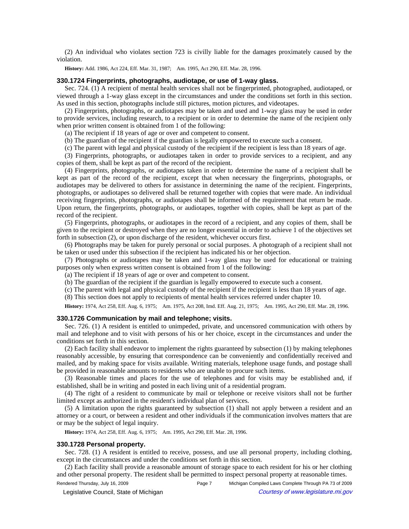(2) An individual who violates section 723 is civilly liable for the damages proximately caused by the violation.

History: Add. 1986, Act 224, Eff. Mar. 31, 1987;-- Am. 1995, Act 290, Eff. Mar. 28, 1996.

### **330.1724 Fingerprints, photographs, audiotape, or use of 1-way glass.**

Sec. 724. (1) A recipient of mental health services shall not be fingerprinted, photographed, audiotaped, or viewed through a 1-way glass except in the circumstances and under the conditions set forth in this section. As used in this section, photographs include still pictures, motion pictures, and videotapes.

(2) Fingerprints, photographs, or audiotapes may be taken and used and 1-way glass may be used in order to provide services, including research, to a recipient or in order to determine the name of the recipient only when prior written consent is obtained from 1 of the following:

(a) The recipient if 18 years of age or over and competent to consent.

(b) The guardian of the recipient if the guardian is legally empowered to execute such a consent.

(c) The parent with legal and physical custody of the recipient if the recipient is less than 18 years of age.

(3) Fingerprints, photographs, or audiotapes taken in order to provide services to a recipient, and any copies of them, shall be kept as part of the record of the recipient.

(4) Fingerprints, photographs, or audiotapes taken in order to determine the name of a recipient shall be kept as part of the record of the recipient, except that when necessary the fingerprints, photographs, or audiotapes may be delivered to others for assistance in determining the name of the recipient. Fingerprints, photographs, or audiotapes so delivered shall be returned together with copies that were made. An individual receiving fingerprints, photographs, or audiotapes shall be informed of the requirement that return be made. Upon return, the fingerprints, photographs, or audiotapes, together with copies, shall be kept as part of the record of the recipient.

(5) Fingerprints, photographs, or audiotapes in the record of a recipient, and any copies of them, shall be given to the recipient or destroyed when they are no longer essential in order to achieve 1 of the objectives set forth in subsection (2), or upon discharge of the resident, whichever occurs first.

(6) Photographs may be taken for purely personal or social purposes. A photograph of a recipient shall not be taken or used under this subsection if the recipient has indicated his or her objection.

(7) Photographs or audiotapes may be taken and 1-way glass may be used for educational or training purposes only when express written consent is obtained from 1 of the following:

(a) The recipient if 18 years of age or over and competent to consent.

(b) The guardian of the recipient if the guardian is legally empowered to execute such a consent.

(c) The parent with legal and physical custody of the recipient if the recipient is less than 18 years of age.

(8) This section does not apply to recipients of mental health services referred under chapter 10.

History: 1974, Act 258, Eff. Aug. 6, 1975;--Am. 1975, Act 208, Imd. Eff. Aug. 21, 1975;--Am. 1995, Act 290, Eff. Mar. 28, 1996.

### **330.1726 Communication by mail and telephone; visits.**

Sec. 726. (1) A resident is entitled to unimpeded, private, and uncensored communication with others by mail and telephone and to visit with persons of his or her choice, except in the circumstances and under the conditions set forth in this section.

(2) Each facility shall endeavor to implement the rights guaranteed by subsection (1) by making telephones reasonably accessible, by ensuring that correspondence can be conveniently and confidentially received and mailed, and by making space for visits available. Writing materials, telephone usage funds, and postage shall be provided in reasonable amounts to residents who are unable to procure such items.

(3) Reasonable times and places for the use of telephones and for visits may be established and, if established, shall be in writing and posted in each living unit of a residential program.

(4) The right of a resident to communicate by mail or telephone or receive visitors shall not be further limited except as authorized in the resident's individual plan of services.

(5) A limitation upon the rights guaranteed by subsection (1) shall not apply between a resident and an attorney or a court, or between a resident and other individuals if the communication involves matters that are or may be the subject of legal inquiry.

History: 1974, Act 258, Eff. Aug. 6, 1975;-- Am. 1995, Act 290, Eff. Mar. 28, 1996.

## **330.1728 Personal property.**

Sec. 728. (1) A resident is entitled to receive, possess, and use all personal property, including clothing, except in the circumstances and under the conditions set forth in this section.

(2) Each facility shall provide a reasonable amount of storage space to each resident for his or her clothing and other personal property. The resident shall be permitted to inspect personal property at reasonable times.

Rendered Thursday, July 16, 2009 **Page 7** Michigan Compiled Laws Complete Through PA 73 of 2009 © Legislative Council, State of Michigan Courtesy of www.legislature.mi.gov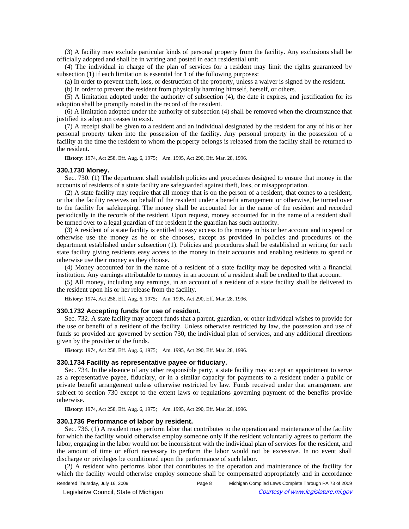(3) A facility may exclude particular kinds of personal property from the facility. Any exclusions shall be officially adopted and shall be in writing and posted in each residential unit.

(4) The individual in charge of the plan of services for a resident may limit the rights guaranteed by subsection (1) if each limitation is essential for 1 of the following purposes:

(a) In order to prevent theft, loss, or destruction of the property, unless a waiver is signed by the resident.

(b) In order to prevent the resident from physically harming himself, herself, or others.

(5) A limitation adopted under the authority of subsection (4), the date it expires, and justification for its adoption shall be promptly noted in the record of the resident.

(6) A limitation adopted under the authority of subsection (4) shall be removed when the circumstance that justified its adoption ceases to exist.

(7) A receipt shall be given to a resident and an individual designated by the resident for any of his or her personal property taken into the possession of the facility. Any personal property in the possession of a facility at the time the resident to whom the property belongs is released from the facility shall be returned to the resident.

History: 1974, Act 258, Eff. Aug. 6, 1975;-- Am. 1995, Act 290, Eff. Mar. 28, 1996.

### **330.1730 Money.**

Sec. 730. (1) The department shall establish policies and procedures designed to ensure that money in the accounts of residents of a state facility are safeguarded against theft, loss, or misappropriation.

(2) A state facility may require that all money that is on the person of a resident, that comes to a resident, or that the facility receives on behalf of the resident under a benefit arrangement or otherwise, be turned over to the facility for safekeeping. The money shall be accounted for in the name of the resident and recorded periodically in the records of the resident. Upon request, money accounted for in the name of a resident shall be turned over to a legal guardian of the resident if the guardian has such authority.

(3) A resident of a state facility is entitled to easy access to the money in his or her account and to spend or otherwise use the money as he or she chooses, except as provided in policies and procedures of the department established under subsection (1). Policies and procedures shall be established in writing for each state facility giving residents easy access to the money in their accounts and enabling residents to spend or otherwise use their money as they choose.

(4) Money accounted for in the name of a resident of a state facility may be deposited with a financial institution. Any earnings attributable to money in an account of a resident shall be credited to that account.

(5) All money, including any earnings, in an account of a resident of a state facility shall be delivered to the resident upon his or her release from the facility.

**History:** 1974, Act 258, Eff. Aug. 6, 1975;-- Am. 1995, Act 290, Eff. Mar. 28, 1996.

#### **330.1732 Accepting funds for use of resident.**

Sec. 732. A state facility may accept funds that a parent, guardian, or other individual wishes to provide for the use or benefit of a resident of the facility. Unless otherwise restricted by law, the possession and use of funds so provided are governed by section 730, the individual plan of services, and any additional directions given by the provider of the funds.

History: 1974, Act 258, Eff. Aug. 6, 1975;-- Am. 1995, Act 290, Eff. Mar. 28, 1996.

### **330.1734 Facility as representative payee or fiduciary.**

Sec. 734. In the absence of any other responsible party, a state facility may accept an appointment to serve as a representative payee, fiduciary, or in a similar capacity for payments to a resident under a public or private benefit arrangement unless otherwise restricted by law. Funds received under that arrangement are subject to section 730 except to the extent laws or regulations governing payment of the benefits provide otherwise.

History: 1974, Act 258, Eff. Aug. 6, 1975;-- Am. 1995, Act 290, Eff. Mar. 28, 1996.

#### **330.1736 Performance of labor by resident.**

Sec. 736. (1) A resident may perform labor that contributes to the operation and maintenance of the facility for which the facility would otherwise employ someone only if the resident voluntarily agrees to perform the labor, engaging in the labor would not be inconsistent with the individual plan of services for the resident, and the amount of time or effort necessary to perform the labor would not be excessive. In no event shall discharge or privileges be conditioned upon the performance of such labor.

(2) A resident who performs labor that contributes to the operation and maintenance of the facility for which the facility would otherwise employ someone shall be compensated appropriately and in accordance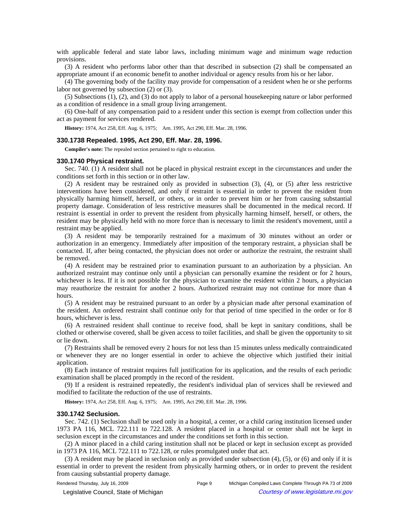with applicable federal and state labor laws, including minimum wage and minimum wage reduction provisions.

(3) A resident who performs labor other than that described in subsection (2) shall be compensated an appropriate amount if an economic benefit to another individual or agency results from his or her labor.

(4) The governing body of the facility may provide for compensation of a resident when he or she performs labor not governed by subsection (2) or (3).

(5) Subsections (1), (2), and (3) do not apply to labor of a personal housekeeping nature or labor performed as a condition of residence in a small group living arrangement.

(6) One-half of any compensation paid to a resident under this section is exempt from collection under this act as payment for services rendered.

History: 1974, Act 258, Eff. Aug. 6, 1975;-Am. 1995, Act 290, Eff. Mar. 28, 1996.

## **330.1738 Repealed. 1995, Act 290, Eff. Mar. 28, 1996.**

**Compiler's note:** The repealed section pertained to right to education.

## **330.1740 Physical restraint.**

Sec. 740. (1) A resident shall not be placed in physical restraint except in the circumstances and under the conditions set forth in this section or in other law.

(2) A resident may be restrained only as provided in subsection (3), (4), or (5) after less restrictive interventions have been considered, and only if restraint is essential in order to prevent the resident from physically harming himself, herself, or others, or in order to prevent him or her from causing substantial property damage. Consideration of less restrictive measures shall be documented in the medical record. If restraint is essential in order to prevent the resident from physically harming himself, herself, or others, the resident may be physically held with no more force than is necessary to limit the resident's movement, until a restraint may be applied.

(3) A resident may be temporarily restrained for a maximum of 30 minutes without an order or authorization in an emergency. Immediately after imposition of the temporary restraint, a physician shall be contacted. If, after being contacted, the physician does not order or authorize the restraint, the restraint shall be removed.

(4) A resident may be restrained prior to examination pursuant to an authorization by a physician. An authorized restraint may continue only until a physician can personally examine the resident or for 2 hours, whichever is less. If it is not possible for the physician to examine the resident within 2 hours, a physician may reauthorize the restraint for another 2 hours. Authorized restraint may not continue for more than 4 hours.

(5) A resident may be restrained pursuant to an order by a physician made after personal examination of the resident. An ordered restraint shall continue only for that period of time specified in the order or for 8 hours, whichever is less.

(6) A restrained resident shall continue to receive food, shall be kept in sanitary conditions, shall be clothed or otherwise covered, shall be given access to toilet facilities, and shall be given the opportunity to sit or lie down.

(7) Restraints shall be removed every 2 hours for not less than 15 minutes unless medically contraindicated or whenever they are no longer essential in order to achieve the objective which justified their initial application.

(8) Each instance of restraint requires full justification for its application, and the results of each periodic examination shall be placed promptly in the record of the resident.

(9) If a resident is restrained repeatedly, the resident's individual plan of services shall be reviewed and modified to facilitate the reduction of the use of restraints.

**History:** 1974, Act 258, Eff. Aug. 6, 1975;-- Am. 1995, Act 290, Eff. Mar. 28, 1996.

### **330.1742 Seclusion.**

Sec. 742. (1) Seclusion shall be used only in a hospital, a center, or a child caring institution licensed under 1973 PA 116, MCL 722.111 to 722.128. A resident placed in a hospital or center shall not be kept in seclusion except in the circumstances and under the conditions set forth in this section.

(2) A minor placed in a child caring institution shall not be placed or kept in seclusion except as provided in 1973 PA 116, MCL 722.111 to 722.128, or rules promulgated under that act.

(3) A resident may be placed in seclusion only as provided under subsection (4), (5), or (6) and only if it is essential in order to prevent the resident from physically harming others, or in order to prevent the resident from causing substantial property damage.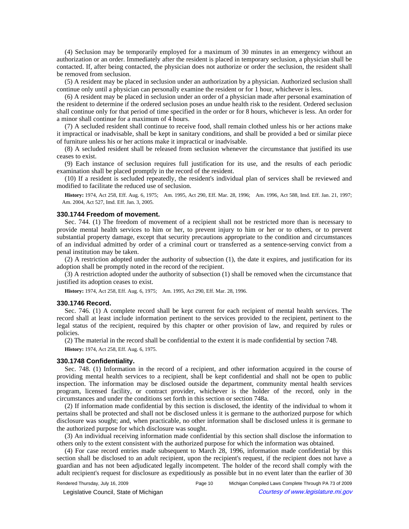(4) Seclusion may be temporarily employed for a maximum of 30 minutes in an emergency without an authorization or an order. Immediately after the resident is placed in temporary seclusion, a physician shall be contacted. If, after being contacted, the physician does not authorize or order the seclusion, the resident shall be removed from seclusion.

(5) A resident may be placed in seclusion under an authorization by a physician. Authorized seclusion shall continue only until a physician can personally examine the resident or for 1 hour, whichever is less.

(6) A resident may be placed in seclusion under an order of a physician made after personal examination of the resident to determine if the ordered seclusion poses an undue health risk to the resident. Ordered seclusion shall continue only for that period of time specified in the order or for 8 hours, whichever is less. An order for a minor shall continue for a maximum of 4 hours.

(7) A secluded resident shall continue to receive food, shall remain clothed unless his or her actions make it impractical or inadvisable, shall be kept in sanitary conditions, and shall be provided a bed or similar piece of furniture unless his or her actions make it impractical or inadvisable.

(8) A secluded resident shall be released from seclusion whenever the circumstance that justified its use ceases to exist.

(9) Each instance of seclusion requires full justification for its use, and the results of each periodic examination shall be placed promptly in the record of the resident.

(10) If a resident is secluded repeatedly, the resident's individual plan of services shall be reviewed and modified to facilitate the reduced use of seclusion.

History: 1974, Act 258, Eff. Aug. 6, 1975;--Am. 1995, Act 290, Eff. Mar. 28, 1996;--Am. 1996, Act 588, Imd. Eff. Jan. 21, 1997; Am. 2004, Act 527, Imd. Eff. Jan. 3, 2005.

### **330.1744 Freedom of movement.**

Sec. 744. (1) The freedom of movement of a recipient shall not be restricted more than is necessary to provide mental health services to him or her, to prevent injury to him or her or to others, or to prevent substantial property damage, except that security precautions appropriate to the condition and circumstances of an individual admitted by order of a criminal court or transferred as a sentence-serving convict from a penal institution may be taken.

(2) A restriction adopted under the authority of subsection (1), the date it expires, and justification for its adoption shall be promptly noted in the record of the recipient.

(3) A restriction adopted under the authority of subsection (1) shall be removed when the circumstance that justified its adoption ceases to exist.

History: 1974, Act 258, Eff. Aug. 6, 1975;-- Am. 1995, Act 290, Eff. Mar. 28, 1996.

### **330.1746 Record.**

Sec. 746. (1) A complete record shall be kept current for each recipient of mental health services. The record shall at least include information pertinent to the services provided to the recipient, pertinent to the legal status of the recipient, required by this chapter or other provision of law, and required by rules or policies.

(2) The material in the record shall be confidential to the extent it is made confidential by section 748.

**History:** 1974, Act 258, Eff. Aug. 6, 1975.

### **330.1748 Confidentiality.**

Sec. 748. (1) Information in the record of a recipient, and other information acquired in the course of providing mental health services to a recipient, shall be kept confidential and shall not be open to public inspection. The information may be disclosed outside the department, community mental health services program, licensed facility, or contract provider, whichever is the holder of the record, only in the circumstances and under the conditions set forth in this section or section 748a.

(2) If information made confidential by this section is disclosed, the identity of the individual to whom it pertains shall be protected and shall not be disclosed unless it is germane to the authorized purpose for which disclosure was sought; and, when practicable, no other information shall be disclosed unless it is germane to the authorized purpose for which disclosure was sought.

(3) An individual receiving information made confidential by this section shall disclose the information to others only to the extent consistent with the authorized purpose for which the information was obtained.

(4) For case record entries made subsequent to March 28, 1996, information made confidential by this section shall be disclosed to an adult recipient, upon the recipient's request, if the recipient does not have a guardian and has not been adjudicated legally incompetent. The holder of the record shall comply with the adult recipient's request for disclosure as expeditiously as possible but in no event later than the earlier of 30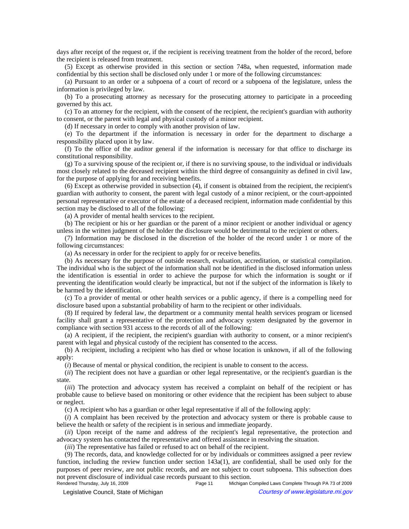days after receipt of the request or, if the recipient is receiving treatment from the holder of the record, before the recipient is released from treatment.

(5) Except as otherwise provided in this section or section 748a, when requested, information made confidential by this section shall be disclosed only under 1 or more of the following circumstances:

(a) Pursuant to an order or a subpoena of a court of record or a subpoena of the legislature, unless the information is privileged by law.

(b) To a prosecuting attorney as necessary for the prosecuting attorney to participate in a proceeding governed by this act.

(c) To an attorney for the recipient, with the consent of the recipient, the recipient's guardian with authority to consent, or the parent with legal and physical custody of a minor recipient.

(d) If necessary in order to comply with another provision of law.

(e) To the department if the information is necessary in order for the department to discharge a responsibility placed upon it by law.

(f) To the office of the auditor general if the information is necessary for that office to discharge its constitutional responsibility.

(g) To a surviving spouse of the recipient or, if there is no surviving spouse, to the individual or individuals most closely related to the deceased recipient within the third degree of consanguinity as defined in civil law, for the purpose of applying for and receiving benefits.

(6) Except as otherwise provided in subsection (4), if consent is obtained from the recipient, the recipient's guardian with authority to consent, the parent with legal custody of a minor recipient, or the court-appointed personal representative or executor of the estate of a deceased recipient, information made confidential by this section may be disclosed to all of the following:

(a) A provider of mental health services to the recipient.

(b) The recipient or his or her guardian or the parent of a minor recipient or another individual or agency unless in the written judgment of the holder the disclosure would be detrimental to the recipient or others.

(7) Information may be disclosed in the discretion of the holder of the record under 1 or more of the following circumstances:

(a) As necessary in order for the recipient to apply for or receive benefits.

(b) As necessary for the purpose of outside research, evaluation, accreditation, or statistical compilation. The individual who is the subject of the information shall not be identified in the disclosed information unless the identification is essential in order to achieve the purpose for which the information is sought or if preventing the identification would clearly be impractical, but not if the subject of the information is likely to be harmed by the identification.

(c) To a provider of mental or other health services or a public agency, if there is a compelling need for disclosure based upon a substantial probability of harm to the recipient or other individuals.

(8) If required by federal law, the department or a community mental health services program or licensed facility shall grant a representative of the protection and advocacy system designated by the governor in compliance with section 931 access to the records of all of the following:

(a) A recipient, if the recipient, the recipient's guardian with authority to consent, or a minor recipient's parent with legal and physical custody of the recipient has consented to the access.

(b) A recipient, including a recipient who has died or whose location is unknown, if all of the following apply:

(*i*) Because of mental or physical condition, the recipient is unable to consent to the access.

(*ii*) The recipient does not have a guardian or other legal representative, or the recipient's guardian is the state.

(*iii*) The protection and advocacy system has received a complaint on behalf of the recipient or has probable cause to believe based on monitoring or other evidence that the recipient has been subject to abuse or neglect.

(c) A recipient who has a guardian or other legal representative if all of the following apply:

(*i*) A complaint has been received by the protection and advocacy system or there is probable cause to believe the health or safety of the recipient is in serious and immediate jeopardy.

(*ii*) Upon receipt of the name and address of the recipient's legal representative, the protection and advocacy system has contacted the representative and offered assistance in resolving the situation.

(*iii*) The representative has failed or refused to act on behalf of the recipient.

(9) The records, data, and knowledge collected for or by individuals or committees assigned a peer review function, including the review function under section 143a(1), are confidential, shall be used only for the purposes of peer review, are not public records, and are not subject to court subpoena. This subsection does not prevent disclosure of individual case records pursuant to this section.<br>Rendered Thursday, July 16, 2009 Page 11 Michigan C

Michigan Compiled Laws Complete Through PA 73 of 2009 © Legislative Council, State of Michigan Council Courtesy of www.legislature.mi.gov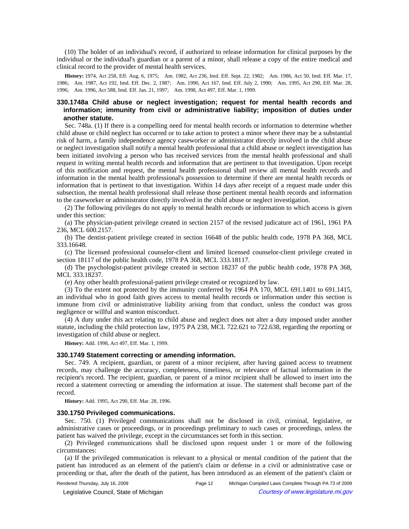(10) The holder of an individual's record, if authorized to release information for clinical purposes by the individual or the individual's guardian or a parent of a minor, shall release a copy of the entire medical and clinical record to the provider of mental health services.

History: 1974, Act 258, Eff. Aug. 6, 1975;—Am. 1982, Act 236, Imd. Eff. Sept. 22, 1982;—Am. 1986, Act 50, Imd. Eff. Mar. 17, 1986;—Am. 1987, Act 192, Imd. Eff. Dec. 2, 1987;—Am. 1990, Act 167, Imd. Eff. July 2, 1990;—Am. 1995, Act 290, Eff. Mar. 28, 1996; Am. 1996, Act 588, Imd. Eff. Jan. 21, 1997; Am. 1998, Act 497, Eff. Mar. 1, 1999.

# **330.1748a Child abuse or neglect investigation; request for mental health records and information; immunity from civil or administrative liability; imposition of duties under another statute.**

Sec. 748a. (1) If there is a compelling need for mental health records or information to determine whether child abuse or child neglect has occurred or to take action to protect a minor where there may be a substantial risk of harm, a family independence agency caseworker or administrator directly involved in the child abuse or neglect investigation shall notify a mental health professional that a child abuse or neglect investigation has been initiated involving a person who has received services from the mental health professional and shall request in writing mental health records and information that are pertinent to that investigation. Upon receipt of this notification and request, the mental health professional shall review all mental health records and information in the mental health professional's possession to determine if there are mental health records or information that is pertinent to that investigation. Within 14 days after receipt of a request made under this subsection, the mental health professional shall release those pertinent mental health records and information to the caseworker or administrator directly involved in the child abuse or neglect investigation.

(2) The following privileges do not apply to mental health records or information to which access is given under this section:

(a) The physician-patient privilege created in section 2157 of the revised judicature act of 1961, 1961 PA 236, MCL 600.2157.

(b) The dentist-patient privilege created in section 16648 of the public health code, 1978 PA 368, MCL 333.16648.

(c) The licensed professional counselor-client and limited licensed counselor-client privilege created in section 18117 of the public health code, 1978 PA 368, MCL 333.18117.

(d) The psychologist-patient privilege created in section 18237 of the public health code, 1978 PA 368, MCL 333.18237.

(e) Any other health professional-patient privilege created or recognized by law.

(3) To the extent not protected by the immunity conferred by 1964 PA 170, MCL 691.1401 to 691.1415, an individual who in good faith gives access to mental health records or information under this section is immune from civil or administrative liability arising from that conduct, unless the conduct was gross negligence or willful and wanton misconduct.

(4) A duty under this act relating to child abuse and neglect does not alter a duty imposed under another statute, including the child protection law, 1975 PA 238, MCL 722.621 to 722.638, regarding the reporting or investigation of child abuse or neglect.

**History:** Add. 1998, Act 497, Eff. Mar. 1, 1999.

### **330.1749 Statement correcting or amending information.**

Sec. 749. A recipient, guardian, or parent of a minor recipient, after having gained access to treatment records, may challenge the accuracy, completeness, timeliness, or relevance of factual information in the recipient's record. The recipient, guardian, or parent of a minor recipient shall be allowed to insert into the record a statement correcting or amending the information at issue. The statement shall become part of the record.

**History:** Add. 1995, Act 290, Eff. Mar. 28, 1996.

## **330.1750 Privileged communications.**

Sec. 750. (1) Privileged communications shall not be disclosed in civil, criminal, legislative, or administrative cases or proceedings, or in proceedings preliminary to such cases or proceedings, unless the patient has waived the privilege, except in the circumstances set forth in this section.

(2) Privileged communications shall be disclosed upon request under 1 or more of the following circumstances:

(a) If the privileged communication is relevant to a physical or mental condition of the patient that the patient has introduced as an element of the patient's claim or defense in a civil or administrative case or proceeding or that, after the death of the patient, has been introduced as an element of the patient's claim or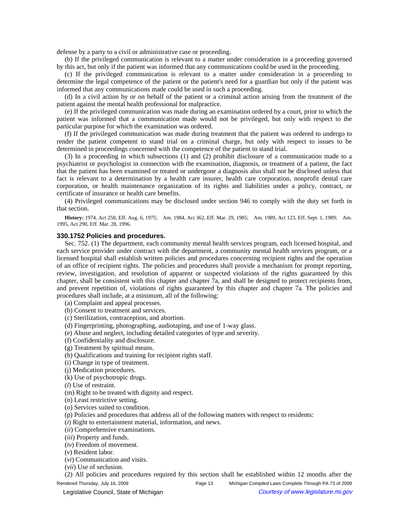defense by a party to a civil or administrative case or proceeding.

(b) If the privileged communication is relevant to a matter under consideration in a proceeding governed by this act, but only if the patient was informed that any communications could be used in the proceeding.

(c) If the privileged communication is relevant to a matter under consideration in a proceeding to determine the legal competence of the patient or the patient's need for a guardian but only if the patient was informed that any communications made could be used in such a proceeding.

(d) In a civil action by or on behalf of the patient or a criminal action arising from the treatment of the patient against the mental health professional for malpractice.

(e) If the privileged communication was made during an examination ordered by a court, prior to which the patient was informed that a communication made would not be privileged, but only with respect to the particular purpose for which the examination was ordered.

(f) If the privileged communication was made during treatment that the patient was ordered to undergo to render the patient competent to stand trial on a criminal charge, but only with respect to issues to be determined in proceedings concerned with the competence of the patient to stand trial.

(3) In a proceeding in which subsections (1) and (2) prohibit disclosure of a communication made to a psychiatrist or psychologist in connection with the examination, diagnosis, or treatment of a patient, the fact that the patient has been examined or treated or undergone a diagnosis also shall not be disclosed unless that fact is relevant to a determination by a health care insurer, health care corporation, nonprofit dental care corporation, or health maintenance organization of its rights and liabilities under a policy, contract, or certificate of insurance or health care benefits.

(4) Privileged communications may be disclosed under section 946 to comply with the duty set forth in that section.

History: 1974, Act 258, Eff. Aug. 6, 1975;-Am. 1984, Act 362, Eff. Mar. 29, 1985;--Am. 1989, Act 123, Eff. Sept. 1, 1989;--Am. 1995, Act 290, Eff. Mar. 28, 1996.

### **330.1752 Policies and procedures.**

Sec. 752. (1) The department, each community mental health services program, each licensed hospital, and each service provider under contract with the department, a community mental health services program, or a licensed hospital shall establish written policies and procedures concerning recipient rights and the operation of an office of recipient rights. The policies and procedures shall provide a mechanism for prompt reporting, review, investigation, and resolution of apparent or suspected violations of the rights guaranteed by this chapter, shall be consistent with this chapter and chapter 7a, and shall be designed to protect recipients from, and prevent repetition of, violations of rights guaranteed by this chapter and chapter 7a. The policies and procedures shall include, at a minimum, all of the following:

(a) Complaint and appeal processes.

(b) Consent to treatment and services.

(c) Sterilization, contraception, and abortion.

(d) Fingerprinting, photographing, audiotaping, and use of 1-way glass.

(e) Abuse and neglect, including detailed categories of type and severity.

(f) Confidentiality and disclosure.

(g) Treatment by spiritual means.

(h) Qualifications and training for recipient rights staff.

(i) Change in type of treatment.

(j) Medication procedures.

(k) Use of psychotropic drugs.

(*l*) Use of restraint.

(m) Right to be treated with dignity and respect.

(n) Least restrictive setting.

(o) Services suited to condition.

(p) Policies and procedures that address all of the following matters with respect to residents:

(*i*) Right to entertainment material, information, and news.

(*ii*) Comprehensive examinations.

(*iii*) Property and funds.

(*iv*) Freedom of movement.

(*v*) Resident labor.

(*vi*) Communication and visits.

(*vii*) Use of seclusion.

(2) All policies and procedures required by this section shall be established within 12 months after the Rendered Thursday, July 16, 2009 **Page 13** Page 13 Michigan Compiled Laws Complete Through PA 73 of 2009

© Legislative Council, State of Michigan Council Council Council Council Council Council Council Council Council Council Council Council Council Council Council Council Council Council Council Council Council Council Counc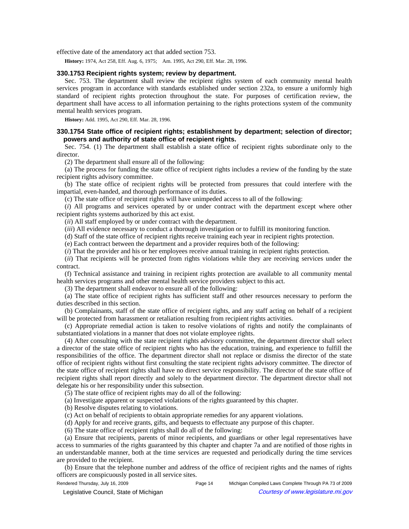effective date of the amendatory act that added section 753.

History: 1974, Act 258, Eff. Aug. 6, 1975;-- Am. 1995, Act 290, Eff. Mar. 28, 1996.

# **330.1753 Recipient rights system; review by department.**

Sec. 753. The department shall review the recipient rights system of each community mental health services program in accordance with standards established under section 232a, to ensure a uniformly high standard of recipient rights protection throughout the state. For purposes of certification review, the department shall have access to all information pertaining to the rights protections system of the community mental health services program.

**History:** Add. 1995, Act 290, Eff. Mar. 28, 1996.

# **330.1754 State office of recipient rights; establishment by department; selection of director; powers and authority of state office of recipient rights.**

Sec. 754. (1) The department shall establish a state office of recipient rights subordinate only to the director.

(2) The department shall ensure all of the following:

(a) The process for funding the state office of recipient rights includes a review of the funding by the state recipient rights advisory committee.

(b) The state office of recipient rights will be protected from pressures that could interfere with the impartial, even-handed, and thorough performance of its duties.

(c) The state office of recipient rights will have unimpeded access to all of the following:

(*i*) All programs and services operated by or under contract with the department except where other recipient rights systems authorized by this act exist.

(*ii*) All staff employed by or under contract with the department.

(*iii*) All evidence necessary to conduct a thorough investigation or to fulfill its monitoring function.

(d) Staff of the state office of recipient rights receive training each year in recipient rights protection.

(e) Each contract between the department and a provider requires both of the following:

(*i*) That the provider and his or her employees receive annual training in recipient rights protection.

(*ii*) That recipients will be protected from rights violations while they are receiving services under the contract.

(f) Technical assistance and training in recipient rights protection are available to all community mental health services programs and other mental health service providers subject to this act.

(3) The department shall endeavor to ensure all of the following:

(a) The state office of recipient rights has sufficient staff and other resources necessary to perform the duties described in this section.

(b) Complainants, staff of the state office of recipient rights, and any staff acting on behalf of a recipient will be protected from harassment or retaliation resulting from recipient rights activities.

(c) Appropriate remedial action is taken to resolve violations of rights and notify the complainants of substantiated violations in a manner that does not violate employee rights.

(4) After consulting with the state recipient rights advisory committee, the department director shall select a director of the state office of recipient rights who has the education, training, and experience to fulfill the responsibilities of the office. The department director shall not replace or dismiss the director of the state office of recipient rights without first consulting the state recipient rights advisory committee. The director of the state office of recipient rights shall have no direct service responsibility. The director of the state office of recipient rights shall report directly and solely to the department director. The department director shall not delegate his or her responsibility under this subsection.

(5) The state office of recipient rights may do all of the following:

(a) Investigate apparent or suspected violations of the rights guaranteed by this chapter.

(b) Resolve disputes relating to violations.

(c) Act on behalf of recipients to obtain appropriate remedies for any apparent violations.

(d) Apply for and receive grants, gifts, and bequests to effectuate any purpose of this chapter.

(6) The state office of recipient rights shall do all of the following:

(a) Ensure that recipients, parents of minor recipients, and guardians or other legal representatives have access to summaries of the rights guaranteed by this chapter and chapter 7a and are notified of those rights in an understandable manner, both at the time services are requested and periodically during the time services are provided to the recipient.

(b) Ensure that the telephone number and address of the office of recipient rights and the names of rights officers are conspicuously posted in all service sites.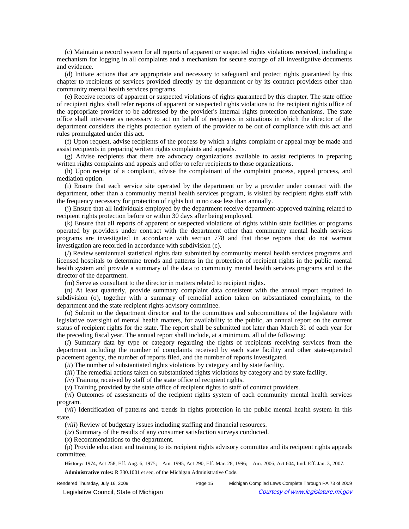(c) Maintain a record system for all reports of apparent or suspected rights violations received, including a mechanism for logging in all complaints and a mechanism for secure storage of all investigative documents and evidence.

(d) Initiate actions that are appropriate and necessary to safeguard and protect rights guaranteed by this chapter to recipients of services provided directly by the department or by its contract providers other than community mental health services programs.

(e) Receive reports of apparent or suspected violations of rights guaranteed by this chapter. The state office of recipient rights shall refer reports of apparent or suspected rights violations to the recipient rights office of the appropriate provider to be addressed by the provider's internal rights protection mechanisms. The state office shall intervene as necessary to act on behalf of recipients in situations in which the director of the department considers the rights protection system of the provider to be out of compliance with this act and rules promulgated under this act.

(f) Upon request, advise recipients of the process by which a rights complaint or appeal may be made and assist recipients in preparing written rights complaints and appeals.

(g) Advise recipients that there are advocacy organizations available to assist recipients in preparing written rights complaints and appeals and offer to refer recipients to those organizations.

(h) Upon receipt of a complaint, advise the complainant of the complaint process, appeal process, and mediation option.

(i) Ensure that each service site operated by the department or by a provider under contract with the department, other than a community mental health services program, is visited by recipient rights staff with the frequency necessary for protection of rights but in no case less than annually.

(j) Ensure that all individuals employed by the department receive department-approved training related to recipient rights protection before or within 30 days after being employed.

(k) Ensure that all reports of apparent or suspected violations of rights within state facilities or programs operated by providers under contract with the department other than community mental health services programs are investigated in accordance with section 778 and that those reports that do not warrant investigation are recorded in accordance with subdivision (c).

(*l*) Review semiannual statistical rights data submitted by community mental health services programs and licensed hospitals to determine trends and patterns in the protection of recipient rights in the public mental health system and provide a summary of the data to community mental health services programs and to the director of the department.

(m) Serve as consultant to the director in matters related to recipient rights.

(n) At least quarterly, provide summary complaint data consistent with the annual report required in subdivision (o), together with a summary of remedial action taken on substantiated complaints, to the department and the state recipient rights advisory committee.

(o) Submit to the department director and to the committees and subcommittees of the legislature with legislative oversight of mental health matters, for availability to the public, an annual report on the current status of recipient rights for the state. The report shall be submitted not later than March 31 of each year for the preceding fiscal year. The annual report shall include, at a minimum, all of the following:

(*i*) Summary data by type or category regarding the rights of recipients receiving services from the department including the number of complaints received by each state facility and other state-operated placement agency, the number of reports filed, and the number of reports investigated.

(*ii*) The number of substantiated rights violations by category and by state facility.

(*iii*) The remedial actions taken on substantiated rights violations by category and by state facility.

(*iv*) Training received by staff of the state office of recipient rights.

(*v*) Training provided by the state office of recipient rights to staff of contract providers.

(*vi*) Outcomes of assessments of the recipient rights system of each community mental health services program.

(*vii*) Identification of patterns and trends in rights protection in the public mental health system in this state.

(*viii*) Review of budgetary issues including staffing and financial resources.

(*ix*) Summary of the results of any consumer satisfaction surveys conducted.

(*x*) Recommendations to the department.

(p) Provide education and training to its recipient rights advisory committee and its recipient rights appeals committee.

History: 1974, Act 258, Eff. Aug. 6, 1975;—Am. 1995, Act 290, Eff. Mar. 28, 1996;—Am. 2006, Act 604, Imd. Eff. Jan. 3, 2007. **Administrative rules:** R 330.1001 et seq. of the Michigan Administrative Code.

© Legislative Council, State of Michigan Council Council Council Council Council Council Council Council Council Council Council Council Council Council Council Council Council Council Council Council Council Council Counc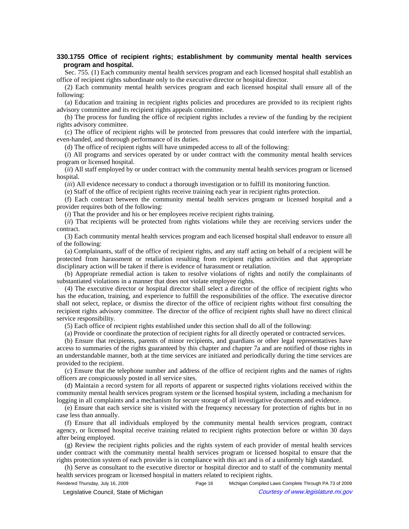# **330.1755 Office of recipient rights; establishment by community mental health services program and hospital.**

Sec. 755. (1) Each community mental health services program and each licensed hospital shall establish an office of recipient rights subordinate only to the executive director or hospital director.

(2) Each community mental health services program and each licensed hospital shall ensure all of the following:

(a) Education and training in recipient rights policies and procedures are provided to its recipient rights advisory committee and its recipient rights appeals committee.

(b) The process for funding the office of recipient rights includes a review of the funding by the recipient rights advisory committee.

(c) The office of recipient rights will be protected from pressures that could interfere with the impartial, even-handed, and thorough performance of its duties.

(d) The office of recipient rights will have unimpeded access to all of the following:

(*i*) All programs and services operated by or under contract with the community mental health services program or licensed hospital.

(*ii*) All staff employed by or under contract with the community mental health services program or licensed hospital.

(*iii*) All evidence necessary to conduct a thorough investigation or to fulfill its monitoring function.

(e) Staff of the office of recipient rights receive training each year in recipient rights protection.

(f) Each contract between the community mental health services program or licensed hospital and a provider requires both of the following:

(*i*) That the provider and his or her employees receive recipient rights training.

(*ii*) That recipients will be protected from rights violations while they are receiving services under the contract.

(3) Each community mental health services program and each licensed hospital shall endeavor to ensure all of the following:

(a) Complainants, staff of the office of recipient rights, and any staff acting on behalf of a recipient will be protected from harassment or retaliation resulting from recipient rights activities and that appropriate disciplinary action will be taken if there is evidence of harassment or retaliation.

(b) Appropriate remedial action is taken to resolve violations of rights and notify the complainants of substantiated violations in a manner that does not violate employee rights.

(4) The executive director or hospital director shall select a director of the office of recipient rights who has the education, training, and experience to fulfill the responsibilities of the office. The executive director shall not select, replace, or dismiss the director of the office of recipient rights without first consulting the recipient rights advisory committee. The director of the office of recipient rights shall have no direct clinical service responsibility.

(5) Each office of recipient rights established under this section shall do all of the following:

(a) Provide or coordinate the protection of recipient rights for all directly operated or contracted services.

(b) Ensure that recipients, parents of minor recipients, and guardians or other legal representatives have access to summaries of the rights guaranteed by this chapter and chapter 7a and are notified of those rights in an understandable manner, both at the time services are initiated and periodically during the time services are provided to the recipient.

(c) Ensure that the telephone number and address of the office of recipient rights and the names of rights officers are conspicuously posted in all service sites.

(d) Maintain a record system for all reports of apparent or suspected rights violations received within the community mental health services program system or the licensed hospital system, including a mechanism for logging in all complaints and a mechanism for secure storage of all investigative documents and evidence.

(e) Ensure that each service site is visited with the frequency necessary for protection of rights but in no case less than annually.

(f) Ensure that all individuals employed by the community mental health services program, contract agency, or licensed hospital receive training related to recipient rights protection before or within 30 days after being employed.

(g) Review the recipient rights policies and the rights system of each provider of mental health services under contract with the community mental health services program or licensed hospital to ensure that the rights protection system of each provider is in compliance with this act and is of a uniformly high standard.

(h) Serve as consultant to the executive director or hospital director and to staff of the community mental health services program or licensed hospital in matters related to recipient rights.

Rendered Thursday, July 16, 2009 **Page 16** Page 16 Michigan Compiled Laws Complete Through PA 73 of 2009 Legislative Council, State of Michigan Courtesy of www.legislature.mi.gov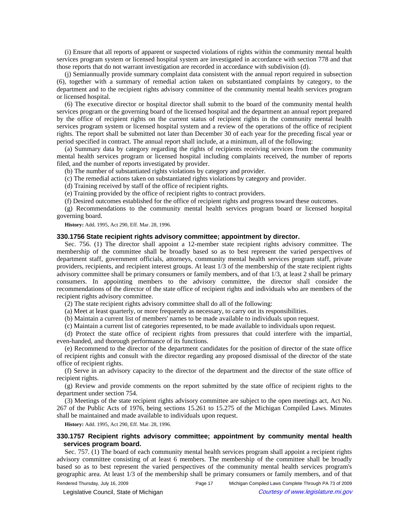(i) Ensure that all reports of apparent or suspected violations of rights within the community mental health services program system or licensed hospital system are investigated in accordance with section 778 and that those reports that do not warrant investigation are recorded in accordance with subdivision (d).

(j) Semiannually provide summary complaint data consistent with the annual report required in subsection (6), together with a summary of remedial action taken on substantiated complaints by category, to the department and to the recipient rights advisory committee of the community mental health services program or licensed hospital.

(6) The executive director or hospital director shall submit to the board of the community mental health services program or the governing board of the licensed hospital and the department an annual report prepared by the office of recipient rights on the current status of recipient rights in the community mental health services program system or licensed hospital system and a review of the operations of the office of recipient rights. The report shall be submitted not later than December 30 of each year for the preceding fiscal year or period specified in contract. The annual report shall include, at a minimum, all of the following:

(a) Summary data by category regarding the rights of recipients receiving services from the community mental health services program or licensed hospital including complaints received, the number of reports filed, and the number of reports investigated by provider.

(b) The number of substantiated rights violations by category and provider.

(c) The remedial actions taken on substantiated rights violations by category and provider.

(d) Training received by staff of the office of recipient rights.

(e) Training provided by the office of recipient rights to contract providers.

(f) Desired outcomes established for the office of recipient rights and progress toward these outcomes.

(g) Recommendations to the community mental health services program board or licensed hospital governing board.

**History:** Add. 1995, Act 290, Eff. Mar. 28, 1996.

# **330.1756 State recipient rights advisory committee; appointment by director.**

Sec. 756. (1) The director shall appoint a 12-member state recipient rights advisory committee. The membership of the committee shall be broadly based so as to best represent the varied perspectives of department staff, government officials, attorneys, community mental health services program staff, private providers, recipients, and recipient interest groups. At least 1/3 of the membership of the state recipient rights advisory committee shall be primary consumers or family members, and of that 1/3, at least 2 shall be primary consumers. In appointing members to the advisory committee, the director shall consider the recommendations of the director of the state office of recipient rights and individuals who are members of the recipient rights advisory committee.

(2) The state recipient rights advisory committee shall do all of the following:

(a) Meet at least quarterly, or more frequently as necessary, to carry out its responsibilities.

(b) Maintain a current list of members' names to be made available to individuals upon request.

(c) Maintain a current list of categories represented, to be made available to individuals upon request.

(d) Protect the state office of recipient rights from pressures that could interfere with the impartial, even-handed, and thorough performance of its functions.

(e) Recommend to the director of the department candidates for the position of director of the state office of recipient rights and consult with the director regarding any proposed dismissal of the director of the state office of recipient rights.

(f) Serve in an advisory capacity to the director of the department and the director of the state office of recipient rights.

(g) Review and provide comments on the report submitted by the state office of recipient rights to the department under section 754.

(3) Meetings of the state recipient rights advisory committee are subject to the open meetings act, Act No. 267 of the Public Acts of 1976, being sections 15.261 to 15.275 of the Michigan Compiled Laws. Minutes shall be maintained and made available to individuals upon request.

**History:** Add. 1995, Act 290, Eff. Mar. 28, 1996.

# **330.1757 Recipient rights advisory committee; appointment by community mental health services program board.**

Sec. 757. (1) The board of each community mental health services program shall appoint a recipient rights advisory committee consisting of at least 6 members. The membership of the committee shall be broadly based so as to best represent the varied perspectives of the community mental health services program's geographic area. At least 1/3 of the membership shall be primary consumers or family members, and of that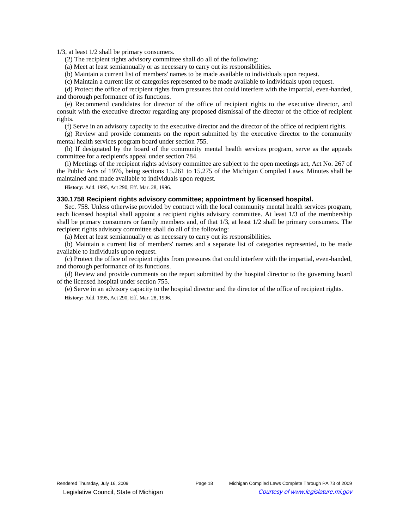1/3, at least 1/2 shall be primary consumers.

(2) The recipient rights advisory committee shall do all of the following:

(a) Meet at least semiannually or as necessary to carry out its responsibilities.

(b) Maintain a current list of members' names to be made available to individuals upon request.

(c) Maintain a current list of categories represented to be made available to individuals upon request.

(d) Protect the office of recipient rights from pressures that could interfere with the impartial, even-handed, and thorough performance of its functions.

(e) Recommend candidates for director of the office of recipient rights to the executive director, and consult with the executive director regarding any proposed dismissal of the director of the office of recipient rights.

(f) Serve in an advisory capacity to the executive director and the director of the office of recipient rights.

(g) Review and provide comments on the report submitted by the executive director to the community mental health services program board under section 755.

(h) If designated by the board of the community mental health services program, serve as the appeals committee for a recipient's appeal under section 784.

(i) Meetings of the recipient rights advisory committee are subject to the open meetings act, Act No. 267 of the Public Acts of 1976, being sections 15.261 to 15.275 of the Michigan Compiled Laws. Minutes shall be maintained and made available to individuals upon request.

**History:** Add. 1995, Act 290, Eff. Mar. 28, 1996.

### **330.1758 Recipient rights advisory committee; appointment by licensed hospital.**

Sec. 758. Unless otherwise provided by contract with the local community mental health services program, each licensed hospital shall appoint a recipient rights advisory committee. At least 1/3 of the membership shall be primary consumers or family members and, of that 1/3, at least 1/2 shall be primary consumers. The recipient rights advisory committee shall do all of the following:

(a) Meet at least semiannually or as necessary to carry out its responsibilities.

(b) Maintain a current list of members' names and a separate list of categories represented, to be made available to individuals upon request.

(c) Protect the office of recipient rights from pressures that could interfere with the impartial, even-handed, and thorough performance of its functions.

(d) Review and provide comments on the report submitted by the hospital director to the governing board of the licensed hospital under section 755.

(e) Serve in an advisory capacity to the hospital director and the director of the office of recipient rights.

**History:** Add. 1995, Act 290, Eff. Mar. 28, 1996.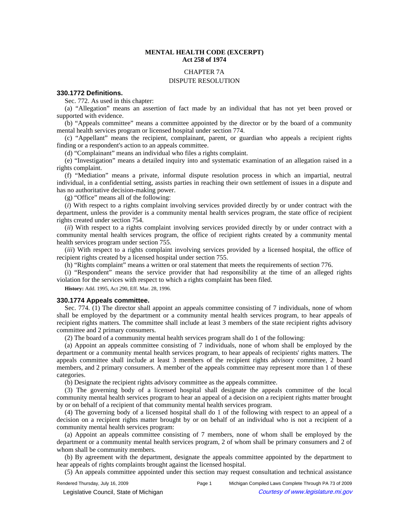# **MENTAL HEALTH CODE (EXCERPT) Act 258 of 1974**

# CHAPTER 7A

# DISPUTE RESOLUTION

# **330.1772 Definitions.**

Sec. 772. As used in this chapter:

(a) "Allegation" means an assertion of fact made by an individual that has not yet been proved or supported with evidence.

(b) "Appeals committee" means a committee appointed by the director or by the board of a community mental health services program or licensed hospital under section 774.

(c) "Appellant" means the recipient, complainant, parent, or guardian who appeals a recipient rights finding or a respondent's action to an appeals committee.

(d) "Complainant" means an individual who files a rights complaint.

(e) "Investigation" means a detailed inquiry into and systematic examination of an allegation raised in a rights complaint.

(f) "Mediation" means a private, informal dispute resolution process in which an impartial, neutral individual, in a confidential setting, assists parties in reaching their own settlement of issues in a dispute and has no authoritative decision-making power.

(g) "Office" means all of the following:

(*i*) With respect to a rights complaint involving services provided directly by or under contract with the department, unless the provider is a community mental health services program, the state office of recipient rights created under section 754.

(*ii*) With respect to a rights complaint involving services provided directly by or under contract with a community mental health services program, the office of recipient rights created by a community mental health services program under section 755.

(*iii*) With respect to a rights complaint involving services provided by a licensed hospital, the office of recipient rights created by a licensed hospital under section 755.

(h) "Rights complaint" means a written or oral statement that meets the requirements of section 776.

(i) "Respondent" means the service provider that had responsibility at the time of an alleged rights violation for the services with respect to which a rights complaint has been filed.

**History:** Add. 1995, Act 290, Eff. Mar. 28, 1996.

### **330.1774 Appeals committee.**

Sec. 774. (1) The director shall appoint an appeals committee consisting of 7 individuals, none of whom shall be employed by the department or a community mental health services program, to hear appeals of recipient rights matters. The committee shall include at least 3 members of the state recipient rights advisory committee and 2 primary consumers.

(2) The board of a community mental health services program shall do 1 of the following:

(a) Appoint an appeals committee consisting of 7 individuals, none of whom shall be employed by the department or a community mental health services program, to hear appeals of recipients' rights matters. The appeals committee shall include at least 3 members of the recipient rights advisory committee, 2 board members, and 2 primary consumers. A member of the appeals committee may represent more than 1 of these categories.

(b) Designate the recipient rights advisory committee as the appeals committee.

(3) The governing body of a licensed hospital shall designate the appeals committee of the local community mental health services program to hear an appeal of a decision on a recipient rights matter brought by or on behalf of a recipient of that community mental health services program.

(4) The governing body of a licensed hospital shall do 1 of the following with respect to an appeal of a decision on a recipient rights matter brought by or on behalf of an individual who is not a recipient of a community mental health services program:

(a) Appoint an appeals committee consisting of 7 members, none of whom shall be employed by the department or a community mental health services program, 2 of whom shall be primary consumers and 2 of whom shall be community members.

(b) By agreement with the department, designate the appeals committee appointed by the department to hear appeals of rights complaints brought against the licensed hospital.

(5) An appeals committee appointed under this section may request consultation and technical assistance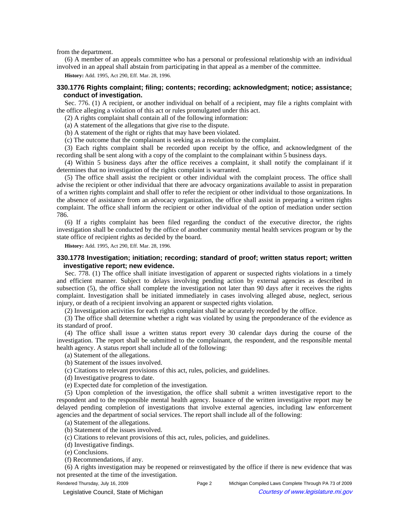from the department.

(6) A member of an appeals committee who has a personal or professional relationship with an individual involved in an appeal shall abstain from participating in that appeal as a member of the committee.

**History:** Add. 1995, Act 290, Eff. Mar. 28, 1996.

# **330.1776 Rights complaint; filing; contents; recording; acknowledgment; notice; assistance; conduct of investigation.**

Sec. 776. (1) A recipient, or another individual on behalf of a recipient, may file a rights complaint with the office alleging a violation of this act or rules promulgated under this act.

(2) A rights complaint shall contain all of the following information:

(a) A statement of the allegations that give rise to the dispute.

(b) A statement of the right or rights that may have been violated.

(c) The outcome that the complainant is seeking as a resolution to the complaint.

(3) Each rights complaint shall be recorded upon receipt by the office, and acknowledgment of the recording shall be sent along with a copy of the complaint to the complainant within 5 business days.

(4) Within 5 business days after the office receives a complaint, it shall notify the complainant if it determines that no investigation of the rights complaint is warranted.

(5) The office shall assist the recipient or other individual with the complaint process. The office shall advise the recipient or other individual that there are advocacy organizations available to assist in preparation of a written rights complaint and shall offer to refer the recipient or other individual to those organizations. In the absence of assistance from an advocacy organization, the office shall assist in preparing a written rights complaint. The office shall inform the recipient or other individual of the option of mediation under section 786.

(6) If a rights complaint has been filed regarding the conduct of the executive director, the rights investigation shall be conducted by the office of another community mental health services program or by the state office of recipient rights as decided by the board.

**History:** Add. 1995, Act 290, Eff. Mar. 28, 1996.

# **330.1778 Investigation; initiation; recording; standard of proof; written status report; written investigative report; new evidence.**

Sec. 778. (1) The office shall initiate investigation of apparent or suspected rights violations in a timely and efficient manner. Subject to delays involving pending action by external agencies as described in subsection (5), the office shall complete the investigation not later than 90 days after it receives the rights complaint. Investigation shall be initiated immediately in cases involving alleged abuse, neglect, serious injury, or death of a recipient involving an apparent or suspected rights violation.

(2) Investigation activities for each rights complaint shall be accurately recorded by the office.

(3) The office shall determine whether a right was violated by using the preponderance of the evidence as its standard of proof.

(4) The office shall issue a written status report every 30 calendar days during the course of the investigation. The report shall be submitted to the complainant, the respondent, and the responsible mental health agency. A status report shall include all of the following:

- (a) Statement of the allegations.
- (b) Statement of the issues involved.
- (c) Citations to relevant provisions of this act, rules, policies, and guidelines.
- (d) Investigative progress to date.
- (e) Expected date for completion of the investigation.

(5) Upon completion of the investigation, the office shall submit a written investigative report to the respondent and to the responsible mental health agency. Issuance of the written investigative report may be delayed pending completion of investigations that involve external agencies, including law enforcement agencies and the department of social services. The report shall include all of the following:

- (a) Statement of the allegations.
- (b) Statement of the issues involved.

(c) Citations to relevant provisions of this act, rules, policies, and guidelines.

(d) Investigative findings.

(e) Conclusions.

(f) Recommendations, if any.

(6) A rights investigation may be reopened or reinvestigated by the office if there is new evidence that was not presented at the time of the investigation.

Rendered Thursday, July 16, 2009 **Page 2** Michigan Compiled Laws Complete Through PA 73 of 2009

© Legislative Council, State of Michigan Council Council Council Council Council Council Council Council Council Council Council Council Council Council Council Council Council Council Council Council Council Council Counc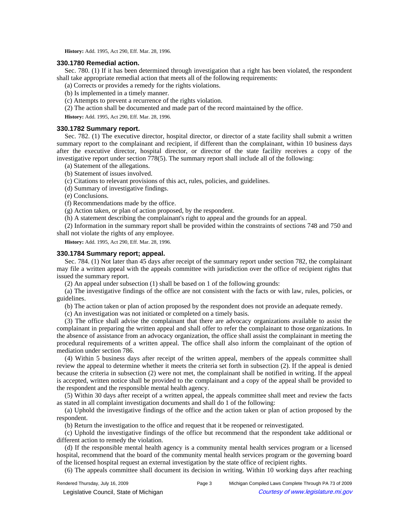**History:** Add. 1995, Act 290, Eff. Mar. 28, 1996.

### **330.1780 Remedial action.**

Sec. 780. (1) If it has been determined through investigation that a right has been violated, the respondent shall take appropriate remedial action that meets all of the following requirements:

(a) Corrects or provides a remedy for the rights violations.

(b) Is implemented in a timely manner.

(c) Attempts to prevent a recurrence of the rights violation.

(2) The action shall be documented and made part of the record maintained by the office.

**History:** Add. 1995, Act 290, Eff. Mar. 28, 1996.

# **330.1782 Summary report.**

Sec. 782. (1) The executive director, hospital director, or director of a state facility shall submit a written summary report to the complainant and recipient, if different than the complainant, within 10 business days after the executive director, hospital director, or director of the state facility receives a copy of the investigative report under section 778(5). The summary report shall include all of the following:

- (a) Statement of the allegations.
- (b) Statement of issues involved.
- (c) Citations to relevant provisions of this act, rules, policies, and guidelines.
- (d) Summary of investigative findings.

(e) Conclusions.

(f) Recommendations made by the office.

(g) Action taken, or plan of action proposed, by the respondent.

(h) A statement describing the complainant's right to appeal and the grounds for an appeal.

(2) Information in the summary report shall be provided within the constraints of sections 748 and 750 and shall not violate the rights of any employee.

**History:** Add. 1995, Act 290, Eff. Mar. 28, 1996.

### **330.1784 Summary report; appeal.**

Sec. 784. (1) Not later than 45 days after receipt of the summary report under section 782, the complainant may file a written appeal with the appeals committee with jurisdiction over the office of recipient rights that issued the summary report.

(2) An appeal under subsection (1) shall be based on 1 of the following grounds:

(a) The investigative findings of the office are not consistent with the facts or with law, rules, policies, or guidelines.

(b) The action taken or plan of action proposed by the respondent does not provide an adequate remedy.

(c) An investigation was not initiated or completed on a timely basis.

(3) The office shall advise the complainant that there are advocacy organizations available to assist the complainant in preparing the written appeal and shall offer to refer the complainant to those organizations. In the absence of assistance from an advocacy organization, the office shall assist the complainant in meeting the procedural requirements of a written appeal. The office shall also inform the complainant of the option of mediation under section 786.

(4) Within 5 business days after receipt of the written appeal, members of the appeals committee shall review the appeal to determine whether it meets the criteria set forth in subsection (2). If the appeal is denied because the criteria in subsection (2) were not met, the complainant shall be notified in writing. If the appeal is accepted, written notice shall be provided to the complainant and a copy of the appeal shall be provided to the respondent and the responsible mental health agency.

(5) Within 30 days after receipt of a written appeal, the appeals committee shall meet and review the facts as stated in all complaint investigation documents and shall do 1 of the following:

(a) Uphold the investigative findings of the office and the action taken or plan of action proposed by the respondent.

(b) Return the investigation to the office and request that it be reopened or reinvestigated.

(c) Uphold the investigative findings of the office but recommend that the respondent take additional or different action to remedy the violation.

(d) If the responsible mental health agency is a community mental health services program or a licensed hospital, recommend that the board of the community mental health services program or the governing board of the licensed hospital request an external investigation by the state office of recipient rights.

(6) The appeals committee shall document its decision in writing. Within 10 working days after reaching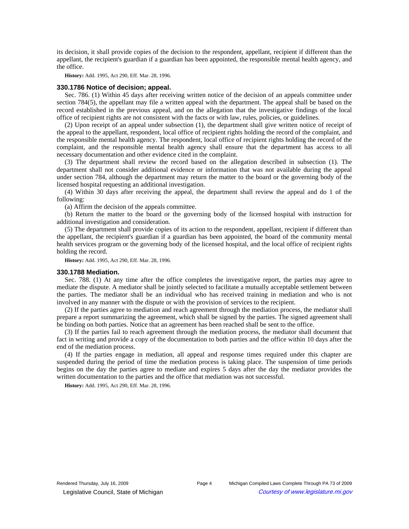its decision, it shall provide copies of the decision to the respondent, appellant, recipient if different than the appellant, the recipient's guardian if a guardian has been appointed, the responsible mental health agency, and the office.

**History:** Add. 1995, Act 290, Eff. Mar. 28, 1996.

# **330.1786 Notice of decision; appeal.**

Sec. 786. (1) Within 45 days after receiving written notice of the decision of an appeals committee under section 784(5), the appellant may file a written appeal with the department. The appeal shall be based on the record established in the previous appeal, and on the allegation that the investigative findings of the local office of recipient rights are not consistent with the facts or with law, rules, policies, or guidelines.

(2) Upon receipt of an appeal under subsection (1), the department shall give written notice of receipt of the appeal to the appellant, respondent, local office of recipient rights holding the record of the complaint, and the responsible mental health agency. The respondent, local office of recipient rights holding the record of the complaint, and the responsible mental health agency shall ensure that the department has access to all necessary documentation and other evidence cited in the complaint.

(3) The department shall review the record based on the allegation described in subsection (1). The department shall not consider additional evidence or information that was not available during the appeal under section 784, although the department may return the matter to the board or the governing body of the licensed hospital requesting an additional investigation.

(4) Within 30 days after receiving the appeal, the department shall review the appeal and do 1 of the following:

(a) Affirm the decision of the appeals committee.

(b) Return the matter to the board or the governing body of the licensed hospital with instruction for additional investigation and consideration.

(5) The department shall provide copies of its action to the respondent, appellant, recipient if different than the appellant, the recipient's guardian if a guardian has been appointed, the board of the community mental health services program or the governing body of the licensed hospital, and the local office of recipient rights holding the record.

**History:** Add. 1995, Act 290, Eff. Mar. 28, 1996.

# **330.1788 Mediation.**

Sec. 788. (1) At any time after the office completes the investigative report, the parties may agree to mediate the dispute. A mediator shall be jointly selected to facilitate a mutually acceptable settlement between the parties. The mediator shall be an individual who has received training in mediation and who is not involved in any manner with the dispute or with the provision of services to the recipient.

(2) If the parties agree to mediation and reach agreement through the mediation process, the mediator shall prepare a report summarizing the agreement, which shall be signed by the parties. The signed agreement shall be binding on both parties. Notice that an agreement has been reached shall be sent to the office.

(3) If the parties fail to reach agreement through the mediation process, the mediator shall document that fact in writing and provide a copy of the documentation to both parties and the office within 10 days after the end of the mediation process.

(4) If the parties engage in mediation, all appeal and response times required under this chapter are suspended during the period of time the mediation process is taking place. The suspension of time periods begins on the day the parties agree to mediate and expires 5 days after the day the mediator provides the written documentation to the parties and the office that mediation was not successful.

**History:** Add. 1995, Act 290, Eff. Mar. 28, 1996.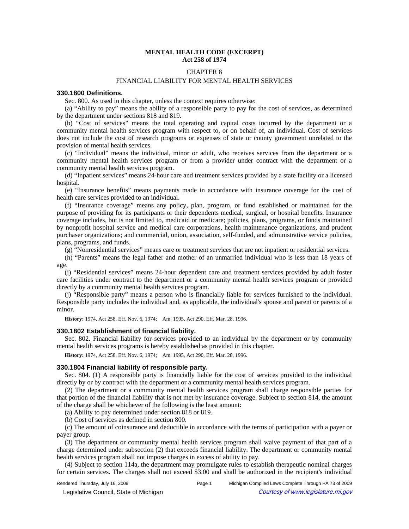# **MENTAL HEALTH CODE (EXCERPT) Act 258 of 1974**

# CHAPTER 8

### FINANCIAL LIABILITY FOR MENTAL HEALTH SERVICES

### **330.1800 Definitions.**

Sec. 800. As used in this chapter, unless the context requires otherwise:

(a) "Ability to pay" means the ability of a responsible party to pay for the cost of services, as determined by the department under sections 818 and 819.

(b) "Cost of services" means the total operating and capital costs incurred by the department or a community mental health services program with respect to, or on behalf of, an individual. Cost of services does not include the cost of research programs or expenses of state or county government unrelated to the provision of mental health services.

(c) "Individual" means the individual, minor or adult, who receives services from the department or a community mental health services program or from a provider under contract with the department or a community mental health services program.

(d) "Inpatient services" means 24-hour care and treatment services provided by a state facility or a licensed hospital.

(e) "Insurance benefits" means payments made in accordance with insurance coverage for the cost of health care services provided to an individual.

(f) "Insurance coverage" means any policy, plan, program, or fund established or maintained for the purpose of providing for its participants or their dependents medical, surgical, or hospital benefits. Insurance coverage includes, but is not limited to, medicaid or medicare; policies, plans, programs, or funds maintained by nonprofit hospital service and medical care corporations, health maintenance organizations, and prudent purchaser organizations; and commercial, union, association, self-funded, and administrative service policies, plans, programs, and funds.

(g) "Nonresidential services" means care or treatment services that are not inpatient or residential services.

(h) "Parents" means the legal father and mother of an unmarried individual who is less than 18 years of age.

(i) "Residential services" means 24-hour dependent care and treatment services provided by adult foster care facilities under contract to the department or a community mental health services program or provided directly by a community mental health services program.

(j) "Responsible party" means a person who is financially liable for services furnished to the individual. Responsible party includes the individual and, as applicable, the individual's spouse and parent or parents of a minor.

History: 1974, Act 258, Eff. Nov. 6, 1974;-Am. 1995, Act 290, Eff. Mar. 28, 1996.

### **330.1802 Establishment of financial liability.**

Sec. 802. Financial liability for services provided to an individual by the department or by community mental health services programs is hereby established as provided in this chapter.

History: 1974, Act 258, Eff. Nov. 6, 1974;-- Am. 1995, Act 290, Eff. Mar. 28, 1996.

# **330.1804 Financial liability of responsible party.**

Sec. 804. (1) A responsible party is financially liable for the cost of services provided to the individual directly by or by contract with the department or a community mental health services program.

(2) The department or a community mental health services program shall charge responsible parties for that portion of the financial liability that is not met by insurance coverage. Subject to section 814, the amount of the charge shall be whichever of the following is the least amount:

(a) Ability to pay determined under section 818 or 819.

(b) Cost of services as defined in section 800.

(c) The amount of coinsurance and deductible in accordance with the terms of participation with a payer or payer group.

(3) The department or community mental health services program shall waive payment of that part of a charge determined under subsection (2) that exceeds financial liability. The department or community mental health services program shall not impose charges in excess of ability to pay.

(4) Subject to section 114a, the department may promulgate rules to establish therapeutic nominal charges for certain services. The charges shall not exceed \$3.00 and shall be authorized in the recipient's individual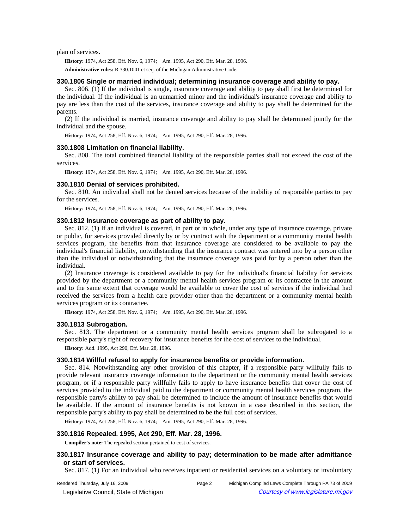plan of services.

History: 1974, Act 258, Eff. Nov. 6, 1974;-- Am. 1995, Act 290, Eff. Mar. 28, 1996.

**Administrative rules:** R 330.1001 et seq. of the Michigan Administrative Code.

# **330.1806 Single or married individual; determining insurance coverage and ability to pay.**

Sec. 806. (1) If the individual is single, insurance coverage and ability to pay shall first be determined for the individual. If the individual is an unmarried minor and the individual's insurance coverage and ability to pay are less than the cost of the services, insurance coverage and ability to pay shall be determined for the parents.

(2) If the individual is married, insurance coverage and ability to pay shall be determined jointly for the individual and the spouse.

**History:** 1974, Act 258, Eff. Nov. 6, 1974;-- Am. 1995, Act 290, Eff. Mar. 28, 1996.

#### **330.1808 Limitation on financial liability.**

Sec. 808. The total combined financial liability of the responsible parties shall not exceed the cost of the services.

History: 1974, Act 258, Eff. Nov. 6, 1974;-- Am. 1995, Act 290, Eff. Mar. 28, 1996.

#### **330.1810 Denial of services prohibited.**

Sec. 810. An individual shall not be denied services because of the inability of responsible parties to pay for the services.

History: 1974, Act 258, Eff. Nov. 6, 1974;-- Am. 1995, Act 290, Eff. Mar. 28, 1996.

### **330.1812 Insurance coverage as part of ability to pay.**

Sec. 812. (1) If an individual is covered, in part or in whole, under any type of insurance coverage, private or public, for services provided directly by or by contract with the department or a community mental health services program, the benefits from that insurance coverage are considered to be available to pay the individual's financial liability, notwithstanding that the insurance contract was entered into by a person other than the individual or notwithstanding that the insurance coverage was paid for by a person other than the individual.

(2) Insurance coverage is considered available to pay for the individual's financial liability for services provided by the department or a community mental health services program or its contractee in the amount and to the same extent that coverage would be available to cover the cost of services if the individual had received the services from a health care provider other than the department or a community mental health services program or its contractee.

History: 1974, Act 258, Eff. Nov. 6, 1974;-- Am. 1995, Act 290, Eff. Mar. 28, 1996.

### **330.1813 Subrogation.**

Sec. 813. The department or a community mental health services program shall be subrogated to a responsible party's right of recovery for insurance benefits for the cost of services to the individual.

**History:** Add. 1995, Act 290, Eff. Mar. 28, 1996.

# **330.1814 Willful refusal to apply for insurance benefits or provide information.**

Sec. 814. Notwithstanding any other provision of this chapter, if a responsible party willfully fails to provide relevant insurance coverage information to the department or the community mental health services program, or if a responsible party willfully fails to apply to have insurance benefits that cover the cost of services provided to the individual paid to the department or community mental health services program, the responsible party's ability to pay shall be determined to include the amount of insurance benefits that would be available. If the amount of insurance benefits is not known in a case described in this section, the responsible party's ability to pay shall be determined to be the full cost of services.

History: 1974, Act 258, Eff. Nov. 6, 1974;-- Am. 1995, Act 290, Eff. Mar. 28, 1996.

#### **330.1816 Repealed. 1995, Act 290, Eff. Mar. 28, 1996.**

**Compiler's note:** The repealed section pertained to cost of services.

# **330.1817 Insurance coverage and ability to pay; determination to be made after admittance or start of services.**

Sec. 817. (1) For an individual who receives inpatient or residential services on a voluntary or involuntary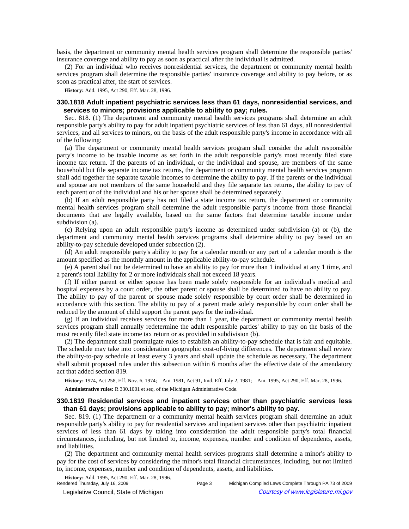basis, the department or community mental health services program shall determine the responsible parties' insurance coverage and ability to pay as soon as practical after the individual is admitted.

(2) For an individual who receives nonresidential services, the department or community mental health services program shall determine the responsible parties' insurance coverage and ability to pay before, or as soon as practical after, the start of services.

**History:** Add. 1995, Act 290, Eff. Mar. 28, 1996.

# **330.1818 Adult inpatient psychiatric services less than 61 days, nonresidential services, and services to minors; provisions applicable to ability to pay; rules.**

Sec. 818. (1) The department and community mental health services programs shall determine an adult responsible party's ability to pay for adult inpatient psychiatric services of less than 61 days, all nonresidential services, and all services to minors, on the basis of the adult responsible party's income in accordance with all of the following:

(a) The department or community mental health services program shall consider the adult responsible party's income to be taxable income as set forth in the adult responsible party's most recently filed state income tax return. If the parents of an individual, or the individual and spouse, are members of the same household but file separate income tax returns, the department or community mental health services program shall add together the separate taxable incomes to determine the ability to pay. If the parents or the individual and spouse are not members of the same household and they file separate tax returns, the ability to pay of each parent or of the individual and his or her spouse shall be determined separately.

(b) If an adult responsible party has not filed a state income tax return, the department or community mental health services program shall determine the adult responsible party's income from those financial documents that are legally available, based on the same factors that determine taxable income under subdivision (a).

(c) Relying upon an adult responsible party's income as determined under subdivision (a) or (b), the department and community mental health services programs shall determine ability to pay based on an ability-to-pay schedule developed under subsection (2).

(d) An adult responsible party's ability to pay for a calendar month or any part of a calendar month is the amount specified as the monthly amount in the applicable ability-to-pay schedule.

(e) A parent shall not be determined to have an ability to pay for more than 1 individual at any 1 time, and a parent's total liability for 2 or more individuals shall not exceed 18 years.

(f) If either parent or either spouse has been made solely responsible for an individual's medical and hospital expenses by a court order, the other parent or spouse shall be determined to have no ability to pay. The ability to pay of the parent or spouse made solely responsible by court order shall be determined in accordance with this section. The ability to pay of a parent made solely responsible by court order shall be reduced by the amount of child support the parent pays for the individual.

(g) If an individual receives services for more than 1 year, the department or community mental health services program shall annually redetermine the adult responsible parties' ability to pay on the basis of the most recently filed state income tax return or as provided in subdivision (b).

(2) The department shall promulgate rules to establish an ability-to-pay schedule that is fair and equitable. The schedule may take into consideration geographic cost-of-living differences. The department shall review the ability-to-pay schedule at least every 3 years and shall update the schedule as necessary. The department shall submit proposed rules under this subsection within 6 months after the effective date of the amendatory act that added section 819.

History: 1974, Act 258, Eff. Nov. 6, 1974;—Am. 1981, Act 91, Imd. Eff. July 2, 1981;—Am. 1995, Act 290, Eff. Mar. 28, 1996.

**Administrative rules:** R 330.1001 et seq. of the Michigan Administrative Code.

# **330.1819 Residential services and inpatient services other than psychiatric services less than 61 days; provisions applicable to ability to pay; minor's ability to pay.**

Sec. 819. (1) The department or a community mental health services program shall determine an adult responsible party's ability to pay for residential services and inpatient services other than psychiatric inpatient services of less than 61 days by taking into consideration the adult responsible party's total financial circumstances, including, but not limited to, income, expenses, number and condition of dependents, assets, and liabilities.

(2) The department and community mental health services programs shall determine a minor's ability to pay for the cost of services by considering the minor's total financial circumstances, including, but not limited to, income, expenses, number and condition of dependents, assets, and liabilities.

**History:** Add. 1995, Act 290, Eff. Mar. 28, 1996.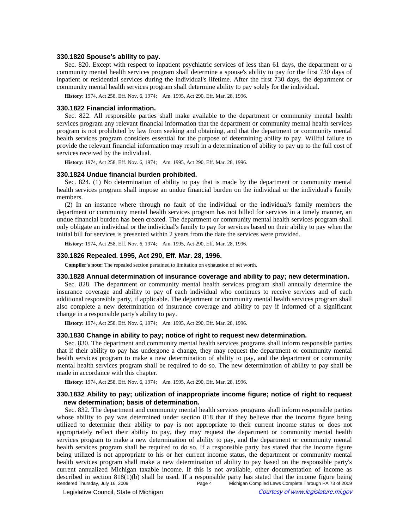#### **330.1820 Spouse's ability to pay.**

Sec. 820. Except with respect to inpatient psychiatric services of less than 61 days, the department or a community mental health services program shall determine a spouse's ability to pay for the first 730 days of inpatient or residential services during the individual's lifetime. After the first 730 days, the department or community mental health services program shall determine ability to pay solely for the individual.

History: 1974, Act 258, Eff. Nov. 6, 1974;-- Am. 1995, Act 290, Eff. Mar. 28, 1996.

#### **330.1822 Financial information.**

Sec. 822. All responsible parties shall make available to the department or community mental health services program any relevant financial information that the department or community mental health services program is not prohibited by law from seeking and obtaining, and that the department or community mental health services program considers essential for the purpose of determining ability to pay. Willful failure to provide the relevant financial information may result in a determination of ability to pay up to the full cost of services received by the individual.

History: 1974, Act 258, Eff. Nov. 6, 1974;-- Am. 1995, Act 290, Eff. Mar. 28, 1996.

### **330.1824 Undue financial burden prohibited.**

Sec. 824. (1) No determination of ability to pay that is made by the department or community mental health services program shall impose an undue financial burden on the individual or the individual's family members.

(2) In an instance where through no fault of the individual or the individual's family members the department or community mental health services program has not billed for services in a timely manner, an undue financial burden has been created. The department or community mental health services program shall only obligate an individual or the individual's family to pay for services based on their ability to pay when the initial bill for services is presented within 2 years from the date the services were provided.

History: 1974, Act 258, Eff. Nov. 6, 1974;-- Am. 1995, Act 290, Eff. Mar. 28, 1996.

#### **330.1826 Repealed. 1995, Act 290, Eff. Mar. 28, 1996.**

**Compiler's note:** The repealed section pertained to limitation on exhaustion of net worth.

#### **330.1828 Annual determination of insurance coverage and ability to pay; new determination.**

Sec. 828. The department or community mental health services program shall annually determine the insurance coverage and ability to pay of each individual who continues to receive services and of each additional responsible party, if applicable. The department or community mental health services program shall also complete a new determination of insurance coverage and ability to pay if informed of a significant change in a responsible party's ability to pay.

History: 1974, Act 258, Eff. Nov. 6, 1974;-Am. 1995, Act 290, Eff. Mar. 28, 1996.

# **330.1830 Change in ability to pay; notice of right to request new determination.**

Sec. 830. The department and community mental health services programs shall inform responsible parties that if their ability to pay has undergone a change, they may request the department or community mental health services program to make a new determination of ability to pay, and the department or community mental health services program shall be required to do so. The new determination of ability to pay shall be made in accordance with this chapter.

History: 1974, Act 258, Eff. Nov. 6, 1974;-- Am. 1995, Act 290, Eff. Mar. 28, 1996.

# **330.1832 Ability to pay; utilization of inappropriate income figure; notice of right to request new determination; basis of determination.**

Sec. 832. The department and community mental health services programs shall inform responsible parties whose ability to pay was determined under section 818 that if they believe that the income figure being utilized to determine their ability to pay is not appropriate to their current income status or does not appropriately reflect their ability to pay, they may request the department or community mental health services program to make a new determination of ability to pay, and the department or community mental health services program shall be required to do so. If a responsible party has stated that the income figure being utilized is not appropriate to his or her current income status, the department or community mental health services program shall make a new determination of ability to pay based on the responsible party's current annualized Michigan taxable income. If this is not available, other documentation of income as described in section 818(1)(b) shall be used. If a responsible party has stated that the income figure being<br>Rendered Thursday, July 16, 2009<br>Page 4 Michigan Compiled Laws Complete Through PA 73 of 2009 Michigan Compiled Laws Complete Through PA 73 of 2009

© Legislative Council, State of Michigan Council Courtesy of www.legislature.mi.gov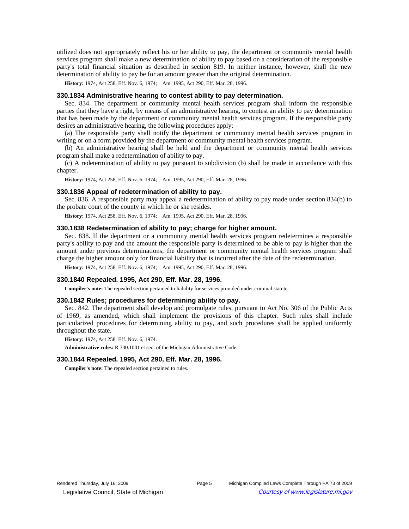utilized does not appropriately reflect his or her ability to pay, the department or community mental health services program shall make a new determination of ability to pay based on a consideration of the responsible party's total financial situation as described in section 819. In neither instance, however, shall the new determination of ability to pay be for an amount greater than the original determination.

History: 1974, Act 258, Eff. Nov. 6, 1974;-- Am. 1995, Act 290, Eff. Mar. 28, 1996.

# **330.1834 Administrative hearing to contest ability to pay determination.**

Sec. 834. The department or community mental health services program shall inform the responsible parties that they have a right, by means of an administrative hearing, to contest an ability to pay determination that has been made by the department or community mental health services program. If the responsible party desires an administrative hearing, the following procedures apply:

(a) The responsible party shall notify the department or community mental health services program in writing or on a form provided by the department or community mental health services program.

(b) An administrative hearing shall be held and the department or community mental health services program shall make a redetermination of ability to pay.

(c) A redetermination of ability to pay pursuant to subdivision (b) shall be made in accordance with this chapter.

History: 1974, Act 258, Eff. Nov. 6, 1974;-Am. 1995, Act 290, Eff. Mar. 28, 1996.

### **330.1836 Appeal of redetermination of ability to pay.**

Sec. 836. A responsible party may appeal a redetermination of ability to pay made under section 834(b) to the probate court of the county in which he or she resides.

History: 1974, Act 258, Eff. Nov. 6, 1974;-- Am. 1995, Act 290, Eff. Mar. 28, 1996.

# **330.1838 Redetermination of ability to pay; charge for higher amount.**

Sec. 838. If the department or a community mental health services program redetermines a responsible party's ability to pay and the amount the responsible party is determined to be able to pay is higher than the amount under previous determinations, the department or community mental health services program shall charge the higher amount only for financial liability that is incurred after the date of the redetermination.

History: 1974, Act 258, Eff. Nov. 6, 1974;-- Am. 1995, Act 290, Eff. Mar. 28, 1996.

#### **330.1840 Repealed. 1995, Act 290, Eff. Mar. 28, 1996.**

**Compiler's note:** The repealed section pertained to liability for services provided under criminal statute.

#### **330.1842 Rules; procedures for determining ability to pay.**

Sec. 842. The department shall develop and promulgate rules, pursuant to Act No. 306 of the Public Acts of 1969, as amended, which shall implement the provisions of this chapter. Such rules shall include particularized procedures for determining ability to pay, and such procedures shall be applied uniformly throughout the state.

**History:** 1974, Act 258, Eff. Nov. 6, 1974.

**Administrative rules:** R 330.1001 et seq. of the Michigan Administrative Code.

#### **330.1844 Repealed. 1995, Act 290, Eff. Mar. 28, 1996.**

**Compiler's note:** The repealed section pertained to rules.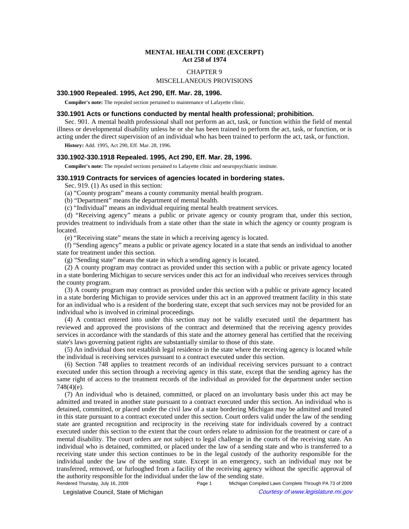# **MENTAL HEALTH CODE (EXCERPT) Act 258 of 1974**

# CHAPTER 9

### MISCELLANEOUS PROVISIONS

### **330.1900 Repealed. 1995, Act 290, Eff. Mar. 28, 1996.**

**Compiler's note:** The repealed section pertained to maintenance of Lafayette clinic.

# **330.1901 Acts or functions conducted by mental health professional; prohibition.**

Sec. 901. A mental health professional shall not perform an act, task, or function within the field of mental illness or developmental disability unless he or she has been trained to perform the act, task, or function, or is acting under the direct supervision of an individual who has been trained to perform the act, task, or function.

**History:** Add. 1995, Act 290, Eff. Mar. 28, 1996.

### **330.1902-330.1918 Repealed. 1995, Act 290, Eff. Mar. 28, 1996.**

**Compiler's note:** The repealed sections pertained to Lafayette clinic and neuropsychiatric institute.

### **330.1919 Contracts for services of agencies located in bordering states.**

Sec. 919. (1) As used in this section:

(a) "County program" means a county community mental health program.

(b) "Department" means the department of mental health.

(c) "Individual" means an individual requiring mental health treatment services.

(d) "Receiving agency" means a public or private agency or county program that, under this section, provides treatment to individuals from a state other than the state in which the agency or county program is located.

(e) "Receiving state" means the state in which a receiving agency is located.

(f) "Sending agency" means a public or private agency located in a state that sends an individual to another state for treatment under this section.

(g) "Sending state" means the state in which a sending agency is located.

(2) A county program may contract as provided under this section with a public or private agency located in a state bordering Michigan to secure services under this act for an individual who receives services through the county program.

(3) A county program may contract as provided under this section with a public or private agency located in a state bordering Michigan to provide services under this act in an approved treatment facility in this state for an individual who is a resident of the bordering state, except that such services may not be provided for an individual who is involved in criminal proceedings.

(4) A contract entered into under this section may not be validly executed until the department has reviewed and approved the provisions of the contract and determined that the receiving agency provides services in accordance with the standards of this state and the attorney general has certified that the receiving state's laws governing patient rights are substantially similar to those of this state.

(5) An individual does not establish legal residence in the state where the receiving agency is located while the individual is receiving services pursuant to a contract executed under this section.

(6) Section 748 applies to treatment records of an individual receiving services pursuant to a contract executed under this section through a receiving agency in this state, except that the sending agency has the same right of access to the treatment records of the individual as provided for the department under section 748(4)(e).

(7) An individual who is detained, committed, or placed on an involuntary basis under this act may be admitted and treated in another state pursuant to a contract executed under this section. An individual who is detained, committed, or placed under the civil law of a state bordering Michigan may be admitted and treated in this state pursuant to a contract executed under this section. Court orders valid under the law of the sending state are granted recognition and reciprocity in the receiving state for individuals covered by a contract executed under this section to the extent that the court orders relate to admission for the treatment or care of a mental disability. The court orders are not subject to legal challenge in the courts of the receiving state. An individual who is detained, committed, or placed under the law of a sending state and who is transferred to a receiving state under this section continues to be in the legal custody of the authority responsible for the individual under the law of the sending state. Except in an emergency, such an individual may not be transferred, removed, or furloughed from a facility of the receiving agency without the specific approval of the authority responsible for the individual under the law of the sending state.<br>Rendered Thursday, July 16, 2009<br>Page 1 Michigan Compile

Page 1 Michigan Compiled Laws Complete Through PA 73 of 2009 © Legislative Council, State of Michigan Council Courtesy of www.legislature.mi.gov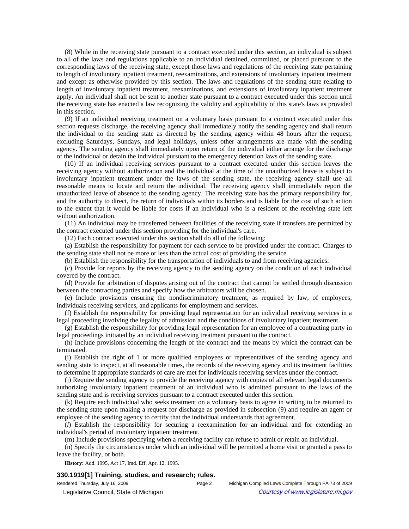(8) While in the receiving state pursuant to a contract executed under this section, an individual is subject to all of the laws and regulations applicable to an individual detained, committed, or placed pursuant to the corresponding laws of the receiving state, except those laws and regulations of the receiving state pertaining to length of involuntary inpatient treatment, reexaminations, and extensions of involuntary inpatient treatment and except as otherwise provided by this section. The laws and regulations of the sending state relating to length of involuntary inpatient treatment, reexaminations, and extensions of involuntary inpatient treatment apply. An individual shall not be sent to another state pursuant to a contract executed under this section until the receiving state has enacted a law recognizing the validity and applicability of this state's laws as provided in this section.

(9) If an individual receiving treatment on a voluntary basis pursuant to a contract executed under this section requests discharge, the receiving agency shall immediately notify the sending agency and shall return the individual to the sending state as directed by the sending agency within 48 hours after the request, excluding Saturdays, Sundays, and legal holidays, unless other arrangements are made with the sending agency. The sending agency shall immediately upon return of the individual either arrange for the discharge of the individual or detain the individual pursuant to the emergency detention laws of the sending state.

(10) If an individual receiving services pursuant to a contract executed under this section leaves the receiving agency without authorization and the individual at the time of the unauthorized leave is subject to involuntary inpatient treatment under the laws of the sending state, the receiving agency shall use all reasonable means to locate and return the individual. The receiving agency shall immediately report the unauthorized leave of absence to the sending agency. The receiving state has the primary responsibility for, and the authority to direct, the return of individuals within its borders and is liable for the cost of such action to the extent that it would be liable for costs if an individual who is a resident of the receiving state left without authorization.

(11) An individual may be transferred between facilities of the receiving state if transfers are permitted by the contract executed under this section providing for the individual's care.

(12) Each contract executed under this section shall do all of the following:

(a) Establish the responsibility for payment for each service to be provided under the contract. Charges to the sending state shall not be more or less than the actual cost of providing the service.

(b) Establish the responsibility for the transportation of individuals to and from receiving agencies.

(c) Provide for reports by the receiving agency to the sending agency on the condition of each individual covered by the contract.

(d) Provide for arbitration of disputes arising out of the contract that cannot be settled through discussion between the contracting parties and specify how the arbitrators will be chosen.

(e) Include provisions ensuring the nondiscriminatory treatment, as required by law, of employees, individuals receiving services, and applicants for employment and services.

(f) Establish the responsibility for providing legal representation for an individual receiving services in a legal proceeding involving the legality of admission and the conditions of involuntary inpatient treatment.

(g) Establish the responsibility for providing legal representation for an employee of a contracting party in legal proceedings initiated by an individual receiving treatment pursuant to the contract.

(h) Include provisions concerning the length of the contract and the means by which the contract can be terminated.

(i) Establish the right of 1 or more qualified employees or representatives of the sending agency and sending state to inspect, at all reasonable times, the records of the receiving agency and its treatment facilities to determine if appropriate standards of care are met for individuals receiving services under the contract.

(j) Require the sending agency to provide the receiving agency with copies of all relevant legal documents authorizing involuntary inpatient treatment of an individual who is admitted pursuant to the laws of the sending state and is receiving services pursuant to a contract executed under this section.

(k) Require each individual who seeks treatment on a voluntary basis to agree in writing to be returned to the sending state upon making a request for discharge as provided in subsection (9) and require an agent or employee of the sending agency to certify that the individual understands that agreement.

(*l*) Establish the responsibility for securing a reexamination for an individual and for extending an individual's period of involuntary inpatient treatment.

(m) Include provisions specifying when a receiving facility can refuse to admit or retain an individual.

(n) Specify the circumstances under which an individual will be permitted a home visit or granted a pass to leave the facility, or both.

**History:** Add. 1995, Act 17, Imd. Eff. Apr. 12, 1995.

# **330.1919[1] Training, studies, and research; rules.**

Rendered Thursday, July 16, 2009 **Page 2** Michigan Compiled Laws Complete Through PA 73 of 2009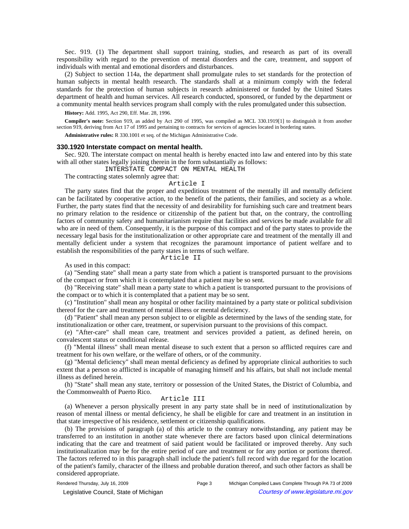Sec. 919. (1) The department shall support training, studies, and research as part of its overall responsibility with regard to the prevention of mental disorders and the care, treatment, and support of individuals with mental and emotional disorders and disturbances.

(2) Subject to section 114a, the department shall promulgate rules to set standards for the protection of human subjects in mental health research. The standards shall at a minimum comply with the federal standards for the protection of human subjects in research administered or funded by the United States department of health and human services. All research conducted, sponsored, or funded by the department or a community mental health services program shall comply with the rules promulgated under this subsection.

**History:** Add. 1995, Act 290, Eff. Mar. 28, 1996.

**Compiler's note:** Section 919, as added by Act 290 of 1995, was compiled as MCL 330.1919[1] to distinguish it from another section 919, deriving from Act 17 of 1995 and pertaining to contracts for services of agencies located in bordering states.

**Administrative rules:** R 330.1001 et seq. of the Michigan Administrative Code.

#### **330.1920 Interstate compact on mental health.**

Sec. 920. The interstate compact on mental health is hereby enacted into law and entered into by this state with all other states legally joining therein in the form substantially as follows:

INTERSTATE COMPACT ON MENTAL HEALTH

The contracting states solemnly agree that:

Article I

The party states find that the proper and expeditious treatment of the mentally ill and mentally deficient can be facilitated by cooperative action, to the benefit of the patients, their families, and society as a whole. Further, the party states find that the necessity of and desirability for furnishing such care and treatment bears no primary relation to the residence or citizenship of the patient but that, on the contrary, the controlling factors of community safety and humanitarianism require that facilities and services be made available for all who are in need of them. Consequently, it is the purpose of this compact and of the party states to provide the necessary legal basis for the institutionalization or other appropriate care and treatment of the mentally ill and mentally deficient under a system that recognizes the paramount importance of patient welfare and to establish the responsibilities of the party states in terms of such welfare.

# Article II

As used in this compact:

(a) "Sending state" shall mean a party state from which a patient is transported pursuant to the provisions of the compact or from which it is contemplated that a patient may be so sent.

(b) "Receiving state" shall mean a party state to which a patient is transported pursuant to the provisions of the compact or to which it is contemplated that a patient may be so sent.

(c) "Institution" shall mean any hospital or other facility maintained by a party state or political subdivision thereof for the care and treatment of mental illness or mental deficiency.

(d) "Patient" shall mean any person subject to or eligible as determined by the laws of the sending state, for institutionalization or other care, treatment, or supervision pursuant to the provisions of this compact.

(e) "After-care" shall mean care, treatment and services provided a patient, as defined herein, on convalescent status or conditional release.

(f) "Mental illness" shall mean mental disease to such extent that a person so afflicted requires care and treatment for his own welfare, or the welfare of others, or of the community.

(g) "Mental deficiency" shall mean mental deficiency as defined by appropriate clinical authorities to such extent that a person so afflicted is incapable of managing himself and his affairs, but shall not include mental illness as defined herein.

(h) "State" shall mean any state, territory or possession of the United States, the District of Columbia, and the Commonwealth of Puerto Rico.

### Article III

(a) Whenever a person physically present in any party state shall be in need of institutionalization by reason of mental illness or mental deficiency, he shall be eligible for care and treatment in an institution in that state irrespective of his residence, settlement or citizenship qualifications.

(b) The provisions of paragraph (a) of this article to the contrary notwithstanding, any patient may be transferred to an institution in another state whenever there are factors based upon clinical determinations indicating that the care and treatment of said patient would be facilitated or improved thereby. Any such institutionalization may be for the entire period of care and treatment or for any portion or portions thereof. The factors referred to in this paragraph shall include the patient's full record with due regard for the location of the patient's family, character of the illness and probable duration thereof, and such other factors as shall be considered appropriate.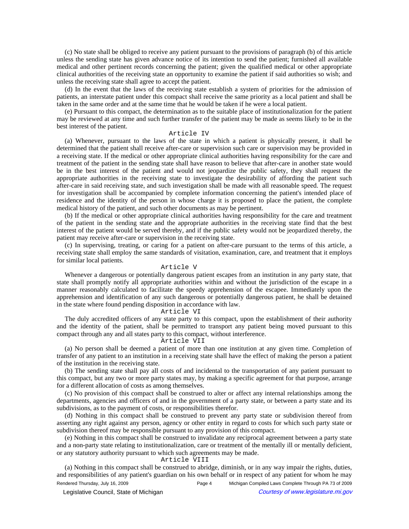(c) No state shall be obliged to receive any patient pursuant to the provisions of paragraph (b) of this article unless the sending state has given advance notice of its intention to send the patient; furnished all available medical and other pertinent records concerning the patient; given the qualified medical or other appropriate clinical authorities of the receiving state an opportunity to examine the patient if said authorities so wish; and unless the receiving state shall agree to accept the patient.

(d) In the event that the laws of the receiving state establish a system of priorities for the admission of patients, an interstate patient under this compact shall receive the same priority as a local patient and shall be taken in the same order and at the same time that he would be taken if he were a local patient.

(e) Pursuant to this compact, the determination as to the suitable place of institutionalization for the patient may be reviewed at any time and such further transfer of the patient may be made as seems likely to be in the best interest of the patient.

# Article IV

(a) Whenever, pursuant to the laws of the state in which a patient is physically present, it shall be determined that the patient shall receive after-care or supervision such care or supervision may be provided in a receiving state. If the medical or other appropriate clinical authorities having responsibility for the care and treatment of the patient in the sending state shall have reason to believe that after-care in another state would be in the best interest of the patient and would not jeopardize the public safety, they shall request the appropriate authorities in the receiving state to investigate the desirability of affording the patient such after-care in said receiving state, and such investigation shall be made with all reasonable speed. The request for investigation shall be accompanied by complete information concerning the patient's intended place of residence and the identity of the person in whose charge it is proposed to place the patient, the complete medical history of the patient, and such other documents as may be pertinent.

(b) If the medical or other appropriate clinical authorities having responsibility for the care and treatment of the patient in the sending state and the appropriate authorities in the receiving state find that the best interest of the patient would be served thereby, and if the public safety would not be jeopardized thereby, the patient may receive after-care or supervision in the receiving state.

(c) In supervising, treating, or caring for a patient on after-care pursuant to the terms of this article, a receiving state shall employ the same standards of visitation, examination, care, and treatment that it employs for similar local patients.

# Article V

Whenever a dangerous or potentially dangerous patient escapes from an institution in any party state, that state shall promptly notify all appropriate authorities within and without the jurisdiction of the escape in a manner reasonably calculated to facilitate the speedy apprehension of the escapee. Immediately upon the apprehension and identification of any such dangerous or potentially dangerous patient, he shall be detained in the state where found pending disposition in accordance with law.

### Article VI

The duly accredited officers of any state party to this compact, upon the establishment of their authority and the identity of the patient, shall be permitted to transport any patient being moved pursuant to this compact through any and all states party to this compact, without interference.

### Article VII

(a) No person shall be deemed a patient of more than one institution at any given time. Completion of transfer of any patient to an institution in a receiving state shall have the effect of making the person a patient of the institution in the receiving state.

(b) The sending state shall pay all costs of and incidental to the transportation of any patient pursuant to this compact, but any two or more party states may, by making a specific agreement for that purpose, arrange for a different allocation of costs as among themselves.

(c) No provision of this compact shall be construed to alter or affect any internal relationships among the departments, agencies and officers of and in the government of a party state, or between a party state and its subdivisions, as to the payment of costs, or responsibilities therefor.

(d) Nothing in this compact shall be construed to prevent any party state or subdivision thereof from asserting any right against any person, agency or other entity in regard to costs for which such party state or subdivision thereof may be responsible pursuant to any provision of this compact.

(e) Nothing in this compact shall be construed to invalidate any reciprocal agreement between a party state and a non-party state relating to institutionalization, care or treatment of the mentally ill or mentally deficient, or any statutory authority pursuant to which such agreements may be made.

### Article VIII

(a) Nothing in this compact shall be construed to abridge, diminish, or in any way impair the rights, duties, and responsibilities of any patient's guardian on his own behalf or in respect of any patient for whom he may Rendered Thursday, July 16, 2009 **Page 4** Michigan Compiled Laws Complete Through PA 73 of 2009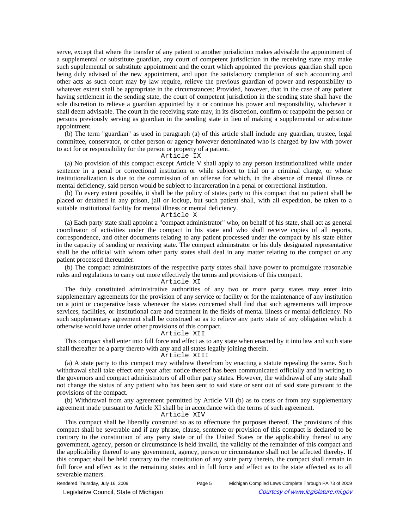serve, except that where the transfer of any patient to another jurisdiction makes advisable the appointment of a supplemental or substitute guardian, any court of competent jurisdiction in the receiving state may make such supplemental or substitute appointment and the court which appointed the previous guardian shall upon being duly advised of the new appointment, and upon the satisfactory completion of such accounting and other acts as such court may by law require, relieve the previous guardian of power and responsibility to whatever extent shall be appropriate in the circumstances: Provided, however, that in the case of any patient having settlement in the sending state, the court of competent jurisdiction in the sending state shall have the sole discretion to relieve a guardian appointed by it or continue his power and responsibility, whichever it shall deem advisable. The court in the receiving state may, in its discretion, confirm or reappoint the person or persons previously serving as guardian in the sending state in lieu of making a supplemental or substitute appointment.

(b) The term "guardian" as used in paragraph (a) of this article shall include any guardian, trustee, legal committee, conservator, or other person or agency however denominated who is charged by law with power to act for or responsibility for the person or property of a patient.

### Article IX

(a) No provision of this compact except Article V shall apply to any person institutionalized while under sentence in a penal or correctional institution or while subject to trial on a criminal charge, or whose institutionalization is due to the commission of an offense for which, in the absence of mental illness or mental deficiency, said person would be subject to incarceration in a penal or correctional institution.

(b) To every extent possible, it shall be the policy of states party to this compact that no patient shall be placed or detained in any prison, jail or lockup, but such patient shall, with all expedition, be taken to a suitable institutional facility for mental illness or mental deficiency.

# Article X

(a) Each party state shall appoint a "compact administrator" who, on behalf of his state, shall act as general coordinator of activities under the compact in his state and who shall receive copies of all reports, correspondence, and other documents relating to any patient processed under the compact by his state either in the capacity of sending or receiving state. The compact adminstrator or his duly designated representative shall be the official with whom other party states shall deal in any matter relating to the compact or any patient processed thereunder.

(b) The compact administrators of the respective party states shall have power to promulgate reasonable rules and regulations to carry out more effectively the terms and provisions of this compact.

# Article XI

The duly constituted administrative authorities of any two or more party states may enter into supplementary agreements for the provision of any service or facility or for the maintenance of any institution on a joint or cooperative basis whenever the states concerned shall find that such agreements will improve services, facilities, or institutional care and treatment in the fields of mental illness or mental deficiency. No such supplementary agreement shall be construed so as to relieve any party state of any obligation which it otherwise would have under other provisions of this compact.

#### Article XII

This compact shall enter into full force and effect as to any state when enacted by it into law and such state shall thereafter be a party thereto with any and all states legally joining therein.

# Article XIII

(a) A state party to this compact may withdraw therefrom by enacting a statute repealing the same. Such withdrawal shall take effect one year after notice thereof has been communicated officially and in writing to the governors and compact administrators of all other party states. However, the withdrawal of any state shall not change the status of any patient who has been sent to said state or sent out of said state pursuant to the provisions of the compact.

(b) Withdrawal from any agreement permitted by Article VII (b) as to costs or from any supplementary agreement made pursuant to Article XI shall be in accordance with the terms of such agreement.

# Article XIV

This compact shall be liberally construed so as to effectuate the purposes thereof. The provisions of this compact shall be severable and if any phrase, clause, sentence or provision of this compact is declared to be contrary to the constitution of any party state or of the United States or the applicability thereof to any government, agency, person or circumstance is held invalid, the validity of the remainder of this compact and the applicability thereof to any government, agency, person or circumstance shall not be affected thereby. If this compact shall be held contrary to the constitution of any state party thereto, the compact shall remain in full force and effect as to the remaining states and in full force and effect as to the state affected as to all severable matters.

| Rendered Thursday, July 16, 2009         |  |
|------------------------------------------|--|
| © Legislative Council. State of Michigan |  |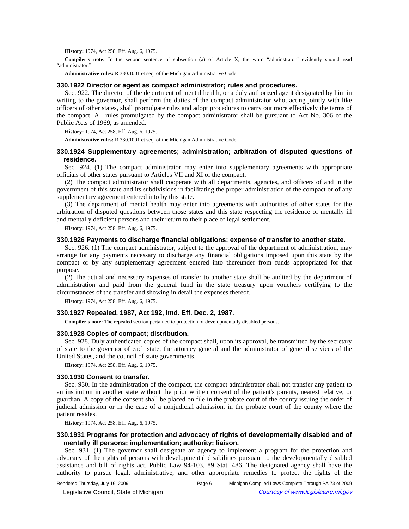**History:** 1974, Act 258, Eff. Aug. 6, 1975.

**Compiler's note:** In the second sentence of subsection (a) of Article X, the word "adminstrator" evidently should read "administrator."

**Administrative rules:** R 330.1001 et seq. of the Michigan Administrative Code.

### **330.1922 Director or agent as compact administrator; rules and procedures.**

Sec. 922. The director of the department of mental health, or a duly authorized agent designated by him in writing to the governor, shall perform the duties of the compact administrator who, acting jointly with like officers of other states, shall promulgate rules and adopt procedures to carry out more effectively the terms of the compact. All rules promulgated by the compact administrator shall be pursuant to Act No. 306 of the Public Acts of 1969, as amended.

**History:** 1974, Act 258, Eff. Aug. 6, 1975.

**Administrative rules:** R 330.1001 et seq. of the Michigan Administrative Code.

# **330.1924 Supplementary agreements; administration; arbitration of disputed questions of residence.**

Sec. 924. (1) The compact administrator may enter into supplementary agreements with appropriate officials of other states pursuant to Articles VII and XI of the compact.

(2) The compact administrator shall cooperate with all departments, agencies, and officers of and in the government of this state and its subdivisions in facilitating the proper administration of the compact or of any supplementary agreement entered into by this state.

(3) The department of mental health may enter into agreements with authorities of other states for the arbitration of disputed questions between those states and this state respecting the residence of mentally ill and mentally deficient persons and their return to their place of legal settlement.

**History:** 1974, Act 258, Eff. Aug. 6, 1975.

# **330.1926 Payments to discharge financial obligations; expense of transfer to another state.**

Sec. 926. (1) The compact administrator, subject to the approval of the department of administration, may arrange for any payments necessary to discharge any financial obligations imposed upon this state by the compact or by any supplementary agreement entered into thereunder from funds appropriated for that purpose.

(2) The actual and necessary expenses of transfer to another state shall be audited by the department of administration and paid from the general fund in the state treasury upon vouchers certifying to the circumstances of the transfer and showing in detail the expenses thereof.

**History:** 1974, Act 258, Eff. Aug. 6, 1975.

# **330.1927 Repealed. 1987, Act 192, Imd. Eff. Dec. 2, 1987.**

**Compiler's note:** The repealed section pertained to protection of developmentally disabled persons.

# **330.1928 Copies of compact; distribution.**

Sec. 928. Duly authenticated copies of the compact shall, upon its approval, be transmitted by the secretary of state to the governor of each state, the attorney general and the administrator of general services of the United States, and the council of state governments.

**History:** 1974, Act 258, Eff. Aug. 6, 1975.

#### **330.1930 Consent to transfer.**

Sec. 930. In the administration of the compact, the compact administrator shall not transfer any patient to an institution in another state without the prior written consent of the patient's parents, nearest relative, or guardian. A copy of the consent shall be placed on file in the probate court of the county issuing the order of judicial admission or in the case of a nonjudicial admission, in the probate court of the county where the patient resides.

**History:** 1974, Act 258, Eff. Aug. 6, 1975.

# **330.1931 Programs for protection and advocacy of rights of developmentally disabled and of mentally ill persons; implementation; authority; liaison.**

Sec. 931. (1) The governor shall designate an agency to implement a program for the protection and advocacy of the rights of persons with developmental disabilities pursuant to the developmentally disabled assistance and bill of rights act, Public Law 94-103, 89 Stat. 486. The designated agency shall have the authority to pursue legal, administrative, and other appropriate remedies to protect the rights of the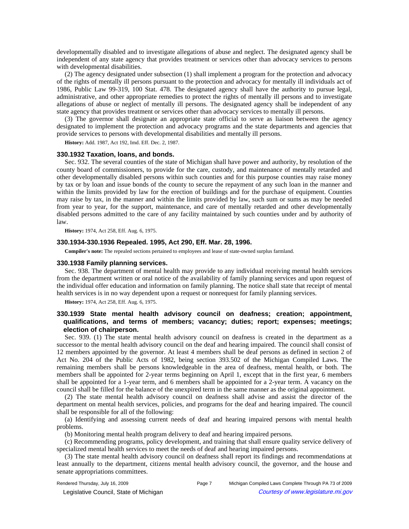developmentally disabled and to investigate allegations of abuse and neglect. The designated agency shall be independent of any state agency that provides treatment or services other than advocacy services to persons with developmental disabilities.

(2) The agency designated under subsection (1) shall implement a program for the protection and advocacy of the rights of mentally ill persons pursuant to the protection and advocacy for mentally ill individuals act of 1986, Public Law 99-319, 100 Stat. 478. The designated agency shall have the authority to pursue legal, administrative, and other appropriate remedies to protect the rights of mentally ill persons and to investigate allegations of abuse or neglect of mentally ill persons. The designated agency shall be independent of any state agency that provides treatment or services other than advocacy services to mentally ill persons.

(3) The governor shall designate an appropriate state official to serve as liaison between the agency designated to implement the protection and advocacy programs and the state departments and agencies that provide services to persons with developmental disabilities and mentally ill persons.

**History:** Add. 1987, Act 192, Imd. Eff. Dec. 2, 1987.

#### **330.1932 Taxation, loans, and bonds.**

Sec. 932. The several counties of the state of Michigan shall have power and authority, by resolution of the county board of commissioners, to provide for the care, custody, and maintenance of mentally retarded and other developmentally disabled persons within such counties and for this purpose counties may raise money by tax or by loan and issue bonds of the county to secure the repayment of any such loan in the manner and within the limits provided by law for the erection of buildings and for the purchase of equipment. Counties may raise by tax, in the manner and within the limits provided by law, such sum or sums as may be needed from year to year, for the support, maintenance, and care of mentally retarded and other developmentally disabled persons admitted to the care of any facility maintained by such counties under and by authority of law.

**History:** 1974, Act 258, Eff. Aug. 6, 1975.

# **330.1934-330.1936 Repealed. 1995, Act 290, Eff. Mar. 28, 1996.**

**Compiler's note:** The repealed sections pertained to employees and lease of state-owned surplus farmland.

#### **330.1938 Family planning services.**

Sec. 938. The department of mental health may provide to any individual receiving mental health services from the department written or oral notice of the availability of family planning services and upon request of the individual offer education and information on family planning. The notice shall state that receipt of mental health services is in no way dependent upon a request or nonrequest for family planning services.

**History:** 1974, Act 258, Eff. Aug. 6, 1975.

# **330.1939 State mental health advisory council on deafness; creation; appointment, qualifications, and terms of members; vacancy; duties; report; expenses; meetings; election of chairperson.**

Sec. 939. (1) The state mental health advisory council on deafness is created in the department as a successor to the mental health advisory council on the deaf and hearing impaired. The council shall consist of 12 members appointed by the governor. At least 4 members shall be deaf persons as defined in section 2 of Act No. 204 of the Public Acts of 1982, being section 393.502 of the Michigan Compiled Laws. The remaining members shall be persons knowledgeable in the area of deafness, mental health, or both. The members shall be appointed for 2-year terms beginning on April 1, except that in the first year, 6 members shall be appointed for a 1-year term, and 6 members shall be appointed for a 2-year term. A vacancy on the council shall be filled for the balance of the unexpired term in the same manner as the original appointment.

(2) The state mental health advisory council on deafness shall advise and assist the director of the department on mental health services, policies, and programs for the deaf and hearing impaired. The council shall be responsible for all of the following:

(a) Identifying and assessing current needs of deaf and hearing impaired persons with mental health problems.

(b) Monitoring mental health program delivery to deaf and hearing impaired persons.

(c) Recommending programs, policy development, and training that shall ensure quality service delivery of specialized mental health services to meet the needs of deaf and hearing impaired persons.

(3) The state mental health advisory council on deafness shall report its findings and recommendations at least annually to the department, citizens mental health advisory council, the governor, and the house and senate appropriations committees.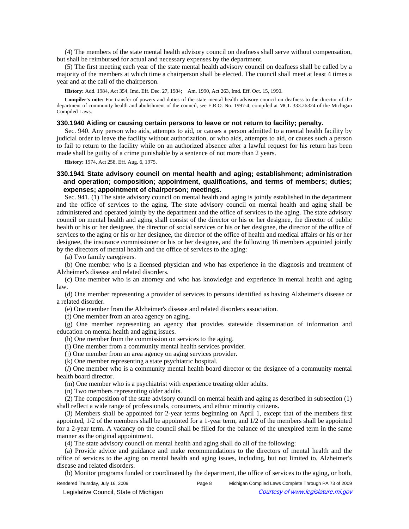(4) The members of the state mental health advisory council on deafness shall serve without compensation, but shall be reimbursed for actual and necessary expenses by the department.

(5) The first meeting each year of the state mental health advisory council on deafness shall be called by a majority of the members at which time a chairperson shall be elected. The council shall meet at least 4 times a year and at the call of the chairperson.

History: Add. 1984, Act 354, Imd. Eff. Dec. 27, 1984;—Am. 1990, Act 263, Imd. Eff. Oct. 15, 1990.

**Compiler's note:** For transfer of powers and duties of the state mental health advisory council on deafness to the director of the department of community health and abolishment of the council, see E.R.O. No. 1997-4, compiled at MCL 333.26324 of the Michigan Compiled Laws.

### **330.1940 Aiding or causing certain persons to leave or not return to facility; penalty.**

Sec. 940. Any person who aids, attempts to aid, or causes a person admitted to a mental health facility by judicial order to leave the facility without authorization, or who aids, attempts to aid, or causes such a person to fail to return to the facility while on an authorized absence after a lawful request for his return has been made shall be guilty of a crime punishable by a sentence of not more than 2 years.

**History:** 1974, Act 258, Eff. Aug. 6, 1975.

# **330.1941 State advisory council on mental health and aging; establishment; administration and operation; composition; appointment, qualifications, and terms of members; duties; expenses; appointment of chairperson; meetings.**

Sec. 941. (1) The state advisory council on mental health and aging is jointly established in the department and the office of services to the aging. The state advisory council on mental health and aging shall be administered and operated jointly by the department and the office of services to the aging. The state advisory council on mental health and aging shall consist of the director or his or her designee, the director of public health or his or her designee, the director of social services or his or her designee, the director of the office of services to the aging or his or her designee, the director of the office of health and medical affairs or his or her designee, the insurance commissioner or his or her designee, and the following 16 members appointed jointly by the directors of mental health and the office of services to the aging:

(a) Two family caregivers.

(b) One member who is a licensed physician and who has experience in the diagnosis and treatment of Alzheimer's disease and related disorders.

(c) One member who is an attorney and who has knowledge and experience in mental health and aging law.

(d) One member representing a provider of services to persons identified as having Alzheimer's disease or a related disorder.

(e) One member from the Alzheimer's disease and related disorders association.

(f) One member from an area agency on aging.

(g) One member representing an agency that provides statewide dissemination of information and education on mental health and aging issues.

(h) One member from the commission on services to the aging.

(i) One member from a community mental health services provider.

(j) One member from an area agency on aging services provider.

(k) One member representing a state psychiatric hospital.

(*l*) One member who is a community mental health board director or the designee of a community mental health board director.

(m) One member who is a psychiatrist with experience treating older adults.

(n) Two members representing older adults.

(2) The composition of the state advisory council on mental health and aging as described in subsection (1) shall reflect a wide range of professionals, consumers, and ethnic minority citizens.

(3) Members shall be appointed for 2-year terms beginning on April 1, except that of the members first appointed, 1/2 of the members shall be appointed for a 1-year term, and 1/2 of the members shall be appointed for a 2-year term. A vacancy on the council shall be filled for the balance of the unexpired term in the same manner as the original appointment.

(4) The state advisory council on mental health and aging shall do all of the following:

(a) Provide advice and guidance and make recommendations to the directors of mental health and the office of services to the aging on mental health and aging issues, including, but not limited to, Alzheimer's disease and related disorders.

(b) Monitor programs funded or coordinated by the department, the office of services to the aging, or both,

© Legislative Council, State of Michigan Council Council Council Council Council Council Council Council Council Council Council Council Council Council Council Council Council Council Council Council Council Council Counc

Rendered Thursday, July 16, 2009 **Page 8** Michigan Compiled Laws Complete Through PA 73 of 2009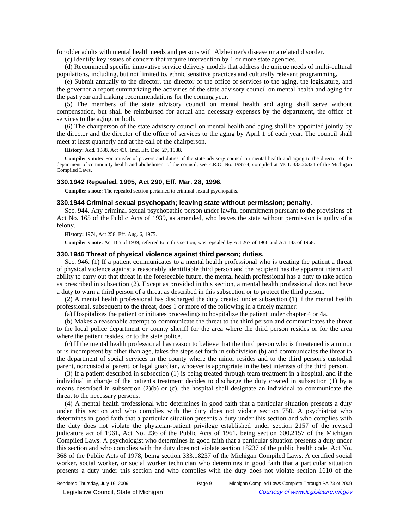for older adults with mental health needs and persons with Alzheimer's disease or a related disorder.

(c) Identify key issues of concern that require intervention by 1 or more state agencies.

(d) Recommend specific innovative service delivery models that address the unique needs of multi-cultural populations, including, but not limited to, ethnic sensitive practices and culturally relevant programming.

(e) Submit annually to the director, the director of the office of services to the aging, the legislature, and the governor a report summarizing the activities of the state advisory council on mental health and aging for the past year and making recommendations for the coming year.

(5) The members of the state advisory council on mental health and aging shall serve without compensation, but shall be reimbursed for actual and necessary expenses by the department, the office of services to the aging, or both.

(6) The chairperson of the state advisory council on mental health and aging shall be appointed jointly by the director and the director of the office of services to the aging by April 1 of each year. The council shall meet at least quarterly and at the call of the chairperson.

**History:** Add. 1988, Act 436, Imd. Eff. Dec. 27, 1988.

**Compiler's note:** For transfer of powers and duties of the state advisory council on mental health and aging to the director of the department of community health and abolishment of the council, see E.R.O. No. 1997-4, compiled at MCL 333.26324 of the Michigan Compiled Laws.

### **330.1942 Repealed. 1995, Act 290, Eff. Mar. 28, 1996.**

**Compiler's note:** The repealed section pertained to criminal sexual psychopaths.

### **330.1944 Criminal sexual psychopath; leaving state without permission; penalty.**

Sec. 944. Any criminal sexual psychopathic person under lawful commitment pursuant to the provisions of Act No. 165 of the Public Acts of 1939, as amended, who leaves the state without permission is guilty of a felony.

**History:** 1974, Act 258, Eff. Aug. 6, 1975.

**Compiler's note:** Act 165 of 1939, referred to in this section, was repealed by Act 267 of 1966 and Act 143 of 1968.

#### **330.1946 Threat of physical violence against third person; duties.**

Sec. 946. (1) If a patient communicates to a mental health professional who is treating the patient a threat of physical violence against a reasonably identifiable third person and the recipient has the apparent intent and ability to carry out that threat in the foreseeable future, the mental health professional has a duty to take action as prescribed in subsection (2). Except as provided in this section, a mental health professional does not have a duty to warn a third person of a threat as described in this subsection or to protect the third person.

(2) A mental health professional has discharged the duty created under subsection (1) if the mental health professional, subsequent to the threat, does 1 or more of the following in a timely manner:

(a) Hospitalizes the patient or initiates proceedings to hospitalize the patient under chapter 4 or 4a.

(b) Makes a reasonable attempt to communicate the threat to the third person and communicates the threat to the local police department or county sheriff for the area where the third person resides or for the area where the patient resides, or to the state police.

(c) If the mental health professional has reason to believe that the third person who is threatened is a minor or is incompetent by other than age, takes the steps set forth in subdivision (b) and communicates the threat to the department of social services in the county where the minor resides and to the third person's custodial parent, noncustodial parent, or legal guardian, whoever is appropriate in the best interests of the third person.

(3) If a patient described in subsection (1) is being treated through team treatment in a hospital, and if the individual in charge of the patient's treatment decides to discharge the duty created in subsection (1) by a means described in subsection  $(2)(b)$  or  $(c)$ , the hospital shall designate an individual to communicate the threat to the necessary persons.

(4) A mental health professional who determines in good faith that a particular situation presents a duty under this section and who complies with the duty does not violate section 750. A psychiatrist who determines in good faith that a particular situation presents a duty under this section and who complies with the duty does not violate the physician-patient privilege established under section 2157 of the revised judicature act of 1961, Act No. 236 of the Public Acts of 1961, being section 600.2157 of the Michigan Compiled Laws. A psychologist who determines in good faith that a particular situation presents a duty under this section and who complies with the duty does not violate section 18237 of the public health code, Act No. 368 of the Public Acts of 1978, being section 333.18237 of the Michigan Compiled Laws. A certified social worker, social worker, or social worker technician who determines in good faith that a particular situation presents a duty under this section and who complies with the duty does not violate section 1610 of the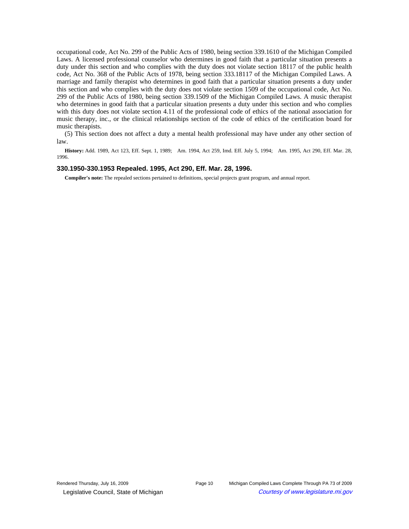occupational code, Act No. 299 of the Public Acts of 1980, being section 339.1610 of the Michigan Compiled Laws. A licensed professional counselor who determines in good faith that a particular situation presents a duty under this section and who complies with the duty does not violate section 18117 of the public health code, Act No. 368 of the Public Acts of 1978, being section 333.18117 of the Michigan Compiled Laws. A marriage and family therapist who determines in good faith that a particular situation presents a duty under this section and who complies with the duty does not violate section 1509 of the occupational code, Act No. 299 of the Public Acts of 1980, being section 339.1509 of the Michigan Compiled Laws. A music therapist who determines in good faith that a particular situation presents a duty under this section and who complies with this duty does not violate section 4.11 of the professional code of ethics of the national association for music therapy, inc., or the clinical relationships section of the code of ethics of the certification board for music therapists.

(5) This section does not affect a duty a mental health professional may have under any other section of law.

History: Add. 1989, Act 123, Eff. Sept. 1, 1989;--Am. 1994, Act 259, Imd. Eff. July 5, 1994;--Am. 1995, Act 290, Eff. Mar. 28, 1996.

#### **330.1950-330.1953 Repealed. 1995, Act 290, Eff. Mar. 28, 1996.**

**Compiler's note:** The repealed sections pertained to definitions, special projects grant program, and annual report.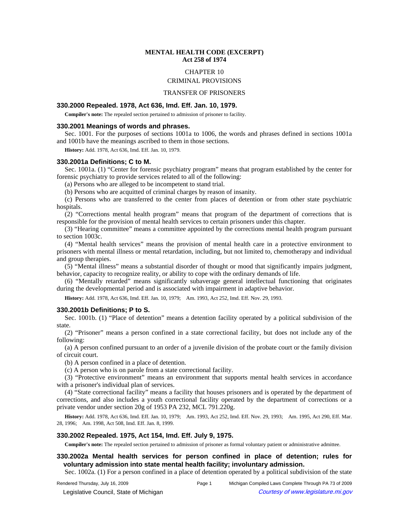# **MENTAL HEALTH CODE (EXCERPT) Act 258 of 1974**

# CHAPTER 10

# CRIMINAL PROVISIONS

### TRANSFER OF PRISONERS

### **330.2000 Repealed. 1978, Act 636, Imd. Eff. Jan. 10, 1979.**

**Compiler's note:** The repealed section pertained to admission of prisoner to facility.

# **330.2001 Meanings of words and phrases.**

Sec. 1001. For the purposes of sections 1001a to 1006, the words and phrases defined in sections 1001a and 1001b have the meanings ascribed to them in those sections.

**History:** Add. 1978, Act 636, Imd. Eff. Jan. 10, 1979.

### **330.2001a Definitions; C to M.**

Sec. 1001a. (1) "Center for forensic psychiatry program" means that program established by the center for forensic psychiatry to provide services related to all of the following:

(a) Persons who are alleged to be incompetent to stand trial.

(b) Persons who are acquitted of criminal charges by reason of insanity.

(c) Persons who are transferred to the center from places of detention or from other state psychiatric hospitals.

(2) "Corrections mental health program" means that program of the department of corrections that is responsible for the provision of mental health services to certain prisoners under this chapter.

(3) "Hearing committee" means a committee appointed by the corrections mental health program pursuant to section 1003c.

(4) "Mental health services" means the provision of mental health care in a protective environment to prisoners with mental illness or mental retardation, including, but not limited to, chemotherapy and individual and group therapies.

(5) "Mental illness" means a substantial disorder of thought or mood that significantly impairs judgment, behavior, capacity to recognize reality, or ability to cope with the ordinary demands of life.

(6) "Mentally retarded" means significantly subaverage general intellectual functioning that originates during the developmental period and is associated with impairment in adaptive behavior.

History: Add. 1978, Act 636, Imd. Eff. Jan. 10, 1979;**---**Am. 1993, Act 252, Imd. Eff. Nov. 29, 1993.

### **330.2001b Definitions; P to S.**

Sec. 1001b. (1) "Place of detention" means a detention facility operated by a political subdivision of the state.

(2) "Prisoner" means a person confined in a state correctional facility, but does not include any of the following:

(a) A person confined pursuant to an order of a juvenile division of the probate court or the family division of circuit court.

(b) A person confined in a place of detention.

(c) A person who is on parole from a state correctional facility.

(3) "Protective environment" means an environment that supports mental health services in accordance with a prisoner's individual plan of services.

(4) "State correctional facility" means a facility that houses prisoners and is operated by the department of corrections, and also includes a youth correctional facility operated by the department of corrections or a private vendor under section 20g of 1953 PA 232, MCL 791.220g.

History: Add. 1978, Act 636, Imd. Eff. Jan. 10, 1979;—Am. 1993, Act 252, Imd. Eff. Nov. 29, 1993;—Am. 1995, Act 290, Eff. Mar. 28, 1996; Am. 1998, Act 508, Imd. Eff. Jan. 8, 1999.

# **330.2002 Repealed. 1975, Act 154, Imd. Eff. July 9, 1975.**

**Compiler's note:** The repealed section pertained to admission of prisoner as formal voluntary patient or administrative admittee.

**330.2002a Mental health services for person confined in place of detention; rules for voluntary admission into state mental health facility; involuntary admission.**

Sec. 1002a. (1) For a person confined in a place of detention operated by a political subdivision of the state

Rendered Thursday, July 16, 2009 **Page 1** Page 1 Michigan Compiled Laws Complete Through PA 73 of 2009 © Legislative Council, State of Michigan Council Courtesy of www.legislature.mi.gov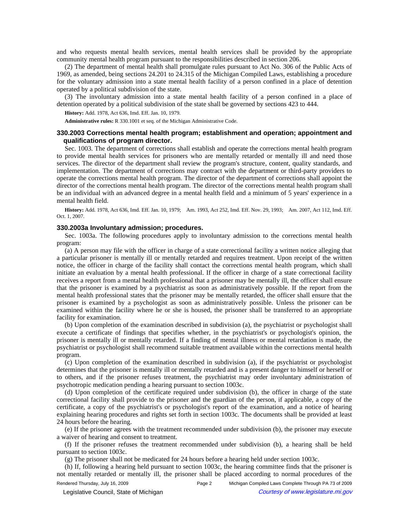and who requests mental health services, mental health services shall be provided by the appropriate community mental health program pursuant to the responsibilities described in section 206.

(2) The department of mental health shall promulgate rules pursuant to Act No. 306 of the Public Acts of 1969, as amended, being sections 24.201 to 24.315 of the Michigan Compiled Laws, establishing a procedure for the voluntary admission into a state mental health facility of a person confined in a place of detention operated by a political subdivision of the state.

(3) The involuntary admission into a state mental health facility of a person confined in a place of detention operated by a political subdivision of the state shall be governed by sections 423 to 444.

**History:** Add. 1978, Act 636, Imd. Eff. Jan. 10, 1979.

**Administrative rules:** R 330.1001 et seq. of the Michigan Administrative Code.

# **330.2003 Corrections mental health program; establishment and operation; appointment and qualifications of program director.**

Sec. 1003. The department of corrections shall establish and operate the corrections mental health program to provide mental health services for prisoners who are mentally retarded or mentally ill and need those services. The director of the department shall review the program's structure, content, quality standards, and implementation. The department of corrections may contract with the department or third-party providers to operate the corrections mental health program. The director of the department of corrections shall appoint the director of the corrections mental health program. The director of the corrections mental health program shall be an individual with an advanced degree in a mental health field and a minimum of 5 years' experience in a mental health field.

History: Add. 1978, Act 636, Imd. Eff. Jan. 10, 1979;--Am. 1993, Act 252, Imd. Eff. Nov. 29, 1993;--Am. 2007, Act 112, Imd. Eff. Oct. 1, 2007.

#### **330.2003a Involuntary admission; procedures.**

Sec. 1003a. The following procedures apply to involuntary admission to the corrections mental health program:

(a) A person may file with the officer in charge of a state correctional facility a written notice alleging that a particular prisoner is mentally ill or mentally retarded and requires treatment. Upon receipt of the written notice, the officer in charge of the facility shall contact the corrections mental health program, which shall initiate an evaluation by a mental health professional. If the officer in charge of a state correctional facility receives a report from a mental health professional that a prisoner may be mentally ill, the officer shall ensure that the prisoner is examined by a psychiatrist as soon as administratively possible. If the report from the mental health professional states that the prisoner may be mentally retarded, the officer shall ensure that the prisoner is examined by a psychologist as soon as administratively possible. Unless the prisoner can be examined within the facility where he or she is housed, the prisoner shall be transferred to an appropriate facility for examination.

(b) Upon completion of the examination described in subdivision (a), the psychiatrist or psychologist shall execute a certificate of findings that specifies whether, in the psychiatrist's or psychologist's opinion, the prisoner is mentally ill or mentally retarded. If a finding of mental illness or mental retardation is made, the psychiatrist or psychologist shall recommend suitable treatment available within the corrections mental health program.

(c) Upon completion of the examination described in subdivision (a), if the psychiatrist or psychologist determines that the prisoner is mentally ill or mentally retarded and is a present danger to himself or herself or to others, and if the prisoner refuses treatment, the psychiatrist may order involuntary administration of psychotropic medication pending a hearing pursuant to section 1003c.

(d) Upon completion of the certificate required under subdivision (b), the officer in charge of the state correctional facility shall provide to the prisoner and the guardian of the person, if applicable, a copy of the certificate, a copy of the psychiatrist's or psychologist's report of the examination, and a notice of hearing explaining hearing procedures and rights set forth in section 1003c. The documents shall be provided at least 24 hours before the hearing.

(e) If the prisoner agrees with the treatment recommended under subdivision (b), the prisoner may execute a waiver of hearing and consent to treatment.

(f) If the prisoner refuses the treatment recommended under subdivision (b), a hearing shall be held pursuant to section 1003c.

(g) The prisoner shall not be medicated for 24 hours before a hearing held under section 1003c.

(h) If, following a hearing held pursuant to section 1003c, the hearing committee finds that the prisoner is not mentally retarded or mentally ill, the prisoner shall be placed according to normal procedures of the Rendered Thursday, July 16, 2009 **Page 2** Michigan Compiled Laws Complete Through PA 73 of 2009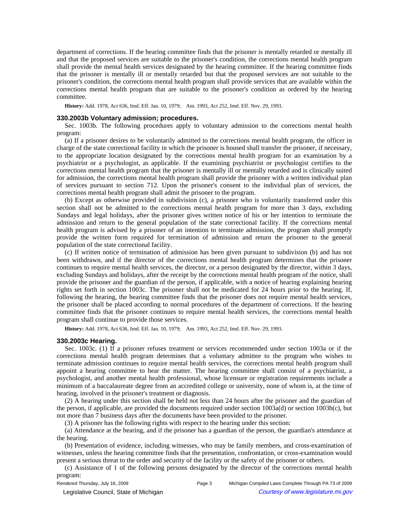department of corrections. If the hearing committee finds that the prisoner is mentally retarded or mentally ill and that the proposed services are suitable to the prisoner's condition, the corrections mental health program shall provide the mental health services designated by the hearing committee. If the hearing committee finds that the prisoner is mentally ill or mentally retarded but that the proposed services are not suitable to the prisoner's condition, the corrections mental health program shall provide services that are available within the corrections mental health program that are suitable to the prisoner's condition as ordered by the hearing committee.

History: Add. 1978, Act 636, Imd. Eff. Jan. 10, 1979;-- Am. 1993, Act 252, Imd. Eff. Nov. 29, 1993.

### **330.2003b Voluntary admission; procedures.**

Sec. 1003b. The following procedures apply to voluntary admission to the corrections mental health program:

(a) If a prisoner desires to be voluntarily admitted to the corrections mental health program, the officer in charge of the state correctional facility in which the prisoner is housed shall transfer the prisoner, if necessary, to the appropriate location designated by the corrections mental health program for an examination by a psychiatrist or a psychologist, as applicable. If the examining psychiatrist or psychologist certifies to the corrections mental health program that the prisoner is mentally ill or mentally retarded and is clinically suited for admission, the corrections mental health program shall provide the prisoner with a written individual plan of services pursuant to section 712. Upon the prisoner's consent to the individual plan of services, the corrections mental health program shall admit the prisoner to the program.

(b) Except as otherwise provided in subdivision (c), a prisoner who is voluntarily transferred under this section shall not be admitted to the corrections mental health program for more than 3 days, excluding Sundays and legal holidays, after the prisoner gives written notice of his or her intention to terminate the admission and return to the general population of the state correctional facility. If the corrections mental health program is advised by a prisoner of an intention to terminate admission, the program shall promptly provide the written form required for termination of admission and return the prisoner to the general population of the state correctional facility.

(c) If written notice of termination of admission has been given pursuant to subdivision (b) and has not been withdrawn, and if the director of the corrections mental health program determines that the prisoner continues to require mental health services, the director, or a person designated by the director, within 3 days, excluding Sundays and holidays, after the receipt by the corrections mental health program of the notice, shall provide the prisoner and the guardian of the person, if applicable, with a notice of hearing explaining hearing rights set forth in section 1003c. The prisoner shall not be medicated for 24 hours prior to the hearing. If, following the hearing, the hearing committee finds that the prisoner does not require mental health services, the prisoner shall be placed according to normal procedures of the department of corrections. If the hearing committee finds that the prisoner continues to require mental health services, the corrections mental health program shall continue to provide those services.

History: Add. 1978, Act 636, Imd. Eff. Jan. 10, 1979;-- Am. 1993, Act 252, Imd. Eff. Nov. 29, 1993.

### **330.2003c Hearing.**

Sec. 1003c. (1) If a prisoner refuses treatment or services recommended under section 1003a or if the corrections mental health program determines that a voluntary admittee to the program who wishes to terminate admission continues to require mental health services, the corrections mental health program shall appoint a hearing committee to hear the matter. The hearing committee shall consist of a psychiatrist, a psychologist, and another mental health professional, whose licensure or registration requirements include a minimum of a baccalaureate degree from an accredited college or university, none of whom is, at the time of hearing, involved in the prisoner's treatment or diagnosis.

(2) A hearing under this section shall be held not less than 24 hours after the prisoner and the guardian of the person, if applicable, are provided the documents required under section 1003a(d) or section 1003b(c), but not more than 7 business days after the documents have been provided to the prisoner.

(3) A prisoner has the following rights with respect to the hearing under this section:

(a) Attendance at the hearing, and if the prisoner has a guardian of the person, the guardian's attendance at the hearing.

(b) Presentation of evidence, including witnesses, who may be family members, and cross-examination of witnesses, unless the hearing committee finds that the presentation, confrontation, or cross-examination would present a serious threat to the order and security of the facility or the safety of the prisoner or others.

(c) Assistance of 1 of the following persons designated by the director of the corrections mental health program:

Rendered Thursday, July 16, 2009 **Page 3** Michigan Compiled Laws Complete Through PA 73 of 2009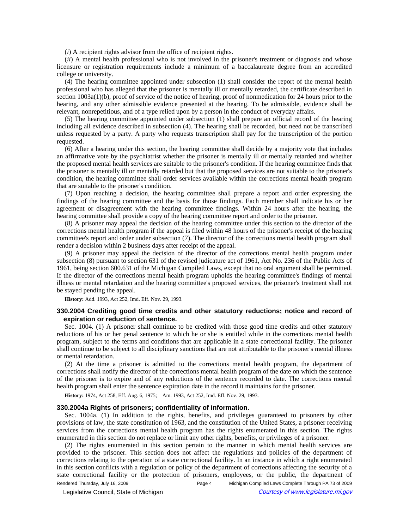(*i*) A recipient rights advisor from the office of recipient rights.

(*ii*) A mental health professional who is not involved in the prisoner's treatment or diagnosis and whose licensure or registration requirements include a minimum of a baccalaureate degree from an accredited college or university.

(4) The hearing committee appointed under subsection (1) shall consider the report of the mental health professional who has alleged that the prisoner is mentally ill or mentally retarded, the certificate described in section 1003a(1)(b), proof of service of the notice of hearing, proof of nonmedication for 24 hours prior to the hearing, and any other admissible evidence presented at the hearing. To be admissible, evidence shall be relevant, nonrepetitious, and of a type relied upon by a person in the conduct of everyday affairs.

(5) The hearing committee appointed under subsection (1) shall prepare an official record of the hearing including all evidence described in subsection (4). The hearing shall be recorded, but need not be transcribed unless requested by a party. A party who requests transcription shall pay for the transcription of the portion requested.

(6) After a hearing under this section, the hearing committee shall decide by a majority vote that includes an affirmative vote by the psychiatrist whether the prisoner is mentally ill or mentally retarded and whether the proposed mental health services are suitable to the prisoner's condition. If the hearing committee finds that the prisoner is mentally ill or mentally retarded but that the proposed services are not suitable to the prisoner's condition, the hearing committee shall order services available within the corrections mental health program that are suitable to the prisoner's condition.

(7) Upon reaching a decision, the hearing committee shall prepare a report and order expressing the findings of the hearing committee and the basis for those findings. Each member shall indicate his or her agreement or disagreement with the hearing committee findings. Within 24 hours after the hearing, the hearing committee shall provide a copy of the hearing committee report and order to the prisoner.

(8) A prisoner may appeal the decision of the hearing committee under this section to the director of the corrections mental health program if the appeal is filed within 48 hours of the prisoner's receipt of the hearing committee's report and order under subsection (7). The director of the corrections mental health program shall render a decision within 2 business days after receipt of the appeal.

(9) A prisoner may appeal the decision of the director of the corrections mental health program under subsection (8) pursuant to section 631 of the revised judicature act of 1961, Act No. 236 of the Public Acts of 1961, being section 600.631 of the Michigan Compiled Laws, except that no oral argument shall be permitted. If the director of the corrections mental health program upholds the hearing committee's findings of mental illness or mental retardation and the hearing committee's proposed services, the prisoner's treatment shall not be stayed pending the appeal.

**History:** Add. 1993, Act 252, Imd. Eff. Nov. 29, 1993.

# **330.2004 Crediting good time credits and other statutory reductions; notice and record of expiration or reduction of sentence.**

Sec. 1004. (1) A prisoner shall continue to be credited with those good time credits and other statutory reductions of his or her penal sentence to which he or she is entitled while in the corrections mental health program, subject to the terms and conditions that are applicable in a state correctional facility. The prisoner shall continue to be subject to all disciplinary sanctions that are not attributable to the prisoner's mental illness or mental retardation.

(2) At the time a prisoner is admitted to the corrections mental health program, the department of corrections shall notify the director of the corrections mental health program of the date on which the sentence of the prisoner is to expire and of any reductions of the sentence recorded to date. The corrections mental health program shall enter the sentence expiration date in the record it maintains for the prisoner.

History: 1974, Act 258, Eff. Aug. 6, 1975;-- Am. 1993, Act 252, Imd. Eff. Nov. 29, 1993.

# **330.2004a Rights of prisoners; confidentiality of information.**

Sec. 1004a. (1) In addition to the rights, benefits, and privileges guaranteed to prisoners by other provisions of law, the state constitution of 1963, and the constitution of the United States, a prisoner receiving services from the corrections mental health program has the rights enumerated in this section. The rights enumerated in this section do not replace or limit any other rights, benefits, or privileges of a prisoner.

(2) The rights enumerated in this section pertain to the manner in which mental health services are provided to the prisoner. This section does not affect the regulations and policies of the department of corrections relating to the operation of a state correctional facility. In an instance in which a right enumerated in this section conflicts with a regulation or policy of the department of corrections affecting the security of a state correctional facility or the protection of prisoners, employees, or the public, the department of Rendered Thursday, July 16, 2009 **Page 4** Michigan Compiled Laws Complete Through PA 73 of 2009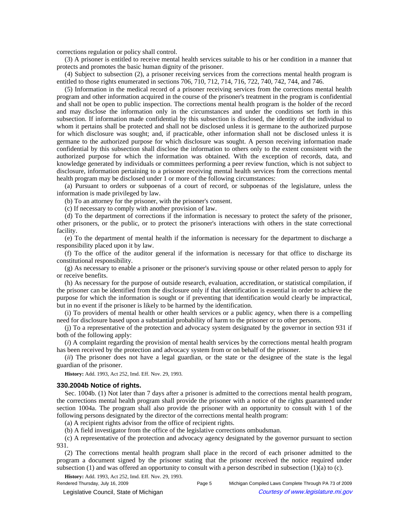corrections regulation or policy shall control.

(3) A prisoner is entitled to receive mental health services suitable to his or her condition in a manner that protects and promotes the basic human dignity of the prisoner.

(4) Subject to subsection (2), a prisoner receiving services from the corrections mental health program is entitled to those rights enumerated in sections 706, 710, 712, 714, 716, 722, 740, 742, 744, and 746.

(5) Information in the medical record of a prisoner receiving services from the corrections mental health program and other information acquired in the course of the prisoner's treatment in the program is confidential and shall not be open to public inspection. The corrections mental health program is the holder of the record and may disclose the information only in the circumstances and under the conditions set forth in this subsection. If information made confidential by this subsection is disclosed, the identity of the individual to whom it pertains shall be protected and shall not be disclosed unless it is germane to the authorized purpose for which disclosure was sought; and, if practicable, other information shall not be disclosed unless it is germane to the authorized purpose for which disclosure was sought. A person receiving information made confidential by this subsection shall disclose the information to others only to the extent consistent with the authorized purpose for which the information was obtained. With the exception of records, data, and knowledge generated by individuals or committees performing a peer review function, which is not subject to disclosure, information pertaining to a prisoner receiving mental health services from the corrections mental health program may be disclosed under 1 or more of the following circumstances:

(a) Pursuant to orders or subpoenas of a court of record, or subpoenas of the legislature, unless the information is made privileged by law.

(b) To an attorney for the prisoner, with the prisoner's consent.

(c) If necessary to comply with another provision of law.

(d) To the department of corrections if the information is necessary to protect the safety of the prisoner, other prisoners, or the public, or to protect the prisoner's interactions with others in the state correctional facility.

(e) To the department of mental health if the information is necessary for the department to discharge a responsibility placed upon it by law.

(f) To the office of the auditor general if the information is necessary for that office to discharge its constitutional responsibility.

(g) As necessary to enable a prisoner or the prisoner's surviving spouse or other related person to apply for or receive benefits.

(h) As necessary for the purpose of outside research, evaluation, accreditation, or statistical compilation, if the prisoner can be identified from the disclosure only if that identification is essential in order to achieve the purpose for which the information is sought or if preventing that identification would clearly be impractical, but in no event if the prisoner is likely to be harmed by the identification.

(i) To providers of mental health or other health services or a public agency, when there is a compelling need for disclosure based upon a substantial probability of harm to the prisoner or to other persons.

(j) To a representative of the protection and advocacy system designated by the governor in section 931 if both of the following apply:

(*i*) A complaint regarding the provision of mental health services by the corrections mental health program has been received by the protection and advocacy system from or on behalf of the prisoner.

(*ii*) The prisoner does not have a legal guardian, or the state or the designee of the state is the legal guardian of the prisoner.

**History:** Add. 1993, Act 252, Imd. Eff. Nov. 29, 1993.

### **330.2004b Notice of rights.**

Sec. 1004b. (1) Not later than 7 days after a prisoner is admitted to the corrections mental health program, the corrections mental health program shall provide the prisoner with a notice of the rights guaranteed under section 1004a. The program shall also provide the prisoner with an opportunity to consult with 1 of the following persons designated by the director of the corrections mental health program:

(a) A recipient rights advisor from the office of recipient rights.

(b) A field investigator from the office of the legislative corrections ombudsman.

(c) A representative of the protection and advocacy agency designated by the governor pursuant to section 931.

(2) The corrections mental health program shall place in the record of each prisoner admitted to the program a document signed by the prisoner stating that the prisoner received the notice required under subsection (1) and was offered an opportunity to consult with a person described in subsection (1)(a) to (c).

**History:** Add. 1993, Act 252, Imd. Eff. Nov. 29, 1993. Rendered Thursday, July 16, 2009 **Page 5** Michigan Compiled Laws Complete Through PA 73 of 2009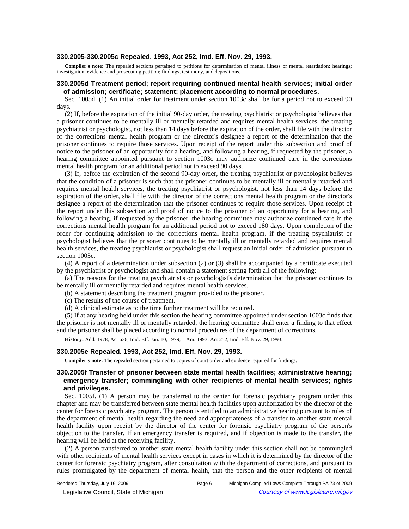#### **330.2005-330.2005c Repealed. 1993, Act 252, Imd. Eff. Nov. 29, 1993.**

**Compiler's note:** The repealed sections pertained to petitions for determination of mental illness or mental retardation; hearings; investigation, evidence and prosecuting petition; findings, testimony, and depositions.

# **330.2005d Treatment period; report requiring continued mental health services; initial order of admission; certificate; statement; placement according to normal procedures.**

Sec. 1005d. (1) An initial order for treatment under section 1003c shall be for a period not to exceed 90 days.

(2) If, before the expiration of the initial 90-day order, the treating psychiatrist or psychologist believes that a prisoner continues to be mentally ill or mentally retarded and requires mental health services, the treating psychiatrist or psychologist, not less than 14 days before the expiration of the order, shall file with the director of the corrections mental health program or the director's designee a report of the determination that the prisoner continues to require those services. Upon receipt of the report under this subsection and proof of notice to the prisoner of an opportunity for a hearing, and following a hearing, if requested by the prisoner, a hearing committee appointed pursuant to section 1003c may authorize continued care in the corrections mental health program for an additional period not to exceed 90 days.

(3) If, before the expiration of the second 90-day order, the treating psychiatrist or psychologist believes that the condition of a prisoner is such that the prisoner continues to be mentally ill or mentally retarded and requires mental health services, the treating psychiatrist or psychologist, not less than 14 days before the expiration of the order, shall file with the director of the corrections mental health program or the director's designee a report of the determination that the prisoner continues to require those services. Upon receipt of the report under this subsection and proof of notice to the prisoner of an opportunity for a hearing, and following a hearing, if requested by the prisoner, the hearing committee may authorize continued care in the corrections mental health program for an additional period not to exceed 180 days. Upon completion of the order for continuing admission to the corrections mental health program, if the treating psychiatrist or psychologist believes that the prisoner continues to be mentally ill or mentally retarded and requires mental health services, the treating psychiatrist or psychologist shall request an initial order of admission pursuant to section 1003c.

(4) A report of a determination under subsection (2) or (3) shall be accompanied by a certificate executed by the psychiatrist or psychologist and shall contain a statement setting forth all of the following:

(a) The reasons for the treating psychiatrist's or psychologist's determination that the prisoner continues to be mentally ill or mentally retarded and requires mental health services.

(b) A statement describing the treatment program provided to the prisoner.

(c) The results of the course of treatment.

(d) A clinical estimate as to the time further treatment will be required.

(5) If at any hearing held under this section the hearing committee appointed under section 1003c finds that the prisoner is not mentally ill or mentally retarded, the hearing committee shall enter a finding to that effect and the prisoner shall be placed according to normal procedures of the department of corrections.

**History:** Add. 1978, Act 636, Imd. Eff. Jan. 10, 1979;—Am. 1993, Act 252, Imd. Eff. Nov. 29, 1993.

# **330.2005e Repealed. 1993, Act 252, Imd. Eff. Nov. 29, 1993.**

**Compiler's note:** The repealed section pertained to copies of court order and evidence required for findings.

# **330.2005f Transfer of prisoner between state mental health facilities; administrative hearing; emergency transfer; commingling with other recipients of mental health services; rights and privileges.**

Sec. 1005f. (1) A person may be transferred to the center for forensic psychiatry program under this chapter and may be transferred between state mental health facilities upon authorization by the director of the center for forensic psychiatry program. The person is entitled to an administrative hearing pursuant to rules of the department of mental health regarding the need and appropriateness of a transfer to another state mental health facility upon receipt by the director of the center for forensic psychiatry program of the person's objection to the transfer. If an emergency transfer is required, and if objection is made to the transfer, the hearing will be held at the receiving facility.

(2) A person transferred to another state mental health facility under this section shall not be commingled with other recipients of mental health services except in cases in which it is determined by the director of the center for forensic psychiatry program, after consultation with the department of corrections, and pursuant to rules promulgated by the department of mental health, that the person and the other recipients of mental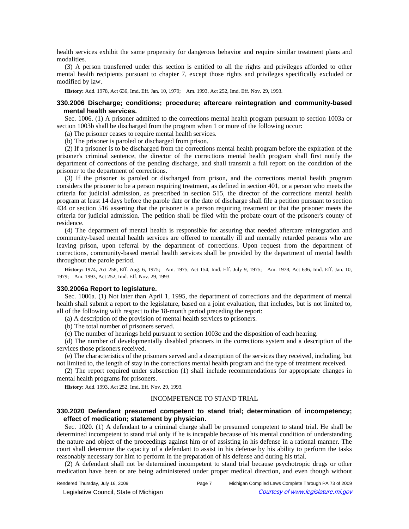health services exhibit the same propensity for dangerous behavior and require similar treatment plans and modalities.

(3) A person transferred under this section is entitled to all the rights and privileges afforded to other mental health recipients pursuant to chapter 7, except those rights and privileges specifically excluded or modified by law.

History: Add. 1978, Act 636, Imd. Eff. Jan. 10, 1979;-- Am. 1993, Act 252, Imd. Eff. Nov. 29, 1993.

# **330.2006 Discharge; conditions; procedure; aftercare reintegration and community-based mental health services.**

Sec. 1006. (1) A prisoner admitted to the corrections mental health program pursuant to section 1003a or section 1003b shall be discharged from the program when 1 or more of the following occur:

(a) The prisoner ceases to require mental health services.

(b) The prisoner is paroled or discharged from prison.

(2) If a prisoner is to be discharged from the corrections mental health program before the expiration of the prisoner's criminal sentence, the director of the corrections mental health program shall first notify the department of corrections of the pending discharge, and shall transmit a full report on the condition of the prisoner to the department of corrections.

(3) If the prisoner is paroled or discharged from prison, and the corrections mental health program considers the prisoner to be a person requiring treatment, as defined in section 401, or a person who meets the criteria for judicial admission, as prescribed in section 515, the director of the corrections mental health program at least 14 days before the parole date or the date of discharge shall file a petition pursuant to section 434 or section 516 asserting that the prisoner is a person requiring treatment or that the prisoner meets the criteria for judicial admission. The petition shall be filed with the probate court of the prisoner's county of residence.

(4) The department of mental health is responsible for assuring that needed aftercare reintegration and community-based mental health services are offered to mentally ill and mentally retarded persons who are leaving prison, upon referral by the department of corrections. Upon request from the department of corrections, community-based mental health services shall be provided by the department of mental health throughout the parole period.

History: 1974, Act 258, Eff. Aug. 6, 1975;--Am. 1975, Act 154, Imd. Eff. July 9, 1975;--Am. 1978, Act 636, Imd. Eff. Jan. 10, 1979; Am. 1993, Act 252, Imd. Eff. Nov. 29, 1993.

#### **330.2006a Report to legislature.**

Sec. 1006a. (1) Not later than April 1, 1995, the department of corrections and the department of mental health shall submit a report to the legislature, based on a joint evaluation, that includes, but is not limited to, all of the following with respect to the 18-month period preceding the report:

(a) A description of the provision of mental health services to prisoners.

(b) The total number of prisoners served.

(c) The number of hearings held pursuant to section 1003c and the disposition of each hearing.

(d) The number of developmentally disabled prisoners in the corrections system and a description of the services those prisoners received.

(e) The characteristics of the prisoners served and a description of the services they received, including, but not limited to, the length of stay in the corrections mental health program and the type of treatment received.

(2) The report required under subsection (1) shall include recommendations for appropriate changes in mental health programs for prisoners.

**History:** Add. 1993, Act 252, Imd. Eff. Nov. 29, 1993.

### INCOMPETENCE TO STAND TRIAL

# **330.2020 Defendant presumed competent to stand trial; determination of incompetency; effect of medication; statement by physician.**

Sec. 1020. (1) A defendant to a criminal charge shall be presumed competent to stand trial. He shall be determined incompetent to stand trial only if he is incapable because of his mental condition of understanding the nature and object of the proceedings against him or of assisting in his defense in a rational manner. The court shall determine the capacity of a defendant to assist in his defense by his ability to perform the tasks reasonably necessary for him to perform in the preparation of his defense and during his trial.

(2) A defendant shall not be determined incompetent to stand trial because psychotropic drugs or other medication have been or are being administered under proper medical direction, and even though without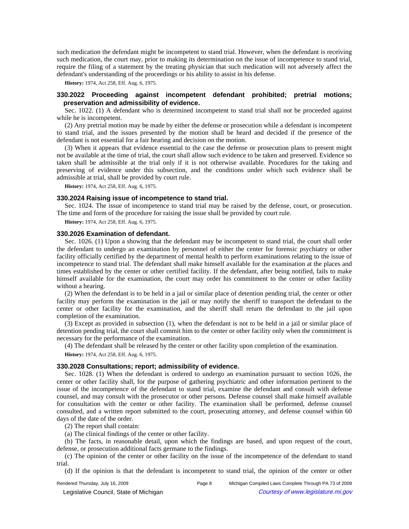such medication the defendant might be incompetent to stand trial. However, when the defendant is receiving such medication, the court may, prior to making its determination on the issue of incompetence to stand trial, require the filing of a statement by the treating physician that such medication will not adversely affect the defendant's understanding of the proceedings or his ability to assist in his defense.

**History:** 1974, Act 258, Eff. Aug. 6, 1975.

# **330.2022 Proceeding against incompetent defendant prohibited; pretrial motions; preservation and admissibility of evidence.**

Sec. 1022. (1) A defendant who is determined incompetent to stand trial shall not be proceeded against while he is incompetent.

(2) Any pretrial motion may be made by either the defense or prosecution while a defendant is incompetent to stand trial, and the issues presented by the motion shall be heard and decided if the presence of the defendant is not essential for a fair hearing and decision on the motion.

(3) When it appears that evidence essential to the case the defense or prosecution plans to present might not be available at the time of trial, the court shall allow such evidence to be taken and preserved. Evidence so taken shall be admissible at the trial only if it is not otherwise available. Procedures for the taking and preserving of evidence under this subsection, and the conditions under which such evidence shall be admissible at trial, shall be provided by court rule.

**History:** 1974, Act 258, Eff. Aug. 6, 1975.

# **330.2024 Raising issue of incompetence to stand trial.**

Sec. 1024. The issue of incompetence to stand trial may be raised by the defense, court, or prosecution. The time and form of the procedure for raising the issue shall be provided by court rule.

**History:** 1974, Act 258, Eff. Aug. 6, 1975.

### **330.2026 Examination of defendant.**

Sec. 1026. (1) Upon a showing that the defendant may be incompetent to stand trial, the court shall order the defendant to undergo an examination by personnel of either the center for forensic psychiatry or other facility officially certified by the department of mental health to perform examinations relating to the issue of incompetence to stand trial. The defendant shall make himself available for the examination at the places and times established by the center or other certified facility. If the defendant, after being notified, fails to make himself available for the examination, the court may order his commitment to the center or other facility without a hearing.

(2) When the defendant is to be held in a jail or similar place of detention pending trial, the center or other facility may perform the examination in the jail or may notify the sheriff to transport the defendant to the center or other facility for the examination, and the sheriff shall return the defendant to the jail upon completion of the examination.

(3) Except as provided in subsection (1), when the defendant is not to be held in a jail or similar place of detention pending trial, the court shall commit him to the center or other facility only when the commitment is necessary for the performance of the examination.

(4) The defendant shall be released by the center or other facility upon completion of the examination.

**History:** 1974, Act 258, Eff. Aug. 6, 1975.

### **330.2028 Consultations; report; admissibility of evidence.**

Sec. 1028. (1) When the defendant is ordered to undergo an examination pursuant to section 1026, the center or other facility shall, for the purpose of gathering psychiatric and other information pertinent to the issue of the incompetence of the defendant to stand trial, examine the defendant and consult with defense counsel, and may consult with the prosecutor or other persons. Defense counsel shall make himself available for consultation with the center or other facility. The examination shall be performed, defense counsel consulted, and a written report submitted to the court, prosecuting attorney, and defense counsel within 60 days of the date of the order.

(2) The report shall contain:

(a) The clinical findings of the center or other facility.

(b) The facts, in reasonable detail, upon which the findings are based, and upon request of the court, defense, or prosecution additional facts germane to the findings.

(c) The opinion of the center or other facility on the issue of the incompetence of the defendant to stand trial.

(d) If the opinion is that the defendant is incompetent to stand trial, the opinion of the center or other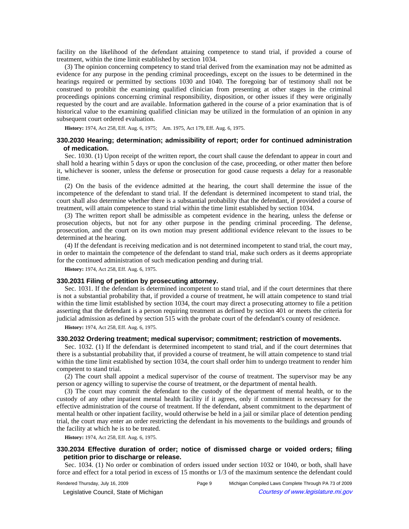facility on the likelihood of the defendant attaining competence to stand trial, if provided a course of treatment, within the time limit established by section 1034.

(3) The opinion concerning competency to stand trial derived from the examination may not be admitted as evidence for any purpose in the pending criminal proceedings, except on the issues to be determined in the hearings required or permitted by sections 1030 and 1040. The foregoing bar of testimony shall not be construed to prohibit the examining qualified clinician from presenting at other stages in the criminal proceedings opinions concerning criminal responsibility, disposition, or other issues if they were originally requested by the court and are available. Information gathered in the course of a prior examination that is of historical value to the examining qualified clinician may be utilized in the formulation of an opinion in any subsequent court ordered evaluation.

History: 1974, Act 258, Eff. Aug. 6, 1975;--- Am. 1975, Act 179, Eff. Aug. 6, 1975.

# **330.2030 Hearing; determination; admissibility of report; order for continued administration of medication.**

Sec. 1030. (1) Upon receipt of the written report, the court shall cause the defendant to appear in court and shall hold a hearing within 5 days or upon the conclusion of the case, proceeding, or other matter then before it, whichever is sooner, unless the defense or prosecution for good cause requests a delay for a reasonable time.

(2) On the basis of the evidence admitted at the hearing, the court shall determine the issue of the incompetence of the defendant to stand trial. If the defendant is determined incompetent to stand trial, the court shall also determine whether there is a substantial probability that the defendant, if provided a course of treatment, will attain competence to stand trial within the time limit established by section 1034.

(3) The written report shall be admissible as competent evidence in the hearing, unless the defense or prosecution objects, but not for any other purpose in the pending criminal proceeding. The defense, prosecution, and the court on its own motion may present additional evidence relevant to the issues to be determined at the hearing.

(4) If the defendant is receiving medication and is not determined incompetent to stand trial, the court may, in order to maintain the competence of the defendant to stand trial, make such orders as it deems appropriate for the continued administration of such medication pending and during trial.

**History:** 1974, Act 258, Eff. Aug. 6, 1975.

### **330.2031 Filing of petition by prosecuting attorney.**

Sec. 1031. If the defendant is determined incompetent to stand trial, and if the court determines that there is not a substantial probability that, if provided a course of treatment, he will attain competence to stand trial within the time limit established by section 1034, the court may direct a prosecuting attorney to file a petition asserting that the defendant is a person requiring treatment as defined by section 401 or meets the criteria for judicial admission as defined by section 515 with the probate court of the defendant's county of residence.

**History:** 1974, Act 258, Eff. Aug. 6, 1975.

#### **330.2032 Ordering treatment; medical supervisor; commitment; restriction of movements.**

Sec. 1032. (1) If the defendant is determined incompetent to stand trial, and if the court determines that there is a substantial probability that, if provided a course of treatment, he will attain competence to stand trial within the time limit established by section 1034, the court shall order him to undergo treatment to render him competent to stand trial.

(2) The court shall appoint a medical supervisor of the course of treatment. The supervisor may be any person or agency willing to supervise the course of treatment, or the department of mental health.

(3) The court may commit the defendant to the custody of the department of mental health, or to the custody of any other inpatient mental health facility if it agrees, only if commitment is necessary for the effective administration of the course of treatment. If the defendant, absent commitment to the department of mental health or other inpatient facility, would otherwise be held in a jail or similar place of detention pending trial, the court may enter an order restricting the defendant in his movements to the buildings and grounds of the facility at which he is to be treated.

**History:** 1974, Act 258, Eff. Aug. 6, 1975.

# **330.2034 Effective duration of order; notice of dismissed charge or voided orders; filing petition prior to discharge or release.**

Sec. 1034. (1) No order or combination of orders issued under section 1032 or 1040, or both, shall have force and effect for a total period in excess of 15 months or 1/3 of the maximum sentence the defendant could

© Legislative Council, State of Michigan Courtesy of www.legislature.mi.gov

Rendered Thursday, July 16, 2009 **Page 9** Michigan Compiled Laws Complete Through PA 73 of 2009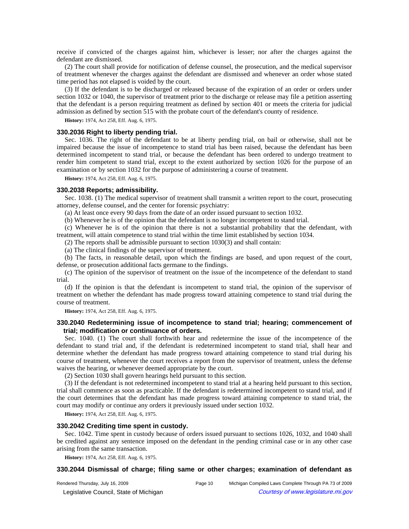receive if convicted of the charges against him, whichever is lesser; nor after the charges against the defendant are dismissed.

(2) The court shall provide for notification of defense counsel, the prosecution, and the medical supervisor of treatment whenever the charges against the defendant are dismissed and whenever an order whose stated time period has not elapsed is voided by the court.

(3) If the defendant is to be discharged or released because of the expiration of an order or orders under section 1032 or 1040, the supervisor of treatment prior to the discharge or release may file a petition asserting that the defendant is a person requiring treatment as defined by section 401 or meets the criteria for judicial admission as defined by section 515 with the probate court of the defendant's county of residence.

**History:** 1974, Act 258, Eff. Aug. 6, 1975.

#### **330.2036 Right to liberty pending trial.**

Sec. 1036. The right of the defendant to be at liberty pending trial, on bail or otherwise, shall not be impaired because the issue of incompetence to stand trial has been raised, because the defendant has been determined incompetent to stand trial, or because the defendant has been ordered to undergo treatment to render him competent to stand trial, except to the extent authorized by section 1026 for the purpose of an examination or by section 1032 for the purpose of administering a course of treatment.

**History:** 1974, Act 258, Eff. Aug. 6, 1975.

### **330.2038 Reports; admissibility.**

Sec. 1038. (1) The medical supervisor of treatment shall transmit a written report to the court, prosecuting attorney, defense counsel, and the center for forensic psychiatry:

(a) At least once every 90 days from the date of an order issued pursuant to section 1032.

(b) Whenever he is of the opinion that the defendant is no longer incompetent to stand trial.

(c) Whenever he is of the opinion that there is not a substantial probability that the defendant, with treatment, will attain competence to stand trial within the time limit established by section 1034.

(2) The reports shall be admissible pursuant to section 1030(3) and shall contain:

(a) The clinical findings of the supervisor of treatment.

(b) The facts, in reasonable detail, upon which the findings are based, and upon request of the court, defense, or prosecution additional facts germane to the findings.

(c) The opinion of the supervisor of treatment on the issue of the incompetence of the defendant to stand trial.

(d) If the opinion is that the defendant is incompetent to stand trial, the opinion of the supervisor of treatment on whether the defendant has made progress toward attaining competence to stand trial during the course of treatment.

**History:** 1974, Act 258, Eff. Aug. 6, 1975.

# **330.2040 Redetermining issue of incompetence to stand trial; hearing; commencement of trial; modification or continuance of orders.**

Sec. 1040. (1) The court shall forthwith hear and redetermine the issue of the incompetence of the defendant to stand trial and, if the defendant is redetermined incompetent to stand trial, shall hear and determine whether the defendant has made progress toward attaining competence to stand trial during his course of treatment, whenever the court receives a report from the supervisor of treatment, unless the defense waives the hearing, or whenever deemed appropriate by the court.

(2) Section 1030 shall govern hearings held pursuant to this section.

(3) If the defendant is not redetermined incompetent to stand trial at a hearing held pursuant to this section, trial shall commence as soon as practicable. If the defendant is redetermined incompetent to stand trial, and if the court determines that the defendant has made progress toward attaining competence to stand trial, the court may modify or continue any orders it previously issued under section 1032.

**History:** 1974, Act 258, Eff. Aug. 6, 1975.

### **330.2042 Crediting time spent in custody.**

Sec. 1042. Time spent in custody because of orders issued pursuant to sections 1026, 1032, and 1040 shall be credited against any sentence imposed on the defendant in the pending criminal case or in any other case arising from the same transaction.

**History:** 1974, Act 258, Eff. Aug. 6, 1975.

### **330.2044 Dismissal of charge; filing same or other charges; examination of defendant as**

© Legislative Council, State of Michigan Council Courtesy of www.legislature.mi.gov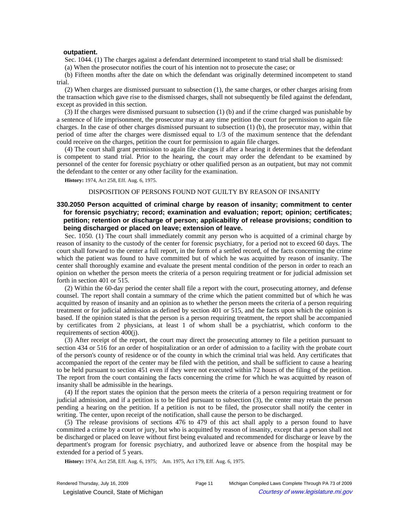### **outpatient.**

Sec. 1044. (1) The charges against a defendant determined incompetent to stand trial shall be dismissed:

(a) When the prosecutor notifies the court of his intention not to prosecute the case; or

(b) Fifteen months after the date on which the defendant was originally determined incompetent to stand trial.

(2) When charges are dismissed pursuant to subsection (1), the same charges, or other charges arising from the transaction which gave rise to the dismissed charges, shall not subsequently be filed against the defendant, except as provided in this section.

(3) If the charges were dismissed pursuant to subsection (1) (b) and if the crime charged was punishable by a sentence of life imprisonment, the prosecutor may at any time petition the court for permission to again file charges. In the case of other charges dismissed pursuant to subsection (1) (b), the prosecutor may, within that period of time after the charges were dismissed equal to 1/3 of the maximum sentence that the defendant could receive on the charges, petition the court for permission to again file charges.

(4) The court shall grant permission to again file charges if after a hearing it determines that the defendant is competent to stand trial. Prior to the hearing, the court may order the defendant to be examined by personnel of the center for forensic psychiatry or other qualified person as an outpatient, but may not commit the defendant to the center or any other facility for the examination.

**History:** 1974, Act 258, Eff. Aug. 6, 1975.

### DISPOSITION OF PERSONS FOUND NOT GUILTY BY REASON OF INSANITY

# **330.2050 Person acquitted of criminal charge by reason of insanity; commitment to center for forensic psychiatry; record; examination and evaluation; report; opinion; certificates; petition; retention or discharge of person; applicability of release provisions; condition to being discharged or placed on leave; extension of leave.**

Sec. 1050. (1) The court shall immediately commit any person who is acquitted of a criminal charge by reason of insanity to the custody of the center for forensic psychiatry, for a period not to exceed 60 days. The court shall forward to the center a full report, in the form of a settled record, of the facts concerning the crime which the patient was found to have committed but of which he was acquitted by reason of insanity. The center shall thoroughly examine and evaluate the present mental condition of the person in order to reach an opinion on whether the person meets the criteria of a person requiring treatment or for judicial admission set forth in section 401 or 515.

(2) Within the 60-day period the center shall file a report with the court, prosecuting attorney, and defense counsel. The report shall contain a summary of the crime which the patient committed but of which he was acquitted by reason of insanity and an opinion as to whether the person meets the criteria of a person requiring treatment or for judicial admission as defined by section 401 or 515, and the facts upon which the opinion is based. If the opinion stated is that the person is a person requiring treatment, the report shall be accompanied by certificates from 2 physicians, at least 1 of whom shall be a psychiatrist, which conform to the requirements of section 400(j).

(3) After receipt of the report, the court may direct the prosecuting attorney to file a petition pursuant to section 434 or 516 for an order of hospitalization or an order of admission to a facility with the probate court of the person's county of residence or of the county in which the criminal trial was held. Any certificates that accompanied the report of the center may be filed with the petition, and shall be sufficient to cause a hearing to be held pursuant to section 451 even if they were not executed within 72 hours of the filing of the petition. The report from the court containing the facts concerning the crime for which he was acquitted by reason of insanity shall be admissible in the hearings.

(4) If the report states the opinion that the person meets the criteria of a person requiring treatment or for judicial admission, and if a petition is to be filed pursuant to subsection (3), the center may retain the person pending a hearing on the petition. If a petition is not to be filed, the prosecutor shall notify the center in writing. The center, upon receipt of the notification, shall cause the person to be discharged.

(5) The release provisions of sections 476 to 479 of this act shall apply to a person found to have committed a crime by a court or jury, but who is acquitted by reason of insanity, except that a person shall not be discharged or placed on leave without first being evaluated and recommended for discharge or leave by the department's program for forensic psychiatry, and authorized leave or absence from the hospital may be extended for a period of 5 years.

History: 1974, Act 258, Eff. Aug. 6, 1975;—Am. 1975, Act 179, Eff. Aug. 6, 1975.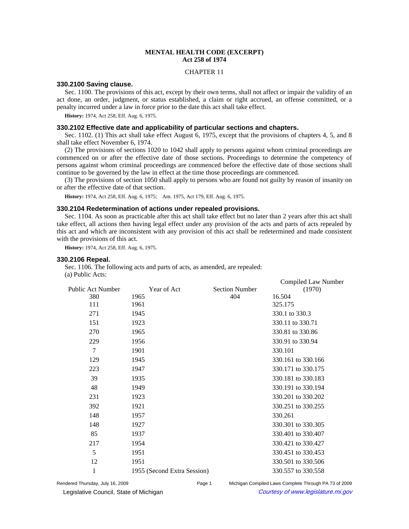# **MENTAL HEALTH CODE (EXCERPT) Act 258 of 1974**

### CHAPTER 11

### **330.2100 Saving clause.**

Sec. 1100. The provisions of this act, except by their own terms, shall not affect or impair the validity of an act done, an order, judgment, or status established, a claim or right accrued, an offense committed, or a penalty incurred under a law in force prior to the date this act shall take effect.

**History:** 1974, Act 258, Eff. Aug. 6, 1975.

#### **330.2102 Effective date and applicability of particular sections and chapters.**

Sec. 1102. (1) This act shall take effect August 6, 1975, except that the provisions of chapters 4, 5, and 8 shall take effect November 6, 1974.

(2) The provisions of sections 1020 to 1042 shall apply to persons against whom criminal proceedings are commenced on or after the effective date of those sections. Proceedings to determine the competency of persons against whom criminal proceedings are commenced before the effective date of those sections shall continue to be governed by the law in effect at the time those proceedings are commenced.

(3) The provisions of section 1050 shall apply to persons who are found not guilty by reason of insanity on or after the effective date of that section.

History: 1974, Act 258, Eff. Aug. 6, 1975;--- Am. 1975, Act 179, Eff. Aug. 6, 1975.

# **330.2104 Redetermination of actions under repealed provisions.**

Sec. 1104. As soon as practicable after this act shall take effect but no later than 2 years after this act shall take effect, all actions then having legal effect under any provision of the acts and parts of acts repealed by this act and which are inconsistent with any provision of this act shall be redetermined and made consistent with the provisions of this act.

**History:** 1974, Act 258, Eff. Aug. 6, 1975.

#### **330.2106 Repeal.**

Sec. 1106. The following acts and parts of acts, as amended, are repealed: (a) Public Acts:

|                   |                             |                       | Complied Law Trainocl |
|-------------------|-----------------------------|-----------------------|-----------------------|
| Public Act Number | Year of Act                 | <b>Section Number</b> | (1970)                |
| 380               | 1965                        | 404                   | 16.504                |
| 111               | 1961                        |                       | 325.175               |
| 271               | 1945                        |                       | 330.1 to 330.3        |
| 151               | 1923                        |                       | 330.11 to 330.71      |
| 270               | 1965                        |                       | 330.81 to 330.86      |
| 229               | 1956                        |                       | 330.91 to 330.94      |
| 7                 | 1901                        |                       | 330.101               |
| 129               | 1945                        |                       | 330.161 to 330.166    |
| 223               | 1947                        |                       | 330.171 to 330.175    |
| 39                | 1935                        |                       | 330.181 to 330.183    |
| 48                | 1949                        |                       | 330.191 to 330.194    |
| 231               | 1923                        |                       | 330.201 to 330.202    |
| 392               | 1921                        |                       | 330.251 to 330.255    |
| 148               | 1957                        |                       | 330.261               |
| 148               | 1927                        |                       | 330.301 to 330.305    |
| 85                | 1937                        |                       | 330.401 to 330.407    |
| 217               | 1954                        |                       | 330.421 to 330.427    |
| 5                 | 1951                        |                       | 330.451 to 330.453    |
| 12                | 1951                        |                       | 330.501 to 330.506    |
| 1                 | 1955 (Second Extra Session) |                       | 330.557 to 330.558    |
|                   |                             |                       |                       |

© Legislative Council, State of Michigan Council Courtesy of www.legislature.mi.gov

Compiled Law Number